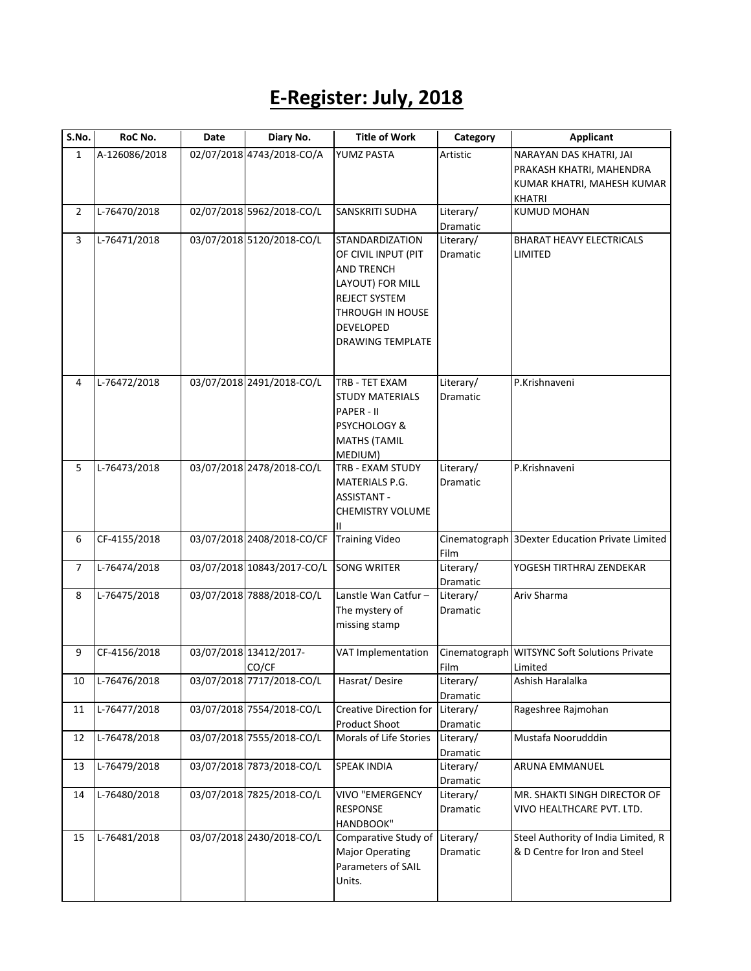## **E-Register: July, 2018**

| S.No.        | RoC No.        | Date | Diary No.                  | <b>Title of Work</b>    | Category  | <b>Applicant</b>                                |
|--------------|----------------|------|----------------------------|-------------------------|-----------|-------------------------------------------------|
| $\mathbf{1}$ | A-126086/2018  |      | 02/07/2018 4743/2018-CO/A  | YUMZ PASTA              | Artistic  | NARAYAN DAS KHATRI, JAI                         |
|              |                |      |                            |                         |           | PRAKASH KHATRI, MAHENDRA                        |
|              |                |      |                            |                         |           | KUMAR KHATRI, MAHESH KUMAR                      |
|              |                |      |                            |                         |           | <b>KHATRI</b>                                   |
| 2            | L-76470/2018   |      | 02/07/2018 5962/2018-CO/L  | SANSKRITI SUDHA         | Literary/ | <b>KUMUD MOHAN</b>                              |
|              |                |      |                            |                         | Dramatic  |                                                 |
| 3            | L-76471/2018   |      | 03/07/2018 5120/2018-CO/L  | STANDARDIZATION         | Literary/ | <b>BHARAT HEAVY ELECTRICALS</b>                 |
|              |                |      |                            | OF CIVIL INPUT (PIT     | Dramatic  | LIMITED                                         |
|              |                |      |                            | <b>AND TRENCH</b>       |           |                                                 |
|              |                |      |                            | LAYOUT) FOR MILL        |           |                                                 |
|              |                |      |                            | <b>REJECT SYSTEM</b>    |           |                                                 |
|              |                |      |                            | THROUGH IN HOUSE        |           |                                                 |
|              |                |      |                            | <b>DEVELOPED</b>        |           |                                                 |
|              |                |      |                            | <b>DRAWING TEMPLATE</b> |           |                                                 |
|              |                |      |                            |                         |           |                                                 |
| 4            | L-76472/2018   |      | 03/07/2018 2491/2018-CO/L  | TRB - TET EXAM          | Literary/ | P.Krishnaveni                                   |
|              |                |      |                            | <b>STUDY MATERIALS</b>  | Dramatic  |                                                 |
|              |                |      |                            | PAPER - II              |           |                                                 |
|              |                |      |                            | PSYCHOLOGY &            |           |                                                 |
|              |                |      |                            | <b>MATHS (TAMIL</b>     |           |                                                 |
|              |                |      |                            | MEDIUM)                 |           |                                                 |
| 5            | L-76473/2018   |      | 03/07/2018 2478/2018-CO/L  | TRB - EXAM STUDY        | Literary/ | P.Krishnaveni                                   |
|              |                |      |                            | MATERIALS P.G.          | Dramatic  |                                                 |
|              |                |      |                            | <b>ASSISTANT -</b>      |           |                                                 |
|              |                |      |                            | <b>CHEMISTRY VOLUME</b> |           |                                                 |
|              |                |      |                            |                         |           |                                                 |
| 6            | CF-4155/2018   |      | 03/07/2018 2408/2018-CO/CF | <b>Training Video</b>   |           | Cinematograph 3Dexter Education Private Limited |
|              |                |      |                            |                         | Film      |                                                 |
| 7            | L-76474/2018   |      | 03/07/2018 10843/2017-CO/L | <b>SONG WRITER</b>      | Literary/ | YOGESH TIRTHRAJ ZENDEKAR                        |
|              |                |      |                            |                         | Dramatic  |                                                 |
| 8            | L-76475/2018   |      | 03/07/2018 7888/2018-CO/L  | Lanstle Wan Catfur-     | Literary/ | Ariv Sharma                                     |
|              |                |      |                            | The mystery of          | Dramatic  |                                                 |
|              |                |      |                            | missing stamp           |           |                                                 |
| 9            | CF-4156/2018   |      | 03/07/2018 13412/2017-     | VAT Implementation      |           | Cinematograph WITSYNC Soft Solutions Private    |
|              |                |      | CO/CF                      |                         | Film      | Limited                                         |
| 10           | $L-76476/2018$ |      | 03/07/2018 7717/2018-CO/L  | Hasrat/Desire           | Literary/ | Ashish Haralalka                                |
|              |                |      |                            |                         | Dramatic  |                                                 |
| 11           | L-76477/2018   |      | 03/07/2018 7554/2018-CO/L  | Creative Direction for  | Literary/ | Rageshree Rajmohan                              |
|              |                |      |                            | <b>Product Shoot</b>    | Dramatic  |                                                 |
| 12           | L-76478/2018   |      | 03/07/2018 7555/2018-CO/L  | Morals of Life Stories  | Literary/ | Mustafa Noorudddin                              |
|              |                |      |                            |                         | Dramatic  |                                                 |
| 13           | L-76479/2018   |      | 03/07/2018 7873/2018-CO/L  | <b>SPEAK INDIA</b>      | Literary/ | ARUNA EMMANUEL                                  |
|              |                |      |                            |                         | Dramatic  |                                                 |
| 14           | L-76480/2018   |      | 03/07/2018 7825/2018-CO/L  | <b>VIVO "EMERGENCY</b>  | Literary/ | MR. SHAKTI SINGH DIRECTOR OF                    |
|              |                |      |                            | <b>RESPONSE</b>         | Dramatic  | VIVO HEALTHCARE PVT. LTD.                       |
|              |                |      |                            | HANDBOOK"               |           |                                                 |
| 15           | L-76481/2018   |      | 03/07/2018 2430/2018-CO/L  | Comparative Study of    | Literary/ | Steel Authority of India Limited, R             |
|              |                |      |                            | <b>Major Operating</b>  | Dramatic  | & D Centre for Iron and Steel                   |
|              |                |      |                            | Parameters of SAIL      |           |                                                 |
|              |                |      |                            | Units.                  |           |                                                 |
|              |                |      |                            |                         |           |                                                 |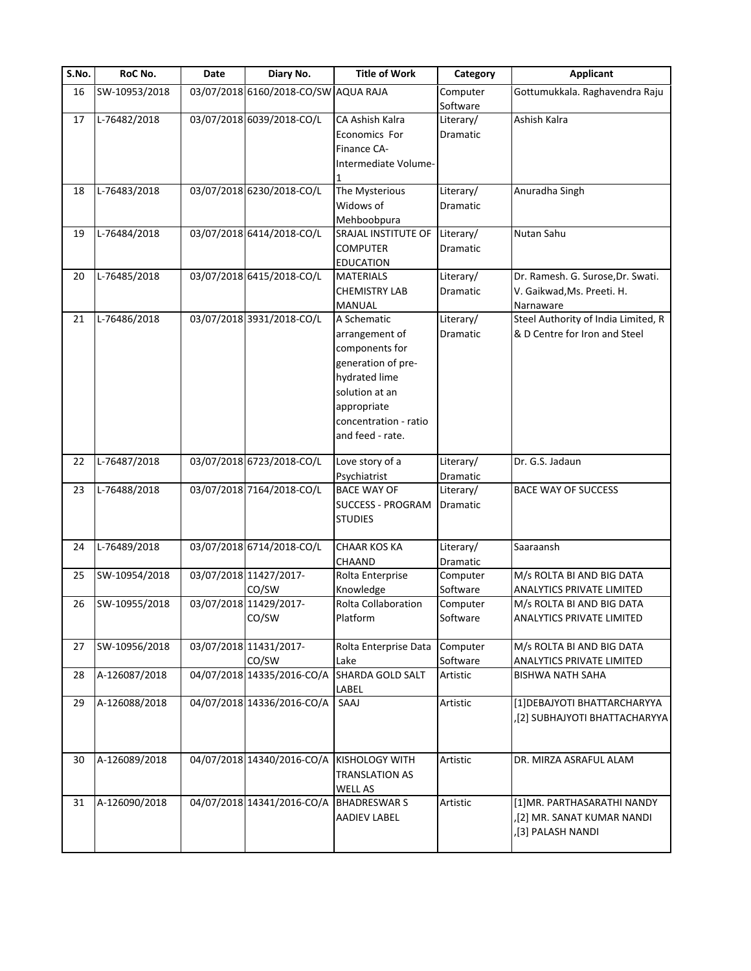| S.No. | RoC No.       | Date | Diary No.                            | <b>Title of Work</b>                        | Category        | <b>Applicant</b>                    |
|-------|---------------|------|--------------------------------------|---------------------------------------------|-----------------|-------------------------------------|
| 16    | SW-10953/2018 |      | 03/07/2018 6160/2018-CO/SW AQUA RAJA |                                             | Computer        | Gottumukkala. Raghavendra Raju      |
|       |               |      |                                      |                                             | Software        |                                     |
| 17    | L-76482/2018  |      | 03/07/2018 6039/2018-CO/L            | CA Ashish Kalra                             | Literary/       | Ashish Kalra                        |
|       |               |      |                                      | Economics For                               | Dramatic        |                                     |
|       |               |      |                                      | Finance CA-                                 |                 |                                     |
|       |               |      |                                      | Intermediate Volume-                        |                 |                                     |
|       |               |      |                                      |                                             |                 |                                     |
| 18    | L-76483/2018  |      | 03/07/2018 6230/2018-CO/L            | The Mysterious                              | Literary/       | Anuradha Singh                      |
|       |               |      |                                      | Widows of                                   | Dramatic        |                                     |
|       |               |      |                                      |                                             |                 |                                     |
|       |               |      |                                      | Mehboobpura                                 |                 |                                     |
| 19    | L-76484/2018  |      | 03/07/2018 6414/2018-CO/L            | SRAJAL INSTITUTE OF                         | Literary/       | Nutan Sahu                          |
|       |               |      |                                      | <b>COMPUTER</b>                             | Dramatic        |                                     |
|       |               |      |                                      | <b>EDUCATION</b>                            |                 |                                     |
| 20    | L-76485/2018  |      | 03/07/2018 6415/2018-CO/L            | <b>MATERIALS</b>                            | Literary/       | Dr. Ramesh. G. Surose, Dr. Swati.   |
|       |               |      |                                      | <b>CHEMISTRY LAB</b>                        | Dramatic        | V. Gaikwad, Ms. Preeti. H.          |
|       |               |      |                                      | MANUAL                                      |                 | Narnaware                           |
| 21    | L-76486/2018  |      | 03/07/2018 3931/2018-CO/L            | A Schematic                                 | Literary/       | Steel Authority of India Limited, R |
|       |               |      |                                      | arrangement of                              | Dramatic        | & D Centre for Iron and Steel       |
|       |               |      |                                      | components for                              |                 |                                     |
|       |               |      |                                      |                                             |                 |                                     |
|       |               |      |                                      | generation of pre-                          |                 |                                     |
|       |               |      |                                      | hydrated lime                               |                 |                                     |
|       |               |      |                                      | solution at an                              |                 |                                     |
|       |               |      |                                      | appropriate                                 |                 |                                     |
|       |               |      |                                      | concentration - ratio                       |                 |                                     |
|       |               |      |                                      | and feed - rate.                            |                 |                                     |
|       |               |      |                                      |                                             |                 |                                     |
| 22    | L-76487/2018  |      | 03/07/2018 6723/2018-CO/L            | Love story of a                             | Literary/       | Dr. G.S. Jadaun                     |
|       |               |      |                                      | Psychiatrist                                | Dramatic        |                                     |
| 23    | L-76488/2018  |      | 03/07/2018 7164/2018-CO/L            | <b>BACE WAY OF</b>                          | Literary/       | <b>BACE WAY OF SUCCESS</b>          |
|       |               |      |                                      | <b>SUCCESS - PROGRAM</b>                    | Dramatic        |                                     |
|       |               |      |                                      | <b>STUDIES</b>                              |                 |                                     |
|       |               |      |                                      |                                             |                 |                                     |
| 24    | L-76489/2018  |      | 03/07/2018 6714/2018-CO/L            | <b>CHAAR KOS KA</b>                         | Literary/       | Saaraansh                           |
|       |               |      |                                      | <b>CHAAND</b>                               | <b>Dramatic</b> |                                     |
|       |               |      |                                      |                                             |                 |                                     |
| 25    | SW-10954/2018 |      | 03/07/2018 11427/2017-               | Rolta Enterprise                            | Computer        | M/s ROLTA BI AND BIG DATA           |
|       |               |      | CO/SW                                | Knowledge                                   | Software        | ANALYTICS PRIVATE LIMITED           |
| 26    | SW-10955/2018 |      | 03/07/2018 11429/2017-               | Rolta Collaboration                         | Computer        | M/s ROLTA BI AND BIG DATA           |
|       |               |      | CO/SW                                | Platform                                    | Software        | <b>ANALYTICS PRIVATE LIMITED</b>    |
|       |               |      |                                      |                                             |                 |                                     |
| 27    | SW-10956/2018 |      | 03/07/2018 11431/2017-               | Rolta Enterprise Data                       | Computer        | M/s ROLTA BI AND BIG DATA           |
|       |               |      | CO/SW                                | Lake                                        | Software        | ANALYTICS PRIVATE LIMITED           |
| 28    | A-126087/2018 |      |                                      | 04/07/2018 14335/2016-CO/A SHARDA GOLD SALT | Artistic        | <b>BISHWA NATH SAHA</b>             |
|       |               |      |                                      | LABEL                                       |                 |                                     |
| 29    | A-126088/2018 |      | 04/07/2018 14336/2016-CO/A           | SAAJ                                        | Artistic        | [1] DEBAJYOTI BHATTARCHARYYA        |
|       |               |      |                                      |                                             |                 | ,[2] SUBHAJYOTI BHATTACHARYYA       |
|       |               |      |                                      |                                             |                 |                                     |
|       |               |      |                                      |                                             |                 |                                     |
| 30    | A-126089/2018 |      | 04/07/2018 14340/2016-CO/A           | <b>KISHOLOGY WITH</b>                       | Artistic        | DR. MIRZA ASRAFUL ALAM              |
|       |               |      |                                      |                                             |                 |                                     |
|       |               |      |                                      | <b>TRANSLATION AS</b>                       |                 |                                     |
|       |               |      |                                      | <b>WELL AS</b>                              |                 |                                     |
| 31    | A-126090/2018 |      | 04/07/2018 14341/2016-CO/A           | <b>BHADRESWAR S</b>                         | Artistic        | [1]MR. PARTHASARATHI NANDY          |
|       |               |      |                                      | <b>AADIEV LABEL</b>                         |                 | ,[2] MR. SANAT KUMAR NANDI          |
|       |               |      |                                      |                                             |                 | [3] PALASH NANDI                    |
|       |               |      |                                      |                                             |                 |                                     |
|       |               |      |                                      |                                             |                 |                                     |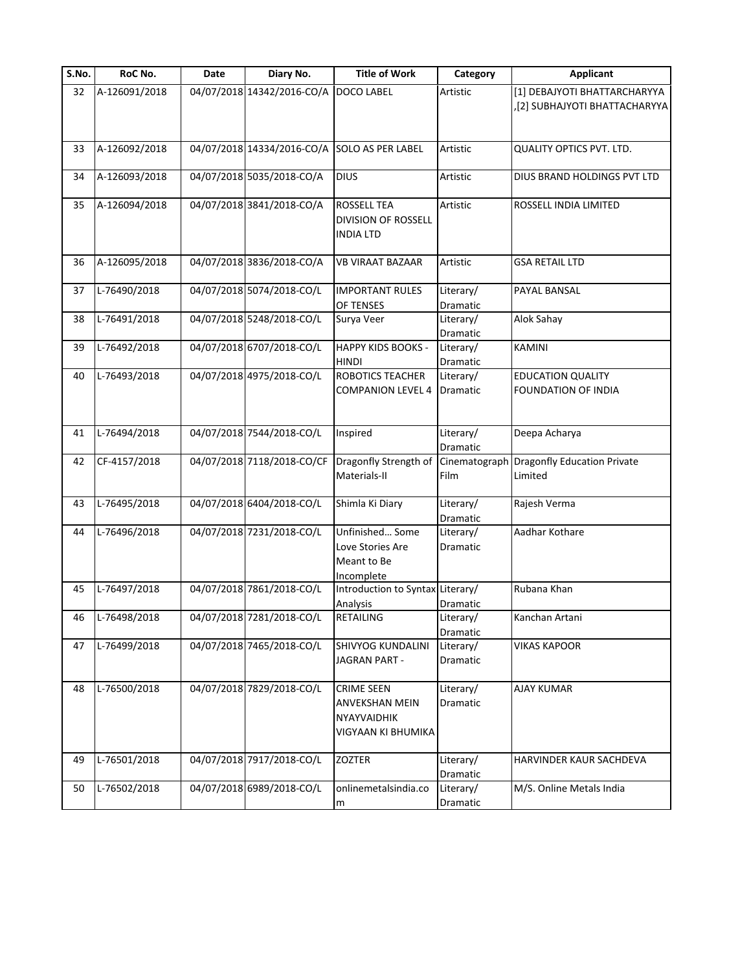| S.No. | RoC No.       | Date | Diary No.                  | <b>Title of Work</b>                           | Category  | <b>Applicant</b>                          |
|-------|---------------|------|----------------------------|------------------------------------------------|-----------|-------------------------------------------|
| 32    | A-126091/2018 |      | 04/07/2018 14342/2016-CO/A | <b>DOCO LABEL</b>                              | Artistic  | [1] DEBAJYOTI BHATTARCHARYYA              |
|       |               |      |                            |                                                |           | [2] SUBHAJYOTI BHATTACHARYYA              |
|       |               |      |                            |                                                |           |                                           |
|       |               |      |                            |                                                |           |                                           |
| 33    | A-126092/2018 |      | 04/07/2018 14334/2016-CO/A | <b>SOLO AS PER LABEL</b>                       | Artistic  | QUALITY OPTICS PVT. LTD.                  |
| 34    | A-126093/2018 |      | 04/07/2018 5035/2018-CO/A  | <b>DIUS</b>                                    | Artistic  | DIUS BRAND HOLDINGS PVT LTD               |
|       |               |      |                            |                                                |           |                                           |
| 35    | A-126094/2018 |      | 04/07/2018 3841/2018-CO/A  | <b>ROSSELL TEA</b>                             | Artistic  | ROSSELL INDIA LIMITED                     |
|       |               |      |                            | <b>DIVISION OF ROSSELL</b>                     |           |                                           |
|       |               |      |                            | INDIA LTD                                      |           |                                           |
|       |               |      |                            |                                                |           |                                           |
| 36    | A-126095/2018 |      | 04/07/2018 3836/2018-CO/A  | <b>VB VIRAAT BAZAAR</b>                        | Artistic  | <b>GSA RETAIL LTD</b>                     |
|       |               |      |                            |                                                |           |                                           |
| 37    | L-76490/2018  |      | 04/07/2018 5074/2018-CO/L  | <b>IMPORTANT RULES</b>                         | Literary/ | PAYAL BANSAL                              |
|       |               |      |                            | OF TENSES                                      | Dramatic  |                                           |
| 38    | L-76491/2018  |      | 04/07/2018 5248/2018-CO/L  | Surya Veer                                     | Literary/ | Alok Sahay                                |
|       |               |      |                            |                                                | Dramatic  |                                           |
| 39    | L-76492/2018  |      | 04/07/2018 6707/2018-CO/L  | <b>HAPPY KIDS BOOKS -</b>                      | Literary/ | <b>KAMINI</b>                             |
|       |               |      |                            | <b>HINDI</b>                                   | Dramatic  |                                           |
| 40    | L-76493/2018  |      | 04/07/2018 4975/2018-CO/L  | ROBOTICS TEACHER                               | Literary/ | <b>EDUCATION QUALITY</b>                  |
|       |               |      |                            | COMPANION LEVEL 4                              | Dramatic  | FOUNDATION OF INDIA                       |
|       |               |      |                            |                                                |           |                                           |
|       |               |      |                            |                                                |           |                                           |
| 41    | L-76494/2018  |      | 04/07/2018 7544/2018-CO/L  | Inspired                                       | Literary/ | Deepa Acharya                             |
|       |               |      |                            |                                                | Dramatic  |                                           |
| 42    | CF-4157/2018  |      | 04/07/2018 7118/2018-CO/CF | Dragonfly Strength of                          |           | Cinematograph Dragonfly Education Private |
|       |               |      |                            | Materials-II                                   | Film      | Limited                                   |
|       |               |      | 04/07/2018 6404/2018-CO/L  |                                                |           |                                           |
| 43    | L-76495/2018  |      |                            | Shimla Ki Diary                                | Literary/ | Rajesh Verma                              |
|       | L-76496/2018  |      | 04/07/2018 7231/2018-CO/L  | Unfinished Some                                | Dramatic  | Aadhar Kothare                            |
| 44    |               |      |                            | Love Stories Are                               | Literary/ |                                           |
|       |               |      |                            | Meant to Be                                    | Dramatic  |                                           |
|       |               |      |                            |                                                |           |                                           |
| 45    | L-76497/2018  |      | 04/07/2018 7861/2018-CO/L  | Incomplete<br>Introduction to Syntax Literary/ |           | Rubana Khan                               |
|       |               |      |                            | Analysis                                       | Dramatic  |                                           |
| 46    | L-76498/2018  |      | 04/07/2018 7281/2018-CO/L  | <b>RETAILING</b>                               | Literary/ | Kanchan Artani                            |
|       |               |      |                            |                                                | Dramatic  |                                           |
| 47    | L-76499/2018  |      | 04/07/2018 7465/2018-CO/L  | SHIVYOG KUNDALINI                              | Literary/ | VIKAS KAPOOR                              |
|       |               |      |                            | JAGRAN PART -                                  | Dramatic  |                                           |
|       |               |      |                            |                                                |           |                                           |
| 48    | L-76500/2018  |      | 04/07/2018 7829/2018-CO/L  | <b>CRIME SEEN</b>                              | Literary/ | <b>AJAY KUMAR</b>                         |
|       |               |      |                            | <b>ANVEKSHAN MEIN</b>                          | Dramatic  |                                           |
|       |               |      |                            | <b>NYAYVAIDHIK</b>                             |           |                                           |
|       |               |      |                            | VIGYAAN KI BHUMIKA                             |           |                                           |
|       |               |      |                            |                                                |           |                                           |
| 49    | L-76501/2018  |      | 04/07/2018 7917/2018-CO/L  | ZOZTER                                         | Literary/ | HARVINDER KAUR SACHDEVA                   |
|       |               |      |                            |                                                | Dramatic  |                                           |
| 50    | L-76502/2018  |      | 04/07/2018 6989/2018-CO/L  | onlinemetalsindia.co                           | Literary/ | M/S. Online Metals India                  |
|       |               |      |                            | m                                              | Dramatic  |                                           |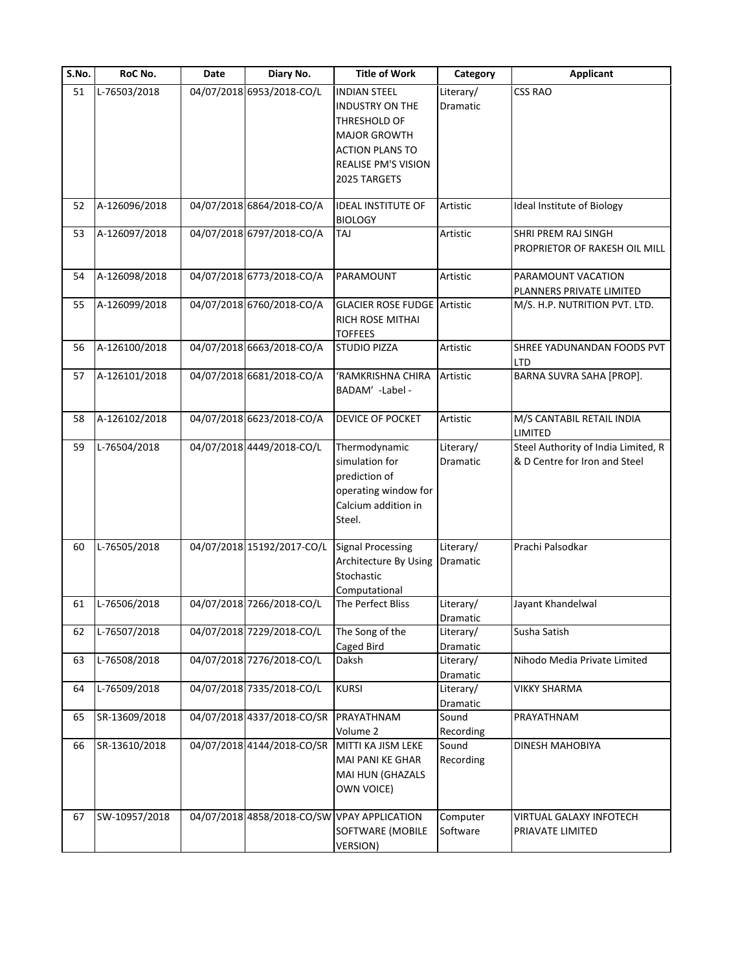| S.No. | RoC No.       | Date | Diary No.                  | <b>Title of Work</b>                        | Category  | <b>Applicant</b>                    |
|-------|---------------|------|----------------------------|---------------------------------------------|-----------|-------------------------------------|
| 51    | L-76503/2018  |      | 04/07/2018 6953/2018-CO/L  | <b>INDIAN STEEL</b>                         | Literary/ | <b>CSS RAO</b>                      |
|       |               |      |                            | <b>INDUSTRY ON THE</b>                      | Dramatic  |                                     |
|       |               |      |                            | THRESHOLD OF                                |           |                                     |
|       |               |      |                            | <b>MAJOR GROWTH</b>                         |           |                                     |
|       |               |      |                            | <b>ACTION PLANS TO</b>                      |           |                                     |
|       |               |      |                            | REALISE PM'S VISION                         |           |                                     |
|       |               |      |                            | 2025 TARGETS                                |           |                                     |
|       |               |      |                            |                                             |           |                                     |
| 52    | A-126096/2018 |      | 04/07/2018 6864/2018-CO/A  | <b>IDEAL INSTITUTE OF</b><br><b>BIOLOGY</b> | Artistic  | Ideal Institute of Biology          |
| 53    | A-126097/2018 |      | 04/07/2018 6797/2018-CO/A  | TAJ                                         | Artistic  | SHRI PREM RAJ SINGH                 |
|       |               |      |                            |                                             |           | PROPRIETOR OF RAKESH OIL MILL       |
|       |               |      |                            |                                             |           |                                     |
| 54    | A-126098/2018 |      | 04/07/2018 6773/2018-CO/A  | PARAMOUNT                                   | Artistic  | PARAMOUNT VACATION                  |
|       |               |      |                            |                                             |           | PLANNERS PRIVATE LIMITED            |
| 55    | A-126099/2018 |      | 04/07/2018 6760/2018-CO/A  | <b>GLACIER ROSE FUDGE Artistic</b>          |           | M/S. H.P. NUTRITION PVT. LTD.       |
|       |               |      |                            | <b>RICH ROSE MITHAI</b>                     |           |                                     |
|       |               |      |                            | <b>TOFFEES</b>                              |           |                                     |
| 56    | A-126100/2018 |      | 04/07/2018 6663/2018-CO/A  | <b>STUDIO PIZZA</b>                         | Artistic  | SHREE YADUNANDAN FOODS PVT          |
|       |               |      |                            |                                             |           | LTD                                 |
| 57    | A-126101/2018 |      | 04/07/2018 6681/2018-CO/A  | 'RAMKRISHNA CHIRA                           | Artistic  | BARNA SUVRA SAHA [PROP].            |
|       |               |      |                            | BADAM' -Label -                             |           |                                     |
|       |               |      |                            |                                             |           |                                     |
| 58    | A-126102/2018 |      | 04/07/2018 6623/2018-CO/A  | DEVICE OF POCKET                            | Artistic  | M/S CANTABIL RETAIL INDIA           |
|       |               |      |                            |                                             |           | LIMITED                             |
| 59    | L-76504/2018  |      | 04/07/2018 4449/2018-CO/L  | Thermodynamic                               | Literary/ | Steel Authority of India Limited, R |
|       |               |      |                            |                                             |           |                                     |
|       |               |      |                            | simulation for                              | Dramatic  | & D Centre for Iron and Steel       |
|       |               |      |                            | prediction of                               |           |                                     |
|       |               |      |                            | operating window for                        |           |                                     |
|       |               |      |                            | Calcium addition in                         |           |                                     |
|       |               |      |                            | Steel.                                      |           |                                     |
| 60    | L-76505/2018  |      | 04/07/2018 15192/2017-CO/L | <b>Signal Processing</b>                    | Literary/ | Prachi Palsodkar                    |
|       |               |      |                            |                                             |           |                                     |
|       |               |      |                            | Architecture By Using                       | Dramatic  |                                     |
|       |               |      |                            | Stochastic                                  |           |                                     |
|       |               |      |                            | Computational                               |           |                                     |
| 61    | L-76506/2018  |      | 04/07/2018 7266/2018-CO/L  | The Perfect Bliss                           | Literary/ | Jayant Khandelwal                   |
|       |               |      |                            |                                             | Dramatic  |                                     |
| 62    | L-76507/2018  |      | 04/07/2018 7229/2018-CO/L  | The Song of the                             | Literary/ | Susha Satish                        |
|       |               |      |                            | Caged Bird                                  | Dramatic  |                                     |
| 63    | L-76508/2018  |      | 04/07/2018 7276/2018-CO/L  | Daksh                                       | Literary/ | Nihodo Media Private Limited        |
|       |               |      |                            |                                             | Dramatic  |                                     |
| 64    | L-76509/2018  |      | 04/07/2018 7335/2018-CO/L  | <b>KURSI</b>                                | Literary/ | <b>VIKKY SHARMA</b>                 |
|       |               |      |                            |                                             | Dramatic  |                                     |
| 65    | SR-13609/2018 |      | 04/07/2018 4337/2018-CO/SR | PRAYATHNAM                                  | Sound     | PRAYATHNAM                          |
|       |               |      |                            | Volume 2                                    | Recording |                                     |
| 66    | SR-13610/2018 |      | 04/07/2018 4144/2018-CO/SR | MITTI KA JISM LEKE                          | Sound     | DINESH MAHOBIYA                     |
|       |               |      |                            | MAI PANI KE GHAR                            | Recording |                                     |
|       |               |      |                            | MAI HUN (GHAZALS                            |           |                                     |
|       |               |      |                            | OWN VOICE)                                  |           |                                     |
|       |               |      |                            |                                             |           |                                     |
| 67    | SW-10957/2018 |      |                            | 04/07/2018 4858/2018-CO/SW VPAY APPLICATION | Computer  | VIRTUAL GALAXY INFOTECH             |
|       |               |      |                            | SOFTWARE (MOBILE                            | Software  | PRIAVATE LIMITED                    |
|       |               |      |                            | <b>VERSION)</b>                             |           |                                     |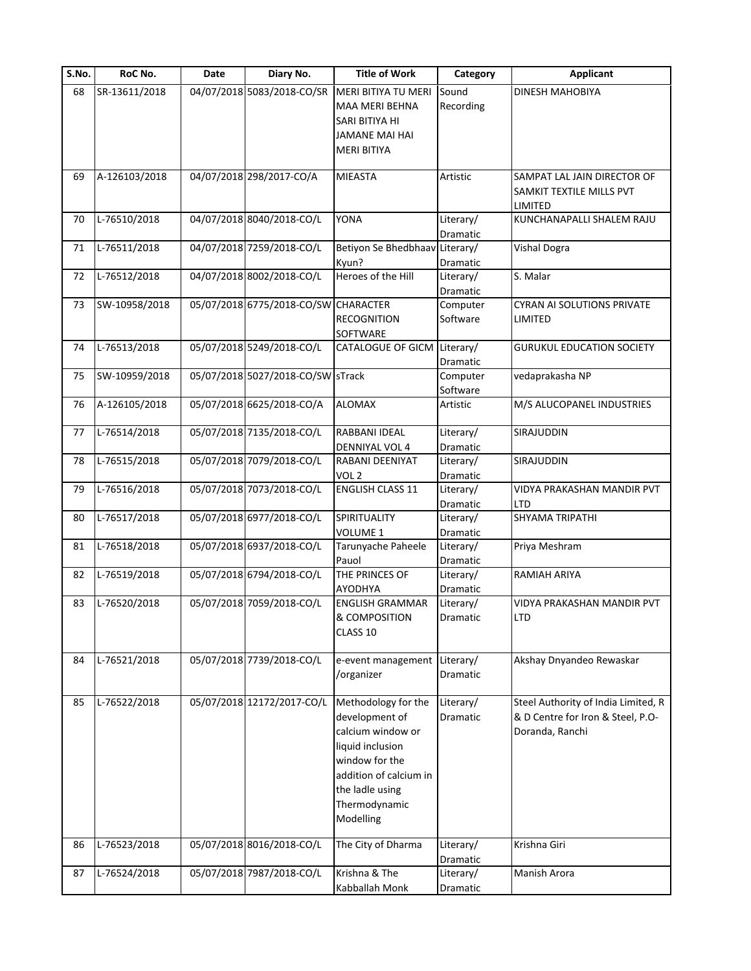| S.No. | RoC No.       | Date | Diary No.                            | <b>Title of Work</b>                                                                                                                                                        | Category              | <b>Applicant</b>                                                                            |
|-------|---------------|------|--------------------------------------|-----------------------------------------------------------------------------------------------------------------------------------------------------------------------------|-----------------------|---------------------------------------------------------------------------------------------|
| 68    | SR-13611/2018 |      | 04/07/2018 5083/2018-CO/SR           | MERI BITIYA TU MERI<br>MAA MERI BEHNA<br>SARI BITIYA HI                                                                                                                     | Sound<br>Recording    | <b>DINESH MAHOBIYA</b>                                                                      |
|       |               |      |                                      | JAMANE MAI HAI<br><b>MERI BITIYA</b>                                                                                                                                        |                       |                                                                                             |
| 69    | A-126103/2018 |      | 04/07/2018 298/2017-CO/A             | <b>MIEASTA</b>                                                                                                                                                              | Artistic              | SAMPAT LAL JAIN DIRECTOR OF<br>SAMKIT TEXTILE MILLS PVT<br>LIMITED                          |
| 70    | L-76510/2018  |      | 04/07/2018 8040/2018-CO/L            | YONA                                                                                                                                                                        | Literary/<br>Dramatic | KUNCHANAPALLI SHALEM RAJU                                                                   |
| 71    | L-76511/2018  |      | 04/07/2018 7259/2018-CO/L            | Betiyon Se Bhedbhaav Literary/<br>Kyun?                                                                                                                                     | Dramatic              | <b>Vishal Dogra</b>                                                                         |
| 72    | L-76512/2018  |      | 04/07/2018 8002/2018-CO/L            | Heroes of the Hill                                                                                                                                                          | Literary/<br>Dramatic | S. Malar                                                                                    |
| 73    | SW-10958/2018 |      | 05/07/2018 6775/2018-CO/SW CHARACTER | <b>RECOGNITION</b><br>SOFTWARE                                                                                                                                              | Computer<br>Software  | <b>CYRAN AI SOLUTIONS PRIVATE</b><br>LIMITED                                                |
| 74    | L-76513/2018  |      | 05/07/2018 5249/2018-CO/L            | CATALOGUE OF GICM                                                                                                                                                           | Literary/<br>Dramatic | <b>GURUKUL EDUCATION SOCIETY</b>                                                            |
| 75    | SW-10959/2018 |      | 05/07/2018 5027/2018-CO/SW STrack    |                                                                                                                                                                             | Computer<br>Software  | vedaprakasha NP                                                                             |
| 76    | A-126105/2018 |      | 05/07/2018 6625/2018-CO/A            | <b>ALOMAX</b>                                                                                                                                                               | Artistic              | M/S ALUCOPANEL INDUSTRIES                                                                   |
| 77    | L-76514/2018  |      | 05/07/2018 7135/2018-CO/L            | RABBANI IDEAL<br>DENNIYAL VOL 4                                                                                                                                             | Literary/<br>Dramatic | SIRAJUDDIN                                                                                  |
| 78    | L-76515/2018  |      | 05/07/2018 7079/2018-CO/L            | RABANI DEENIYAT<br>VOL <sub>2</sub>                                                                                                                                         | Literary/<br>Dramatic | SIRAJUDDIN                                                                                  |
| 79    | L-76516/2018  |      | 05/07/2018 7073/2018-CO/L            | <b>ENGLISH CLASS 11</b>                                                                                                                                                     | Literary/<br>Dramatic | VIDYA PRAKASHAN MANDIR PVT<br>LTD                                                           |
| 80    | L-76517/2018  |      | 05/07/2018 6977/2018-CO/L            | SPIRITUALITY<br>VOLUME 1                                                                                                                                                    | Literary/<br>Dramatic | SHYAMA TRIPATHI                                                                             |
| 81    | L-76518/2018  |      | 05/07/2018 6937/2018-CO/L            | Tarunyache Paheele<br>Pauol                                                                                                                                                 | Literary/<br>Dramatic | Priya Meshram                                                                               |
| 82    | L-76519/2018  |      | 05/07/2018 6794/2018-CO/L            | THE PRINCES OF<br>AYODHYA                                                                                                                                                   | Literary/<br>Dramatic | RAMIAH ARIYA                                                                                |
| 83    | L-76520/2018  |      | 05/07/2018 7059/2018-CO/L            | <b>ENGLISH GRAMMAR</b><br>& COMPOSITION<br>CLASS 10                                                                                                                         | Literary/<br>Dramatic | VIDYA PRAKASHAN MANDIR PVT<br>LTD                                                           |
| 84    | L-76521/2018  |      | 05/07/2018 7739/2018-CO/L            | e-event management<br>/organizer                                                                                                                                            | Literary/<br>Dramatic | Akshay Dnyandeo Rewaskar                                                                    |
| 85    | L-76522/2018  |      | 05/07/2018 12172/2017-CO/L           | Methodology for the<br>development of<br>calcium window or<br>liquid inclusion<br>window for the<br>addition of calcium in<br>the ladle using<br>Thermodynamic<br>Modelling | Literary/<br>Dramatic | Steel Authority of India Limited, R<br>& D Centre for Iron & Steel, P.O-<br>Doranda, Ranchi |
| 86    | L-76523/2018  |      | 05/07/2018 8016/2018-CO/L            | The City of Dharma                                                                                                                                                          | Literary/<br>Dramatic | Krishna Giri                                                                                |
| 87    | L-76524/2018  |      | 05/07/2018 7987/2018-CO/L            | Krishna & The<br>Kabballah Monk                                                                                                                                             | Literary/<br>Dramatic | Manish Arora                                                                                |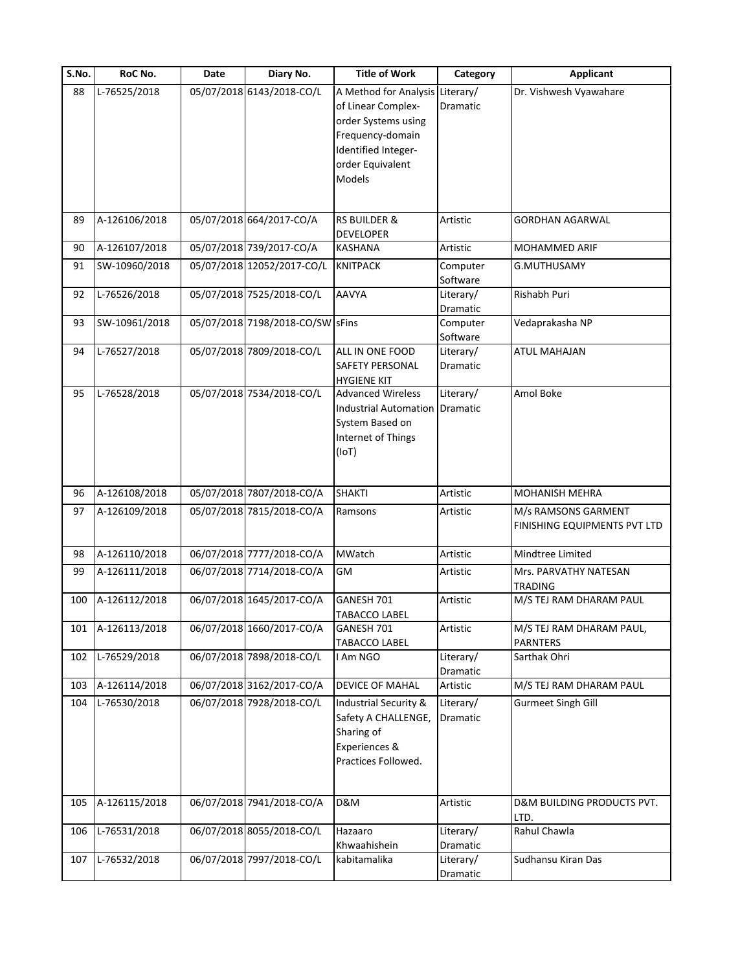| S.No. | RoC No.       | Date | Diary No.                        | <b>Title of Work</b>                  | Category              | <b>Applicant</b>             |
|-------|---------------|------|----------------------------------|---------------------------------------|-----------------------|------------------------------|
| 88    | L-76525/2018  |      | 05/07/2018 6143/2018-CO/L        | A Method for Analysis Literary/       |                       | Dr. Vishwesh Vyawahare       |
|       |               |      |                                  | of Linear Complex-                    | Dramatic              |                              |
|       |               |      |                                  | order Systems using                   |                       |                              |
|       |               |      |                                  | Frequency-domain                      |                       |                              |
|       |               |      |                                  | Identified Integer-                   |                       |                              |
|       |               |      |                                  | order Equivalent                      |                       |                              |
|       |               |      |                                  | Models                                |                       |                              |
|       |               |      |                                  |                                       |                       |                              |
| 89    | A-126106/2018 |      | 05/07/2018 664/2017-CO/A         | <b>RS BUILDER &amp;</b>               | Artistic              | <b>GORDHAN AGARWAL</b>       |
|       |               |      |                                  | <b>DEVELOPER</b>                      |                       |                              |
| 90    | A-126107/2018 |      | 05/07/2018 739/2017-CO/A         | <b>KASHANA</b>                        | Artistic              | <b>MOHAMMED ARIF</b>         |
| 91    | SW-10960/2018 |      | 05/07/2018 12052/2017-CO/L       | <b>KNITPACK</b>                       | Computer              | G.MUTHUSAMY                  |
|       |               |      | 05/07/2018 7525/2018-CO/L        | <b>AAVYA</b>                          | Software<br>Literary/ | Rishabh Puri                 |
| 92    | L-76526/2018  |      |                                  |                                       |                       |                              |
| 93    | SW-10961/2018 |      | 05/07/2018 7198/2018-CO/SW SFins |                                       | Dramatic<br>Computer  | Vedaprakasha NP              |
|       |               |      |                                  |                                       | Software              |                              |
| 94    | L-76527/2018  |      | 05/07/2018 7809/2018-CO/L        | ALL IN ONE FOOD                       | Literary/             | <b>ATUL MAHAJAN</b>          |
|       |               |      |                                  | <b>SAFETY PERSONAL</b>                | Dramatic              |                              |
|       |               |      |                                  | <b>HYGIENE KIT</b>                    |                       |                              |
| 95    | L-76528/2018  |      | 05/07/2018 7534/2018-CO/L        | <b>Advanced Wireless</b>              | Literary/             | Amol Boke                    |
|       |               |      |                                  | <b>Industrial Automation Dramatic</b> |                       |                              |
|       |               |      |                                  | System Based on                       |                       |                              |
|       |               |      |                                  | Internet of Things                    |                       |                              |
|       |               |      |                                  | (IOT)                                 |                       |                              |
|       |               |      |                                  |                                       |                       |                              |
| 96    | A-126108/2018 |      | 05/07/2018 7807/2018-CO/A        | <b>SHAKTI</b>                         | Artistic              | <b>MOHANISH MEHRA</b>        |
| 97    | A-126109/2018 |      | 05/07/2018 7815/2018-CO/A        | Ramsons                               | Artistic              | M/s RAMSONS GARMENT          |
|       |               |      |                                  |                                       |                       | FINISHING EQUIPMENTS PVT LTD |
| 98    | A-126110/2018 |      | 06/07/2018 7777/2018-CO/A        | MWatch                                | Artistic              | Mindtree Limited             |
| 99    | A-126111/2018 |      | 06/07/2018 7714/2018-CO/A        | <b>GM</b>                             | Artistic              | Mrs. PARVATHY NATESAN        |
|       |               |      |                                  |                                       |                       | <b>TRADING</b>               |
| 100   | A-126112/2018 |      | 06/07/2018 1645/2017-CO/A        | GANESH 701                            | Artistic              | M/S TEJ RAM DHARAM PAUL      |
|       |               |      |                                  | <b>TABACCO LABEL</b>                  |                       |                              |
| 101   | A-126113/2018 |      | 06/07/2018 1660/2017-CO/A        | GANESH 701                            | Artistic              | M/S TEJ RAM DHARAM PAUL,     |
|       |               |      |                                  | <b>TABACCO LABEL</b>                  |                       | <b>PARNTERS</b>              |
| 102   | L-76529/2018  |      | 06/07/2018 7898/2018-CO/L        | I Am NGO                              | Literary/<br>Dramatic | Sarthak Ohri                 |
| 103   | A-126114/2018 |      | 06/07/2018 3162/2017-CO/A        | DEVICE OF MAHAL                       | Artistic              | M/S TEJ RAM DHARAM PAUL      |
| 104   | L-76530/2018  |      | 06/07/2018 7928/2018-CO/L        | <b>Industrial Security &amp;</b>      | Literary/             | Gurmeet Singh Gill           |
|       |               |      |                                  | Safety A CHALLENGE,                   | Dramatic              |                              |
|       |               |      |                                  | Sharing of                            |                       |                              |
|       |               |      |                                  | Experiences &                         |                       |                              |
|       |               |      |                                  | Practices Followed.                   |                       |                              |
|       |               |      |                                  |                                       |                       |                              |
| 105   | A-126115/2018 |      | 06/07/2018 7941/2018-CO/A        | <b>D&amp;M</b>                        | Artistic              | D&M BUILDING PRODUCTS PVT.   |
|       |               |      |                                  |                                       |                       | LTD.                         |
| 106   | L-76531/2018  |      | 06/07/2018 8055/2018-CO/L        | Hazaaro                               | Literary/             | Rahul Chawla                 |
|       |               |      |                                  | Khwaahishein                          | Dramatic              |                              |
| 107   | L-76532/2018  |      | 06/07/2018 7997/2018-CO/L        | kabitamalika                          | Literary/             | Sudhansu Kiran Das           |
|       |               |      |                                  |                                       | Dramatic              |                              |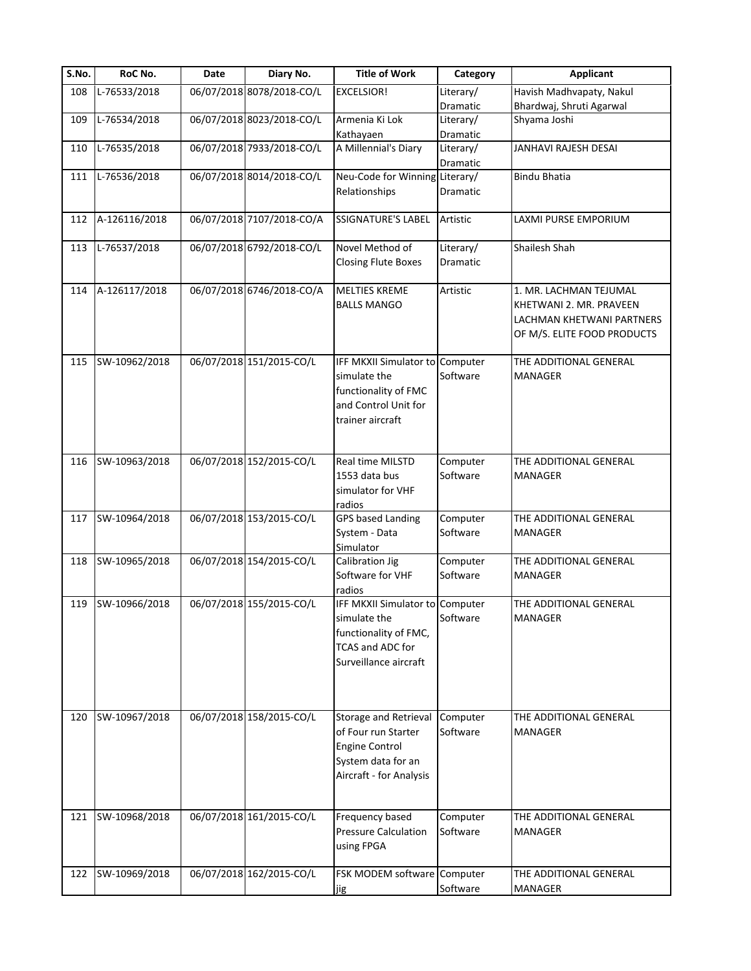| S.No. | RoC No.       | Date | Diary No.                 | <b>Title of Work</b>                                                                                                         | Category              | <b>Applicant</b>                                                                                              |
|-------|---------------|------|---------------------------|------------------------------------------------------------------------------------------------------------------------------|-----------------------|---------------------------------------------------------------------------------------------------------------|
| 108   | L-76533/2018  |      | 06/07/2018 8078/2018-CO/L | <b>EXCELSIOR!</b>                                                                                                            | Literary/             | Havish Madhvapaty, Nakul                                                                                      |
|       |               |      |                           |                                                                                                                              | Dramatic              | Bhardwaj, Shruti Agarwal                                                                                      |
| 109   | L-76534/2018  |      | 06/07/2018 8023/2018-CO/L | Armenia Ki Lok<br>Kathayaen                                                                                                  | Literary/<br>Dramatic | Shyama Joshi                                                                                                  |
| 110   | L-76535/2018  |      | 06/07/2018 7933/2018-CO/L | A Millennial's Diary                                                                                                         | Literary/<br>Dramatic | <b>JANHAVI RAJESH DESAI</b>                                                                                   |
| 111   | L-76536/2018  |      | 06/07/2018 8014/2018-CO/L | Neu-Code for Winning<br>Relationships                                                                                        | Literary/<br>Dramatic | <b>Bindu Bhatia</b>                                                                                           |
| 112   | A-126116/2018 |      | 06/07/2018 7107/2018-CO/A | SSIGNATURE'S LABEL                                                                                                           | Artistic              | LAXMI PURSE EMPORIUM                                                                                          |
| 113   | L-76537/2018  |      | 06/07/2018 6792/2018-CO/L | Novel Method of<br><b>Closing Flute Boxes</b>                                                                                | Literary/<br>Dramatic | Shailesh Shah                                                                                                 |
| 114   | A-126117/2018 |      | 06/07/2018 6746/2018-CO/A | <b>MELTIES KREME</b><br><b>BALLS MANGO</b>                                                                                   | Artistic              | 1. MR. LACHMAN TEJUMAL<br>KHETWANI 2. MR. PRAVEEN<br>LACHMAN KHETWANI PARTNERS<br>OF M/S. ELITE FOOD PRODUCTS |
| 115   | SW-10962/2018 |      | 06/07/2018 151/2015-CO/L  | IFF MKXII Simulator to Computer<br>simulate the<br>functionality of FMC<br>and Control Unit for<br>trainer aircraft          | Software              | THE ADDITIONAL GENERAL<br><b>MANAGER</b>                                                                      |
| 116   | SW-10963/2018 |      | 06/07/2018 152/2015-CO/L  | Real time MILSTD<br>1553 data bus<br>simulator for VHF<br>radios                                                             | Computer<br>Software  | THE ADDITIONAL GENERAL<br>MANAGER                                                                             |
| 117   | SW-10964/2018 |      | 06/07/2018 153/2015-CO/L  | <b>GPS based Landing</b><br>System - Data<br>Simulator                                                                       | Computer<br>Software  | THE ADDITIONAL GENERAL<br><b>MANAGER</b>                                                                      |
| 118   | SW-10965/2018 |      | 06/07/2018 154/2015-CO/L  | Calibration Jig<br>Software for VHF<br>radios                                                                                | Computer<br>Software  | THE ADDITIONAL GENERAL<br><b>MANAGER</b>                                                                      |
| 119   | SW-10966/2018 |      | 06/07/2018 155/2015-CO/L  | IFF MKXII Simulator to Computer<br>simulate the<br>functionality of FMC,<br><b>TCAS and ADC for</b><br>Surveillance aircraft | Software              | THE ADDITIONAL GENERAL<br>MANAGER                                                                             |
| 120   | SW-10967/2018 |      | 06/07/2018 158/2015-CO/L  | Storage and Retrieval<br>of Four run Starter<br><b>Engine Control</b><br>System data for an<br>Aircraft - for Analysis       | Computer<br>Software  | THE ADDITIONAL GENERAL<br>MANAGER                                                                             |
| 121   | SW-10968/2018 |      | 06/07/2018 161/2015-CO/L  | Frequency based<br><b>Pressure Calculation</b><br>using FPGA                                                                 | Computer<br>Software  | THE ADDITIONAL GENERAL<br><b>MANAGER</b>                                                                      |
| 122   | SW-10969/2018 |      | 06/07/2018 162/2015-CO/L  | FSK MODEM software                                                                                                           | Computer              | THE ADDITIONAL GENERAL                                                                                        |
|       |               |      |                           | jig                                                                                                                          | Software              | MANAGER                                                                                                       |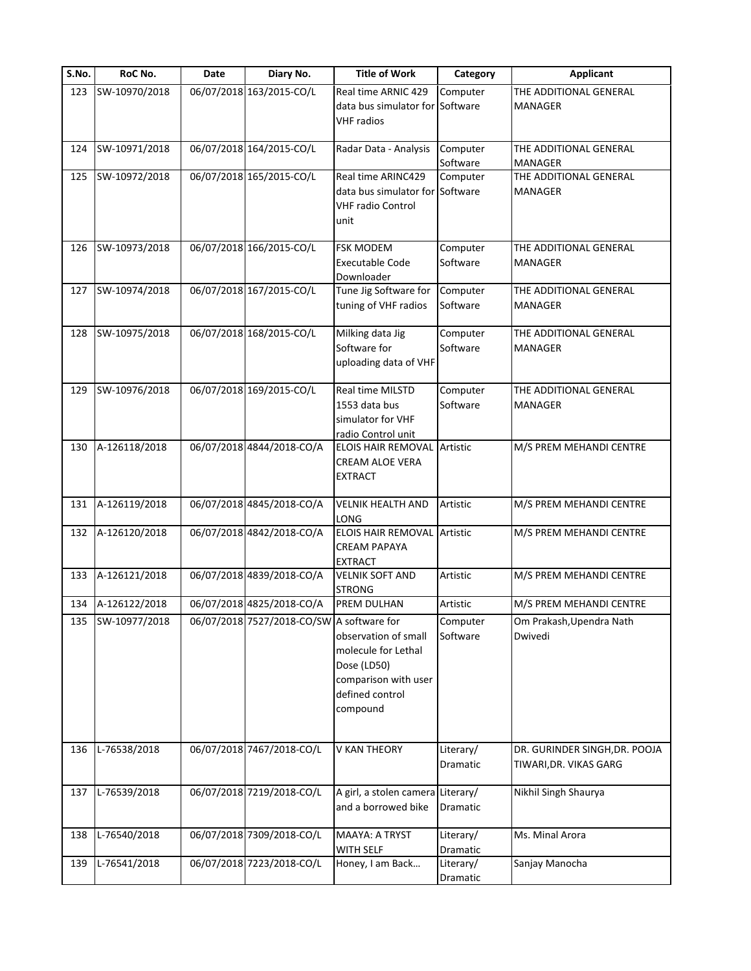| S.No. | RoC No.       | Date | Diary No.                                 | <b>Title of Work</b>                                                                                              | Category              | <b>Applicant</b>                                        |
|-------|---------------|------|-------------------------------------------|-------------------------------------------------------------------------------------------------------------------|-----------------------|---------------------------------------------------------|
| 123   | SW-10970/2018 |      | 06/07/2018 163/2015-CO/L                  | Real time ARNIC 429<br>data bus simulator for Software<br><b>VHF</b> radios                                       | Computer              | THE ADDITIONAL GENERAL<br>MANAGER                       |
| 124   | SW-10971/2018 |      | 06/07/2018 164/2015-CO/L                  | Radar Data - Analysis                                                                                             | Computer<br>Software  | THE ADDITIONAL GENERAL<br>MANAGER                       |
| 125   | SW-10972/2018 |      | 06/07/2018 165/2015-CO/L                  | Real time ARINC429<br>data bus simulator for Software<br><b>VHF radio Control</b><br>unit                         | Computer              | THE ADDITIONAL GENERAL<br>MANAGER                       |
| 126   | SW-10973/2018 |      | 06/07/2018 166/2015-CO/L                  | <b>FSK MODEM</b><br><b>Executable Code</b><br>Downloader                                                          | Computer<br>Software  | THE ADDITIONAL GENERAL<br>MANAGER                       |
| 127   | SW-10974/2018 |      | 06/07/2018 167/2015-CO/L                  | Tune Jig Software for<br>tuning of VHF radios                                                                     | Computer<br>Software  | THE ADDITIONAL GENERAL<br><b>MANAGER</b>                |
| 128   | SW-10975/2018 |      | 06/07/2018 168/2015-CO/L                  | Milking data Jig<br>Software for<br>uploading data of VHF                                                         | Computer<br>Software  | THE ADDITIONAL GENERAL<br><b>MANAGER</b>                |
| 129   | SW-10976/2018 |      | 06/07/2018 169/2015-CO/L                  | Real time MILSTD<br>1553 data bus<br>simulator for VHF<br>radio Control unit                                      | Computer<br>Software  | THE ADDITIONAL GENERAL<br>MANAGER                       |
| 130   | A-126118/2018 |      | 06/07/2018 4844/2018-CO/A                 | <b>ELOIS HAIR REMOVAL Artistic</b><br><b>CREAM ALOE VERA</b><br>EXTRACT                                           |                       | M/S PREM MEHANDI CENTRE                                 |
| 131   | A-126119/2018 |      | 06/07/2018 4845/2018-CO/A                 | <b>VELNIK HEALTH AND</b><br>LONG                                                                                  | Artistic              | M/S PREM MEHANDI CENTRE                                 |
| 132   | A-126120/2018 |      | 06/07/2018 4842/2018-CO/A                 | <b>ELOIS HAIR REMOVAL Artistic</b><br><b>CREAM PAPAYA</b><br><b>EXTRACT</b>                                       |                       | M/S PREM MEHANDI CENTRE                                 |
| 133   | A-126121/2018 |      | 06/07/2018 4839/2018-CO/A                 | <b>VELNIK SOFT AND</b><br><b>STRONG</b>                                                                           | Artistic              | M/S PREM MEHANDI CENTRE                                 |
| 134   | A-126122/2018 |      | 06/07/2018 4825/2018-CO/A                 | PREM DULHAN                                                                                                       | Artistic              | M/S PREM MEHANDI CENTRE                                 |
| 135   | SW-10977/2018 |      | 06/07/2018 7527/2018-CO/SW A software for | observation of small<br>molecule for Lethal<br>Dose (LD50)<br>comparison with user<br>defined control<br>compound | Computer<br>Software  | Om Prakash, Upendra Nath<br>Dwivedi                     |
| 136   | L-76538/2018  |      | 06/07/2018 7467/2018-CO/L                 | V KAN THEORY                                                                                                      | Literary/<br>Dramatic | DR. GURINDER SINGH, DR. POOJA<br>TIWARI, DR. VIKAS GARG |
| 137   | L-76539/2018  |      | 06/07/2018 7219/2018-CO/L                 | A girl, a stolen camera Literary/<br>and a borrowed bike                                                          | Dramatic              | Nikhil Singh Shaurya                                    |
| 138   | L-76540/2018  |      | 06/07/2018 7309/2018-CO/L                 | MAAYA: A TRYST<br>WITH SELF                                                                                       | Literary/<br>Dramatic | Ms. Minal Arora                                         |
| 139   | L-76541/2018  |      | 06/07/2018 7223/2018-CO/L                 | Honey, I am Back                                                                                                  | Literary/<br>Dramatic | Sanjay Manocha                                          |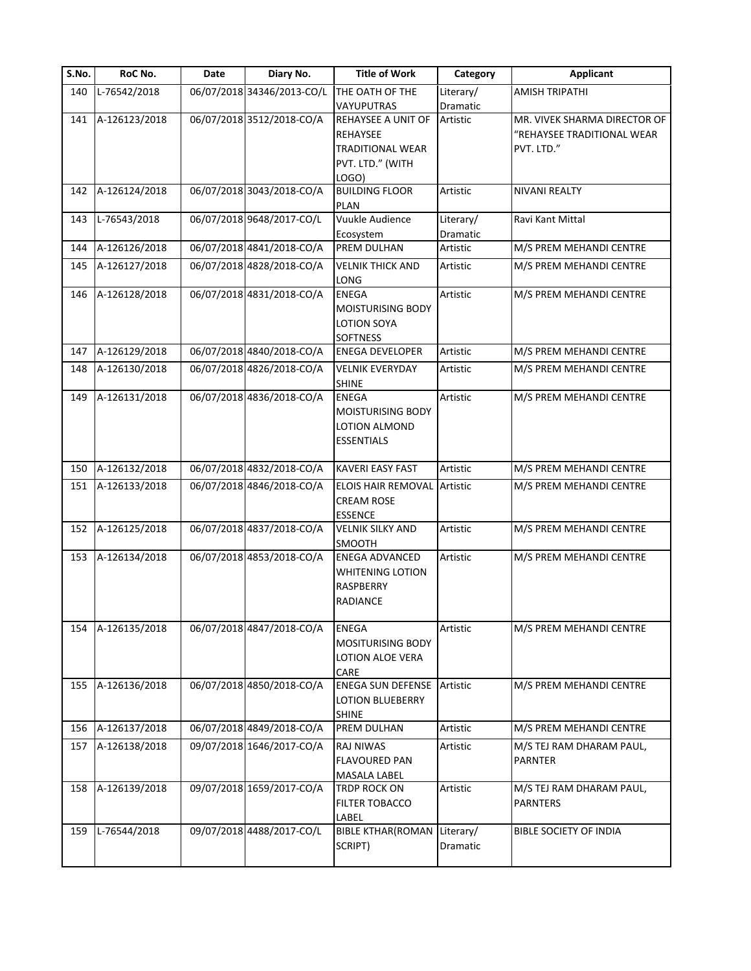| S.No. | RoC No.       | Date | Diary No.                  | <b>Title of Work</b>                                                                               | Category              | <b>Applicant</b>                                                         |
|-------|---------------|------|----------------------------|----------------------------------------------------------------------------------------------------|-----------------------|--------------------------------------------------------------------------|
| 140   | L-76542/2018  |      | 06/07/2018 34346/2013-CO/L | THE OATH OF THE                                                                                    | Literary/             | <b>AMISH TRIPATHI</b>                                                    |
| 141   | A-126123/2018 |      | 06/07/2018 3512/2018-CO/A  | VAYUPUTRAS<br>REHAYSEE A UNIT OF<br><b>REHAYSEE</b><br><b>TRADITIONAL WEAR</b><br>PVT. LTD." (WITH | Dramatic<br>Artistic  | MR. VIVEK SHARMA DIRECTOR OF<br>"REHAYSEE TRADITIONAL WEAR<br>PVT. LTD." |
|       |               |      |                            | LOGO)                                                                                              |                       |                                                                          |
| 142   | A-126124/2018 |      | 06/07/2018 3043/2018-CO/A  | <b>BUILDING FLOOR</b><br>PLAN                                                                      | Artistic              | NIVANI REALTY                                                            |
| 143   | L-76543/2018  |      | 06/07/2018 9648/2017-CO/L  | Vuukle Audience<br>Ecosystem                                                                       | Literary/<br>Dramatic | Ravi Kant Mittal                                                         |
| 144   | A-126126/2018 |      | 06/07/2018 4841/2018-CO/A  | PREM DULHAN                                                                                        | Artistic              | M/S PREM MEHANDI CENTRE                                                  |
| 145   | A-126127/2018 |      | 06/07/2018 4828/2018-CO/A  | <b>VELNIK THICK AND</b><br>LONG                                                                    | Artistic              | M/S PREM MEHANDI CENTRE                                                  |
| 146   | A-126128/2018 |      | 06/07/2018 4831/2018-CO/A  | <b>ENEGA</b><br><b>MOISTURISING BODY</b><br>LOTION SOYA<br><b>SOFTNESS</b>                         | Artistic              | M/S PREM MEHANDI CENTRE                                                  |
| 147   | A-126129/2018 |      | 06/07/2018 4840/2018-CO/A  | ENEGA DEVELOPER                                                                                    | Artistic              | M/S PREM MEHANDI CENTRE                                                  |
| 148   | A-126130/2018 |      | 06/07/2018 4826/2018-CO/A  | <b>VELNIK EVERYDAY</b><br><b>SHINE</b>                                                             | Artistic              | M/S PREM MEHANDI CENTRE                                                  |
| 149   | A-126131/2018 |      | 06/07/2018 4836/2018-CO/A  | <b>ENEGA</b><br><b>MOISTURISING BODY</b><br>LOTION ALMOND<br><b>ESSENTIALS</b>                     | Artistic              | M/S PREM MEHANDI CENTRE                                                  |
| 150   | A-126132/2018 |      | 06/07/2018 4832/2018-CO/A  | <b>KAVERI EASY FAST</b>                                                                            | Artistic              | M/S PREM MEHANDI CENTRE                                                  |
| 151   | A-126133/2018 |      | 06/07/2018 4846/2018-CO/A  | <b>ELOIS HAIR REMOVAL</b><br><b>CREAM ROSE</b><br><b>ESSENCE</b>                                   | Artistic              | M/S PREM MEHANDI CENTRE                                                  |
| 152   | A-126125/2018 |      | 06/07/2018 4837/2018-CO/A  | <b>VELNIK SILKY AND</b><br>SMOOTH                                                                  | Artistic              | M/S PREM MEHANDI CENTRE                                                  |
| 153   | A-126134/2018 |      | 06/07/2018 4853/2018-CO/A  | <b>ENEGA ADVANCED</b><br><b>WHITENING LOTION</b><br>RASPBERRY<br>RADIANCE                          | Artistic              | M/S PREM MEHANDI CENTRE                                                  |
| 154   | A-126135/2018 |      | 06/07/2018 4847/2018-CO/A  | <b>ENEGA</b><br><b>MOSITURISING BODY</b><br>LOTION ALOE VERA<br>CARE                               | Artistic              | M/S PREM MEHANDI CENTRE                                                  |
| 155   | A-126136/2018 |      | 06/07/2018 4850/2018-CO/A  | <b>ENEGA SUN DEFENSE</b><br><b>LOTION BLUEBERRY</b><br><b>SHINE</b>                                | Artistic              | M/S PREM MEHANDI CENTRE                                                  |
| 156   | A-126137/2018 |      | 06/07/2018 4849/2018-CO/A  | PREM DULHAN                                                                                        | Artistic              | M/S PREM MEHANDI CENTRE                                                  |
| 157   | A-126138/2018 |      | 09/07/2018 1646/2017-CO/A  | RAJ NIWAS<br><b>FLAVOURED PAN</b><br>MASALA LABEL                                                  | Artistic              | M/S TEJ RAM DHARAM PAUL,<br>PARNTER                                      |
| 158   | A-126139/2018 |      | 09/07/2018 1659/2017-CO/A  | TRDP ROCK ON<br>FILTER TOBACCO<br>LABEL                                                            | Artistic              | M/S TEJ RAM DHARAM PAUL,<br><b>PARNTERS</b>                              |
| 159   | L-76544/2018  |      | 09/07/2018 4488/2017-CO/L  | <b>BIBLE KTHAR(ROMAN</b><br>SCRIPT)                                                                | Literary/<br>Dramatic | BIBLE SOCIETY OF INDIA                                                   |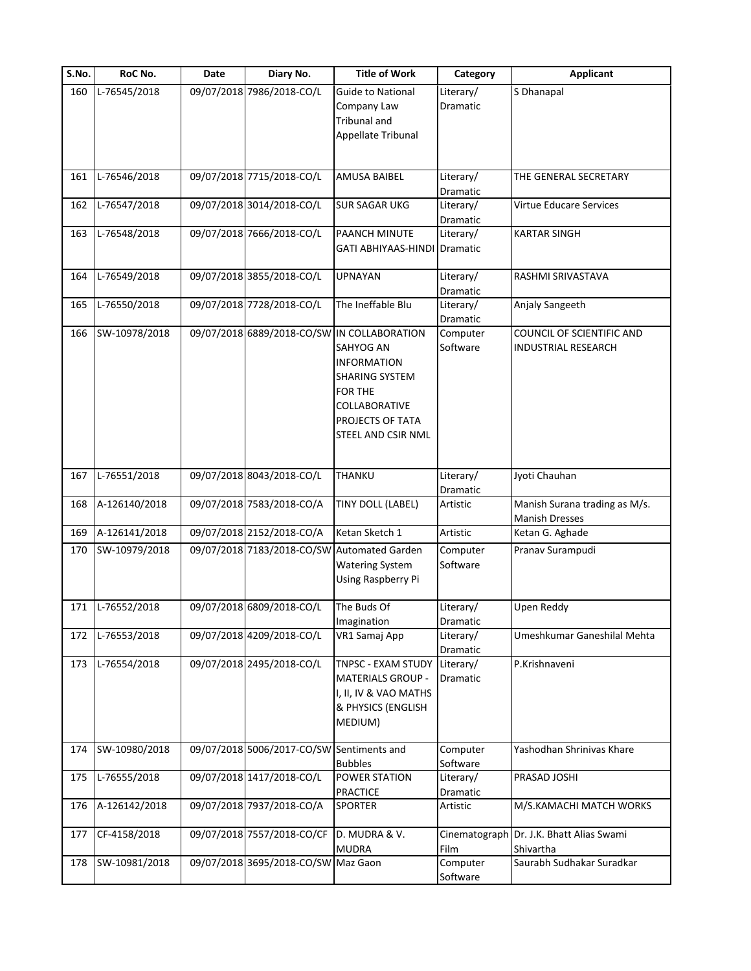| S.No. | RoC No.       | Date | Diary No.                                 | <b>Title of Work</b>                                                                                                                               | Category              | <b>Applicant</b>                                        |
|-------|---------------|------|-------------------------------------------|----------------------------------------------------------------------------------------------------------------------------------------------------|-----------------------|---------------------------------------------------------|
| 160   | L-76545/2018  |      | 09/07/2018 7986/2018-CO/L                 | <b>Guide to National</b><br>Company Law<br>Tribunal and<br>Appellate Tribunal                                                                      | Literary/<br>Dramatic | S Dhanapal                                              |
| 161   | L-76546/2018  |      | 09/07/2018 7715/2018-CO/L                 | AMUSA BAIBEL                                                                                                                                       | Literary/<br>Dramatic | THE GENERAL SECRETARY                                   |
| 162   | L-76547/2018  |      | 09/07/2018 3014/2018-CO/L                 | <b>SUR SAGAR UKG</b>                                                                                                                               | Literary/<br>Dramatic | Virtue Educare Services                                 |
| 163   | L-76548/2018  |      | 09/07/2018 7666/2018-CO/L                 | PAANCH MINUTE<br>GATI ABHIYAAS-HINDI Dramatic                                                                                                      | Literary/             | <b>KARTAR SINGH</b>                                     |
| 164   | L-76549/2018  |      | 09/07/2018 3855/2018-CO/L                 | <b>UPNAYAN</b>                                                                                                                                     | Literary/<br>Dramatic | RASHMI SRIVASTAVA                                       |
| 165   | L-76550/2018  |      | 09/07/2018 7728/2018-CO/L                 | The Ineffable Blu                                                                                                                                  | Literary/<br>Dramatic | Anjaly Sangeeth                                         |
| 166   | SW-10978/2018 |      | 09/07/2018 6889/2018-CO/SW                | IN COLLABORATION<br>SAHYOG AN<br><b>INFORMATION</b><br>SHARING SYSTEM<br>FOR THE<br><b>COLLABORATIVE</b><br>PROJECTS OF TATA<br>STEEL AND CSIR NML | Computer<br>Software  | COUNCIL OF SCIENTIFIC AND<br><b>INDUSTRIAL RESEARCH</b> |
| 167   | L-76551/2018  |      | 09/07/2018 8043/2018-CO/L                 | THANKU                                                                                                                                             | Literary/<br>Dramatic | Jyoti Chauhan                                           |
| 168   | A-126140/2018 |      | 09/07/2018 7583/2018-CO/A                 | TINY DOLL (LABEL)                                                                                                                                  | Artistic              | Manish Surana trading as M/s.<br><b>Manish Dresses</b>  |
| 169   | A-126141/2018 |      | 09/07/2018 2152/2018-CO/A                 | Ketan Sketch 1                                                                                                                                     | Artistic              | Ketan G. Aghade                                         |
| 170   | SW-10979/2018 |      |                                           | 09/07/2018 7183/2018-CO/SW Automated Garden<br><b>Watering System</b><br>Using Raspberry Pi                                                        | Computer<br>Software  | Pranav Surampudi                                        |
| 171   | L-76552/2018  |      | 09/07/2018 6809/2018-CO/L                 | The Buds Of<br>Imagination                                                                                                                         | Literary/<br>Dramatic | Upen Reddy                                              |
| 172   | L-76553/2018  |      | 09/07/2018 4209/2018-CO/L                 | VR1 Samaj App                                                                                                                                      | Literary/<br>Dramatic | Umeshkumar Ganeshilal Mehta                             |
| 173   | L-76554/2018  |      | 09/07/2018 2495/2018-CO/L                 | TNPSC - EXAM STUDY<br><b>MATERIALS GROUP -</b><br>I, II, IV & VAO MATHS<br>& PHYSICS (ENGLISH<br>MEDIUM)                                           | Literary/<br>Dramatic | P.Krishnaveni                                           |
| 174   | SW-10980/2018 |      | 09/07/2018 5006/2017-CO/SW Sentiments and | <b>Bubbles</b>                                                                                                                                     | Computer<br>Software  | Yashodhan Shrinivas Khare                               |
| 175   | L-76555/2018  |      | 09/07/2018 1417/2018-CO/L                 | POWER STATION<br>PRACTICE                                                                                                                          | Literary/<br>Dramatic | PRASAD JOSHI                                            |
| 176   | A-126142/2018 |      | 09/07/2018 7937/2018-CO/A                 | <b>SPORTER</b>                                                                                                                                     | Artistic              | M/S.KAMACHI MATCH WORKS                                 |
| 177   | CF-4158/2018  |      | 09/07/2018 7557/2018-CO/CF                | D. MUDRA & V.<br><b>MUDRA</b>                                                                                                                      | Film                  | Cinematograph Dr. J.K. Bhatt Alias Swami<br>Shivartha   |
| 178   | SW-10981/2018 |      | 09/07/2018 3695/2018-CO/SW Maz Gaon       |                                                                                                                                                    | Computer<br>Software  | Saurabh Sudhakar Suradkar                               |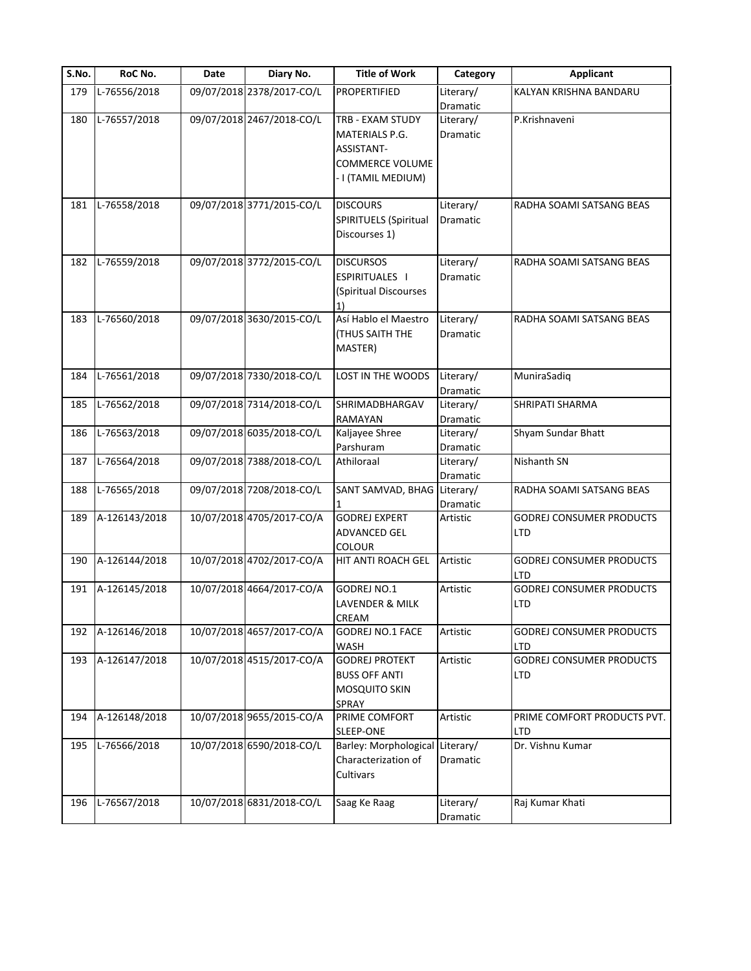| S.No. | RoC No.       | Date | Diary No.                 | <b>Title of Work</b>        | Category  | <b>Applicant</b>                |
|-------|---------------|------|---------------------------|-----------------------------|-----------|---------------------------------|
| 179   | L-76556/2018  |      | 09/07/2018 2378/2017-CO/L | <b>PROPERTIFIED</b>         | Literary/ | KALYAN KRISHNA BANDARU          |
|       |               |      |                           |                             | Dramatic  |                                 |
| 180   | L-76557/2018  |      | 09/07/2018 2467/2018-CO/L | TRB - EXAM STUDY            | Literary/ | P.Krishnaveni                   |
|       |               |      |                           | MATERIALS P.G.              | Dramatic  |                                 |
|       |               |      |                           | ASSISTANT-                  |           |                                 |
|       |               |      |                           | <b>COMMERCE VOLUME</b>      |           |                                 |
|       |               |      |                           | - I (TAMIL MEDIUM)          |           |                                 |
|       |               |      |                           |                             |           |                                 |
| 181   | L-76558/2018  |      | 09/07/2018 3771/2015-CO/L | <b>DISCOURS</b>             | Literary/ | RADHA SOAMI SATSANG BEAS        |
|       |               |      |                           | SPIRITUELS (Spiritual       | Dramatic  |                                 |
|       |               |      |                           | Discourses 1)               |           |                                 |
|       |               |      |                           |                             |           |                                 |
| 182   | L-76559/2018  |      | 09/07/2018 3772/2015-CO/L | <b>DISCURSOS</b>            | Literary/ | RADHA SOAMI SATSANG BEAS        |
|       |               |      |                           | <b>ESPIRITUALES I</b>       | Dramatic  |                                 |
|       |               |      |                           | (Spiritual Discourses       |           |                                 |
|       |               |      |                           | 1)                          |           |                                 |
| 183   | L-76560/2018  |      | 09/07/2018 3630/2015-CO/L | Así Hablo el Maestro        | Literary/ | RADHA SOAMI SATSANG BEAS        |
|       |               |      |                           | <b>(THUS SAITH THE</b>      | Dramatic  |                                 |
|       |               |      |                           | MASTER)                     |           |                                 |
| 184   | L-76561/2018  |      | 09/07/2018 7330/2018-CO/L | LOST IN THE WOODS           | Literary/ | MuniraSadiq                     |
|       |               |      |                           |                             | Dramatic  |                                 |
| 185   | L-76562/2018  |      | 09/07/2018 7314/2018-CO/L | SHRIMADBHARGAV              | Literary/ | SHRIPATI SHARMA                 |
|       |               |      |                           | RAMAYAN                     | Dramatic  |                                 |
| 186   | L-76563/2018  |      | 09/07/2018 6035/2018-CO/L | Kaljayee Shree              | Literary/ | Shyam Sundar Bhatt              |
|       |               |      |                           | Parshuram                   | Dramatic  |                                 |
| 187   | L-76564/2018  |      | 09/07/2018 7388/2018-CO/L | Athiloraal                  | Literary/ | Nishanth SN                     |
|       |               |      |                           |                             | Dramatic  |                                 |
| 188   | L-76565/2018  |      | 09/07/2018 7208/2018-CO/L | SANT SAMVAD, BHAG Literary/ |           | RADHA SOAMI SATSANG BEAS        |
|       |               |      |                           |                             | Dramatic  |                                 |
| 189   | A-126143/2018 |      | 10/07/2018 4705/2017-CO/A | <b>GODREJ EXPERT</b>        | Artistic  | <b>GODREJ CONSUMER PRODUCTS</b> |
|       |               |      |                           | <b>ADVANCED GEL</b>         |           | <b>LTD</b>                      |
|       |               |      |                           | <b>COLOUR</b>               |           |                                 |
| 190   | A-126144/2018 |      | 10/07/2018 4702/2017-CO/A | HIT ANTI ROACH GEL          | Artistic  | <b>GODREJ CONSUMER PRODUCTS</b> |
|       |               |      |                           |                             |           | <b>LTD</b>                      |
| 191   | A-126145/2018 |      | 10/07/2018 4664/2017-CO/A | GODREJ NO.1                 | Artistic  | <b>GODREJ CONSUMER PRODUCTS</b> |
|       |               |      |                           | LAVENDER & MILK             |           | LTD                             |
|       |               |      |                           | CREAM                       |           |                                 |
| 192   | A-126146/2018 |      | 10/07/2018 4657/2017-CO/A | <b>GODREJ NO.1 FACE</b>     | Artistic  | <b>GODREJ CONSUMER PRODUCTS</b> |
|       |               |      |                           | WASH                        |           | LTD                             |
| 193   | A-126147/2018 |      | 10/07/2018 4515/2017-CO/A | <b>GODREJ PROTEKT</b>       | Artistic  | <b>GODREJ CONSUMER PRODUCTS</b> |
|       |               |      |                           | <b>BUSS OFF ANTI</b>        |           | LTD                             |
|       |               |      |                           | MOSQUITO SKIN               |           |                                 |
|       |               |      |                           | SPRAY                       |           |                                 |
| 194   | A-126148/2018 |      | 10/07/2018 9655/2015-CO/A | PRIME COMFORT               | Artistic  | PRIME COMFORT PRODUCTS PVT.     |
|       |               |      |                           | SLEEP-ONE                   |           | LTD                             |
| 195   | L-76566/2018  |      | 10/07/2018 6590/2018-CO/L | Barley: Morphological       | Literary/ | Dr. Vishnu Kumar                |
|       |               |      |                           | Characterization of         | Dramatic  |                                 |
|       |               |      |                           | Cultivars                   |           |                                 |
| 196   | L-76567/2018  |      | 10/07/2018 6831/2018-CO/L | Saag Ke Raag                | Literary/ | Raj Kumar Khati                 |
|       |               |      |                           |                             |           |                                 |
|       |               |      |                           |                             | Dramatic  |                                 |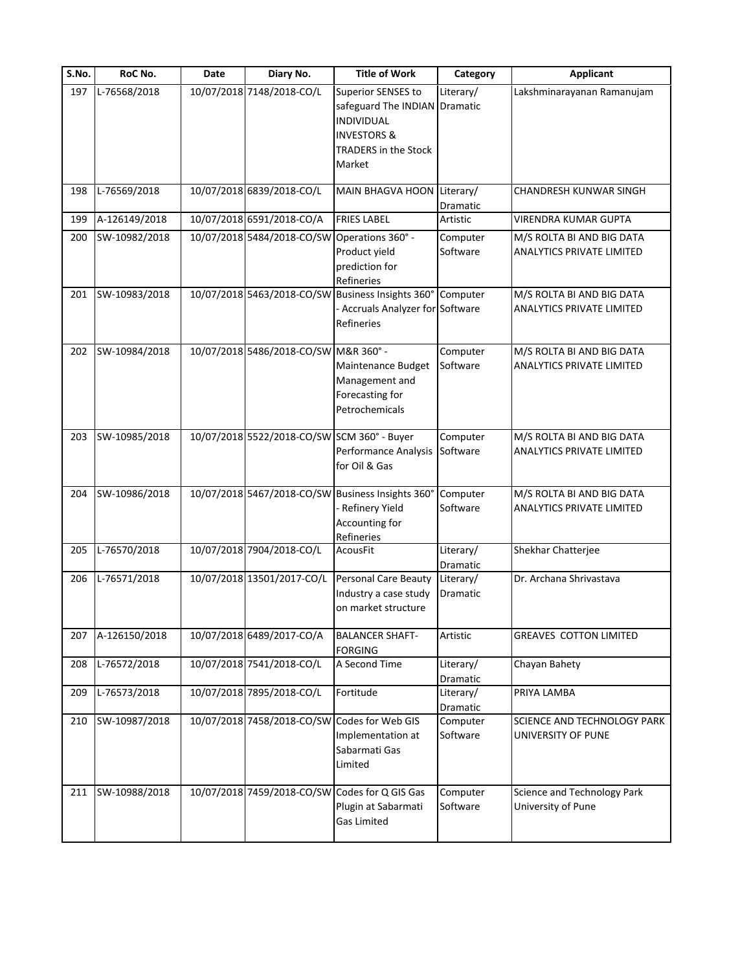| S.No. | RoC No.       | Date | Diary No.                                    | <b>Title of Work</b>                                                                                                                 | Category              | <b>Applicant</b>                                       |
|-------|---------------|------|----------------------------------------------|--------------------------------------------------------------------------------------------------------------------------------------|-----------------------|--------------------------------------------------------|
| 197   | L-76568/2018  |      | 10/07/2018 7148/2018-CO/L                    | Superior SENSES to<br>safeguard The INDIAN Dramatic<br>INDIVIDUAL<br><b>INVESTORS &amp;</b><br><b>TRADERS in the Stock</b><br>Market | Literary/             | Lakshminarayanan Ramanujam                             |
| 198   | L-76569/2018  |      | 10/07/2018 6839/2018-CO/L                    | <b>MAIN BHAGVA HOON</b>                                                                                                              | Literary/<br>Dramatic | CHANDRESH KUNWAR SINGH                                 |
| 199   | A-126149/2018 |      | 10/07/2018 6591/2018-CO/A                    | <b>FRIES LABEL</b>                                                                                                                   | Artistic              | VIRENDRA KUMAR GUPTA                                   |
| 200   | SW-10982/2018 |      | 10/07/2018 5484/2018-CO/SW Operations 360° - | Product yield<br>prediction for<br>Refineries                                                                                        | Computer<br>Software  | M/S ROLTA BI AND BIG DATA<br>ANALYTICS PRIVATE LIMITED |
| 201   | SW-10983/2018 |      |                                              | 10/07/2018 5463/2018-CO/SW Business Insights 360°<br>- Accruals Analyzer for Software<br>Refineries                                  | Computer              | M/S ROLTA BI AND BIG DATA<br>ANALYTICS PRIVATE LIMITED |
| 202   | SW-10984/2018 |      | 10/07/2018 5486/2018-CO/SW M&R 360° -        | Maintenance Budget<br>Management and<br>Forecasting for<br>Petrochemicals                                                            | Computer<br>Software  | M/S ROLTA BI AND BIG DATA<br>ANALYTICS PRIVATE LIMITED |
| 203   | SW-10985/2018 |      | 10/07/2018 5522/2018-CO/SW SCM 360° - Buyer  | Performance Analysis<br>for Oil & Gas                                                                                                | Computer<br>Software  | M/S ROLTA BI AND BIG DATA<br>ANALYTICS PRIVATE LIMITED |
| 204   | SW-10986/2018 |      |                                              | 10/07/2018 5467/2018-CO/SW Business Insights 360<br>Refinery Yield<br>Accounting for<br>Refineries                                   | Computer<br>Software  | M/S ROLTA BI AND BIG DATA<br>ANALYTICS PRIVATE LIMITED |
| 205   | L-76570/2018  |      | 10/07/2018 7904/2018-CO/L                    | <b>AcousFit</b>                                                                                                                      | Literary/<br>Dramatic | Shekhar Chatterjee                                     |
| 206   | L-76571/2018  |      | 10/07/2018 13501/2017-CO/L                   | <b>Personal Care Beauty</b><br>Industry a case study<br>on market structure                                                          | Literary/<br>Dramatic | Dr. Archana Shrivastava                                |
| 207   | A-126150/2018 |      | 10/07/2018 6489/2017-CO/A                    | <b>BALANCER SHAFT-</b><br><b>FORGING</b>                                                                                             | Artistic              | GREAVES COTTON LIMITED                                 |
| 208   | L-76572/2018  |      | 10/07/2018 7541/2018-CO/L                    | A Second Time                                                                                                                        | Literary/<br>Dramatic | Chayan Bahety                                          |
| 209   | L-76573/2018  |      | 10/07/2018 7895/2018-CO/L                    | Fortitude                                                                                                                            | Literary/<br>Dramatic | PRIYA LAMBA                                            |
| 210   | SW-10987/2018 |      | 10/07/2018 7458/2018-CO/SW Codes for Web GIS | Implementation at<br>Sabarmati Gas<br>Limited                                                                                        | Computer<br>Software  | SCIENCE AND TECHNOLOGY PARK<br>UNIVERSITY OF PUNE      |
| 211   | SW-10988/2018 |      |                                              | 10/07/2018 7459/2018-CO/SW Codes for Q GIS Gas<br>Plugin at Sabarmati<br><b>Gas Limited</b>                                          | Computer<br>Software  | Science and Technology Park<br>University of Pune      |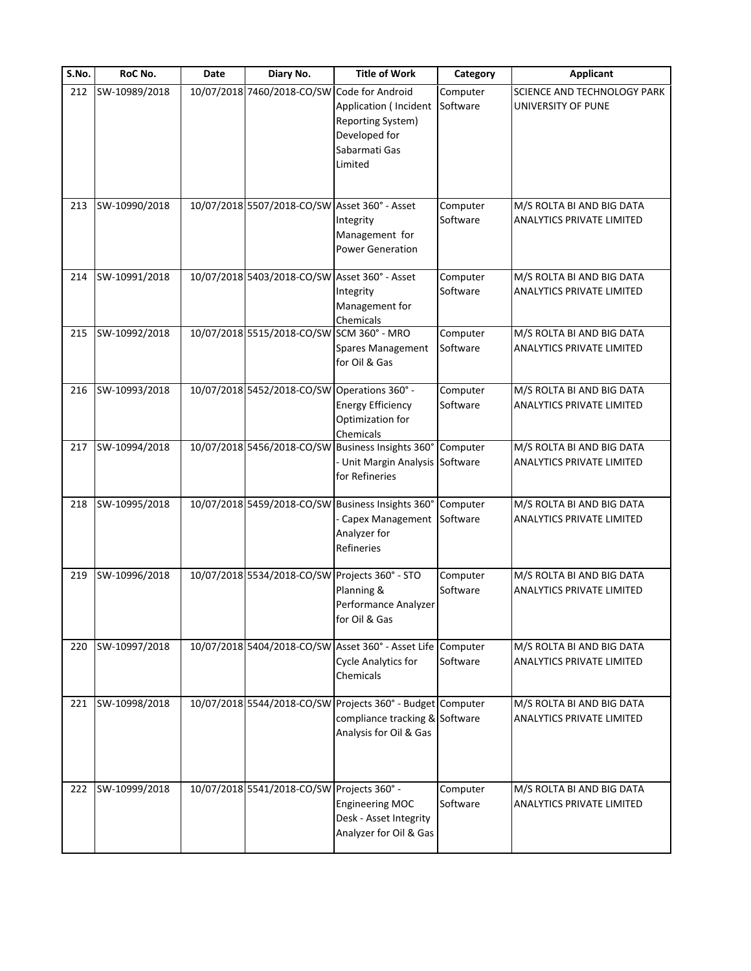| S.No. | RoC No.       | Date | Diary No.                                     | <b>Title of Work</b>                                                                                                   | Category             | <b>Applicant</b>                                              |
|-------|---------------|------|-----------------------------------------------|------------------------------------------------------------------------------------------------------------------------|----------------------|---------------------------------------------------------------|
| 212   | SW-10989/2018 |      | 10/07/2018 7460/2018-CO/SW Code for Android   | Application ( Incident<br>Reporting System)<br>Developed for<br>Sabarmati Gas<br>Limited                               | Computer<br>Software | SCIENCE AND TECHNOLOGY PARK<br>UNIVERSITY OF PUNE             |
| 213   | SW-10990/2018 |      | 10/07/2018 5507/2018-CO/SW Asset 360° - Asset | Integrity<br>Management for<br><b>Power Generation</b>                                                                 | Computer<br>Software | M/S ROLTA BI AND BIG DATA<br>ANALYTICS PRIVATE LIMITED        |
| 214   | SW-10991/2018 |      | 10/07/2018 5403/2018-CO/SW Asset 360° - Asset | Integrity<br>Management for<br>Chemicals                                                                               | Computer<br>Software | M/S ROLTA BI AND BIG DATA<br>ANALYTICS PRIVATE LIMITED        |
| 215   | SW-10992/2018 |      | 10/07/2018 5515/2018-CO/SW SCM 360° - MRO     | <b>Spares Management</b><br>for Oil & Gas                                                                              | Computer<br>Software | M/S ROLTA BI AND BIG DATA<br>ANALYTICS PRIVATE LIMITED        |
| 216   | SW-10993/2018 |      | 10/07/2018 5452/2018-CO/SW Operations 360° -  | <b>Energy Efficiency</b><br>Optimization for<br>Chemicals                                                              | Computer<br>Software | M/S ROLTA BI AND BIG DATA<br>ANALYTICS PRIVATE LIMITED        |
| 217   | SW-10994/2018 |      |                                               | 10/07/2018 5456/2018-CO/SW Business Insights 360° Computer<br>Unit Margin Analysis Software<br>for Refineries          |                      | M/S ROLTA BI AND BIG DATA<br>ANALYTICS PRIVATE LIMITED        |
| 218   | SW-10995/2018 |      |                                               | 10/07/2018 5459/2018-CO/SW Business Insights 360° Computer<br>Capex Management Software<br>Analyzer for<br>Refineries  |                      | M/S ROLTA BI AND BIG DATA<br>ANALYTICS PRIVATE LIMITED        |
| 219   | SW-10996/2018 |      |                                               | 10/07/2018 5534/2018-CO/SW Projects 360° - STO<br>Planning &<br>Performance Analyzer<br>for Oil & Gas                  | Computer<br>Software | M/S ROLTA BI AND BIG DATA<br>ANALYTICS PRIVATE LIMITED        |
| 220   | SW-10997/2018 |      |                                               | 10/07/2018 5404/2018-CO/SW Asset 360° - Asset Life Computer<br><b>Cycle Analytics for</b><br>Chemicals                 | Software             | M/S ROLTA BI AND BIG DATA<br><b>ANALYTICS PRIVATE LIMITED</b> |
| 221   | SW-10998/2018 |      |                                               | 10/07/2018 5544/2018-CO/SW Projects 360° - Budget Computer<br>compliance tracking & Software<br>Analysis for Oil & Gas |                      | M/S ROLTA BI AND BIG DATA<br>ANALYTICS PRIVATE LIMITED        |
| 222   | SW-10999/2018 |      | 10/07/2018 5541/2018-CO/SW Projects 360° -    | <b>Engineering MOC</b><br>Desk - Asset Integrity<br>Analyzer for Oil & Gas                                             | Computer<br>Software | M/S ROLTA BI AND BIG DATA<br>ANALYTICS PRIVATE LIMITED        |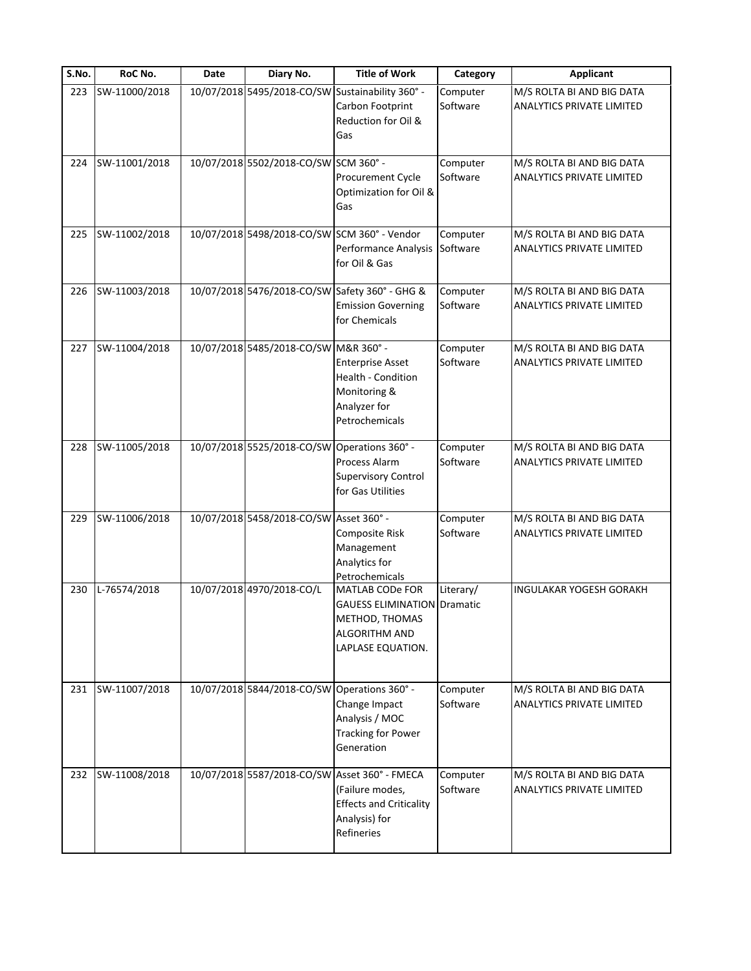| S.No. | RoC No.       | Date | Diary No.                                    | <b>Title of Work</b>                                                                                                              | Category             | <b>Applicant</b>                                              |
|-------|---------------|------|----------------------------------------------|-----------------------------------------------------------------------------------------------------------------------------------|----------------------|---------------------------------------------------------------|
| 223   | SW-11000/2018 |      |                                              | 10/07/2018 5495/2018-CO/SW Sustainability 360° -<br>Carbon Footprint<br>Reduction for Oil &<br>Gas                                | Computer<br>Software | M/S ROLTA BI AND BIG DATA<br><b>ANALYTICS PRIVATE LIMITED</b> |
| 224   | SW-11001/2018 |      | 10/07/2018 5502/2018-CO/SW SCM 360° -        | Procurement Cycle<br>Optimization for Oil &<br>Gas                                                                                | Computer<br>Software | M/S ROLTA BI AND BIG DATA<br><b>ANALYTICS PRIVATE LIMITED</b> |
| 225   | SW-11002/2018 |      |                                              | 10/07/2018 5498/2018-CO/SW SCM 360° - Vendor<br>Performance Analysis<br>for Oil & Gas                                             | Computer<br>Software | M/S ROLTA BI AND BIG DATA<br>ANALYTICS PRIVATE LIMITED        |
| 226   | SW-11003/2018 |      |                                              | 10/07/2018 5476/2018-CO/SW Safety 360° - GHG &<br><b>Emission Governing</b><br>for Chemicals                                      | Computer<br>Software | M/S ROLTA BI AND BIG DATA<br><b>ANALYTICS PRIVATE LIMITED</b> |
| 227   | SW-11004/2018 |      | 10/07/2018 5485/2018-CO/SW M&R 360° -        | <b>Enterprise Asset</b><br>Health - Condition<br>Monitoring &<br>Analyzer for<br>Petrochemicals                                   | Computer<br>Software | M/S ROLTA BI AND BIG DATA<br><b>ANALYTICS PRIVATE LIMITED</b> |
| 228   | SW-11005/2018 |      | 10/07/2018 5525/2018-CO/SW Operations 360° - | Process Alarm<br><b>Supervisory Control</b><br>for Gas Utilities                                                                  | Computer<br>Software | M/S ROLTA BI AND BIG DATA<br><b>ANALYTICS PRIVATE LIMITED</b> |
| 229   | SW-11006/2018 |      | 10/07/2018 5458/2018-CO/SW Asset 360° -      | Composite Risk<br>Management<br>Analytics for<br>Petrochemicals                                                                   | Computer<br>Software | M/S ROLTA BI AND BIG DATA<br><b>ANALYTICS PRIVATE LIMITED</b> |
| 230   | L-76574/2018  |      | 10/07/2018 4970/2018-CO/L                    | MATLAB CODe FOR<br><b>GAUESS ELIMINATION Dramatic</b><br>METHOD, THOMAS<br><b>ALGORITHM AND</b><br>LAPLASE EQUATION.              | Literary/            | <b>INGULAKAR YOGESH GORAKH</b>                                |
| 231   | SW-11007/2018 |      | 10/07/2018 5844/2018-CO/SW Operations 360° - | Change Impact<br>Analysis / MOC<br><b>Tracking for Power</b><br>Generation                                                        | Computer<br>Software | M/S ROLTA BI AND BIG DATA<br>ANALYTICS PRIVATE LIMITED        |
| 232   | SW-11008/2018 |      |                                              | 10/07/2018 5587/2018-CO/SW Asset 360° - FMECA<br>(Failure modes,<br><b>Effects and Criticality</b><br>Analysis) for<br>Refineries | Computer<br>Software | M/S ROLTA BI AND BIG DATA<br><b>ANALYTICS PRIVATE LIMITED</b> |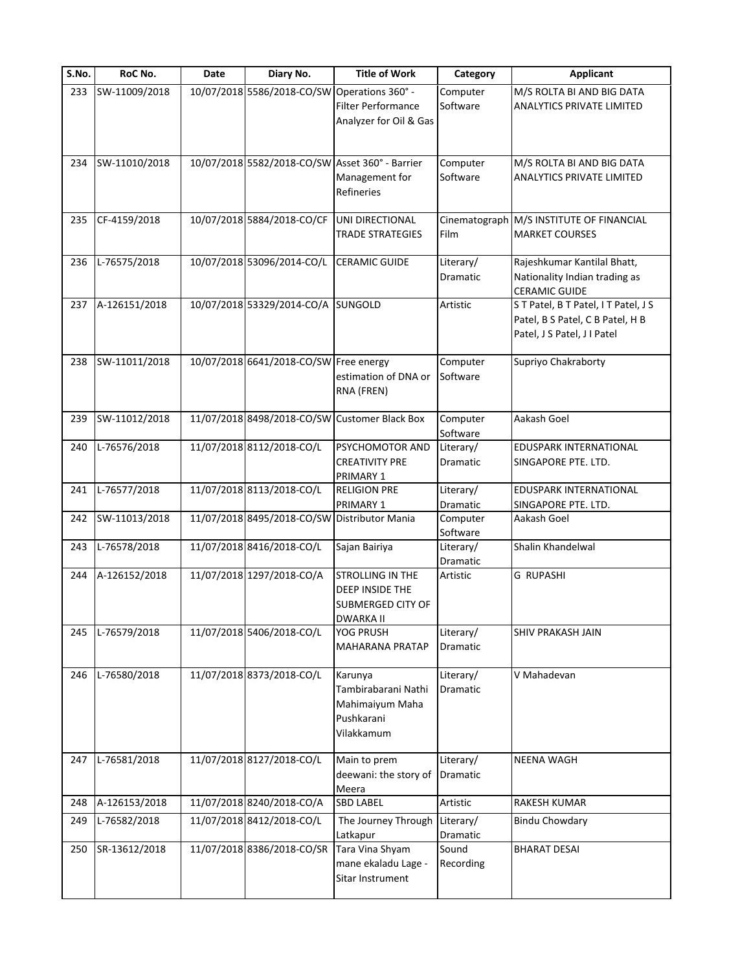| S.No. | RoC No.       | Date | Diary No.                                    | <b>Title of Work</b>                                                            | Category              | <b>Applicant</b>                                                                                    |
|-------|---------------|------|----------------------------------------------|---------------------------------------------------------------------------------|-----------------------|-----------------------------------------------------------------------------------------------------|
| 233   | SW-11009/2018 |      | 10/07/2018 5586/2018-CO/SW Operations 360° - | <b>Filter Performance</b><br>Analyzer for Oil & Gas                             | Computer<br>Software  | M/S ROLTA BI AND BIG DATA<br><b>ANALYTICS PRIVATE LIMITED</b>                                       |
| 234   | SW-11010/2018 |      |                                              | 10/07/2018 5582/2018-CO/SW Asset 360° - Barrier<br>Management for<br>Refineries | Computer<br>Software  | M/S ROLTA BI AND BIG DATA<br><b>ANALYTICS PRIVATE LIMITED</b>                                       |
| 235   | CF-4159/2018  |      | 10/07/2018 5884/2018-CO/CF                   | UNI DIRECTIONAL<br><b>TRADE STRATEGIES</b>                                      | Film                  | Cinematograph M/S INSTITUTE OF FINANCIAL<br><b>MARKET COURSES</b>                                   |
| 236   | L-76575/2018  |      | 10/07/2018 53096/2014-CO/L                   | <b>CERAMIC GUIDE</b>                                                            | Literary/<br>Dramatic | Rajeshkumar Kantilal Bhatt,<br>Nationality Indian trading as<br><b>CERAMIC GUIDE</b>                |
| 237   | A-126151/2018 |      | 10/07/2018 53329/2014-CO/A SUNGOLD           |                                                                                 | Artistic              | ST Patel, BT Patel, IT Patel, JS<br>Patel, B S Patel, C B Patel, H B<br>Patel, J S Patel, J I Patel |
| 238   | SW-11011/2018 |      | 10/07/2018 6641/2018-CO/SW Free energy       | estimation of DNA or<br>RNA (FREN)                                              | Computer<br>Software  | Supriyo Chakraborty                                                                                 |
| 239   | SW-11012/2018 |      |                                              | 11/07/2018 8498/2018-CO/SW Customer Black Box                                   | Computer<br>Software  | Aakash Goel                                                                                         |
| 240   | L-76576/2018  |      | 11/07/2018 8112/2018-CO/L                    | PSYCHOMOTOR AND<br><b>CREATIVITY PRE</b><br>PRIMARY 1                           | Literary/<br>Dramatic | EDUSPARK INTERNATIONAL<br>SINGAPORE PTE. LTD.                                                       |
| 241   | L-76577/2018  |      | 11/07/2018 8113/2018-CO/L                    | <b>RELIGION PRE</b><br>PRIMARY 1                                                | Literary/<br>Dramatic | EDUSPARK INTERNATIONAL<br>SINGAPORE PTE. LTD.                                                       |
| 242   | SW-11013/2018 |      | 11/07/2018 8495/2018-CO/SW Distributor Mania |                                                                                 | Computer<br>Software  | Aakash Goel                                                                                         |
| 243   | L-76578/2018  |      | 11/07/2018 8416/2018-CO/L                    | Sajan Bairiya                                                                   | Literary/<br>Dramatic | Shalin Khandelwal                                                                                   |
| 244   | A-126152/2018 |      | 11/07/2018 1297/2018-CO/A                    | STROLLING IN THE<br>DEEP INSIDE THE<br>SUBMERGED CITY OF<br><b>DWARKA II</b>    | Artistic              | <b>G RUPASHI</b>                                                                                    |
| 245   | L-76579/2018  |      | 11/07/2018 5406/2018-CO/L                    | YOG PRUSH<br><b>MAHARANA PRATAP</b>                                             | Literary/<br>Dramatic | SHIV PRAKASH JAIN                                                                                   |
| 246   | L-76580/2018  |      | 11/07/2018 8373/2018-CO/L                    | Karunya<br>Tambirabarani Nathi<br>Mahimaiyum Maha<br>Pushkarani<br>Vilakkamum   | Literary/<br>Dramatic | V Mahadevan                                                                                         |
| 247   | L-76581/2018  |      | 11/07/2018 8127/2018-CO/L                    | Main to prem<br>deewani: the story of<br>Meera                                  | Literary/<br>Dramatic | <b>NEENA WAGH</b>                                                                                   |
| 248   | A-126153/2018 |      | 11/07/2018 8240/2018-CO/A                    | <b>SBD LABEL</b>                                                                | Artistic              | RAKESH KUMAR                                                                                        |
| 249   | L-76582/2018  |      | 11/07/2018 8412/2018-CO/L                    | The Journey Through<br>Latkapur                                                 | Literary/<br>Dramatic | <b>Bindu Chowdary</b>                                                                               |
| 250   | SR-13612/2018 |      | 11/07/2018 8386/2018-CO/SR                   | Tara Vina Shyam<br>mane ekaladu Lage -<br>Sitar Instrument                      | Sound<br>Recording    | <b>BHARAT DESAI</b>                                                                                 |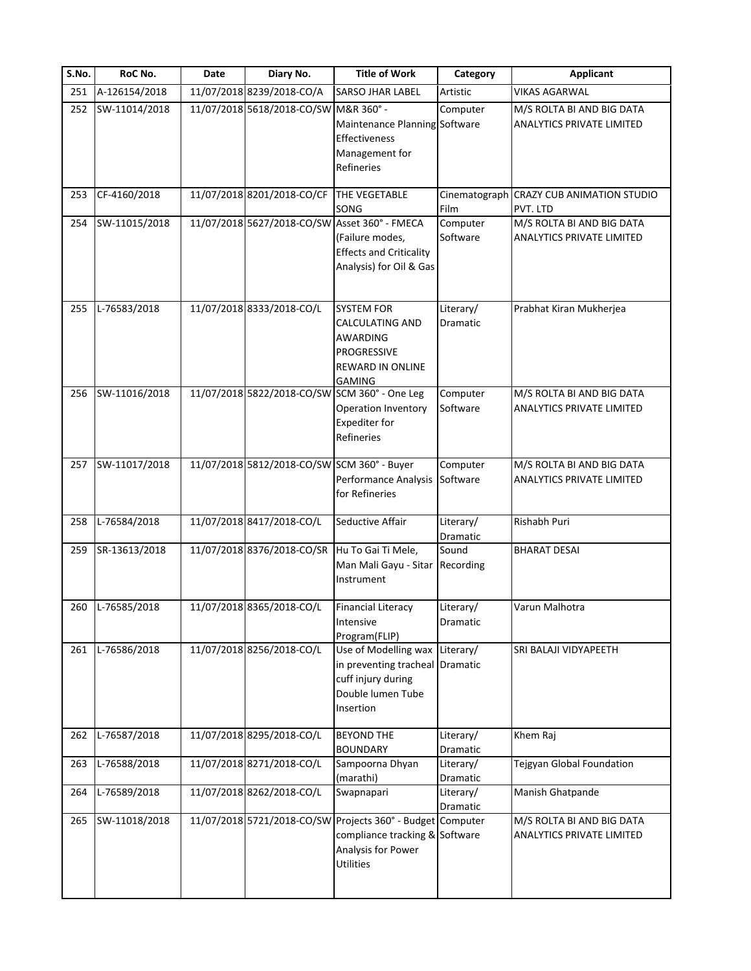| S.No. | RoC No.       | Date | Diary No.                                     | <b>Title of Work</b>                                                                                                                   | Category              | <b>Applicant</b>                                              |
|-------|---------------|------|-----------------------------------------------|----------------------------------------------------------------------------------------------------------------------------------------|-----------------------|---------------------------------------------------------------|
| 251   | A-126154/2018 |      | 11/07/2018 8239/2018-CO/A                     | <b>SARSO JHAR LABEL</b>                                                                                                                | Artistic              | <b>VIKAS AGARWAL</b>                                          |
| 252   | SW-11014/2018 |      | 11/07/2018 5618/2018-CO/SW M&R 360° -         | Maintenance Planning Software<br>Effectiveness<br>Management for<br>Refineries                                                         | Computer              | M/S ROLTA BI AND BIG DATA<br>ANALYTICS PRIVATE LIMITED        |
| 253   | CF-4160/2018  |      | 11/07/2018 8201/2018-CO/CF                    | <b>THE VEGETABLE</b><br>SONG                                                                                                           | Film                  | Cinematograph CRAZY CUB ANIMATION STUDIO<br>PVT. LTD          |
| 254   | SW-11015/2018 |      |                                               | 11/07/2018 5627/2018-CO/SW Asset 360° - FMECA<br>(Failure modes,<br><b>Effects and Criticality</b><br>Analysis) for Oil & Gas          | Computer<br>Software  | M/S ROLTA BI AND BIG DATA<br>ANALYTICS PRIVATE LIMITED        |
| 255   | L-76583/2018  |      | 11/07/2018 8333/2018-CO/L                     | <b>SYSTEM FOR</b><br><b>CALCULATING AND</b><br>AWARDING<br>PROGRESSIVE<br>REWARD IN ONLINE<br><b>GAMING</b>                            | Literary/<br>Dramatic | Prabhat Kiran Mukherjea                                       |
| 256   | SW-11016/2018 |      |                                               | 11/07/2018 5822/2018-CO/SW SCM 360° - One Leg<br><b>Operation Inventory</b><br>Expediter for<br>Refineries                             | Computer<br>Software  | M/S ROLTA BI AND BIG DATA<br>ANALYTICS PRIVATE LIMITED        |
| 257   | SW-11017/2018 |      | 11/07/2018 5812/2018-CO/SW SCM 360° - Buyer   | Performance Analysis<br>for Refineries                                                                                                 | Computer<br>Software  | M/S ROLTA BI AND BIG DATA<br><b>ANALYTICS PRIVATE LIMITED</b> |
| 258   | L-76584/2018  |      | 11/07/2018 8417/2018-CO/L                     | Seductive Affair                                                                                                                       | Literary/<br>Dramatic | Rishabh Puri                                                  |
| 259   | SR-13613/2018 |      | 11/07/2018 8376/2018-CO/SR Hu To Gai Ti Mele, | Man Mali Gayu - Sitar<br>Instrument                                                                                                    | Sound<br>Recording    | <b>BHARAT DESAI</b>                                           |
| 260   | L-76585/2018  |      | 11/07/2018 8365/2018-CO/L                     | <b>Financial Literacy</b><br>Intensive<br>Program(FLIP)                                                                                | Literary/<br>Dramatic | Varun Malhotra                                                |
| 261   | L-76586/2018  |      | 11/07/2018 8256/2018-CO/L                     | Use of Modelling wax Literary/<br>in preventing tracheal Dramatic<br>cuff injury during<br>Double lumen Tube<br>Insertion              |                       | SRI BALAJI VIDYAPEETH                                         |
| 262   | L-76587/2018  |      | 11/07/2018 8295/2018-CO/L                     | <b>BEYOND THE</b><br><b>BOUNDARY</b>                                                                                                   | Literary/<br>Dramatic | Khem Raj                                                      |
| 263   | L-76588/2018  |      | 11/07/2018 8271/2018-CO/L                     | Sampoorna Dhyan<br>(marathi)                                                                                                           | Literary/<br>Dramatic | Tejgyan Global Foundation                                     |
| 264   | L-76589/2018  |      | 11/07/2018 8262/2018-CO/L                     | Swapnapari                                                                                                                             | Literary/<br>Dramatic | Manish Ghatpande                                              |
| 265   | SW-11018/2018 |      |                                               | 11/07/2018 5721/2018-CO/SW Projects 360° - Budget Computer<br>compliance tracking & Software<br>Analysis for Power<br><b>Utilities</b> |                       | M/S ROLTA BI AND BIG DATA<br>ANALYTICS PRIVATE LIMITED        |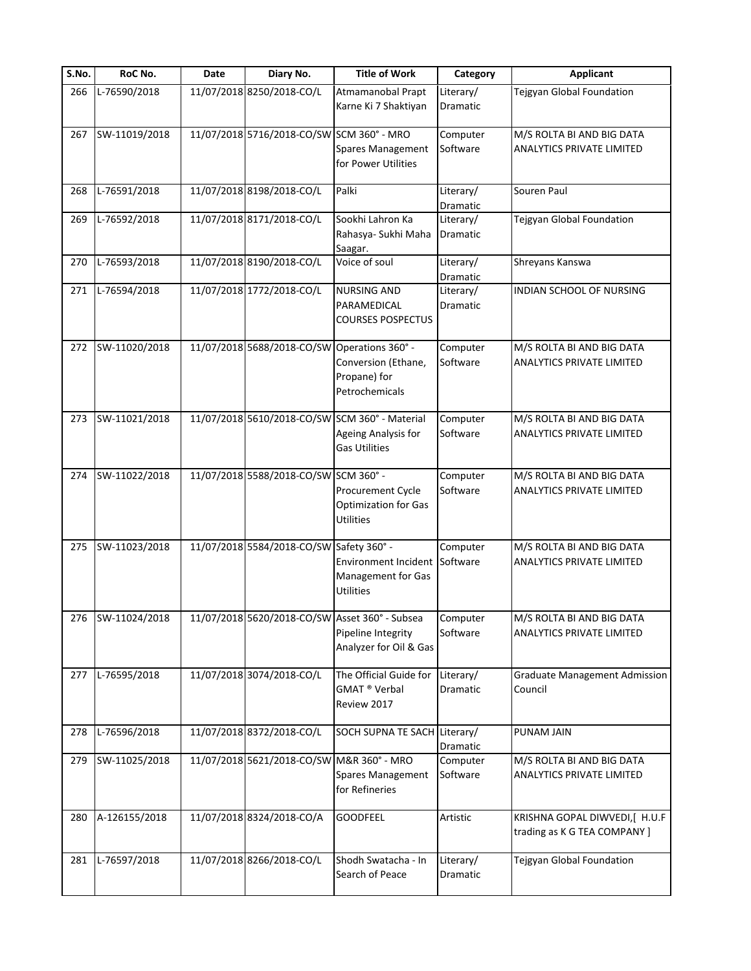| $\overline{\mathsf{S}}$ . No. | RoC No.           | Date | Diary No.                                    | <b>Title of Work</b>                                                                           | Category              | <b>Applicant</b>                                               |
|-------------------------------|-------------------|------|----------------------------------------------|------------------------------------------------------------------------------------------------|-----------------------|----------------------------------------------------------------|
| 266                           | L-76590/2018      |      | 11/07/2018 8250/2018-CO/L                    | Atmamanobal Prapt<br>Karne Ki 7 Shaktiyan                                                      | Literary/<br>Dramatic | Tejgyan Global Foundation                                      |
| 267                           | SW-11019/2018     |      | 11/07/2018 5716/2018-CO/SW SCM 360° - MRO    | Spares Management<br>for Power Utilities                                                       | Computer<br>Software  | M/S ROLTA BI AND BIG DATA<br><b>ANALYTICS PRIVATE LIMITED</b>  |
| 268                           | L-76591/2018      |      | 11/07/2018 8198/2018-CO/L                    | Palki                                                                                          | Literary/<br>Dramatic | Souren Paul                                                    |
| 269                           | L-76592/2018      |      | 11/07/2018 8171/2018-CO/L                    | Sookhi Lahron Ka<br>Rahasya- Sukhi Maha<br>Saagar.                                             | Literary/<br>Dramatic | Tejgyan Global Foundation                                      |
| 270                           | L-76593/2018      |      | 11/07/2018 8190/2018-CO/L                    | Voice of soul                                                                                  | Literary/<br>Dramatic | Shreyans Kanswa                                                |
| 271                           | L-76594/2018      |      | 11/07/2018 1772/2018-CO/L                    | <b>NURSING AND</b><br>PARAMEDICAL<br><b>COURSES POSPECTUS</b>                                  | Literary/<br>Dramatic | INDIAN SCHOOL OF NURSING                                       |
| 272                           | SW-11020/2018     |      | 11/07/2018 5688/2018-CO/SW Operations 360° - | Conversion (Ethane,<br>Propane) for<br>Petrochemicals                                          | Computer<br>Software  | M/S ROLTA BI AND BIG DATA<br>ANALYTICS PRIVATE LIMITED         |
| 273                           | SW-11021/2018     |      |                                              | 11/07/2018 5610/2018-CO/SW SCM 360° - Material<br>Ageing Analysis for<br><b>Gas Utilities</b>  | Computer<br>Software  | M/S ROLTA BI AND BIG DATA<br>ANALYTICS PRIVATE LIMITED         |
| 274                           | SW-11022/2018     |      | 11/07/2018 5588/2018-CO/SW SCM 360° -        | Procurement Cycle<br><b>Optimization for Gas</b><br><b>Utilities</b>                           | Computer<br>Software  | M/S ROLTA BI AND BIG DATA<br>ANALYTICS PRIVATE LIMITED         |
| 275                           | SW-11023/2018     |      | 11/07/2018 5584/2018-CO/SW Safety 360° -     | <b>Environment Incident</b><br>Management for Gas<br><b>Utilities</b>                          | Computer<br>Software  | M/S ROLTA BI AND BIG DATA<br><b>ANALYTICS PRIVATE LIMITED</b>  |
|                               | 276 SW-11024/2018 |      |                                              | 11/07/2018 5620/2018-CO/SW Asset 360° - Subsea<br>Pipeline Integrity<br>Analyzer for Oil & Gas | Computer<br>Software  | M/S ROLTA BI AND BIG DATA<br>ANALYTICS PRIVATE LIMITED         |
| 277                           | L-76595/2018      |      | 11/07/2018 3074/2018-CO/L                    | The Official Guide for<br>GMAT ® Verbal<br>Review 2017                                         | Literary/<br>Dramatic | <b>Graduate Management Admission</b><br>Council                |
| 278                           | L-76596/2018      |      | 11/07/2018 8372/2018-CO/L                    | SOCH SUPNA TE SACH Literary/                                                                   | Dramatic              | PUNAM JAIN                                                     |
| 279                           | SW-11025/2018     |      | 11/07/2018 5621/2018-CO/SW M&R 360° - MRO    | <b>Spares Management</b><br>for Refineries                                                     | Computer<br>Software  | M/S ROLTA BI AND BIG DATA<br><b>ANALYTICS PRIVATE LIMITED</b>  |
| 280                           | A-126155/2018     |      | 11/07/2018 8324/2018-CO/A                    | <b>GOODFEEL</b>                                                                                | Artistic              | KRISHNA GOPAL DIWVEDI, [ H.U.F<br>trading as K G TEA COMPANY ] |
| 281                           | L-76597/2018      |      | 11/07/2018 8266/2018-CO/L                    | Shodh Swatacha - In<br>Search of Peace                                                         | Literary/<br>Dramatic | Tejgyan Global Foundation                                      |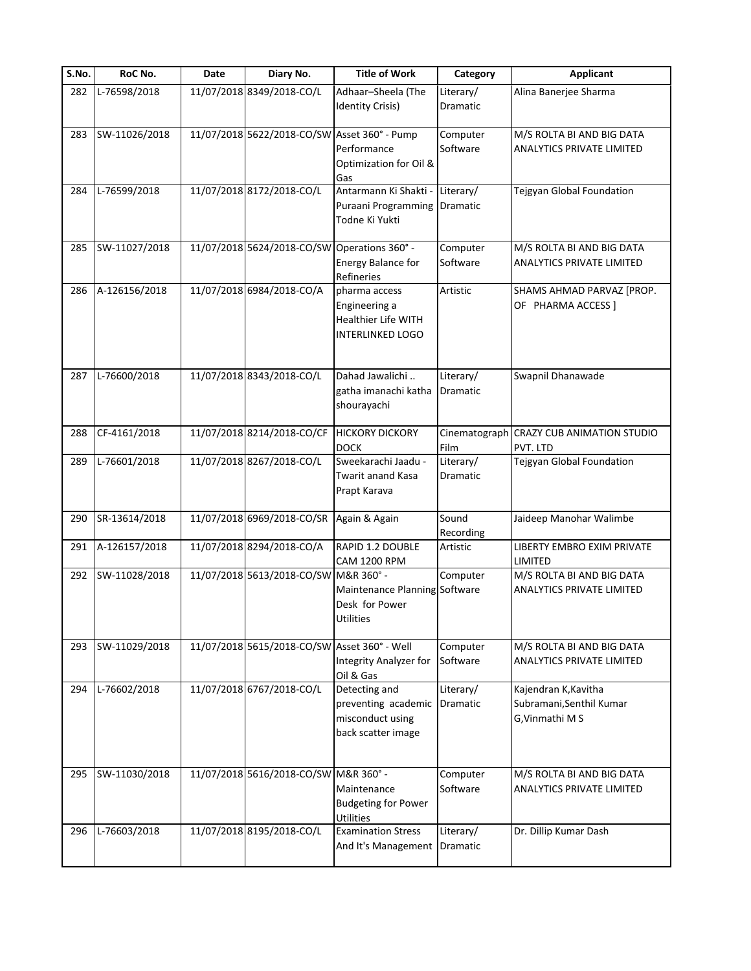| S.No. | RoC No.       | Date | Diary No.                                    | <b>Title of Work</b>                                                             | Category              | <b>Applicant</b>                                                    |
|-------|---------------|------|----------------------------------------------|----------------------------------------------------------------------------------|-----------------------|---------------------------------------------------------------------|
| 282   | L-76598/2018  |      | 11/07/2018 8349/2018-CO/L                    | Adhaar-Sheela (The<br><b>Identity Crisis)</b>                                    | Literary/<br>Dramatic | Alina Banerjee Sharma                                               |
| 283   | SW-11026/2018 |      | 11/07/2018 5622/2018-CO/SW Asset 360° - Pump | Performance<br>Optimization for Oil &<br>Gas                                     | Computer<br>Software  | M/S ROLTA BI AND BIG DATA<br><b>ANALYTICS PRIVATE LIMITED</b>       |
| 284   | L-76599/2018  |      | 11/07/2018 8172/2018-CO/L                    | Antarmann Ki Shakti -<br>Puraani Programming<br>Todne Ki Yukti                   | Literary/<br>Dramatic | Tejgyan Global Foundation                                           |
| 285   | SW-11027/2018 |      | 11/07/2018 5624/2018-CO/SW Operations 360° - | <b>Energy Balance for</b><br>Refineries                                          | Computer<br>Software  | M/S ROLTA BI AND BIG DATA<br>ANALYTICS PRIVATE LIMITED              |
| 286   | A-126156/2018 |      | 11/07/2018 6984/2018-CO/A                    | pharma access<br>Engineering a<br>Healthier Life WITH<br><b>INTERLINKED LOGO</b> | Artistic              | SHAMS AHMAD PARVAZ [PROP.<br>OF PHARMA ACCESS ]                     |
| 287   | L-76600/2018  |      | 11/07/2018 8343/2018-CO/L                    | Dahad Jawalichi<br>gatha imanachi katha<br>shourayachi                           | Literary/<br>Dramatic | Swapnil Dhanawade                                                   |
| 288   | CF-4161/2018  |      | 11/07/2018 8214/2018-CO/CF                   | <b>HICKORY DICKORY</b><br><b>DOCK</b>                                            | Film                  | Cinematograph CRAZY CUB ANIMATION STUDIO<br>PVT. LTD                |
| 289   | L-76601/2018  |      | 11/07/2018 8267/2018-CO/L                    | Sweekarachi Jaadu -<br>Twarit anand Kasa<br>Prapt Karava                         | Literary/<br>Dramatic | Tejgyan Global Foundation                                           |
| 290   | SR-13614/2018 |      | 11/07/2018 6969/2018-CO/SR                   | Again & Again                                                                    | Sound<br>Recording    | Jaideep Manohar Walimbe                                             |
| 291   | A-126157/2018 |      | 11/07/2018 8294/2018-CO/A                    | RAPID 1.2 DOUBLE<br><b>CAM 1200 RPM</b>                                          | Artistic              | LIBERTY EMBRO EXIM PRIVATE<br>LIMITED                               |
| 292   | SW-11028/2018 |      | 11/07/2018 5613/2018-CO/SW M&R 360° -        | Maintenance Planning Software<br>Desk for Power<br><b>Utilities</b>              | Computer              | M/S ROLTA BI AND BIG DATA<br>ANALYTICS PRIVATE LIMITED              |
| 293   | SW-11029/2018 |      | 11/07/2018 5615/2018-CO/SW Asset 360° - Well | Integrity Analyzer for<br>Oil & Gas                                              | Computer<br>Software  | M/S ROLTA BI AND BIG DATA<br>ANALYTICS PRIVATE LIMITED              |
| 294   | L-76602/2018  |      | 11/07/2018 6767/2018-CO/L                    | Detecting and<br>preventing academic<br>misconduct using<br>back scatter image   | Literary/<br>Dramatic | Kajendran K, Kavitha<br>Subramani, Senthil Kumar<br>G, Vinmathi M S |
| 295   | SW-11030/2018 |      | 11/07/2018 5616/2018-CO/SW M&R 360° -        | Maintenance<br><b>Budgeting for Power</b><br>Utilities                           | Computer<br>Software  | M/S ROLTA BI AND BIG DATA<br><b>ANALYTICS PRIVATE LIMITED</b>       |
| 296   | L-76603/2018  |      | 11/07/2018 8195/2018-CO/L                    | <b>Examination Stress</b><br>And It's Management                                 | Literary/<br>Dramatic | Dr. Dillip Kumar Dash                                               |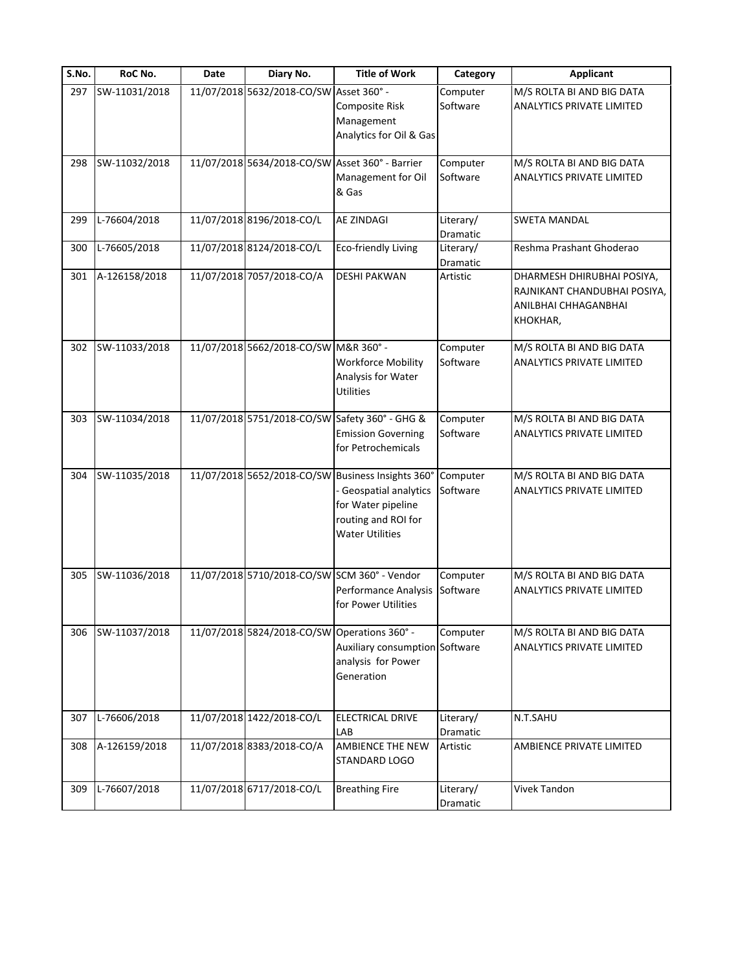| S.No. | RoC No.       | Date | Diary No.                                    | <b>Title of Work</b>                                                                                                                             | Category              | <b>Applicant</b>                                                                               |
|-------|---------------|------|----------------------------------------------|--------------------------------------------------------------------------------------------------------------------------------------------------|-----------------------|------------------------------------------------------------------------------------------------|
| 297   | SW-11031/2018 |      | 11/07/2018 5632/2018-CO/SW Asset 360° -      | Composite Risk<br>Management<br>Analytics for Oil & Gas                                                                                          | Computer<br>Software  | M/S ROLTA BI AND BIG DATA<br><b>ANALYTICS PRIVATE LIMITED</b>                                  |
| 298   | SW-11032/2018 |      |                                              | 11/07/2018 5634/2018-CO/SW Asset 360° - Barrier<br>Management for Oil<br>& Gas                                                                   | Computer<br>Software  | M/S ROLTA BI AND BIG DATA<br><b>ANALYTICS PRIVATE LIMITED</b>                                  |
| 299   | L-76604/2018  |      | 11/07/2018 8196/2018-CO/L                    | AE ZINDAGI                                                                                                                                       | Literary/<br>Dramatic | <b>SWETA MANDAL</b>                                                                            |
| 300   | L-76605/2018  |      | 11/07/2018 8124/2018-CO/L                    | <b>Eco-friendly Living</b>                                                                                                                       | Literary/<br>Dramatic | Reshma Prashant Ghoderao                                                                       |
| 301   | A-126158/2018 |      | 11/07/2018 7057/2018-CO/A                    | <b>DESHI PAKWAN</b>                                                                                                                              | Artistic              | DHARMESH DHIRUBHAI POSIYA,<br>RAJNIKANT CHANDUBHAI POSIYA,<br>ANILBHAI CHHAGANBHAI<br>КНОКНАВ, |
| 302   | SW-11033/2018 |      | 11/07/2018 5662/2018-CO/SW M&R 360° -        | Workforce Mobility<br>Analysis for Water<br><b>Utilities</b>                                                                                     | Computer<br>Software  | M/S ROLTA BI AND BIG DATA<br><b>ANALYTICS PRIVATE LIMITED</b>                                  |
| 303   | SW-11034/2018 |      |                                              | 11/07/2018 5751/2018-CO/SW Safety 360° - GHG &<br><b>Emission Governing</b><br>for Petrochemicals                                                | Computer<br>Software  | M/S ROLTA BI AND BIG DATA<br>ANALYTICS PRIVATE LIMITED                                         |
| 304   | SW-11035/2018 |      |                                              | 11/07/2018 5652/2018-CO/SW Business Insights 360°<br>Geospatial analytics<br>for Water pipeline<br>routing and ROI for<br><b>Water Utilities</b> | Computer<br>Software  | M/S ROLTA BI AND BIG DATA<br>ANALYTICS PRIVATE LIMITED                                         |
| 305   | SW-11036/2018 |      |                                              | 11/07/2018 5710/2018-CO/SW SCM 360° - Vendor<br>Performance Analysis<br>for Power Utilities                                                      | Computer<br>Software  | M/S ROLTA BI AND BIG DATA<br><b>ANALYTICS PRIVATE LIMITED</b>                                  |
| 306   | SW-11037/2018 |      | 11/07/2018 5824/2018-CO/SW Operations 360° - | Auxiliary consumption Software<br>analysis for Power<br>Generation                                                                               | Computer              | M/S ROLTA BI AND BIG DATA<br>ANALYTICS PRIVATE LIMITED                                         |
| 307   | L-76606/2018  |      | 11/07/2018 1422/2018-CO/L                    | <b>ELECTRICAL DRIVE</b><br>LAB                                                                                                                   | Literary/<br>Dramatic | N.T.SAHU                                                                                       |
| 308   | A-126159/2018 |      | 11/07/2018 8383/2018-CO/A                    | <b>AMBIENCE THE NEW</b><br>STANDARD LOGO                                                                                                         | Artistic              | AMBIENCE PRIVATE LIMITED                                                                       |
| 309   | L-76607/2018  |      | 11/07/2018 6717/2018-CO/L                    | <b>Breathing Fire</b>                                                                                                                            | Literary/<br>Dramatic | Vivek Tandon                                                                                   |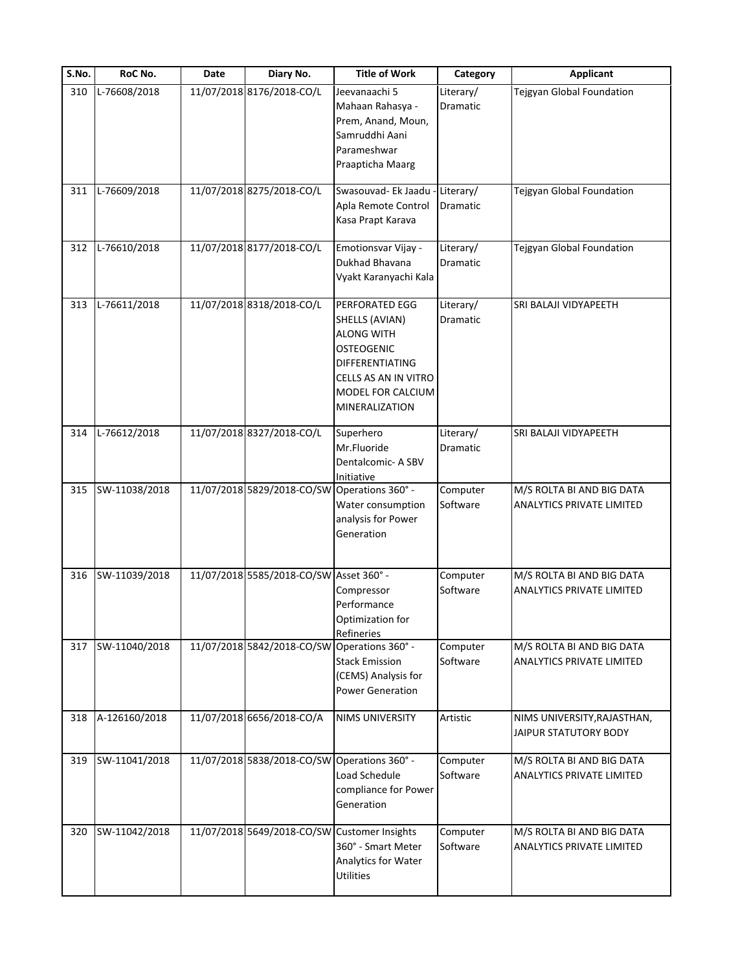| S.No. | RoC No.       | Date | Diary No.                                    | <b>Title of Work</b>                                                                                                                                         | Category              | <b>Applicant</b>                                              |
|-------|---------------|------|----------------------------------------------|--------------------------------------------------------------------------------------------------------------------------------------------------------------|-----------------------|---------------------------------------------------------------|
| 310   | L-76608/2018  |      | 11/07/2018 8176/2018-CO/L                    | Jeevanaachi 5<br>Mahaan Rahasya -<br>Prem, Anand, Moun,<br>Samruddhi Aani<br>Parameshwar<br>Praapticha Maarg                                                 | Literary/<br>Dramatic | Tejgyan Global Foundation                                     |
| 311   | L-76609/2018  |      | 11/07/2018 8275/2018-CO/L                    | Swasouvad- Ek Jaadu<br>Apla Remote Control<br>Kasa Prapt Karava                                                                                              | Literary/<br>Dramatic | Tejgyan Global Foundation                                     |
| 312   | L-76610/2018  |      | 11/07/2018 8177/2018-CO/L                    | Emotionsvar Vijay -<br>Dukhad Bhavana<br>Vyakt Karanyachi Kala                                                                                               | Literary/<br>Dramatic | Tejgyan Global Foundation                                     |
| 313   | L-76611/2018  |      | 11/07/2018 8318/2018-CO/L                    | PERFORATED EGG<br>SHELLS (AVIAN)<br><b>ALONG WITH</b><br><b>OSTEOGENIC</b><br>DIFFERENTIATING<br>CELLS AS AN IN VITRO<br>MODEL FOR CALCIUM<br>MINERALIZATION | Literary/<br>Dramatic | SRI BALAJI VIDYAPEETH                                         |
| 314   | L-76612/2018  |      | 11/07/2018 8327/2018-CO/L                    | Superhero<br>Mr.Fluoride<br>Dentalcomic- A SBV<br>Initiative                                                                                                 | Literary/<br>Dramatic | SRI BALAJI VIDYAPEETH                                         |
| 315   | SW-11038/2018 |      | 11/07/2018 5829/2018-CO/SW Operations 360° - | Water consumption<br>analysis for Power<br>Generation                                                                                                        | Computer<br>Software  | M/S ROLTA BI AND BIG DATA<br><b>ANALYTICS PRIVATE LIMITED</b> |
| 316   | SW-11039/2018 |      | 11/07/2018 5585/2018-CO/SW Asset 360° -      | Compressor<br>Performance<br>Optimization for<br>Refineries                                                                                                  | Computer<br>Software  | M/S ROLTA BI AND BIG DATA<br><b>ANALYTICS PRIVATE LIMITED</b> |
| 317   | SW-11040/2018 |      | 11/07/2018 5842/2018-CO/SW Operations 360° - | <b>Stack Emission</b><br>(CEMS) Analysis for<br><b>Power Generation</b>                                                                                      | Computer<br>Software  | M/S ROLTA BI AND BIG DATA<br>ANALYTICS PRIVATE LIMITED        |
| 318   | A-126160/2018 |      | 11/07/2018 6656/2018-CO/A                    | <b>NIMS UNIVERSITY</b>                                                                                                                                       | Artistic              | NIMS UNIVERSITY, RAJASTHAN,<br>JAIPUR STATUTORY BODY          |
| 319   | SW-11041/2018 |      | 11/07/2018 5838/2018-CO/SW Operations 360° - | Load Schedule<br>compliance for Power<br>Generation                                                                                                          | Computer<br>Software  | M/S ROLTA BI AND BIG DATA<br><b>ANALYTICS PRIVATE LIMITED</b> |
| 320   | SW-11042/2018 |      | 11/07/2018 5649/2018-CO/SW Customer Insights | 360° - Smart Meter<br>Analytics for Water<br><b>Utilities</b>                                                                                                | Computer<br>Software  | M/S ROLTA BI AND BIG DATA<br><b>ANALYTICS PRIVATE LIMITED</b> |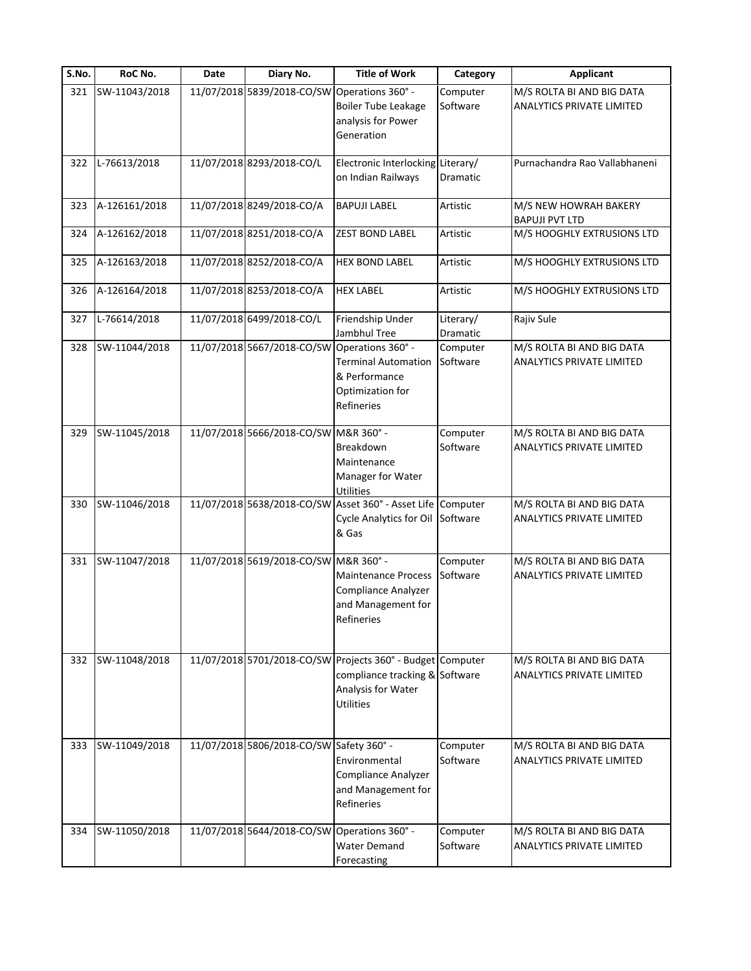| S.No. | RoC No.       | Date | Diary No.                                    | <b>Title of Work</b>                                                                                                                   | Category              | <b>Applicant</b>                                              |
|-------|---------------|------|----------------------------------------------|----------------------------------------------------------------------------------------------------------------------------------------|-----------------------|---------------------------------------------------------------|
| 321   | SW-11043/2018 |      | 11/07/2018 5839/2018-CO/SW                   | Operations 360° -<br><b>Boiler Tube Leakage</b><br>analysis for Power<br>Generation                                                    | Computer<br>Software  | M/S ROLTA BI AND BIG DATA<br>ANALYTICS PRIVATE LIMITED        |
| 322   | L-76613/2018  |      | 11/07/2018 8293/2018-CO/L                    | Electronic Interlocking Literary/<br>on Indian Railways                                                                                | Dramatic              | Purnachandra Rao Vallabhaneni                                 |
| 323   | A-126161/2018 |      | 11/07/2018 8249/2018-CO/A                    | <b>BAPUJI LABEL</b>                                                                                                                    | Artistic              | M/S NEW HOWRAH BAKERY<br><b>BAPUJI PVT LTD</b>                |
| 324   | A-126162/2018 |      | 11/07/2018 8251/2018-CO/A                    | <b>ZEST BOND LABEL</b>                                                                                                                 | Artistic              | M/S HOOGHLY EXTRUSIONS LTD                                    |
| 325   | A-126163/2018 |      | 11/07/2018 8252/2018-CO/A                    | <b>HEX BOND LABEL</b>                                                                                                                  | Artistic              | M/S HOOGHLY EXTRUSIONS LTD                                    |
| 326   | A-126164/2018 |      | 11/07/2018 8253/2018-CO/A                    | <b>HEX LABEL</b>                                                                                                                       | Artistic              | M/S HOOGHLY EXTRUSIONS LTD                                    |
| 327   | L-76614/2018  |      | 11/07/2018 6499/2018-CO/L                    | Friendship Under<br>Jambhul Tree                                                                                                       | Literary/<br>Dramatic | Rajiv Sule                                                    |
| 328   | SW-11044/2018 |      | 11/07/2018 5667/2018-CO/SW Operations 360° - | <b>Terminal Automation</b><br>& Performance<br>Optimization for<br>Refineries                                                          | Computer<br>Software  | M/S ROLTA BI AND BIG DATA<br>ANALYTICS PRIVATE LIMITED        |
| 329   | SW-11045/2018 |      | 11/07/2018 5666/2018-CO/SW M&R 360° -        | Breakdown<br>Maintenance<br>Manager for Water<br><b>Utilities</b>                                                                      | Computer<br>Software  | M/S ROLTA BI AND BIG DATA<br>ANALYTICS PRIVATE LIMITED        |
| 330   | SW-11046/2018 |      |                                              | 11/07/2018 5638/2018-CO/SW Asset 360° - Asset Life Computer<br>Cycle Analytics for Oil Software<br>& Gas                               |                       | M/S ROLTA BI AND BIG DATA<br>ANALYTICS PRIVATE LIMITED        |
| 331   | SW-11047/2018 |      | 11/07/2018 5619/2018-CO/SW M&R 360° -        | <b>Maintenance Process</b><br>Compliance Analyzer<br>and Management for<br>Refineries                                                  | Computer<br>Software  | M/S ROLTA BI AND BIG DATA<br>ANALYTICS PRIVATE LIMITED        |
| 332   | SW-11048/2018 |      |                                              | 11/07/2018 5701/2018-CO/SW Projects 360° - Budget Computer<br>compliance tracking & Software<br>Analysis for Water<br><b>Utilities</b> |                       | M/S ROLTA BI AND BIG DATA<br>ANALYTICS PRIVATE LIMITED        |
| 333   | SW-11049/2018 |      | 11/07/2018 5806/2018-CO/SW Safety 360° -     | Environmental<br>Compliance Analyzer<br>and Management for<br><b>Refineries</b>                                                        | Computer<br>Software  | M/S ROLTA BI AND BIG DATA<br><b>ANALYTICS PRIVATE LIMITED</b> |
| 334   | SW-11050/2018 |      | 11/07/2018 5644/2018-CO/SW Operations 360° - | <b>Water Demand</b><br>Forecasting                                                                                                     | Computer<br>Software  | M/S ROLTA BI AND BIG DATA<br>ANALYTICS PRIVATE LIMITED        |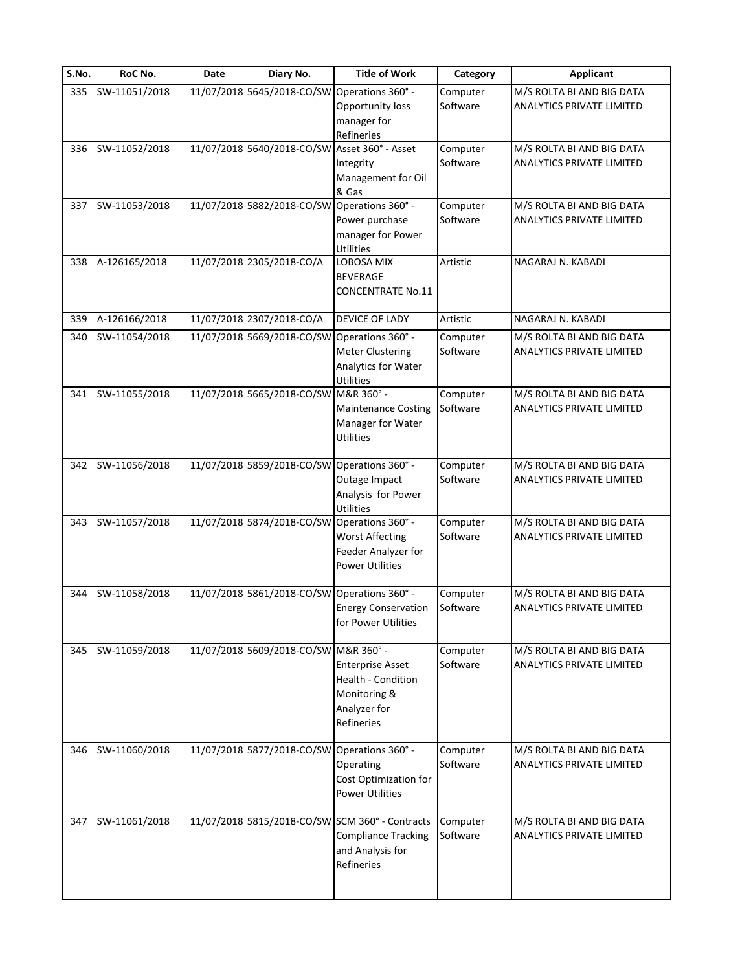| S.No. | RoC No.       | Date | Diary No.                                    | <b>Title of Work</b>                            | Category             | <b>Applicant</b>                                              |
|-------|---------------|------|----------------------------------------------|-------------------------------------------------|----------------------|---------------------------------------------------------------|
| 335   | SW-11051/2018 |      | 11/07/2018 5645/2018-CO/SW                   | Operations 360° -<br>Opportunity loss           | Computer<br>Software | M/S ROLTA BI AND BIG DATA<br><b>ANALYTICS PRIVATE LIMITED</b> |
|       |               |      |                                              | manager for                                     |                      |                                                               |
| 336   | SW-11052/2018 |      | 11/07/2018 5640/2018-CO/SW                   | Refineries<br>Asset 360° - Asset                | Computer             | M/S ROLTA BI AND BIG DATA                                     |
|       |               |      |                                              | Integrity                                       | Software             | <b>ANALYTICS PRIVATE LIMITED</b>                              |
|       |               |      |                                              | Management for Oil                              |                      |                                                               |
|       |               |      |                                              | & Gas                                           |                      |                                                               |
| 337   | SW-11053/2018 |      | 11/07/2018 5882/2018-CO/SW                   | Operations 360° -                               | Computer             | M/S ROLTA BI AND BIG DATA                                     |
|       |               |      |                                              | Power purchase                                  | Software             | ANALYTICS PRIVATE LIMITED                                     |
|       |               |      |                                              | manager for Power                               |                      |                                                               |
| 338   | A-126165/2018 |      | 11/07/2018 2305/2018-CO/A                    | <b>Utilities</b><br>LOBOSA MIX                  | Artistic             | NAGARAJ N. KABADI                                             |
|       |               |      |                                              | <b>BEVERAGE</b>                                 |                      |                                                               |
|       |               |      |                                              | <b>CONCENTRATE No.11</b>                        |                      |                                                               |
|       |               |      |                                              |                                                 |                      |                                                               |
| 339   | A-126166/2018 |      | 11/07/2018 2307/2018-CO/A                    | <b>DEVICE OF LADY</b>                           | Artistic             | NAGARAJ N. KABADI                                             |
| 340   | SW-11054/2018 |      | 11/07/2018 5669/2018-CO/SW Operations 360° - |                                                 | Computer             | M/S ROLTA BI AND BIG DATA                                     |
|       |               |      |                                              | <b>Meter Clustering</b>                         | Software             | <b>ANALYTICS PRIVATE LIMITED</b>                              |
|       |               |      |                                              | Analytics for Water                             |                      |                                                               |
| 341   | SW-11055/2018 |      | 11/07/2018 5665/2018-CO/SW M&R 360° -        | Utilities                                       | Computer             | M/S ROLTA BI AND BIG DATA                                     |
|       |               |      |                                              | <b>Maintenance Costing</b>                      | Software             | <b>ANALYTICS PRIVATE LIMITED</b>                              |
|       |               |      |                                              | Manager for Water                               |                      |                                                               |
|       |               |      |                                              | <b>Utilities</b>                                |                      |                                                               |
|       |               |      |                                              |                                                 |                      |                                                               |
| 342   | SW-11056/2018 |      | 11/07/2018 5859/2018-CO/SW                   | Operations 360° -<br>Outage Impact              | Computer<br>Software | M/S ROLTA BI AND BIG DATA<br><b>ANALYTICS PRIVATE LIMITED</b> |
|       |               |      |                                              | Analysis for Power                              |                      |                                                               |
|       |               |      |                                              | Utilities                                       |                      |                                                               |
| 343   | SW-11057/2018 |      | 11/07/2018 5874/2018-CO/SW                   | Operations 360° -                               | Computer             | M/S ROLTA BI AND BIG DATA                                     |
|       |               |      |                                              | <b>Worst Affecting</b>                          | Software             | <b>ANALYTICS PRIVATE LIMITED</b>                              |
|       |               |      |                                              | Feeder Analyzer for                             |                      |                                                               |
|       |               |      |                                              | <b>Power Utilities</b>                          |                      |                                                               |
| 344   | SW-11058/2018 |      | 11/07/2018 5861/2018-CO/SW Operations 360° - |                                                 | Computer             | M/S ROLTA BI AND BIG DATA                                     |
|       |               |      |                                              | <b>Energy Conservation</b>                      | Software             | <b>ANALYTICS PRIVATE LIMITED</b>                              |
|       |               |      |                                              | for Power Utilities                             |                      |                                                               |
|       |               |      |                                              |                                                 |                      |                                                               |
| 345   | SW-11059/2018 |      | 11/07/2018 5609/2018-CO/SW M&R 360° -        |                                                 | Computer             | M/S ROLTA BI AND BIG DATA                                     |
|       |               |      |                                              | <b>Enterprise Asset</b><br>Health - Condition   | Software             | <b>ANALYTICS PRIVATE LIMITED</b>                              |
|       |               |      |                                              | Monitoring &                                    |                      |                                                               |
|       |               |      |                                              | Analyzer for                                    |                      |                                                               |
|       |               |      |                                              | Refineries                                      |                      |                                                               |
|       |               |      |                                              |                                                 |                      |                                                               |
| 346   | SW-11060/2018 |      | 11/07/2018 5877/2018-CO/SW Operations 360° - |                                                 | Computer             | M/S ROLTA BI AND BIG DATA                                     |
|       |               |      |                                              | Operating<br>Cost Optimization for              | Software             | ANALYTICS PRIVATE LIMITED                                     |
|       |               |      |                                              | <b>Power Utilities</b>                          |                      |                                                               |
|       |               |      |                                              |                                                 |                      |                                                               |
| 347   | SW-11061/2018 |      |                                              | 11/07/2018 5815/2018-CO/SW SCM 360° - Contracts | Computer             | M/S ROLTA BI AND BIG DATA                                     |
|       |               |      |                                              | <b>Compliance Tracking</b>                      | Software             | <b>ANALYTICS PRIVATE LIMITED</b>                              |
|       |               |      |                                              | and Analysis for                                |                      |                                                               |
|       |               |      |                                              | Refineries                                      |                      |                                                               |
|       |               |      |                                              |                                                 |                      |                                                               |
|       |               |      |                                              |                                                 |                      |                                                               |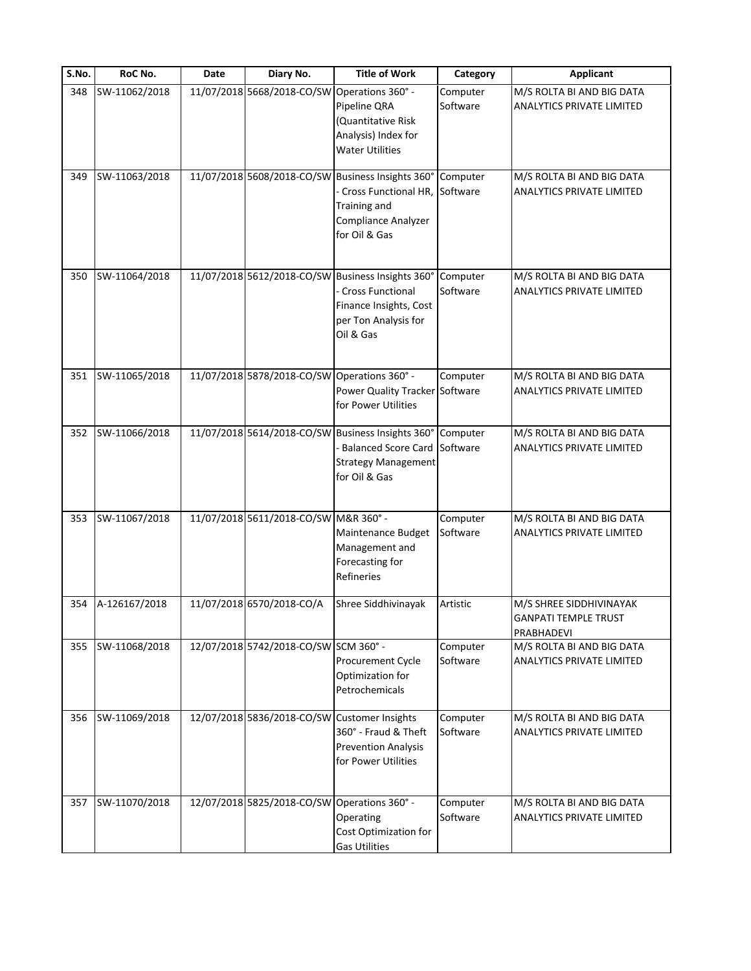| S.No. | RoC No.       | Date | Diary No.                                    | <b>Title of Work</b>                                                                                                                        | Category             | <b>Applicant</b>                                                     |
|-------|---------------|------|----------------------------------------------|---------------------------------------------------------------------------------------------------------------------------------------------|----------------------|----------------------------------------------------------------------|
| 348   | SW-11062/2018 |      | 11/07/2018 5668/2018-CO/SW                   | Operations 360° -<br>Pipeline QRA<br>(Quantitative Risk<br>Analysis) Index for<br><b>Water Utilities</b>                                    | Computer<br>Software | M/S ROLTA BI AND BIG DATA<br><b>ANALYTICS PRIVATE LIMITED</b>        |
| 349   | SW-11063/2018 |      | 11/07/2018 5608/2018-CO/SW                   | Business Insights 360°<br>Cross Functional HR,<br>Training and<br>Compliance Analyzer<br>for Oil & Gas                                      | Computer<br>Software | M/S ROLTA BI AND BIG DATA<br>ANALYTICS PRIVATE LIMITED               |
| 350   | SW-11064/2018 |      |                                              | 11/07/2018 5612/2018-CO/SW Business Insights 360°<br><b>Cross Functional</b><br>Finance Insights, Cost<br>per Ton Analysis for<br>Oil & Gas | Computer<br>Software | M/S ROLTA BI AND BIG DATA<br><b>ANALYTICS PRIVATE LIMITED</b>        |
| 351   | SW-11065/2018 |      | 11/07/2018 5878/2018-CO/SW                   | Operations 360° -<br>Power Quality Tracker Software<br>for Power Utilities                                                                  | Computer             | M/S ROLTA BI AND BIG DATA<br><b>ANALYTICS PRIVATE LIMITED</b>        |
| 352   | SW-11066/2018 |      |                                              | 11/07/2018 5614/2018-CO/SW Business Insights 360°<br><b>Balanced Score Card</b><br><b>Strategy Management</b><br>for Oil & Gas              | Computer<br>Software | M/S ROLTA BI AND BIG DATA<br>ANALYTICS PRIVATE LIMITED               |
| 353   | SW-11067/2018 |      | 11/07/2018 5611/2018-CO/SW M&R 360° -        | Maintenance Budget<br>Management and<br>Forecasting for<br>Refineries                                                                       | Computer<br>Software | M/S ROLTA BI AND BIG DATA<br><b>ANALYTICS PRIVATE LIMITED</b>        |
| 354   | A-126167/2018 |      | 11/07/2018 6570/2018-CO/A                    | Shree Siddhivinayak                                                                                                                         | Artistic             | M/S SHREE SIDDHIVINAYAK<br><b>GANPATI TEMPLE TRUST</b><br>PRABHADEVI |
| 355   | SW-11068/2018 |      | 12/07/2018 5742/2018-CO/SW SCM 360° -        | Procurement Cycle<br>Optimization for<br>Petrochemicals                                                                                     | Computer<br>Software | M/S ROLTA BI AND BIG DATA<br>ANALYTICS PRIVATE LIMITED               |
| 356   | SW-11069/2018 |      | 12/07/2018 5836/2018-CO/SW Customer Insights | 360° - Fraud & Theft<br><b>Prevention Analysis</b><br>for Power Utilities                                                                   | Computer<br>Software | M/S ROLTA BI AND BIG DATA<br><b>ANALYTICS PRIVATE LIMITED</b>        |
| 357   | SW-11070/2018 |      | 12/07/2018 5825/2018-CO/SW                   | Operations 360° -<br>Operating<br>Cost Optimization for<br><b>Gas Utilities</b>                                                             | Computer<br>Software | M/S ROLTA BI AND BIG DATA<br><b>ANALYTICS PRIVATE LIMITED</b>        |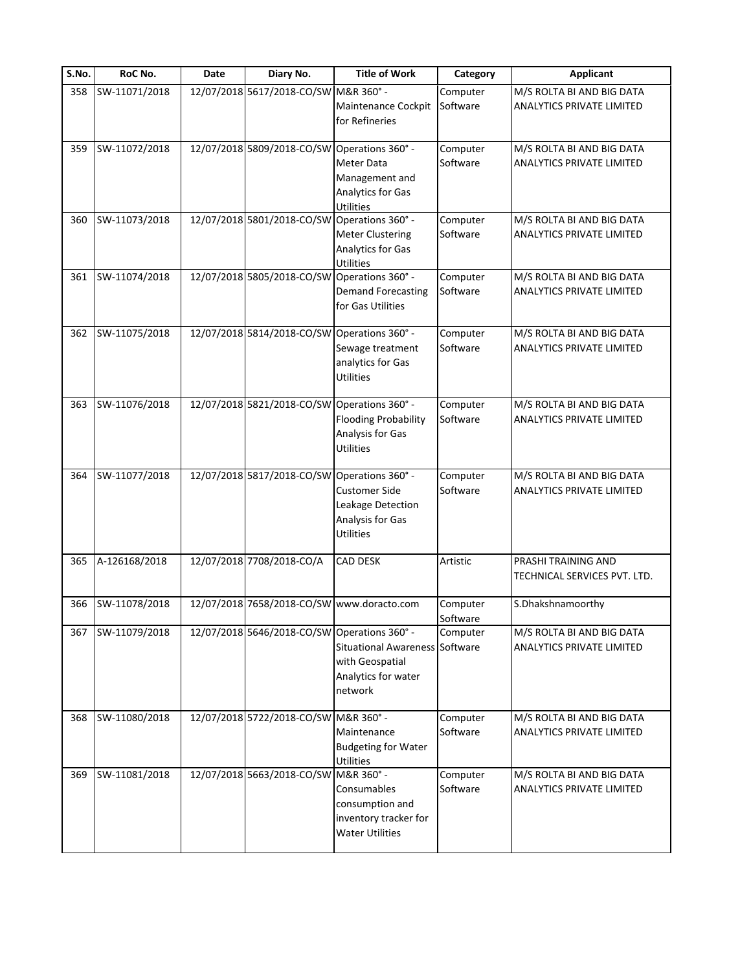| S.No. | RoC No.       | Date | Diary No.                                    | <b>Title of Work</b>                                                                       | Category             | <b>Applicant</b>                                              |
|-------|---------------|------|----------------------------------------------|--------------------------------------------------------------------------------------------|----------------------|---------------------------------------------------------------|
| 358   | SW-11071/2018 |      | 12/07/2018 5617/2018-CO/SW M&R 360° -        | Maintenance Cockpit<br>for Refineries                                                      | Computer<br>Software | M/S ROLTA BI AND BIG DATA<br>ANALYTICS PRIVATE LIMITED        |
| 359   | SW-11072/2018 |      | 12/07/2018 5809/2018-CO/SW                   | Operations 360° -<br>Meter Data<br>Management and<br><b>Analytics for Gas</b><br>Utilities | Computer<br>Software | M/S ROLTA BI AND BIG DATA<br>ANALYTICS PRIVATE LIMITED        |
| 360   | SW-11073/2018 |      | 12/07/2018 5801/2018-CO/SW                   | Operations 360° -<br><b>Meter Clustering</b><br>Analytics for Gas<br><b>Utilities</b>      | Computer<br>Software | M/S ROLTA BI AND BIG DATA<br>ANALYTICS PRIVATE LIMITED        |
| 361   | SW-11074/2018 |      | 12/07/2018 5805/2018-CO/SW Operations 360° - | <b>Demand Forecasting</b><br>for Gas Utilities                                             | Computer<br>Software | M/S ROLTA BI AND BIG DATA<br>ANALYTICS PRIVATE LIMITED        |
| 362   | SW-11075/2018 |      | 12/07/2018 5814/2018-CO/SW Operations 360° - | Sewage treatment<br>analytics for Gas<br><b>Utilities</b>                                  | Computer<br>Software | M/S ROLTA BI AND BIG DATA<br>ANALYTICS PRIVATE LIMITED        |
| 363   | SW-11076/2018 |      | 12/07/2018 5821/2018-CO/SW                   | Operations 360° -<br><b>Flooding Probability</b><br>Analysis for Gas<br><b>Utilities</b>   | Computer<br>Software | M/S ROLTA BI AND BIG DATA<br>ANALYTICS PRIVATE LIMITED        |
| 364   | SW-11077/2018 |      | 12/07/2018 5817/2018-CO/SW Operations 360° - | <b>Customer Side</b><br>Leakage Detection<br>Analysis for Gas<br>Utilities                 | Computer<br>Software | M/S ROLTA BI AND BIG DATA<br>ANALYTICS PRIVATE LIMITED        |
| 365   | A-126168/2018 |      | 12/07/2018 7708/2018-CO/A                    | CAD DESK                                                                                   | Artistic             | PRASHI TRAINING AND<br>TECHNICAL SERVICES PVT. LTD.           |
| 366   | SW-11078/2018 |      | 12/07/2018 7658/2018-CO/SW www.doracto.com   |                                                                                            | Computer<br>Software | S.Dhakshnamoorthy                                             |
| 367   | SW-11079/2018 |      | 12/07/2018 5646/2018-CO/SW Operations 360° - | Situational Awareness Software<br>with Geospatial<br>Analytics for water<br>network        | Computer             | M/S ROLTA BI AND BIG DATA<br>ANALYTICS PRIVATE LIMITED        |
| 368   | SW-11080/2018 |      | 12/07/2018 5722/2018-CO/SW M&R 360° -        | Maintenance<br><b>Budgeting for Water</b><br><b>Utilities</b>                              | Computer<br>Software | M/S ROLTA BI AND BIG DATA<br><b>ANALYTICS PRIVATE LIMITED</b> |
| 369   | SW-11081/2018 |      | 12/07/2018 5663/2018-CO/SW M&R 360° -        | Consumables<br>consumption and<br>inventory tracker for<br><b>Water Utilities</b>          | Computer<br>Software | M/S ROLTA BI AND BIG DATA<br><b>ANALYTICS PRIVATE LIMITED</b> |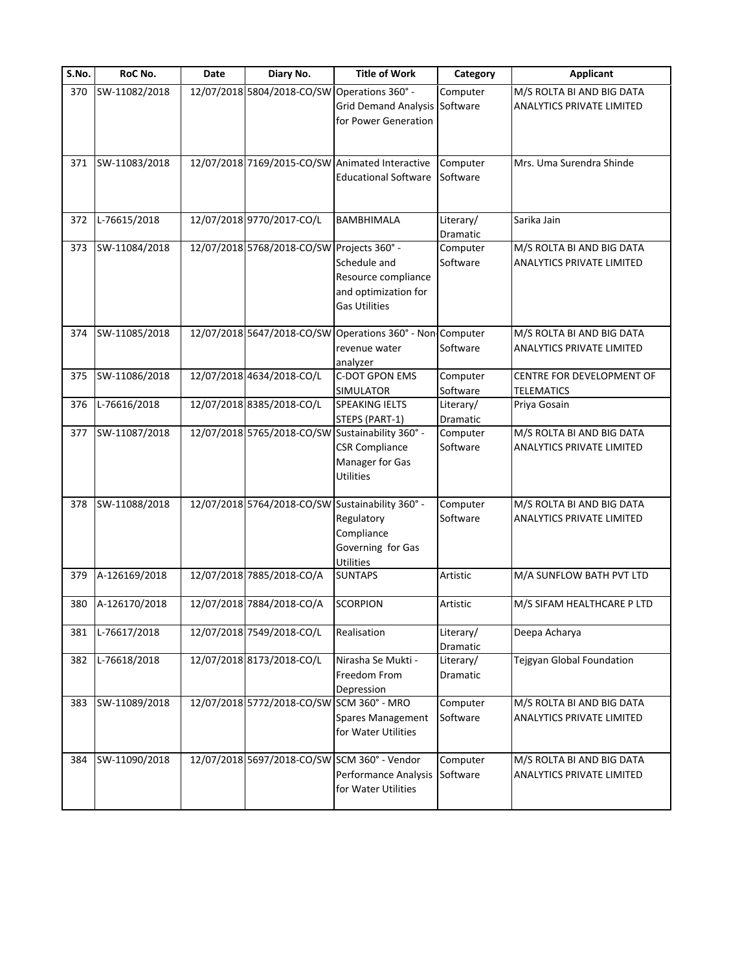| S.No. | RoC No.       | Date | Diary No.                                    | <b>Title of Work</b>                                                                                             | Category                     | <b>Applicant</b>                                              |
|-------|---------------|------|----------------------------------------------|------------------------------------------------------------------------------------------------------------------|------------------------------|---------------------------------------------------------------|
| 370   | SW-11082/2018 |      | 12/07/2018 5804/2018-CO/SW Operations 360° - | Grid Demand Analysis Software<br>for Power Generation                                                            | Computer                     | M/S ROLTA BI AND BIG DATA<br>ANALYTICS PRIVATE LIMITED        |
| 371   | SW-11083/2018 |      |                                              | 12/07/2018 7169/2015-CO/SW Animated Interactive<br><b>Educational Software</b>                                   | Computer<br>Software         | Mrs. Uma Surendra Shinde                                      |
| 372   | L-76615/2018  |      | 12/07/2018 9770/2017-CO/L                    | BAMBHIMALA                                                                                                       | Literary/<br><b>Dramatic</b> | Sarika Jain                                                   |
| 373   | SW-11084/2018 |      | 12/07/2018 5768/2018-CO/SW Projects 360° -   | Schedule and<br>Resource compliance<br>and optimization for<br><b>Gas Utilities</b>                              | Computer<br>Software         | M/S ROLTA BI AND BIG DATA<br>ANALYTICS PRIVATE LIMITED        |
| 374   | SW-11085/2018 |      |                                              | 12/07/2018 5647/2018-CO/SW Operations 360° - Non Computer<br>revenue water<br>analyzer                           | Software                     | M/S ROLTA BI AND BIG DATA<br>ANALYTICS PRIVATE LIMITED        |
| 375   | SW-11086/2018 |      | 12/07/2018 4634/2018-CO/L                    | <b>C-DOT GPON EMS</b><br>SIMULATOR                                                                               | Computer<br>Software         | CENTRE FOR DEVELOPMENT OF<br><b>TELEMATICS</b>                |
| 376   | L-76616/2018  |      | 12/07/2018 8385/2018-CO/L                    | <b>SPEAKING IELTS</b><br>STEPS (PART-1)                                                                          | Literary/<br>Dramatic        | Priya Gosain                                                  |
| 377   | SW-11087/2018 |      |                                              | 12/07/2018 5765/2018-CO/SW Sustainability 360° -<br><b>CSR Compliance</b><br>Manager for Gas<br><b>Utilities</b> | Computer<br>Software         | M/S ROLTA BI AND BIG DATA<br><b>ANALYTICS PRIVATE LIMITED</b> |
| 378   | SW-11088/2018 |      |                                              | 12/07/2018 5764/2018-CO/SW Sustainability 360° -<br>Regulatory<br>Compliance<br>Governing for Gas<br>Utilities   | Computer<br>Software         | M/S ROLTA BI AND BIG DATA<br>ANALYTICS PRIVATE LIMITED        |
| 379   | A-126169/2018 |      | 12/07/2018 7885/2018-CO/A                    | <b>SUNTAPS</b>                                                                                                   | Artistic                     | M/A SUNFLOW BATH PVT LTD                                      |
| 380   | A-126170/2018 |      | 12/07/2018 7884/2018-CO/A                    | <b>SCORPION</b>                                                                                                  | Artistic                     | M/S SIFAM HEALTHCARE P LTD                                    |
| 381   | L-76617/2018  |      | 12/07/2018 7549/2018-CO/L                    | Realisation                                                                                                      | Literary/<br>Dramatic        | Deepa Acharya                                                 |
| 382   | L-76618/2018  |      | 12/07/2018 8173/2018-CO/L                    | Nirasha Se Mukti -<br>Freedom From<br>Depression                                                                 | Literary/<br>Dramatic        | Tejgyan Global Foundation                                     |
| 383   | SW-11089/2018 |      | 12/07/2018 5772/2018-CO/SW SCM 360° - MRO    | <b>Spares Management</b><br>for Water Utilities                                                                  | Computer<br>Software         | M/S ROLTA BI AND BIG DATA<br>ANALYTICS PRIVATE LIMITED        |
| 384   | SW-11090/2018 |      |                                              | 12/07/2018 5697/2018-CO/SW SCM 360° - Vendor<br>Performance Analysis<br>for Water Utilities                      | Computer<br>Software         | M/S ROLTA BI AND BIG DATA<br>ANALYTICS PRIVATE LIMITED        |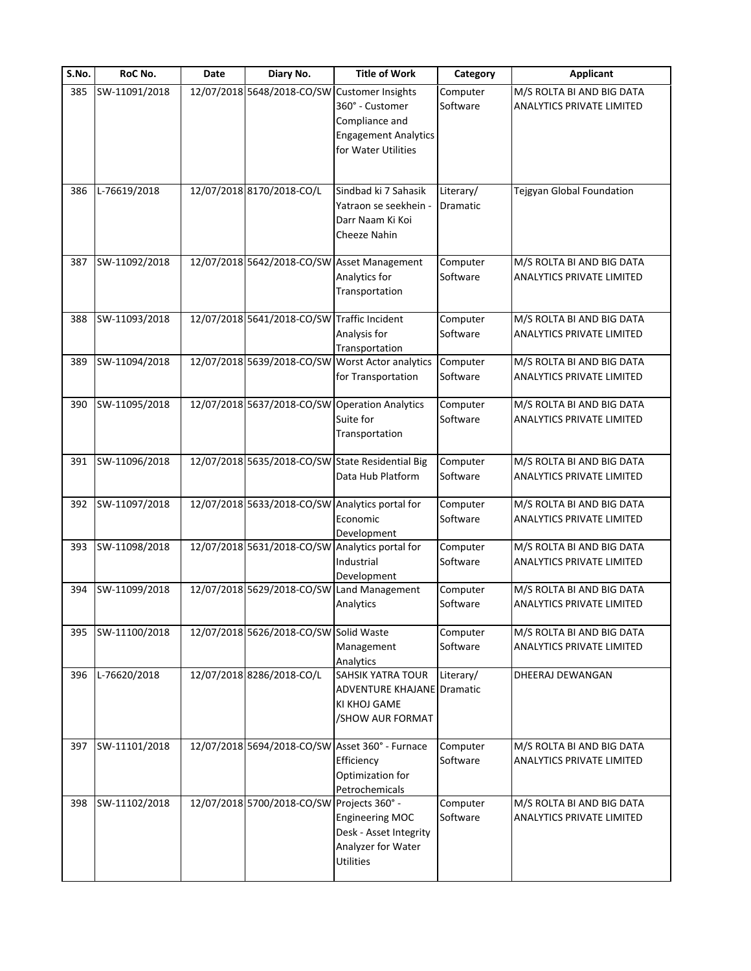| S.No. | RoC No.       | Date | Diary No.                                   | <b>Title of Work</b>                                                                                                | Category              | <b>Applicant</b>                                              |
|-------|---------------|------|---------------------------------------------|---------------------------------------------------------------------------------------------------------------------|-----------------------|---------------------------------------------------------------|
| 385   | SW-11091/2018 |      | 12/07/2018 5648/2018-CO/SW                  | <b>Customer Insights</b><br>360° - Customer<br>Compliance and<br><b>Engagement Analytics</b><br>for Water Utilities | Computer<br>Software  | M/S ROLTA BI AND BIG DATA<br><b>ANALYTICS PRIVATE LIMITED</b> |
| 386   | L-76619/2018  |      | 12/07/2018 8170/2018-CO/L                   | Sindbad ki 7 Sahasik<br>Yatraon se seekhein -<br>Darr Naam Ki Koi<br><b>Cheeze Nahin</b>                            | Literary/<br>Dramatic | Tejgyan Global Foundation                                     |
| 387   | SW-11092/2018 |      |                                             | 12/07/2018 5642/2018-CO/SW Asset Management<br>Analytics for<br>Transportation                                      | Computer<br>Software  | M/S ROLTA BI AND BIG DATA<br>ANALYTICS PRIVATE LIMITED        |
| 388   | SW-11093/2018 |      | 12/07/2018 5641/2018-CO/SW Traffic Incident | Analysis for<br>Transportation                                                                                      | Computer<br>Software  | M/S ROLTA BI AND BIG DATA<br><b>ANALYTICS PRIVATE LIMITED</b> |
| 389   | SW-11094/2018 |      |                                             | 12/07/2018 5639/2018-CO/SW Worst Actor analytics<br>for Transportation                                              | Computer<br>Software  | M/S ROLTA BI AND BIG DATA<br>ANALYTICS PRIVATE LIMITED        |
| 390   | SW-11095/2018 |      | 12/07/2018 5637/2018-CO/SW                  | <b>Operation Analytics</b><br>Suite for<br>Transportation                                                           | Computer<br>Software  | M/S ROLTA BI AND BIG DATA<br><b>ANALYTICS PRIVATE LIMITED</b> |
| 391   | SW-11096/2018 |      |                                             | 12/07/2018 5635/2018-CO/SW State Residential Big<br>Data Hub Platform                                               | Computer<br>Software  | M/S ROLTA BI AND BIG DATA<br>ANALYTICS PRIVATE LIMITED        |
| 392   | SW-11097/2018 |      |                                             | 12/07/2018 5633/2018-CO/SW Analytics portal for<br>Economic<br>Development                                          | Computer<br>Software  | M/S ROLTA BI AND BIG DATA<br><b>ANALYTICS PRIVATE LIMITED</b> |
| 393   | SW-11098/2018 |      |                                             | 12/07/2018 5631/2018-CO/SW Analytics portal for<br>Industrial<br>Development                                        | Computer<br>Software  | M/S ROLTA BI AND BIG DATA<br>ANALYTICS PRIVATE LIMITED        |
| 394   | SW-11099/2018 |      | 12/07/2018 5629/2018-CO/SW                  | Land Management<br>Analytics                                                                                        | Computer<br>Software  | M/S ROLTA BI AND BIG DATA<br><b>ANALYTICS PRIVATE LIMITED</b> |
| 395   | SW-11100/2018 |      | 12/07/2018 5626/2018-CO/SW Solid Waste      | Management<br>Analytics                                                                                             | Computer<br>Software  | M/S ROLTA BI AND BIG DATA<br>ANALYTICS PRIVATE LIMITED        |
| 396   | L-76620/2018  |      | 12/07/2018 8286/2018-CO/L                   | SAHSIK YATRA TOUR<br><b>ADVENTURE KHAJANE Dramatic</b><br>KI KHOJ GAME<br>/SHOW AUR FORMAT                          | Literary/             | DHEERAJ DEWANGAN                                              |
| 397   | SW-11101/2018 |      |                                             | 12/07/2018 5694/2018-CO/SW Asset 360° - Furnace<br>Efficiency<br>Optimization for<br>Petrochemicals                 | Computer<br>Software  | M/S ROLTA BI AND BIG DATA<br>ANALYTICS PRIVATE LIMITED        |
| 398   | SW-11102/2018 |      | 12/07/2018 5700/2018-CO/SW                  | Projects 360° -<br><b>Engineering MOC</b><br>Desk - Asset Integrity<br>Analyzer for Water<br><b>Utilities</b>       | Computer<br>Software  | M/S ROLTA BI AND BIG DATA<br><b>ANALYTICS PRIVATE LIMITED</b> |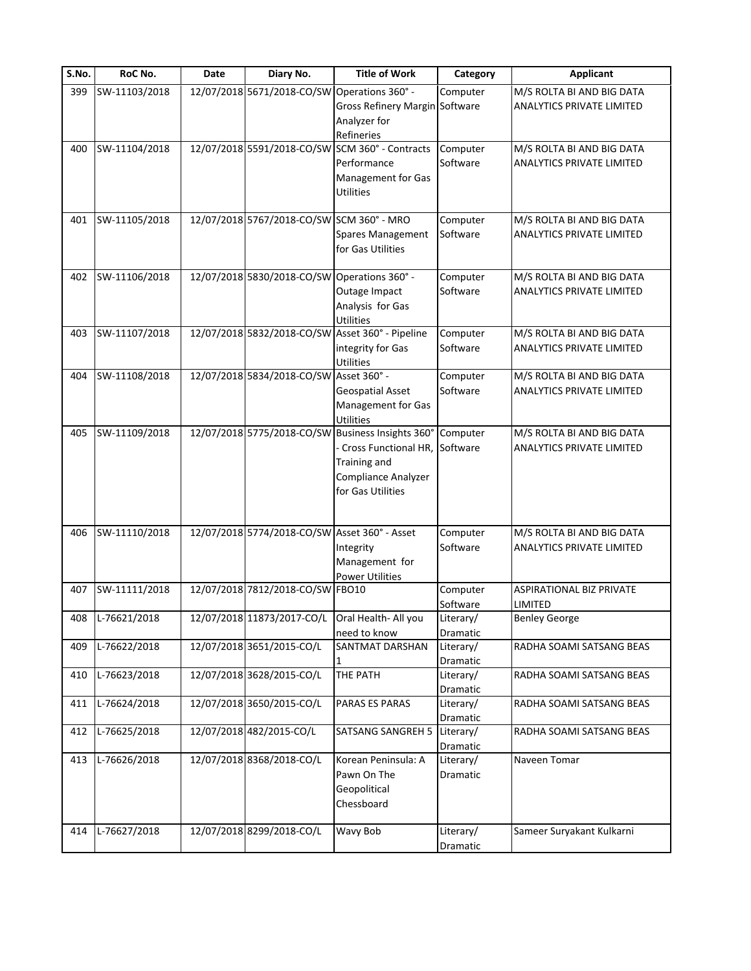| $\overline{\mathsf{S}}$ . No. | RoC No.       | Date | Diary No.                                     | <b>Title of Work</b>                             | Category  | <b>Applicant</b>                 |
|-------------------------------|---------------|------|-----------------------------------------------|--------------------------------------------------|-----------|----------------------------------|
| 399                           | SW-11103/2018 |      | 12/07/2018 5671/2018-CO/SW                    | Operations 360° -                                | Computer  | M/S ROLTA BI AND BIG DATA        |
|                               |               |      |                                               | Gross Refinery Margin Software                   |           | <b>ANALYTICS PRIVATE LIMITED</b> |
|                               |               |      |                                               | Analyzer for                                     |           |                                  |
|                               |               |      |                                               | Refineries                                       |           |                                  |
| 400                           | SW-11104/2018 |      | 12/07/2018 5591/2018-CO/SW                    | SCM 360° - Contracts                             | Computer  | M/S ROLTA BI AND BIG DATA        |
|                               |               |      |                                               | Performance                                      | Software  | ANALYTICS PRIVATE LIMITED        |
|                               |               |      |                                               | Management for Gas                               |           |                                  |
|                               |               |      |                                               | <b>Utilities</b>                                 |           |                                  |
|                               |               |      |                                               |                                                  |           |                                  |
| 401                           | SW-11105/2018 |      | 12/07/2018 5767/2018-CO/SW SCM 360° - MRO     |                                                  | Computer  | M/S ROLTA BI AND BIG DATA        |
|                               |               |      |                                               | Spares Management                                | Software  | ANALYTICS PRIVATE LIMITED        |
|                               |               |      |                                               | for Gas Utilities                                |           |                                  |
|                               |               |      |                                               |                                                  |           |                                  |
| 402                           | SW-11106/2018 |      | 12/07/2018 5830/2018-CO/SW Operations 360° -  |                                                  | Computer  | M/S ROLTA BI AND BIG DATA        |
|                               |               |      |                                               | Outage Impact                                    | Software  | ANALYTICS PRIVATE LIMITED        |
|                               |               |      |                                               | Analysis for Gas                                 |           |                                  |
|                               |               |      |                                               | <b>Utilities</b>                                 |           |                                  |
| 403                           | SW-11107/2018 |      |                                               | 12/07/2018 5832/2018-CO/SW Asset 360° - Pipeline | Computer  | M/S ROLTA BI AND BIG DATA        |
|                               |               |      |                                               | integrity for Gas                                | Software  | <b>ANALYTICS PRIVATE LIMITED</b> |
|                               |               |      |                                               | <b>Utilities</b>                                 |           |                                  |
| 404                           | SW-11108/2018 |      | 12/07/2018 5834/2018-CO/SW                    | Asset 360° -                                     | Computer  | M/S ROLTA BI AND BIG DATA        |
|                               |               |      |                                               | <b>Geospatial Asset</b>                          | Software  | <b>ANALYTICS PRIVATE LIMITED</b> |
|                               |               |      |                                               | Management for Gas                               |           |                                  |
|                               |               |      |                                               | <b>Utilities</b>                                 |           |                                  |
| 405                           | SW-11109/2018 |      | 12/07/2018 5775/2018-CO/SW                    | Business Insights 360°                           | Computer  | M/S ROLTA BI AND BIG DATA        |
|                               |               |      |                                               | - Cross Functional HR,                           | Software  | <b>ANALYTICS PRIVATE LIMITED</b> |
|                               |               |      |                                               | <b>Training and</b>                              |           |                                  |
|                               |               |      |                                               | Compliance Analyzer                              |           |                                  |
|                               |               |      |                                               | for Gas Utilities                                |           |                                  |
|                               |               |      |                                               |                                                  |           |                                  |
|                               |               |      |                                               |                                                  |           |                                  |
| 406                           | SW-11110/2018 |      | 12/07/2018 5774/2018-CO/SW Asset 360° - Asset |                                                  | Computer  | M/S ROLTA BI AND BIG DATA        |
|                               |               |      |                                               | Integrity                                        | Software  | <b>ANALYTICS PRIVATE LIMITED</b> |
|                               |               |      |                                               | Management for                                   |           |                                  |
|                               |               |      |                                               | <b>Power Utilities</b>                           |           |                                  |
| 407                           | SW-11111/2018 |      | 12/07/2018 7812/2018-CO/SW FBO10              |                                                  | Computer  | <b>ASPIRATIONAL BIZ PRIVATE</b>  |
|                               |               |      |                                               |                                                  | Software  | LIMITED                          |
| 408                           | L-76621/2018  |      | 12/07/2018 11873/2017-CO/L                    | Oral Health- All you                             | Literary/ | <b>Benley George</b>             |
|                               |               |      |                                               | need to know                                     | Dramatic  |                                  |
| 409                           | L-76622/2018  |      | 12/07/2018 3651/2015-CO/L                     | <b>SANTMAT DARSHAN</b>                           | Literary/ | RADHA SOAMI SATSANG BEAS         |
|                               |               |      |                                               | 1                                                | Dramatic  |                                  |
| 410                           | L-76623/2018  |      | 12/07/2018 3628/2015-CO/L                     | THE PATH                                         | Literary/ | RADHA SOAMI SATSANG BEAS         |
|                               |               |      |                                               |                                                  | Dramatic  |                                  |
| 411                           | L-76624/2018  |      | 12/07/2018 3650/2015-CO/L                     | PARAS ES PARAS                                   | Literary/ | RADHA SOAMI SATSANG BEAS         |
|                               |               |      |                                               |                                                  | Dramatic  |                                  |
| 412                           | L-76625/2018  |      | 12/07/2018 482/2015-CO/L                      | <b>SATSANG SANGREH 5</b>                         | Literary/ | RADHA SOAMI SATSANG BEAS         |
|                               |               |      |                                               |                                                  | Dramatic  |                                  |
| 413                           | L-76626/2018  |      | 12/07/2018 8368/2018-CO/L                     | Korean Peninsula: A                              | Literary/ | Naveen Tomar                     |
|                               |               |      |                                               | Pawn On The                                      | Dramatic  |                                  |
|                               |               |      |                                               | Geopolitical                                     |           |                                  |
|                               |               |      |                                               | Chessboard                                       |           |                                  |
|                               |               |      |                                               |                                                  |           |                                  |
| 414                           | L-76627/2018  |      | 12/07/2018 8299/2018-CO/L                     | Wavy Bob                                         | Literary/ | Sameer Suryakant Kulkarni        |
|                               |               |      |                                               |                                                  | Dramatic  |                                  |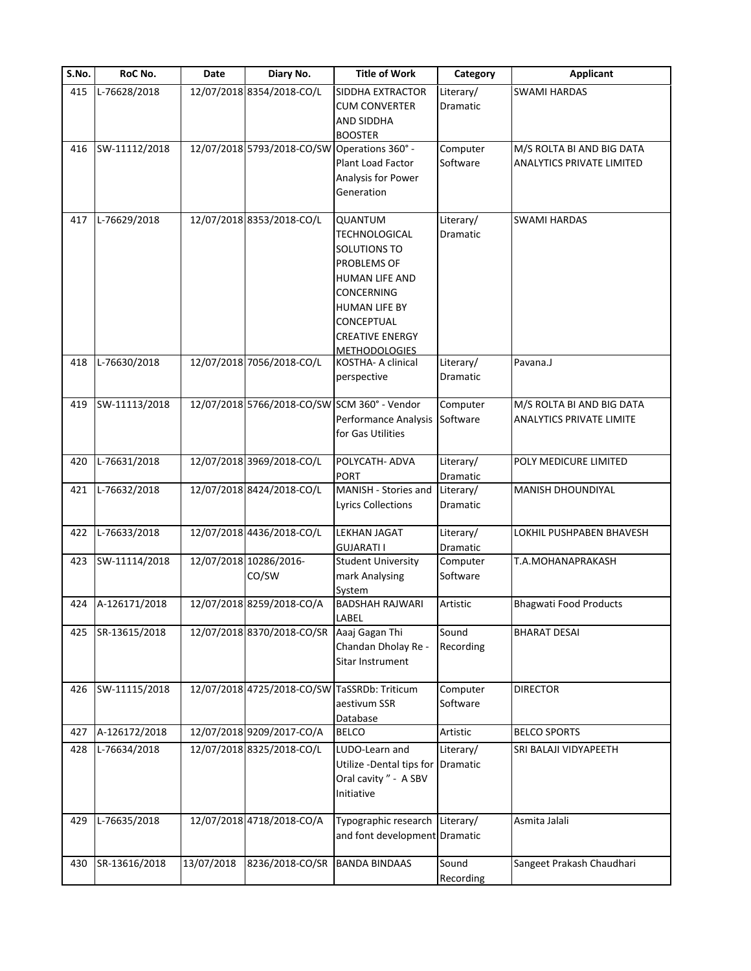| S.No. | RoC No.       | Date       | Diary No.                                    | <b>Title of Work</b>                                                                                                                                                                                 | Category                     | <b>Applicant</b>                                              |
|-------|---------------|------------|----------------------------------------------|------------------------------------------------------------------------------------------------------------------------------------------------------------------------------------------------------|------------------------------|---------------------------------------------------------------|
| 415   | L-76628/2018  |            | 12/07/2018 8354/2018-CO/L                    | SIDDHA EXTRACTOR<br><b>CUM CONVERTER</b><br>AND SIDDHA                                                                                                                                               | Literary/<br><b>Dramatic</b> | <b>SWAMI HARDAS</b>                                           |
| 416   | SW-11112/2018 |            | 12/07/2018 5793/2018-CO/SW                   | <b>BOOSTER</b><br>Operations 360° -<br>Plant Load Factor<br>Analysis for Power<br>Generation                                                                                                         | Computer<br>Software         | M/S ROLTA BI AND BIG DATA<br><b>ANALYTICS PRIVATE LIMITED</b> |
| 417   | L-76629/2018  |            | 12/07/2018 8353/2018-CO/L                    | QUANTUM<br><b>TECHNOLOGICAL</b><br>SOLUTIONS TO<br>PROBLEMS OF<br><b>HUMAN LIFE AND</b><br><b>CONCERNING</b><br><b>HUMAN LIFE BY</b><br>CONCEPTUAL<br><b>CREATIVE ENERGY</b><br><b>METHODOLOGIES</b> | Literary/<br><b>Dramatic</b> | <b>SWAMI HARDAS</b>                                           |
| 418   | L-76630/2018  |            | 12/07/2018 7056/2018-CO/L                    | KOSTHA- A clinical<br>perspective                                                                                                                                                                    | Literary/<br>Dramatic        | Pavana.J                                                      |
| 419   | SW-11113/2018 |            |                                              | 12/07/2018 5766/2018-CO/SW SCM 360° - Vendor<br>Performance Analysis<br>for Gas Utilities                                                                                                            | Computer<br>Software         | M/S ROLTA BI AND BIG DATA<br><b>ANALYTICS PRIVATE LIMITE</b>  |
| 420   | L-76631/2018  |            | 12/07/2018 3969/2018-CO/L                    | POLYCATH- ADVA<br><b>PORT</b>                                                                                                                                                                        | Literary/<br>Dramatic        | POLY MEDICURE LIMITED                                         |
| 421   | L-76632/2018  |            | 12/07/2018 8424/2018-CO/L                    | MANISH - Stories and<br><b>Lyrics Collections</b>                                                                                                                                                    | Literary/<br>Dramatic        | <b>MANISH DHOUNDIYAL</b>                                      |
| 422   | L-76633/2018  |            | 12/07/2018 4436/2018-CO/L                    | <b>LEKHAN JAGAT</b><br><b>GUJARATI I</b>                                                                                                                                                             | Literary/<br><b>Dramatic</b> | LOKHIL PUSHPABEN BHAVESH                                      |
| 423   | SW-11114/2018 |            | 12/07/2018 10286/2016-<br>CO/SW              | <b>Student University</b><br>mark Analysing<br>System                                                                                                                                                | Computer<br>Software         | T.A.MOHANAPRAKASH                                             |
| 424   | A-126171/2018 |            | 12/07/2018 8259/2018-CO/A                    | <b>BADSHAH RAJWARI</b><br>LABEL                                                                                                                                                                      | Artistic                     | <b>Bhagwati Food Products</b>                                 |
| 425   | SR-13615/2018 |            | 12/07/2018 8370/2018-CO/SR                   | Aaaj Gagan Thi<br>Chandan Dholay Re -<br>Sitar Instrument                                                                                                                                            | Sound<br>Recording           | <b>BHARAT DESAI</b>                                           |
| 426   | SW-11115/2018 |            | 12/07/2018 4725/2018-CO/SW TaSSRDb: Triticum | aestivum SSR<br>Database                                                                                                                                                                             | Computer<br>Software         | <b>DIRECTOR</b>                                               |
| 427   | A-126172/2018 |            | 12/07/2018 9209/2017-CO/A                    | <b>BELCO</b>                                                                                                                                                                                         | Artistic                     | <b>BELCO SPORTS</b>                                           |
| 428   | L-76634/2018  |            | 12/07/2018 8325/2018-CO/L                    | LUDO-Learn and<br>Utilize -Dental tips for<br>Oral cavity " - A SBV<br>Initiative                                                                                                                    | Literary/<br>Dramatic        | SRI BALAJI VIDYAPEETH                                         |
| 429   | L-76635/2018  |            | 12/07/2018 4718/2018-CO/A                    | Typographic research Literary/<br>and font development Dramatic                                                                                                                                      |                              | Asmita Jalali                                                 |
| 430   | SR-13616/2018 | 13/07/2018 | 8236/2018-CO/SR                              | <b>BANDA BINDAAS</b>                                                                                                                                                                                 | Sound<br>Recording           | Sangeet Prakash Chaudhari                                     |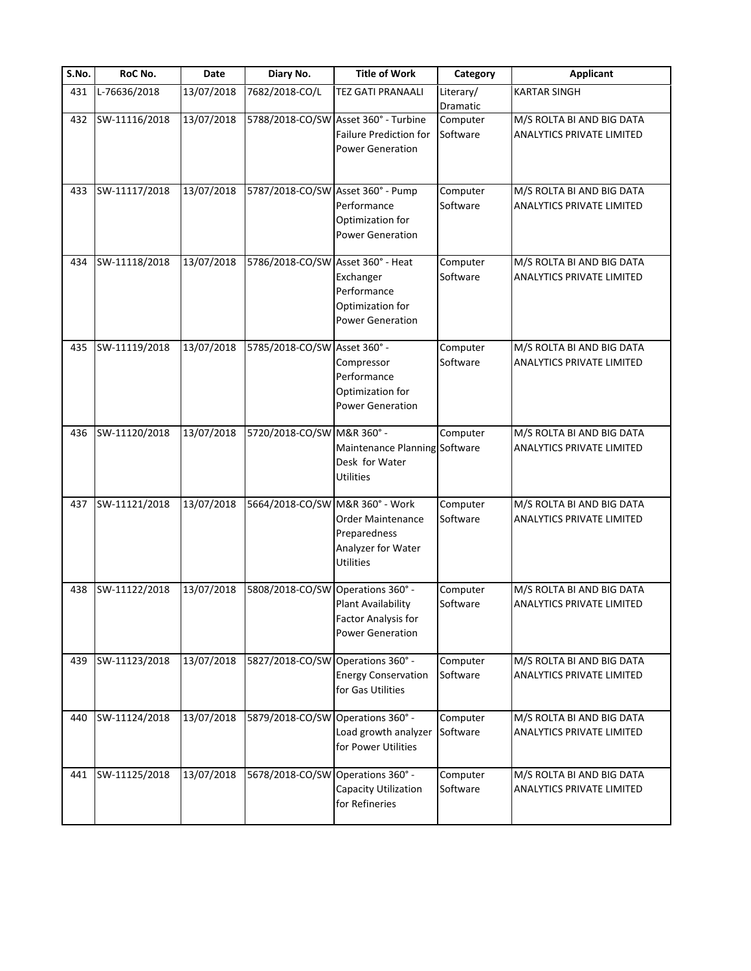| S.No. | RoC No.       | Date       | Diary No.                         | <b>Title of Work</b>                                                                             | Category              | <b>Applicant</b>                                              |
|-------|---------------|------------|-----------------------------------|--------------------------------------------------------------------------------------------------|-----------------------|---------------------------------------------------------------|
| 431   | L-76636/2018  | 13/07/2018 | 7682/2018-CO/L                    | <b>TEZ GATI PRANAALI</b>                                                                         | Literary/<br>Dramatic | <b>KARTAR SINGH</b>                                           |
| 432   | SW-11116/2018 | 13/07/2018 |                                   | 5788/2018-CO/SW Asset 360° - Turbine<br><b>Failure Prediction for</b><br><b>Power Generation</b> | Computer<br>Software  | M/S ROLTA BI AND BIG DATA<br><b>ANALYTICS PRIVATE LIMITED</b> |
| 433   | SW-11117/2018 | 13/07/2018 | 5787/2018-CO/SW Asset 360° - Pump | Performance<br>Optimization for<br><b>Power Generation</b>                                       | Computer<br>Software  | M/S ROLTA BI AND BIG DATA<br>ANALYTICS PRIVATE LIMITED        |
| 434   | SW-11118/2018 | 13/07/2018 | 5786/2018-CO/SW Asset 360° - Heat | Exchanger<br>Performance<br>Optimization for<br><b>Power Generation</b>                          | Computer<br>Software  | M/S ROLTA BI AND BIG DATA<br>ANALYTICS PRIVATE LIMITED        |
| 435   | SW-11119/2018 | 13/07/2018 | 5785/2018-CO/SW Asset 360° -      | Compressor<br>Performance<br>Optimization for<br><b>Power Generation</b>                         | Computer<br>Software  | M/S ROLTA BI AND BIG DATA<br><b>ANALYTICS PRIVATE LIMITED</b> |
| 436   | SW-11120/2018 | 13/07/2018 | 5720/2018-CO/SW M&R 360° -        | Maintenance Planning Software<br>Desk for Water<br>Utilities                                     | Computer              | M/S ROLTA BI AND BIG DATA<br><b>ANALYTICS PRIVATE LIMITED</b> |
| 437   | SW-11121/2018 | 13/07/2018 | 5664/2018-CO/SW M&R 360° - Work   | Order Maintenance<br>Preparedness<br>Analyzer for Water<br><b>Utilities</b>                      | Computer<br>Software  | M/S ROLTA BI AND BIG DATA<br><b>ANALYTICS PRIVATE LIMITED</b> |
| 438   | SW-11122/2018 | 13/07/2018 | 5808/2018-CO/SW                   | Operations 360° -<br>Plant Availability<br>Factor Analysis for<br><b>Power Generation</b>        | Computer<br>Software  | M/S ROLTA BI AND BIG DATA<br><b>ANALYTICS PRIVATE LIMITED</b> |
| 439   | SW-11123/2018 | 13/07/2018 | 5827/2018-CO/SW Operations 360° - | <b>Energy Conservation</b><br>for Gas Utilities                                                  | Computer<br>Software  | M/S ROLTA BI AND BIG DATA<br>ANALYTICS PRIVATE LIMITED        |
| 440   | SW-11124/2018 | 13/07/2018 | 5879/2018-CO/SW Operations 360° - | Load growth analyzer<br>for Power Utilities                                                      | Computer<br>Software  | M/S ROLTA BI AND BIG DATA<br>ANALYTICS PRIVATE LIMITED        |
| 441   | SW-11125/2018 | 13/07/2018 | 5678/2018-CO/SW Operations 360° - | Capacity Utilization<br>for Refineries                                                           | Computer<br>Software  | M/S ROLTA BI AND BIG DATA<br>ANALYTICS PRIVATE LIMITED        |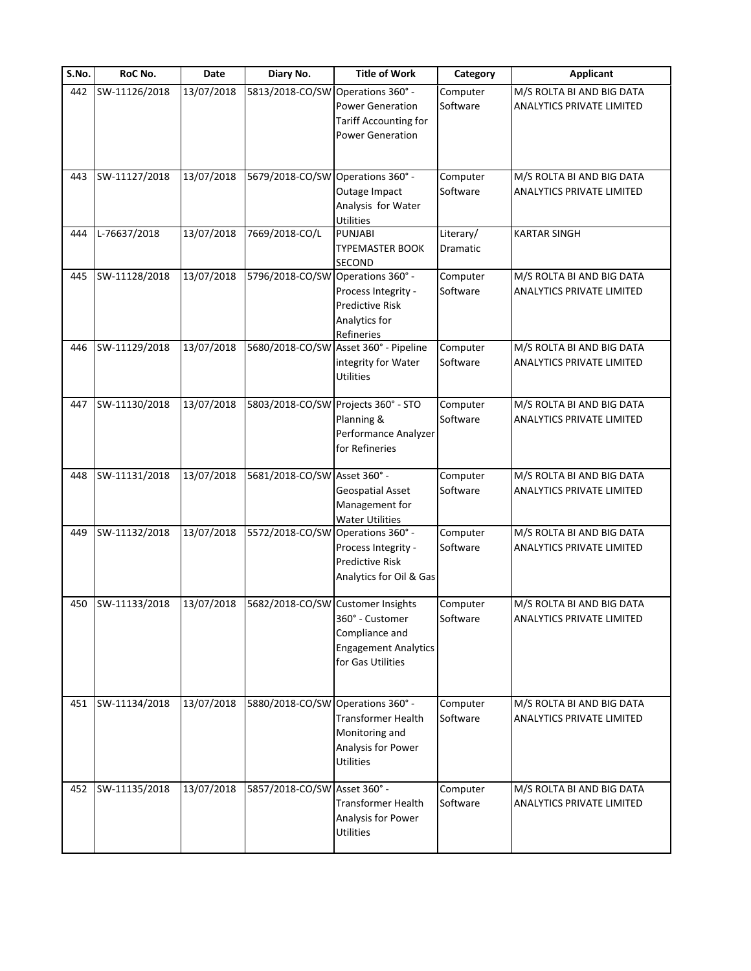| S.No. | RoC No.       | <b>Date</b> | Diary No.                         | <b>Title of Work</b>                                                                             | Category              | <b>Applicant</b>                                              |
|-------|---------------|-------------|-----------------------------------|--------------------------------------------------------------------------------------------------|-----------------------|---------------------------------------------------------------|
| 442   | SW-11126/2018 | 13/07/2018  | 5813/2018-CO/SW                   | Operations 360° -<br><b>Power Generation</b><br>Tariff Accounting for<br><b>Power Generation</b> | Computer<br>Software  | M/S ROLTA BI AND BIG DATA<br><b>ANALYTICS PRIVATE LIMITED</b> |
| 443   | SW-11127/2018 | 13/07/2018  | 5679/2018-CO/SW                   | Operations 360° -<br>Outage Impact<br>Analysis for Water<br><b>Utilities</b>                     | Computer<br>Software  | M/S ROLTA BI AND BIG DATA<br>ANALYTICS PRIVATE LIMITED        |
| 444   | L-76637/2018  | 13/07/2018  | 7669/2018-CO/L                    | PUNJABI<br>TYPEMASTER BOOK<br>SECOND                                                             | Literary/<br>Dramatic | <b>KARTAR SINGH</b>                                           |
| 445   | SW-11128/2018 | 13/07/2018  | 5796/2018-CO/SW Operations 360° - | Process Integrity -<br>Predictive Risk<br>Analytics for<br>Refineries                            | Computer<br>Software  | M/S ROLTA BI AND BIG DATA<br><b>ANALYTICS PRIVATE LIMITED</b> |
| 446   | SW-11129/2018 | 13/07/2018  |                                   | 5680/2018-CO/SW Asset 360° - Pipeline<br>integrity for Water<br><b>Utilities</b>                 | Computer<br>Software  | M/S ROLTA BI AND BIG DATA<br><b>ANALYTICS PRIVATE LIMITED</b> |
| 447   | SW-11130/2018 | 13/07/2018  | 5803/2018-CO/SW                   | Projects 360° - STO<br>Planning &<br>Performance Analyzer<br>for Refineries                      | Computer<br>Software  | M/S ROLTA BI AND BIG DATA<br>ANALYTICS PRIVATE LIMITED        |
| 448   | SW-11131/2018 | 13/07/2018  | 5681/2018-CO/SW Asset 360° -      | Geospatial Asset<br>Management for<br><b>Water Utilities</b>                                     | Computer<br>Software  | M/S ROLTA BI AND BIG DATA<br>ANALYTICS PRIVATE LIMITED        |
| 449   | SW-11132/2018 | 13/07/2018  | 5572/2018-CO/SW Operations 360° - | Process Integrity -<br><b>Predictive Risk</b><br>Analytics for Oil & Gas                         | Computer<br>Software  | M/S ROLTA BI AND BIG DATA<br>ANALYTICS PRIVATE LIMITED        |
| 450   | SW-11133/2018 | 13/07/2018  | 5682/2018-CO/SW Customer Insights | 360° - Customer<br>Compliance and<br><b>Engagement Analytics</b><br>for Gas Utilities            | Computer<br>Software  | M/S ROLTA BI AND BIG DATA<br><b>ANALYTICS PRIVATE LIMITED</b> |
| 451   | SW-11134/2018 | 13/07/2018  | 5880/2018-CO/SW Operations 360° - | Transformer Health<br>Monitoring and<br>Analysis for Power<br><b>Utilities</b>                   | Computer<br>Software  | M/S ROLTA BI AND BIG DATA<br><b>ANALYTICS PRIVATE LIMITED</b> |
| 452   | SW-11135/2018 | 13/07/2018  | 5857/2018-CO/SW Asset 360° -      | <b>Transformer Health</b><br>Analysis for Power<br><b>Utilities</b>                              | Computer<br>Software  | M/S ROLTA BI AND BIG DATA<br><b>ANALYTICS PRIVATE LIMITED</b> |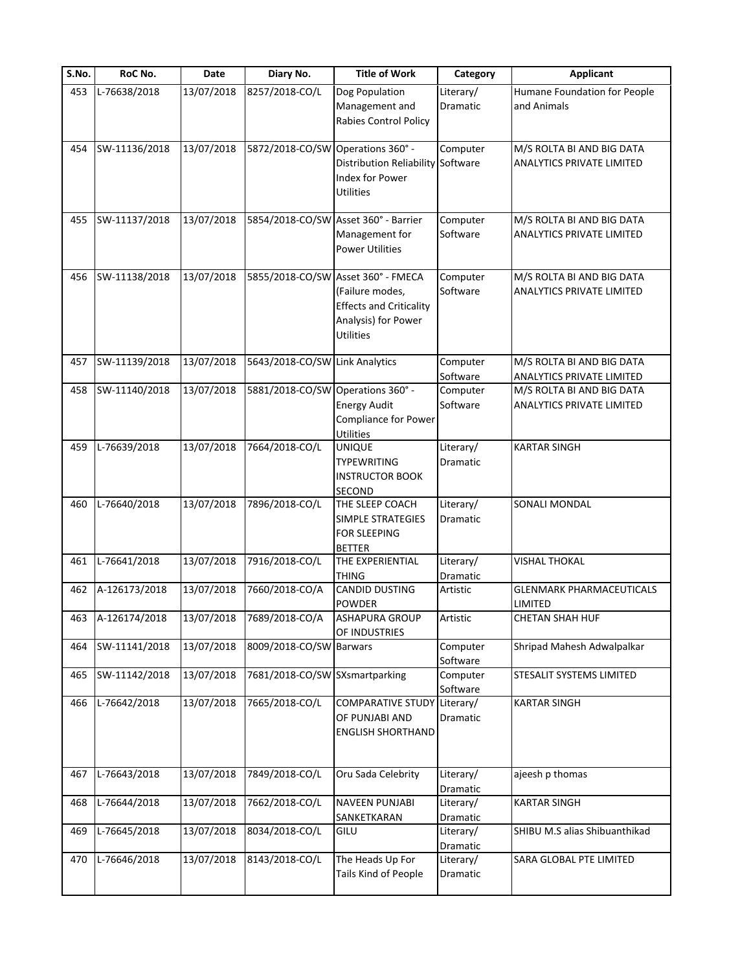| S.No. | RoC No.       | Date       | Diary No.                         | <b>Title of Work</b>                                                                                                               | Category              | <b>Applicant</b>                                       |
|-------|---------------|------------|-----------------------------------|------------------------------------------------------------------------------------------------------------------------------------|-----------------------|--------------------------------------------------------|
| 453   | L-76638/2018  | 13/07/2018 | 8257/2018-CO/L                    | Dog Population<br>Management and<br>Rabies Control Policy                                                                          | Literary/<br>Dramatic | Humane Foundation for People<br>and Animals            |
| 454   | SW-11136/2018 | 13/07/2018 | 5872/2018-CO/SW Operations 360° - | Distribution Reliability Software<br>Index for Power<br><b>Utilities</b>                                                           | Computer              | M/S ROLTA BI AND BIG DATA<br>ANALYTICS PRIVATE LIMITED |
| 455   | SW-11137/2018 | 13/07/2018 |                                   | 5854/2018-CO/SW Asset 360° - Barrier<br>Management for<br><b>Power Utilities</b>                                                   | Computer<br>Software  | M/S ROLTA BI AND BIG DATA<br>ANALYTICS PRIVATE LIMITED |
| 456   | SW-11138/2018 | 13/07/2018 |                                   | 5855/2018-CO/SW Asset 360° - FMECA<br>(Failure modes,<br><b>Effects and Criticality</b><br>Analysis) for Power<br><b>Utilities</b> | Computer<br>Software  | M/S ROLTA BI AND BIG DATA<br>ANALYTICS PRIVATE LIMITED |
| 457   | SW-11139/2018 | 13/07/2018 | 5643/2018-CO/SW Link Analytics    |                                                                                                                                    | Computer<br>Software  | M/S ROLTA BI AND BIG DATA<br>ANALYTICS PRIVATE LIMITED |
| 458   | SW-11140/2018 | 13/07/2018 | 5881/2018-CO/SW Operations 360° - | <b>Energy Audit</b><br>Compliance for Power<br>Utilities                                                                           | Computer<br>Software  | M/S ROLTA BI AND BIG DATA<br>ANALYTICS PRIVATE LIMITED |
| 459   | L-76639/2018  | 13/07/2018 | 7664/2018-CO/L                    | <b>UNIQUE</b><br><b>TYPEWRITING</b><br><b>INSTRUCTOR BOOK</b><br>SECOND                                                            | Literary/<br>Dramatic | <b>KARTAR SINGH</b>                                    |
| 460   | L-76640/2018  | 13/07/2018 | 7896/2018-CO/L                    | THE SLEEP COACH<br>SIMPLE STRATEGIES<br><b>FOR SLEEPING</b><br><b>BETTER</b>                                                       | Literary/<br>Dramatic | <b>SONALI MONDAL</b>                                   |
| 461   | L-76641/2018  | 13/07/2018 | 7916/2018-CO/L                    | THE EXPERIENTIAL<br><b>THING</b>                                                                                                   | Literary/<br>Dramatic | <b>VISHAL THOKAL</b>                                   |
| 462   | A-126173/2018 | 13/07/2018 | 7660/2018-CO/A                    | CANDID DUSTING<br><b>POWDER</b>                                                                                                    | Artistic              | <b>GLENMARK PHARMACEUTICALS</b><br>LIMITED             |
| 463   | A-126174/2018 | 13/07/2018 | 7689/2018-CO/A                    | ASHAPURA GROUP<br>OF INDUSTRIES                                                                                                    | Artistic              | CHETAN SHAH HUF                                        |
| 464   | SW-11141/2018 | 13/07/2018 | 8009/2018-CO/SW Barwars           |                                                                                                                                    | Computer<br>Software  | Shripad Mahesh Adwalpalkar                             |
| 465   | SW-11142/2018 | 13/07/2018 | 7681/2018-CO/SW SXsmartparking    |                                                                                                                                    | Computer<br>Software  | STESALIT SYSTEMS LIMITED                               |
| 466   | L-76642/2018  | 13/07/2018 | 7665/2018-CO/L                    | <b>COMPARATIVE STUDY</b><br>OF PUNJABI AND<br><b>ENGLISH SHORTHAND</b>                                                             | Literary/<br>Dramatic | <b>KARTAR SINGH</b>                                    |
| 467   | L-76643/2018  | 13/07/2018 | 7849/2018-CO/L                    | Oru Sada Celebrity                                                                                                                 | Literary/<br>Dramatic | ajeesh p thomas                                        |
| 468   | L-76644/2018  | 13/07/2018 | 7662/2018-CO/L                    | <b>NAVEEN PUNJABI</b><br>SANKETKARAN                                                                                               | Literary/<br>Dramatic | <b>KARTAR SINGH</b>                                    |
| 469   | L-76645/2018  | 13/07/2018 | 8034/2018-CO/L                    | GILU                                                                                                                               | Literary/<br>Dramatic | SHIBU M.S alias Shibuanthikad                          |
| 470   | L-76646/2018  | 13/07/2018 | 8143/2018-CO/L                    | The Heads Up For<br>Tails Kind of People                                                                                           | Literary/<br>Dramatic | SARA GLOBAL PTE LIMITED                                |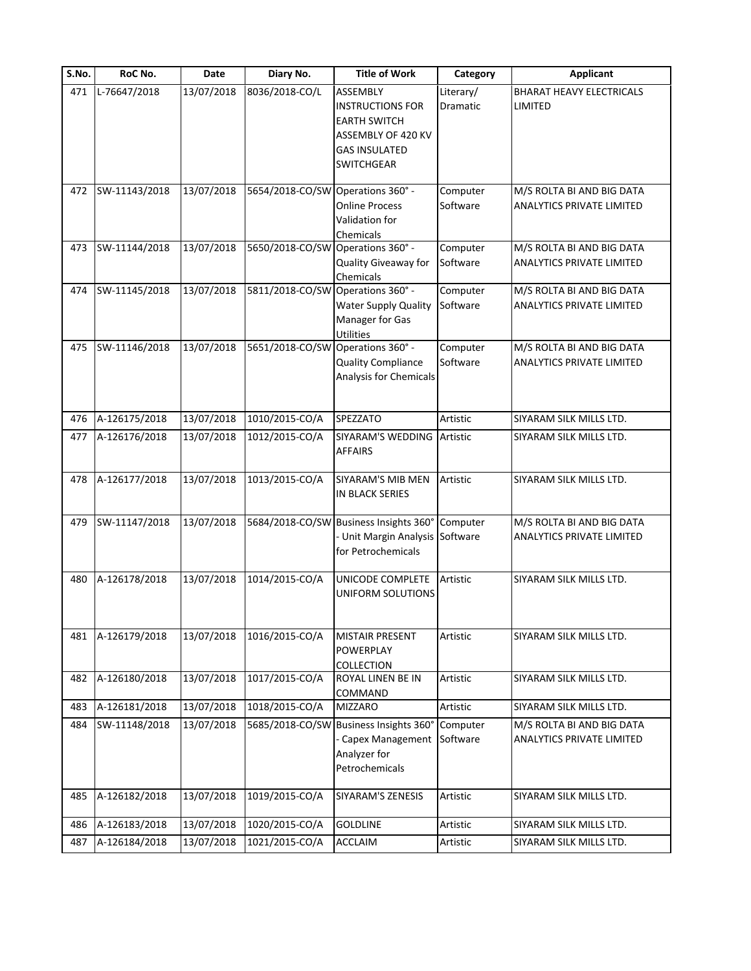| S.No. | RoC No.       | Date       | Diary No.                         | <b>Title of Work</b>                   | Category  | <b>Applicant</b>                 |
|-------|---------------|------------|-----------------------------------|----------------------------------------|-----------|----------------------------------|
| 471   | L-76647/2018  | 13/07/2018 | 8036/2018-CO/L                    | ASSEMBLY                               | Literary/ | <b>BHARAT HEAVY ELECTRICALS</b>  |
|       |               |            |                                   | <b>INSTRUCTIONS FOR</b>                | Dramatic  | LIMITED                          |
|       |               |            |                                   | EARTH SWITCH                           |           |                                  |
|       |               |            |                                   | ASSEMBLY OF 420 KV                     |           |                                  |
|       |               |            |                                   | <b>GAS INSULATED</b>                   |           |                                  |
|       |               |            |                                   | <b>SWITCHGEAR</b>                      |           |                                  |
|       |               |            |                                   |                                        |           |                                  |
| 472   | SW-11143/2018 | 13/07/2018 | 5654/2018-CO/SW                   | Operations 360° -                      | Computer  | M/S ROLTA BI AND BIG DATA        |
|       |               |            |                                   | <b>Online Process</b>                  | Software  | ANALYTICS PRIVATE LIMITED        |
|       |               |            |                                   | Validation for                         |           |                                  |
|       |               |            |                                   | Chemicals                              |           |                                  |
| 473   | SW-11144/2018 | 13/07/2018 | 5650/2018-CO/SW Operations 360° - |                                        | Computer  | M/S ROLTA BI AND BIG DATA        |
|       |               |            |                                   | Quality Giveaway for                   | Software  | ANALYTICS PRIVATE LIMITED        |
|       |               |            |                                   | Chemicals                              |           |                                  |
| 474   | SW-11145/2018 | 13/07/2018 | 5811/2018-CO/SW Operations 360° - |                                        | Computer  | M/S ROLTA BI AND BIG DATA        |
|       |               |            |                                   | <b>Water Supply Quality</b>            | Software  | <b>ANALYTICS PRIVATE LIMITED</b> |
|       |               |            |                                   | Manager for Gas                        |           |                                  |
|       |               |            |                                   | Utilities                              |           |                                  |
| 475   | SW-11146/2018 | 13/07/2018 | 5651/2018-CO/SW Operations 360° - |                                        | Computer  | M/S ROLTA BI AND BIG DATA        |
|       |               |            |                                   | <b>Quality Compliance</b>              | Software  | <b>ANALYTICS PRIVATE LIMITED</b> |
|       |               |            |                                   | Analysis for Chemicals                 |           |                                  |
|       |               |            |                                   |                                        |           |                                  |
| 476   | A-126175/2018 | 13/07/2018 | 1010/2015-CO/A                    | SPEZZATO                               | Artistic  | SIYARAM SILK MILLS LTD.          |
|       |               |            |                                   |                                        |           |                                  |
| 477   | A-126176/2018 | 13/07/2018 | 1012/2015-CO/A                    | SIYARAM'S WEDDING                      | Artistic  | SIYARAM SILK MILLS LTD.          |
|       |               |            |                                   | <b>AFFAIRS</b>                         |           |                                  |
|       |               | 13/07/2018 |                                   |                                        |           |                                  |
| 478   | A-126177/2018 |            | 1013/2015-CO/A                    | SIYARAM'S MIB MEN                      | Artistic  | SIYARAM SILK MILLS LTD.          |
|       |               |            |                                   | IN BLACK SERIES                        |           |                                  |
| 479   | SW-11147/2018 | 13/07/2018 |                                   | 5684/2018-CO/SW Business Insights 360° | Computer  | M/S ROLTA BI AND BIG DATA        |
|       |               |            |                                   | Unit Margin Analysis                   | Software  | ANALYTICS PRIVATE LIMITED        |
|       |               |            |                                   | for Petrochemicals                     |           |                                  |
|       |               |            |                                   |                                        |           |                                  |
| 480   | A-126178/2018 | 13/07/2018 | 1014/2015-CO/A                    | UNICODE COMPLETE                       | Artistic  | SIYARAM SILK MILLS LTD.          |
|       |               |            |                                   | UNIFORM SOLUTIONS                      |           |                                  |
|       |               |            |                                   |                                        |           |                                  |
|       |               |            |                                   |                                        |           |                                  |
| 481   | A-126179/2018 | 13/07/2018 | 1016/2015-CO/A                    | <b>MISTAIR PRESENT</b>                 | Artistic  | SIYARAM SILK MILLS LTD.          |
|       |               |            |                                   | <b>POWERPLAY</b>                       |           |                                  |
|       |               |            |                                   | COLLECTION                             |           |                                  |
| 482   | A-126180/2018 | 13/07/2018 | 1017/2015-CO/A                    | ROYAL LINEN BE IN                      | Artistic  | SIYARAM SILK MILLS LTD.          |
|       |               |            |                                   | COMMAND                                |           |                                  |
| 483   | A-126181/2018 | 13/07/2018 | 1018/2015-CO/A                    | <b>MIZZARO</b>                         | Artistic  | SIYARAM SILK MILLS LTD.          |
| 484   | SW-11148/2018 | 13/07/2018 |                                   | 5685/2018-CO/SW Business Insights 360° | Computer  | M/S ROLTA BI AND BIG DATA        |
|       |               |            |                                   | <b>Capex Management</b>                | Software  | ANALYTICS PRIVATE LIMITED        |
|       |               |            |                                   | Analyzer for                           |           |                                  |
|       |               |            |                                   | Petrochemicals                         |           |                                  |
|       |               |            |                                   |                                        |           |                                  |
| 485   | A-126182/2018 | 13/07/2018 | 1019/2015-CO/A                    | SIYARAM'S ZENESIS                      | Artistic  | SIYARAM SILK MILLS LTD.          |
|       |               |            |                                   |                                        |           |                                  |
| 486   | A-126183/2018 | 13/07/2018 | 1020/2015-CO/A                    | <b>GOLDLINE</b>                        | Artistic  | SIYARAM SILK MILLS LTD.          |
| 487   | A-126184/2018 | 13/07/2018 | 1021/2015-CO/A                    | <b>ACCLAIM</b>                         | Artistic  | SIYARAM SILK MILLS LTD.          |
|       |               |            |                                   |                                        |           |                                  |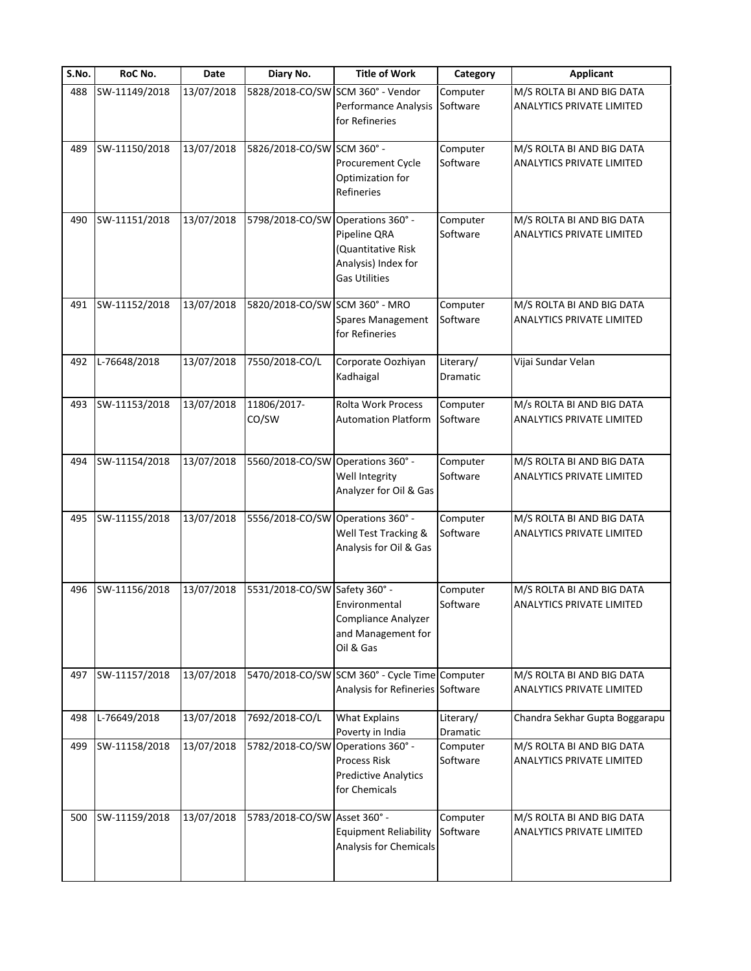| S.No. | RoC No.       | Date       | Diary No.                         | <b>Title of Work</b>                                                               | Category              | <b>Applicant</b>                                       |
|-------|---------------|------------|-----------------------------------|------------------------------------------------------------------------------------|-----------------------|--------------------------------------------------------|
| 488   | SW-11149/2018 | 13/07/2018 |                                   | 5828/2018-CO/SW SCM 360° - Vendor<br>Performance Analysis<br>for Refineries        | Computer<br>Software  | M/S ROLTA BI AND BIG DATA<br>ANALYTICS PRIVATE LIMITED |
| 489   | SW-11150/2018 | 13/07/2018 | 5826/2018-CO/SW SCM 360° -        | Procurement Cycle<br>Optimization for<br>Refineries                                | Computer<br>Software  | M/S ROLTA BI AND BIG DATA<br>ANALYTICS PRIVATE LIMITED |
| 490   | SW-11151/2018 | 13/07/2018 | 5798/2018-CO/SW Operations 360° - | Pipeline QRA<br>(Quantitative Risk<br>Analysis) Index for<br><b>Gas Utilities</b>  | Computer<br>Software  | M/S ROLTA BI AND BIG DATA<br>ANALYTICS PRIVATE LIMITED |
| 491   | SW-11152/2018 | 13/07/2018 | 5820/2018-CO/SW SCM 360° - MRO    | Spares Management<br>for Refineries                                                | Computer<br>Software  | M/S ROLTA BI AND BIG DATA<br>ANALYTICS PRIVATE LIMITED |
| 492   | L-76648/2018  | 13/07/2018 | 7550/2018-CO/L                    | Corporate Oozhiyan<br>Kadhaigal                                                    | Literary/<br>Dramatic | Vijai Sundar Velan                                     |
| 493   | SW-11153/2018 | 13/07/2018 | 11806/2017-<br>CO/SW              | Rolta Work Process<br><b>Automation Platform</b>                                   | Computer<br>Software  | M/s ROLTA BI AND BIG DATA<br>ANALYTICS PRIVATE LIMITED |
| 494   | SW-11154/2018 | 13/07/2018 | 5560/2018-CO/SW Operations 360° - | Well Integrity<br>Analyzer for Oil & Gas                                           | Computer<br>Software  | M/S ROLTA BI AND BIG DATA<br>ANALYTICS PRIVATE LIMITED |
| 495   | SW-11155/2018 | 13/07/2018 | 5556/2018-CO/SW Operations 360° - | Well Test Tracking &<br>Analysis for Oil & Gas                                     | Computer<br>Software  | M/S ROLTA BI AND BIG DATA<br>ANALYTICS PRIVATE LIMITED |
| 496   | SW-11156/2018 | 13/07/2018 | 5531/2018-CO/SW Safety 360° -     | Environmental<br>Compliance Analyzer<br>and Management for<br>Oil & Gas            | Computer<br>Software  | M/S ROLTA BI AND BIG DATA<br>ANALYTICS PRIVATE LIMITED |
| 497   | SW-11157/2018 | 13/07/2018 |                                   | 5470/2018-CO/SW SCM 360° - Cycle Time Computer<br>Analysis for Refineries Software |                       | M/S ROLTA BI AND BIG DATA<br>ANALYTICS PRIVATE LIMITED |
| 498   | L-76649/2018  | 13/07/2018 | 7692/2018-CO/L                    | <b>What Explains</b><br>Poverty in India                                           | Literary/<br>Dramatic | Chandra Sekhar Gupta Boggarapu                         |
| 499   | SW-11158/2018 | 13/07/2018 | 5782/2018-CO/SW Operations 360° - | Process Risk<br><b>Predictive Analytics</b><br>for Chemicals                       | Computer<br>Software  | M/S ROLTA BI AND BIG DATA<br>ANALYTICS PRIVATE LIMITED |
| 500   | SW-11159/2018 | 13/07/2018 | 5783/2018-CO/SW Asset 360° -      | Equipment Reliability<br>Analysis for Chemicals                                    | Computer<br>Software  | M/S ROLTA BI AND BIG DATA<br>ANALYTICS PRIVATE LIMITED |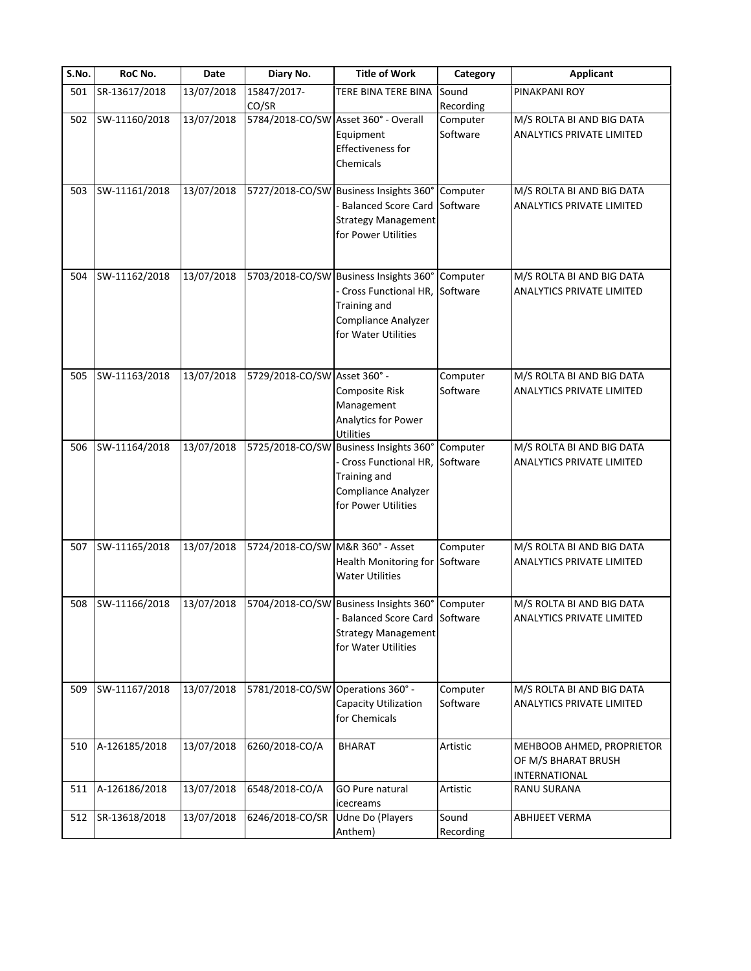| S.No. | RoC No.       | Date       | Diary No.                         | <b>Title of Work</b>                                                                                                                           | Category             | <b>Applicant</b>                                                  |
|-------|---------------|------------|-----------------------------------|------------------------------------------------------------------------------------------------------------------------------------------------|----------------------|-------------------------------------------------------------------|
| 501   | SR-13617/2018 | 13/07/2018 | 15847/2017-                       | TERE BINA TERE BINA                                                                                                                            | Sound                | PINAKPANI ROY                                                     |
|       |               |            | CO/SR                             |                                                                                                                                                | Recording            |                                                                   |
| 502   | SW-11160/2018 | 13/07/2018 |                                   | 5784/2018-CO/SW Asset 360° - Overall<br>Equipment<br>Effectiveness for<br><b>Chemicals</b>                                                     | Computer<br>Software | M/S ROLTA BI AND BIG DATA<br>ANALYTICS PRIVATE LIMITED            |
| 503   | SW-11161/2018 | 13/07/2018 |                                   | 5727/2018-CO/SW Business Insights 360° Computer<br>- Balanced Score Card<br><b>Strategy Management</b><br>for Power Utilities                  | Software             | M/S ROLTA BI AND BIG DATA<br>ANALYTICS PRIVATE LIMITED            |
| 504   | SW-11162/2018 | 13/07/2018 |                                   | 5703/2018-CO/SW Business Insights 360° Computer<br>Cross Functional HR, Software<br>Training and<br>Compliance Analyzer<br>for Water Utilities |                      | M/S ROLTA BI AND BIG DATA<br>ANALYTICS PRIVATE LIMITED            |
| 505   | SW-11163/2018 | 13/07/2018 | 5729/2018-CO/SW Asset 360° -      | Composite Risk<br>Management<br>Analytics for Power<br>Utilities                                                                               | Computer<br>Software | M/S ROLTA BI AND BIG DATA<br><b>ANALYTICS PRIVATE LIMITED</b>     |
| 506   | SW-11164/2018 | 13/07/2018 |                                   | 5725/2018-CO/SW Business Insights 360°<br>Cross Functional HR,<br>Training and<br>Compliance Analyzer<br>for Power Utilities                   | Computer<br>Software | M/S ROLTA BI AND BIG DATA<br>ANALYTICS PRIVATE LIMITED            |
| 507   | SW-11165/2018 | 13/07/2018 | 5724/2018-CO/SW M&R 360° - Asset  | Health Monitoring for Software<br><b>Water Utilities</b>                                                                                       | Computer             | M/S ROLTA BI AND BIG DATA<br>ANALYTICS PRIVATE LIMITED            |
| 508   | SW-11166/2018 | 13/07/2018 |                                   | 5704/2018-CO/SW Business Insights 360° Computer<br><b>Balanced Score Card Software</b><br><b>Strategy Management</b><br>for Water Utilities    |                      | M/S ROLTA BI AND BIG DATA<br>ANALYTICS PRIVATE LIMITED            |
| 509   | SW-11167/2018 | 13/07/2018 | 5781/2018-CO/SW Operations 360° - | Capacity Utilization<br>for Chemicals                                                                                                          | Computer<br>Software | M/S ROLTA BI AND BIG DATA<br>ANALYTICS PRIVATE LIMITED            |
| 510   | A-126185/2018 | 13/07/2018 | 6260/2018-CO/A                    | <b>BHARAT</b>                                                                                                                                  | Artistic             | MEHBOOB AHMED, PROPRIETOR<br>OF M/S BHARAT BRUSH<br>INTERNATIONAL |
| 511   | A-126186/2018 | 13/07/2018 | 6548/2018-CO/A                    | GO Pure natural<br>icecreams                                                                                                                   | Artistic             | RANU SURANA                                                       |
| 512   | SR-13618/2018 | 13/07/2018 | 6246/2018-CO/SR                   | <b>Udne Do (Players</b><br>Anthem)                                                                                                             | Sound<br>Recording   | ABHIJEET VERMA                                                    |
|       |               |            |                                   |                                                                                                                                                |                      |                                                                   |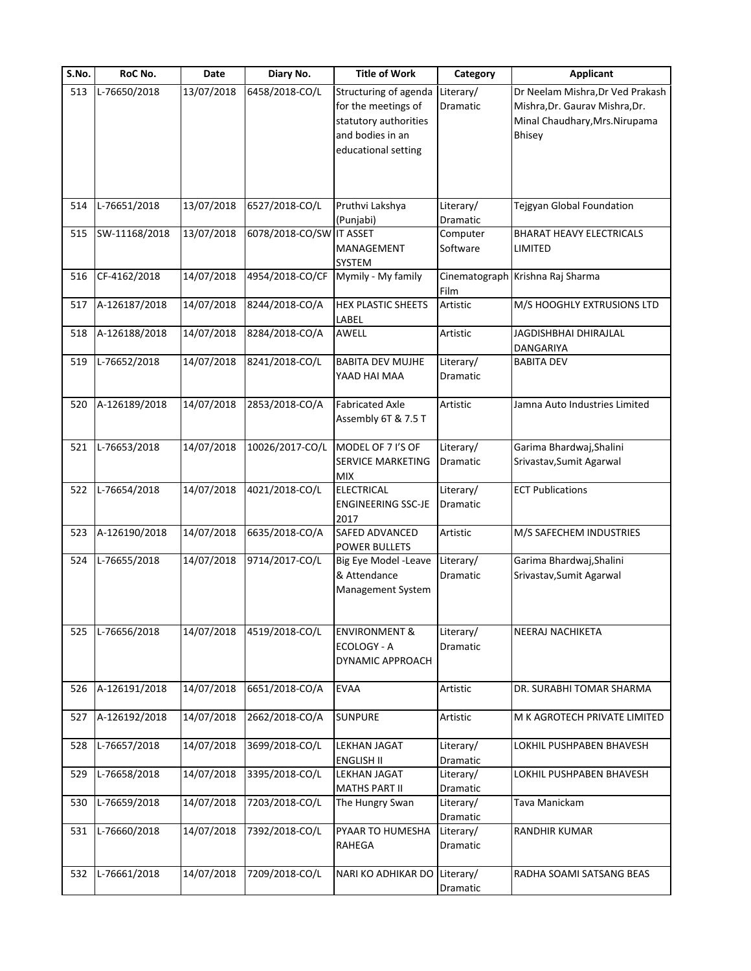| S.No. | RoC No.       | Date       | Diary No.                | <b>Title of Work</b>                                                                                             | Category                     | <b>Applicant</b>                                                                                               |
|-------|---------------|------------|--------------------------|------------------------------------------------------------------------------------------------------------------|------------------------------|----------------------------------------------------------------------------------------------------------------|
| 513   | L-76650/2018  | 13/07/2018 | 6458/2018-CO/L           | Structuring of agenda<br>for the meetings of<br>statutory authorities<br>and bodies in an<br>educational setting | Literary/<br><b>Dramatic</b> | Dr Neelam Mishra, Dr Ved Prakash<br>Mishra, Dr. Gaurav Mishra, Dr.<br>Minal Chaudhary, Mrs. Nirupama<br>Bhisey |
| 514   | L-76651/2018  | 13/07/2018 | 6527/2018-CO/L           | Pruthvi Lakshya<br>(Punjabi)                                                                                     | Literary/<br>Dramatic        | Tejgyan Global Foundation                                                                                      |
| 515   | SW-11168/2018 | 13/07/2018 | 6078/2018-CO/SW IT ASSET | MANAGEMENT<br>SYSTEM                                                                                             | Computer<br>Software         | <b>BHARAT HEAVY ELECTRICALS</b><br>LIMITED                                                                     |
| 516   | CF-4162/2018  | 14/07/2018 | 4954/2018-CO/CF          | Mymily - My family                                                                                               | Film                         | Cinematograph Krishna Raj Sharma                                                                               |
| 517   | A-126187/2018 | 14/07/2018 | 8244/2018-CO/A           | <b>HEX PLASTIC SHEETS</b><br>LABEL                                                                               | Artistic                     | M/S HOOGHLY EXTRUSIONS LTD                                                                                     |
| 518   | A-126188/2018 | 14/07/2018 | 8284/2018-CO/A           | AWELL                                                                                                            | Artistic                     | JAGDISHBHAI DHIRAJLAL<br><b>DANGARIYA</b>                                                                      |
| 519   | L-76652/2018  | 14/07/2018 | 8241/2018-CO/L           | <b>BABITA DEV MUJHE</b><br>YAAD HAI MAA                                                                          | Literary/<br>Dramatic        | <b>BABITA DEV</b>                                                                                              |
| 520   | A-126189/2018 | 14/07/2018 | 2853/2018-CO/A           | <b>Fabricated Axle</b><br>Assembly 6T & 7.5 T                                                                    | Artistic                     | Jamna Auto Industries Limited                                                                                  |
| 521   | L-76653/2018  | 14/07/2018 | 10026/2017-CO/L          | MODEL OF 7 I'S OF<br>SERVICE MARKETING<br>MIX                                                                    | Literary/<br>Dramatic        | Garima Bhardwaj, Shalini<br>Srivastav, Sumit Agarwal                                                           |
| 522   | L-76654/2018  | 14/07/2018 | 4021/2018-CO/L           | <b>ELECTRICAL</b><br>ENGINEERING SSC-JE<br>2017                                                                  | Literary/<br><b>Dramatic</b> | <b>ECT Publications</b>                                                                                        |
| 523   | A-126190/2018 | 14/07/2018 | 6635/2018-CO/A           | SAFED ADVANCED<br>POWER BULLETS                                                                                  | Artistic                     | M/S SAFECHEM INDUSTRIES                                                                                        |
| 524   | L-76655/2018  | 14/07/2018 | 9714/2017-CO/L           | Big Eye Model -Leave<br>& Attendance<br>Management System                                                        | Literary/<br>Dramatic        | Garima Bhardwaj, Shalini<br>Srivastav, Sumit Agarwal                                                           |
| 525   | L-76656/2018  | 14/07/2018 | 4519/2018-CO/L           | <b>ENVIRONMENT &amp;</b><br>ECOLOGY - A<br>DYNAMIC APPROACH                                                      | Literary/<br>Dramatic        | NEERAJ NACHIKETA                                                                                               |
| 526   | A-126191/2018 | 14/07/2018 | 6651/2018-CO/A           | <b>EVAA</b>                                                                                                      | Artistic                     | DR. SURABHI TOMAR SHARMA                                                                                       |
| 527   | A-126192/2018 | 14/07/2018 | 2662/2018-CO/A           | <b>SUNPURE</b>                                                                                                   | Artistic                     | M K AGROTECH PRIVATE LIMITED                                                                                   |
| 528   | L-76657/2018  | 14/07/2018 | 3699/2018-CO/L           | LEKHAN JAGAT<br><b>ENGLISH II</b>                                                                                | Literary/<br>Dramatic        | LOKHIL PUSHPABEN BHAVESH                                                                                       |
| 529   | L-76658/2018  | 14/07/2018 | 3395/2018-CO/L           | LEKHAN JAGAT<br>MATHS PART II                                                                                    | Literary/<br>Dramatic        | LOKHIL PUSHPABEN BHAVESH                                                                                       |
| 530   | L-76659/2018  | 14/07/2018 | 7203/2018-CO/L           | The Hungry Swan                                                                                                  | Literary/<br>Dramatic        | Tava Manickam                                                                                                  |
| 531   | L-76660/2018  | 14/07/2018 | 7392/2018-CO/L           | PYAAR TO HUMESHA<br>RAHEGA                                                                                       | Literary/<br>Dramatic        | RANDHIR KUMAR                                                                                                  |
| 532   | L-76661/2018  | 14/07/2018 | 7209/2018-CO/L           | NARI KO ADHIKAR DO                                                                                               | Literary/<br>Dramatic        | RADHA SOAMI SATSANG BEAS                                                                                       |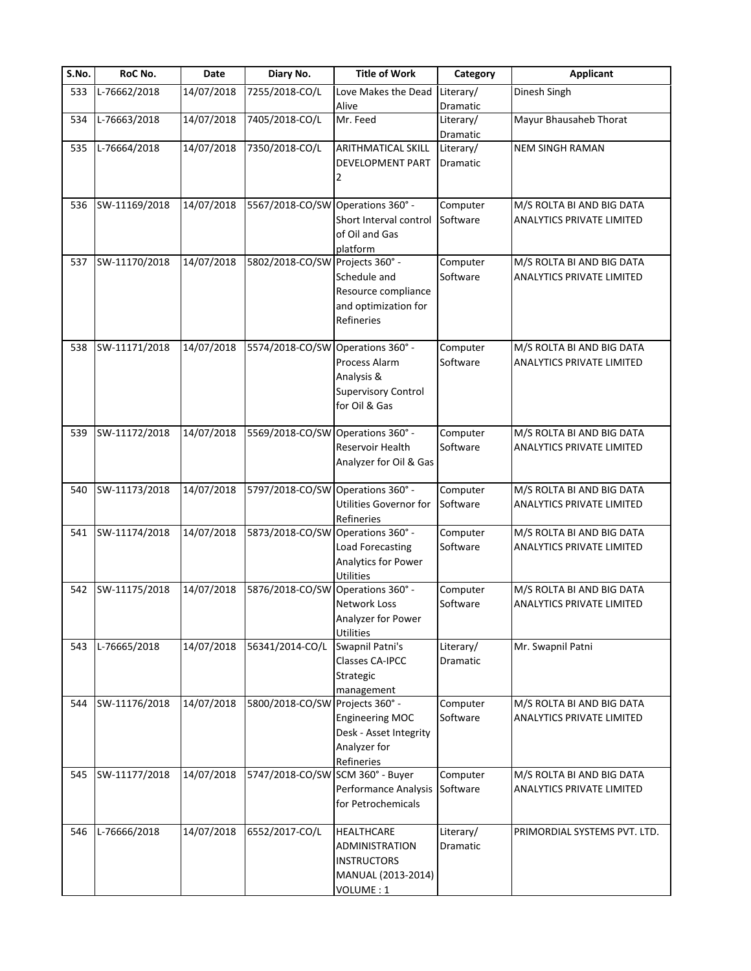| S.No. | RoC No.       | Date       | Diary No.                         | <b>Title of Work</b>                                                                                | Category              | <b>Applicant</b>                                              |
|-------|---------------|------------|-----------------------------------|-----------------------------------------------------------------------------------------------------|-----------------------|---------------------------------------------------------------|
| 533   | L-76662/2018  | 14/07/2018 | 7255/2018-CO/L                    | Love Makes the Dead<br>Alive                                                                        | Literary/<br>Dramatic | Dinesh Singh                                                  |
| 534   | L-76663/2018  | 14/07/2018 | 7405/2018-CO/L                    | Mr. Feed                                                                                            | Literary/<br>Dramatic | Mayur Bhausaheb Thorat                                        |
| 535   | L-76664/2018  | 14/07/2018 | 7350/2018-CO/L                    | <b>ARITHMATICAL SKILL</b><br><b>DEVELOPMENT PART</b>                                                | Literary/<br>Dramatic | <b>NEM SINGH RAMAN</b>                                        |
| 536   | SW-11169/2018 | 14/07/2018 | 5567/2018-CO/SW Operations 360° - | Short Interval control<br>of Oil and Gas<br>platform                                                | Computer<br>Software  | M/S ROLTA BI AND BIG DATA<br>ANALYTICS PRIVATE LIMITED        |
| 537   | SW-11170/2018 | 14/07/2018 | 5802/2018-CO/SW Projects 360° -   | Schedule and<br>Resource compliance<br>and optimization for<br>Refineries                           | Computer<br>Software  | M/S ROLTA BI AND BIG DATA<br><b>ANALYTICS PRIVATE LIMITED</b> |
| 538   | SW-11171/2018 | 14/07/2018 | 5574/2018-CO/SW Operations 360° - | Process Alarm<br>Analysis &<br><b>Supervisory Control</b><br>for Oil & Gas                          | Computer<br>Software  | M/S ROLTA BI AND BIG DATA<br><b>ANALYTICS PRIVATE LIMITED</b> |
| 539   | SW-11172/2018 | 14/07/2018 | 5569/2018-CO/SW Operations 360° - | Reservoir Health<br>Analyzer for Oil & Gas                                                          | Computer<br>Software  | M/S ROLTA BI AND BIG DATA<br>ANALYTICS PRIVATE LIMITED        |
| 540   | SW-11173/2018 | 14/07/2018 | 5797/2018-CO/SW Operations 360° - | <b>Utilities Governor for</b><br>Refineries                                                         | Computer<br>Software  | M/S ROLTA BI AND BIG DATA<br><b>ANALYTICS PRIVATE LIMITED</b> |
| 541   | SW-11174/2018 | 14/07/2018 | 5873/2018-CO/SW Operations 360° - | Load Forecasting<br>Analytics for Power<br>Utilities                                                | Computer<br>Software  | M/S ROLTA BI AND BIG DATA<br><b>ANALYTICS PRIVATE LIMITED</b> |
| 542   | SW-11175/2018 | 14/07/2018 | 5876/2018-CO/SW                   | Operations 360° -<br>Network Loss<br>Analyzer for Power<br><b>Utilities</b>                         | Computer<br>Software  | M/S ROLTA BI AND BIG DATA<br><b>ANALYTICS PRIVATE LIMITED</b> |
| 543   | L-76665/2018  | 14/07/2018 | 56341/2014-CO/L                   | Swapnil Patni's<br>Classes CA-IPCC<br>Strategic<br>management                                       | Literary/<br>Dramatic | Mr. Swapnil Patni                                             |
| 544   | SW-11176/2018 | 14/07/2018 | 5800/2018-CO/SW Projects 360° -   | <b>Engineering MOC</b><br>Desk - Asset Integrity<br>Analyzer for<br>Refineries                      | Computer<br>Software  | M/S ROLTA BI AND BIG DATA<br><b>ANALYTICS PRIVATE LIMITED</b> |
| 545   | SW-11177/2018 | 14/07/2018 | 5747/2018-CO/SW SCM 360° - Buyer  | Performance Analysis<br>for Petrochemicals                                                          | Computer<br>Software  | M/S ROLTA BI AND BIG DATA<br><b>ANALYTICS PRIVATE LIMITED</b> |
| 546   | L-76666/2018  | 14/07/2018 | 6552/2017-CO/L                    | <b>HEALTHCARE</b><br><b>ADMINISTRATION</b><br><b>INSTRUCTORS</b><br>MANUAL (2013-2014)<br>VOLUME: 1 | Literary/<br>Dramatic | PRIMORDIAL SYSTEMS PVT. LTD.                                  |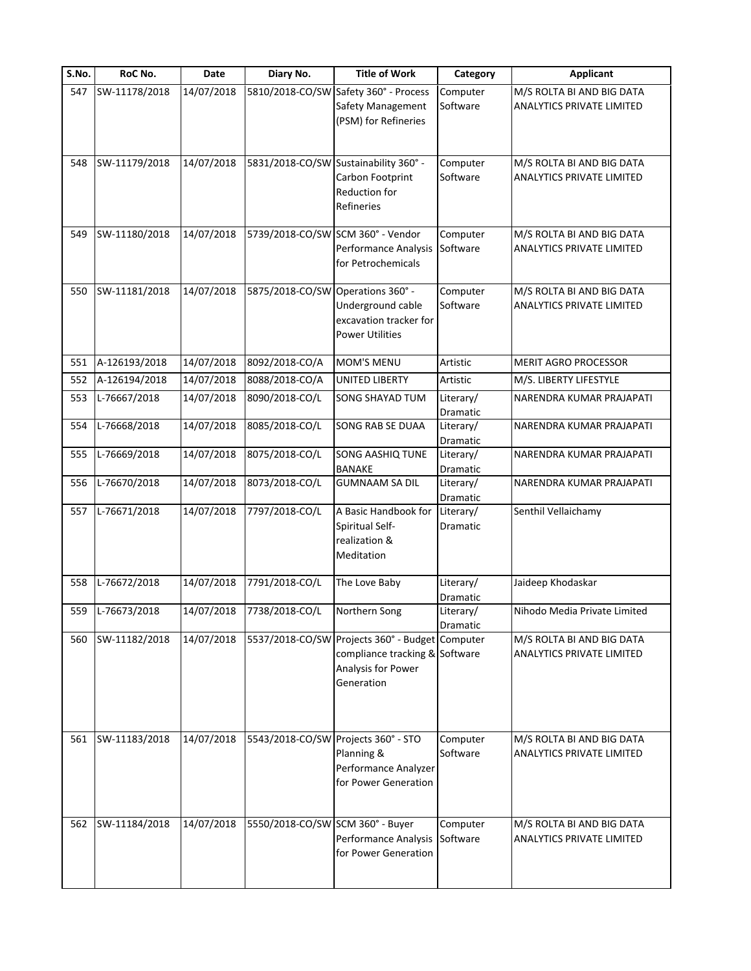| S.No. | RoC No.       | <b>Date</b> | Diary No.                         | <b>Title of Work</b>                                                                                                  | Category              | <b>Applicant</b>                                              |
|-------|---------------|-------------|-----------------------------------|-----------------------------------------------------------------------------------------------------------------------|-----------------------|---------------------------------------------------------------|
| 547   | SW-11178/2018 | 14/07/2018  | 5810/2018-CO/SW                   | Safety 360° - Process<br>Safety Management<br>(PSM) for Refineries                                                    | Computer<br>Software  | M/S ROLTA BI AND BIG DATA<br><b>ANALYTICS PRIVATE LIMITED</b> |
| 548   | SW-11179/2018 | 14/07/2018  |                                   | 5831/2018-CO/SW Sustainability 360° -<br>Carbon Footprint<br>Reduction for<br>Refineries                              | Computer<br>Software  | M/S ROLTA BI AND BIG DATA<br><b>ANALYTICS PRIVATE LIMITED</b> |
| 549   | SW-11180/2018 | 14/07/2018  | 5739/2018-CO/SW SCM 360° - Vendor | Performance Analysis<br>for Petrochemicals                                                                            | Computer<br>Software  | M/S ROLTA BI AND BIG DATA<br>ANALYTICS PRIVATE LIMITED        |
| 550   | SW-11181/2018 | 14/07/2018  | 5875/2018-CO/SW                   | Operations 360° -<br>Underground cable<br>excavation tracker for<br><b>Power Utilities</b>                            | Computer<br>Software  | M/S ROLTA BI AND BIG DATA<br><b>ANALYTICS PRIVATE LIMITED</b> |
| 551   | A-126193/2018 | 14/07/2018  | 8092/2018-CO/A                    | MOM'S MENU                                                                                                            | Artistic              | <b>MERIT AGRO PROCESSOR</b>                                   |
| 552   | A-126194/2018 | 14/07/2018  | 8088/2018-CO/A                    | <b>UNITED LIBERTY</b>                                                                                                 | Artistic              | M/S. LIBERTY LIFESTYLE                                        |
| 553   | L-76667/2018  | 14/07/2018  | 8090/2018-CO/L                    | SONG SHAYAD TUM                                                                                                       | Literary/<br>Dramatic | NARENDRA KUMAR PRAJAPATI                                      |
| 554   | L-76668/2018  | 14/07/2018  | 8085/2018-CO/L                    | SONG RAB SE DUAA                                                                                                      | Literary/<br>Dramatic | NARENDRA KUMAR PRAJAPATI                                      |
| 555   | L-76669/2018  | 14/07/2018  | 8075/2018-CO/L                    | SONG AASHIQ TUNE<br><b>BANAKE</b>                                                                                     | Literary/<br>Dramatic | NARENDRA KUMAR PRAJAPATI                                      |
| 556   | L-76670/2018  | 14/07/2018  | 8073/2018-CO/L                    | <b>GUMNAAM SA DIL</b>                                                                                                 | Literary/<br>Dramatic | NARENDRA KUMAR PRAJAPATI                                      |
| 557   | L-76671/2018  | 14/07/2018  | 7797/2018-CO/L                    | A Basic Handbook for<br>Spiritual Self-<br>realization &<br>Meditation                                                | Literary/<br>Dramatic | Senthil Vellaichamy                                           |
| 558   | L-76672/2018  | 14/07/2018  | 7791/2018-CO/L                    | The Love Baby                                                                                                         | Literary/<br>Dramatic | Jaideep Khodaskar                                             |
| 559   | L-76673/2018  | 14/07/2018  | 7738/2018-CO/L                    | Northern Song                                                                                                         | Literary/<br>Dramatic | Nihodo Media Private Limited                                  |
| 560   | SW-11182/2018 | 14/07/2018  |                                   | 5537/2018-CO/SW Projects 360° - Budget Computer<br>compliance tracking & Software<br>Analysis for Power<br>Generation |                       | M/S ROLTA BI AND BIG DATA<br>ANALYTICS PRIVATE LIMITED        |
| 561   | SW-11183/2018 | 14/07/2018  |                                   | 5543/2018-CO/SW Projects 360° - STO<br>Planning &<br>Performance Analyzer<br>for Power Generation                     | Computer<br>Software  | M/S ROLTA BI AND BIG DATA<br><b>ANALYTICS PRIVATE LIMITED</b> |
| 562   | SW-11184/2018 | 14/07/2018  | 5550/2018-CO/SW SCM 360° - Buyer  | Performance Analysis<br>for Power Generation                                                                          | Computer<br>Software  | M/S ROLTA BI AND BIG DATA<br><b>ANALYTICS PRIVATE LIMITED</b> |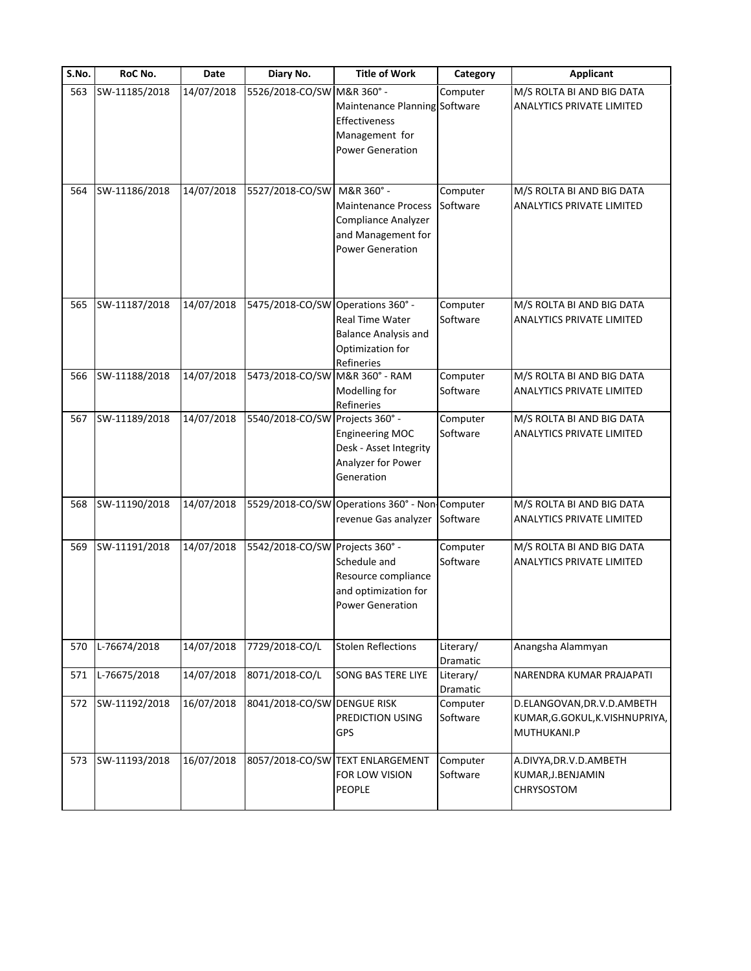| S.No. | RoC No.       | Date       | Diary No.                         | <b>Title of Work</b>                           | Category  | <b>Applicant</b>                 |
|-------|---------------|------------|-----------------------------------|------------------------------------------------|-----------|----------------------------------|
| 563   | SW-11185/2018 | 14/07/2018 | 5526/2018-CO/SW M&R 360° -        |                                                | Computer  | M/S ROLTA BI AND BIG DATA        |
|       |               |            |                                   | Maintenance Planning Software                  |           | <b>ANALYTICS PRIVATE LIMITED</b> |
|       |               |            |                                   | Effectiveness                                  |           |                                  |
|       |               |            |                                   | Management for                                 |           |                                  |
|       |               |            |                                   | <b>Power Generation</b>                        |           |                                  |
|       |               |            |                                   |                                                |           |                                  |
| 564   | SW-11186/2018 | 14/07/2018 | 5527/2018-CO/SW                   | M&R 360° -                                     | Computer  | M/S ROLTA BI AND BIG DATA        |
|       |               |            |                                   | Maintenance Process                            | Software  | ANALYTICS PRIVATE LIMITED        |
|       |               |            |                                   | Compliance Analyzer                            |           |                                  |
|       |               |            |                                   | and Management for                             |           |                                  |
|       |               |            |                                   | <b>Power Generation</b>                        |           |                                  |
|       |               |            |                                   |                                                |           |                                  |
| 565   | SW-11187/2018 | 14/07/2018 | 5475/2018-CO/SW Operations 360° - |                                                | Computer  | M/S ROLTA BI AND BIG DATA        |
|       |               |            |                                   | Real Time Water                                | Software  | <b>ANALYTICS PRIVATE LIMITED</b> |
|       |               |            |                                   | <b>Balance Analysis and</b>                    |           |                                  |
|       |               |            |                                   | Optimization for                               |           |                                  |
|       |               |            |                                   | Refineries                                     |           |                                  |
| 566   | SW-11188/2018 | 14/07/2018 | 5473/2018-CO/SW M&R 360° - RAM    |                                                | Computer  | M/S ROLTA BI AND BIG DATA        |
|       |               |            |                                   | Modelling for                                  | Software  | <b>ANALYTICS PRIVATE LIMITED</b> |
|       |               |            |                                   | Refineries                                     |           |                                  |
| 567   | SW-11189/2018 | 14/07/2018 | 5540/2018-CO/SW                   | Projects 360° -                                | Computer  | M/S ROLTA BI AND BIG DATA        |
|       |               |            |                                   | <b>Engineering MOC</b>                         | Software  | ANALYTICS PRIVATE LIMITED        |
|       |               |            |                                   | Desk - Asset Integrity                         |           |                                  |
|       |               |            |                                   | Analyzer for Power                             |           |                                  |
|       |               |            |                                   | Generation                                     |           |                                  |
| 568   | SW-11190/2018 | 14/07/2018 |                                   | 5529/2018-CO/SW Operations 360° - Non Computer |           | M/S ROLTA BI AND BIG DATA        |
|       |               |            |                                   | revenue Gas analyzer                           | Software  | ANALYTICS PRIVATE LIMITED        |
| 569   | SW-11191/2018 | 14/07/2018 | 5542/2018-CO/SW Projects 360° -   |                                                | Computer  | M/S ROLTA BI AND BIG DATA        |
|       |               |            |                                   | Schedule and                                   | Software  | ANALYTICS PRIVATE LIMITED        |
|       |               |            |                                   | Resource compliance                            |           |                                  |
|       |               |            |                                   | and optimization for                           |           |                                  |
|       |               |            |                                   | <b>Power Generation</b>                        |           |                                  |
|       |               |            |                                   |                                                |           |                                  |
| 570   | L-76674/2018  | 14/07/2018 | 7729/2018-CO/L                    | <b>Stolen Reflections</b>                      | Literary/ | Anangsha Alammyan                |
|       |               |            |                                   |                                                | Dramatic  |                                  |
| 571   | L-76675/2018  | 14/07/2018 | 8071/2018-CO/L                    | <b>SONG BAS TERE LIYE</b>                      | Literary/ | NARENDRA KUMAR PRAJAPATI         |
|       |               |            |                                   |                                                | Dramatic  |                                  |
| 572   | SW-11192/2018 | 16/07/2018 | 8041/2018-CO/SW DENGUE RISK       |                                                | Computer  | D.ELANGOVAN, DR.V.D.AMBETH       |
|       |               |            |                                   | PREDICTION USING                               | Software  | KUMAR, G.GOKUL, K.VISHNUPRIYA,   |
|       |               |            |                                   | GPS                                            |           | MUTHUKANI.P                      |
| 573   | SW-11193/2018 | 16/07/2018 |                                   | 8057/2018-CO/SW TEXT ENLARGEMENT               | Computer  | A.DIVYA, DR.V.D. AMBETH          |
|       |               |            |                                   | FOR LOW VISION                                 | Software  | KUMAR, J. BENJAMIN               |
|       |               |            |                                   | PEOPLE                                         |           | CHRYSOSTOM                       |
|       |               |            |                                   |                                                |           |                                  |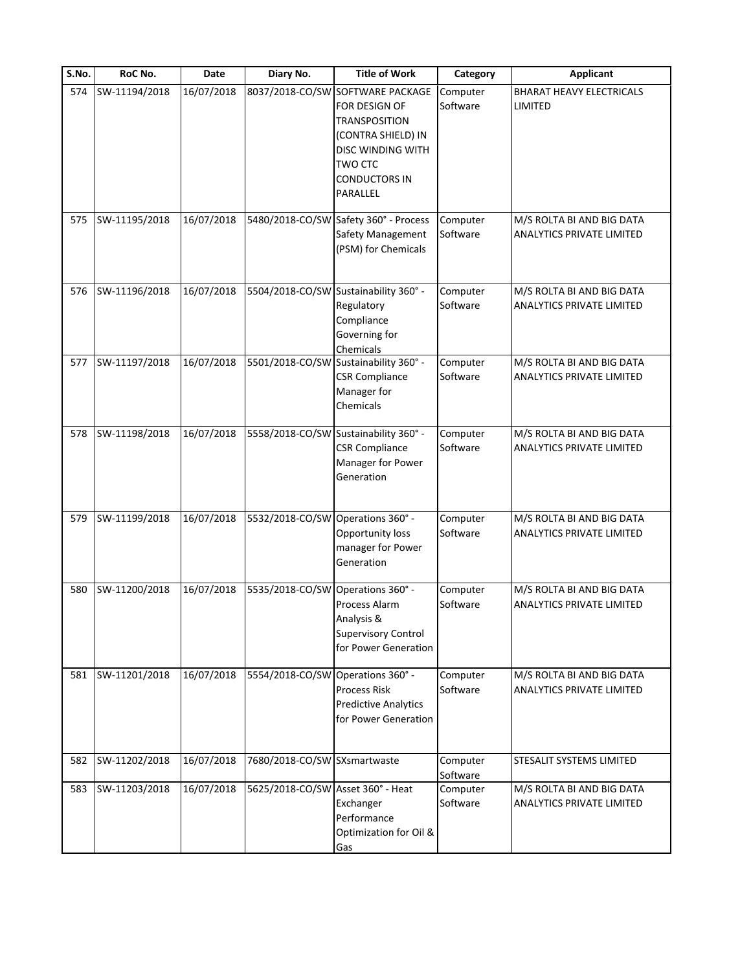| S.No. | RoC No.       | <b>Date</b> | Diary No.                         | <b>Title of Work</b>                                                                                                                                              | Category             | <b>Applicant</b>                                              |
|-------|---------------|-------------|-----------------------------------|-------------------------------------------------------------------------------------------------------------------------------------------------------------------|----------------------|---------------------------------------------------------------|
| 574   | SW-11194/2018 | 16/07/2018  | 8037/2018-CO/SW                   | <b>SOFTWARE PACKAGE</b><br>for design of<br>TRANSPOSITION<br>(CONTRA SHIELD) IN<br><b>DISC WINDING WITH</b><br><b>TWO CTC</b><br><b>CONDUCTORS IN</b><br>PARALLEL | Computer<br>Software | <b>BHARAT HEAVY ELECTRICALS</b><br>LIMITED                    |
| 575   | SW-11195/2018 | 16/07/2018  |                                   | 5480/2018-CO/SW Safety 360° - Process<br>Safety Management<br>(PSM) for Chemicals                                                                                 | Computer<br>Software | M/S ROLTA BI AND BIG DATA<br>ANALYTICS PRIVATE LIMITED        |
| 576   | SW-11196/2018 | 16/07/2018  |                                   | 5504/2018-CO/SW Sustainability 360° -<br>Regulatory<br>Compliance<br>Governing for<br>Chemicals                                                                   | Computer<br>Software | M/S ROLTA BI AND BIG DATA<br><b>ANALYTICS PRIVATE LIMITED</b> |
| 577   | SW-11197/2018 | 16/07/2018  |                                   | 5501/2018-CO/SW Sustainability 360° -<br><b>CSR Compliance</b><br>Manager for<br>Chemicals                                                                        | Computer<br>Software | M/S ROLTA BI AND BIG DATA<br><b>ANALYTICS PRIVATE LIMITED</b> |
| 578   | SW-11198/2018 | 16/07/2018  |                                   | 5558/2018-CO/SW Sustainability 360° -<br><b>CSR Compliance</b><br>Manager for Power<br>Generation                                                                 | Computer<br>Software | M/S ROLTA BI AND BIG DATA<br>ANALYTICS PRIVATE LIMITED        |
| 579   | SW-11199/2018 | 16/07/2018  | 5532/2018-CO/SW                   | Operations 360° -<br>Opportunity loss<br>manager for Power<br>Generation                                                                                          | Computer<br>Software | M/S ROLTA BI AND BIG DATA<br><b>ANALYTICS PRIVATE LIMITED</b> |
| 580   | SW-11200/2018 | 16/07/2018  | 5535/2018-CO/SW                   | Operations 360° -<br>Process Alarm<br>Analysis &<br><b>Supervisory Control</b><br>for Power Generation                                                            | Computer<br>Software | M/S ROLTA BI AND BIG DATA<br><b>ANALYTICS PRIVATE LIMITED</b> |
| 581   | SW-11201/2018 | 16/07/2018  | 5554/2018-CO/SW Operations 360° - | <b>Process Risk</b><br><b>Predictive Analytics</b><br>for Power Generation                                                                                        | Computer<br>Software | M/S ROLTA BI AND BIG DATA<br><b>ANALYTICS PRIVATE LIMITED</b> |
| 582   | SW-11202/2018 | 16/07/2018  | 7680/2018-CO/SW SXsmartwaste      |                                                                                                                                                                   | Computer<br>Software | STESALIT SYSTEMS LIMITED                                      |
| 583   | SW-11203/2018 | 16/07/2018  | 5625/2018-CO/SW Asset 360° - Heat | Exchanger<br>Performance<br>Optimization for Oil &<br>Gas                                                                                                         | Computer<br>Software | M/S ROLTA BI AND BIG DATA<br><b>ANALYTICS PRIVATE LIMITED</b> |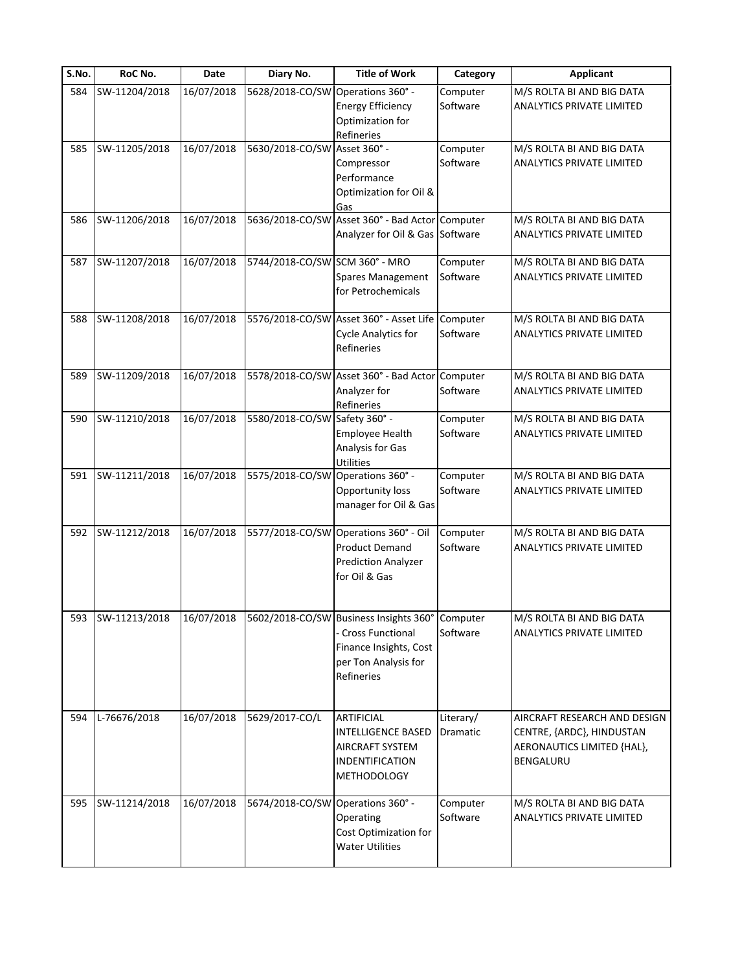| S.No. | RoC No.           | Date       | Diary No.                         | <b>Title of Work</b>                                                                                                         | Category              | <b>Applicant</b>                                                                                            |
|-------|-------------------|------------|-----------------------------------|------------------------------------------------------------------------------------------------------------------------------|-----------------------|-------------------------------------------------------------------------------------------------------------|
| 584   | SW-11204/2018     | 16/07/2018 | 5628/2018-CO/SW Operations 360° - | <b>Energy Efficiency</b><br>Optimization for<br>Refineries                                                                   | Computer<br>Software  | M/S ROLTA BI AND BIG DATA<br>ANALYTICS PRIVATE LIMITED                                                      |
| 585   | SW-11205/2018     | 16/07/2018 | 5630/2018-CO/SW Asset 360° -      | Compressor<br>Performance<br>Optimization for Oil &<br>Gas                                                                   | Computer<br>Software  | M/S ROLTA BI AND BIG DATA<br>ANALYTICS PRIVATE LIMITED                                                      |
| 586   | SW-11206/2018     | 16/07/2018 |                                   | 5636/2018-CO/SW Asset 360° - Bad Actor Computer<br>Analyzer for Oil & Gas Software                                           |                       | M/S ROLTA BI AND BIG DATA<br>ANALYTICS PRIVATE LIMITED                                                      |
| 587   | SW-11207/2018     | 16/07/2018 | 5744/2018-CO/SW SCM 360° - MRO    | <b>Spares Management</b><br>for Petrochemicals                                                                               | Computer<br>Software  | M/S ROLTA BI AND BIG DATA<br>ANALYTICS PRIVATE LIMITED                                                      |
| 588   | SW-11208/2018     | 16/07/2018 |                                   | 5576/2018-CO/SW Asset 360° - Asset Life Computer<br><b>Cycle Analytics for</b><br>Refineries                                 | Software              | M/S ROLTA BI AND BIG DATA<br>ANALYTICS PRIVATE LIMITED                                                      |
| 589   | SW-11209/2018     | 16/07/2018 |                                   | 5578/2018-CO/SW Asset 360° - Bad Actor<br>Analyzer for<br>Refineries                                                         | Computer<br>Software  | M/S ROLTA BI AND BIG DATA<br>ANALYTICS PRIVATE LIMITED                                                      |
| 590   | SW-11210/2018     | 16/07/2018 | 5580/2018-CO/SW Safety 360° -     | <b>Employee Health</b><br>Analysis for Gas<br>Utilities                                                                      | Computer<br>Software  | M/S ROLTA BI AND BIG DATA<br>ANALYTICS PRIVATE LIMITED                                                      |
| 591   | SW-11211/2018     | 16/07/2018 | 5575/2018-CO/SW Operations 360° - | Opportunity loss<br>manager for Oil & Gas                                                                                    | Computer<br>Software  | M/S ROLTA BI AND BIG DATA<br>ANALYTICS PRIVATE LIMITED                                                      |
| 592   | SW-11212/2018     | 16/07/2018 |                                   | 5577/2018-CO/SW Operations 360° - Oil<br><b>Product Demand</b><br><b>Prediction Analyzer</b><br>for Oil & Gas                | Computer<br>Software  | M/S ROLTA BI AND BIG DATA<br>ANALYTICS PRIVATE LIMITED                                                      |
|       | 593 SW-11213/2018 | 16/07/2018 |                                   | 5602/2018-CO/SW Business Insights 360°<br>- Cross Functional<br>Finance Insights, Cost<br>per Ton Analysis for<br>Refineries | Computer<br>Software  | M/S ROLTA BI AND BIG DATA<br>ANALYTICS PRIVATE LIMITED                                                      |
| 594   | L-76676/2018      | 16/07/2018 | 5629/2017-CO/L                    | <b>ARTIFICIAL</b><br><b>INTELLIGENCE BASED</b><br><b>AIRCRAFT SYSTEM</b><br><b>INDENTIFICATION</b><br><b>METHODOLOGY</b>     | Literary/<br>Dramatic | AIRCRAFT RESEARCH AND DESIGN<br>CENTRE, {ARDC}, HINDUSTAN<br>AERONAUTICS LIMITED {HAL},<br><b>BENGALURU</b> |
| 595   | SW-11214/2018     | 16/07/2018 | 5674/2018-CO/SW Operations 360° - | Operating<br>Cost Optimization for<br><b>Water Utilities</b>                                                                 | Computer<br>Software  | M/S ROLTA BI AND BIG DATA<br>ANALYTICS PRIVATE LIMITED                                                      |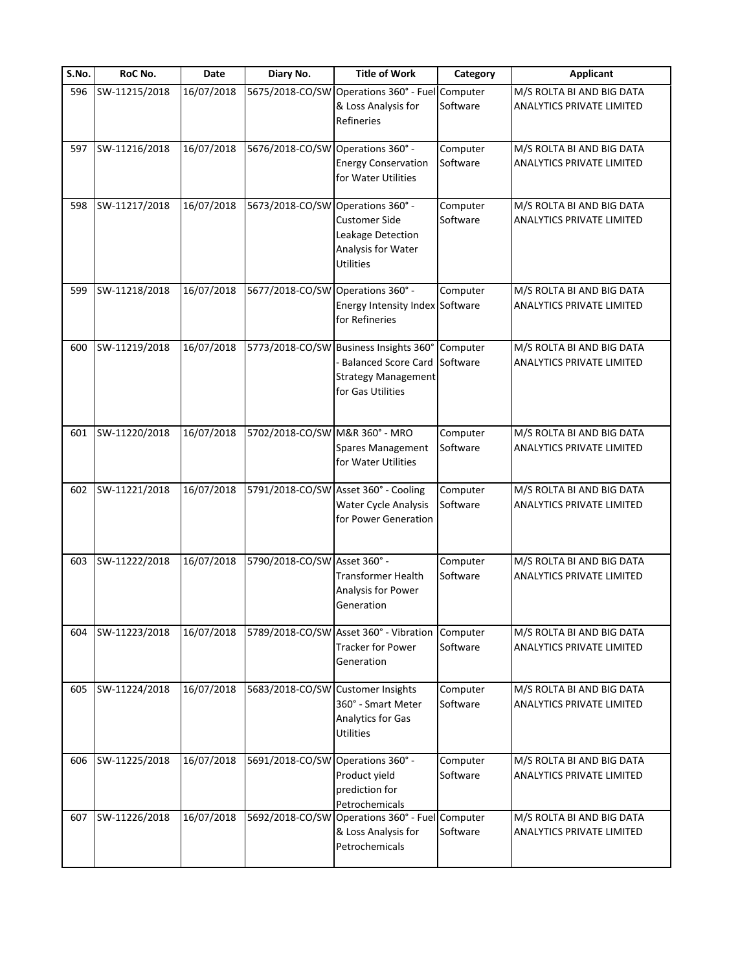| S.No. | RoC No.       | Date       | Diary No.                         | <b>Title of Work</b>                                                                                                    | Category             | <b>Applicant</b>                                              |
|-------|---------------|------------|-----------------------------------|-------------------------------------------------------------------------------------------------------------------------|----------------------|---------------------------------------------------------------|
| 596   | SW-11215/2018 | 16/07/2018 | 5675/2018-CO/SW                   | Operations 360° - Fuel<br>& Loss Analysis for<br>Refineries                                                             | Computer<br>Software | M/S ROLTA BI AND BIG DATA<br><b>ANALYTICS PRIVATE LIMITED</b> |
| 597   | SW-11216/2018 | 16/07/2018 | 5676/2018-CO/SW Operations 360° - | <b>Energy Conservation</b><br>for Water Utilities                                                                       | Computer<br>Software | M/S ROLTA BI AND BIG DATA<br><b>ANALYTICS PRIVATE LIMITED</b> |
| 598   | SW-11217/2018 | 16/07/2018 | 5673/2018-CO/SW Operations 360° - | <b>Customer Side</b><br>Leakage Detection<br>Analysis for Water<br><b>Utilities</b>                                     | Computer<br>Software | M/S ROLTA BI AND BIG DATA<br>ANALYTICS PRIVATE LIMITED        |
| 599   | SW-11218/2018 | 16/07/2018 | 5677/2018-CO/SW Operations 360° - | Energy Intensity Index Software<br>for Refineries                                                                       | Computer             | M/S ROLTA BI AND BIG DATA<br><b>ANALYTICS PRIVATE LIMITED</b> |
| 600   | SW-11219/2018 | 16/07/2018 |                                   | 5773/2018-CO/SW Business Insights 360°<br><b>Balanced Score Card</b><br><b>Strategy Management</b><br>for Gas Utilities | Computer<br>Software | M/S ROLTA BI AND BIG DATA<br><b>ANALYTICS PRIVATE LIMITED</b> |
| 601   | SW-11220/2018 | 16/07/2018 | 5702/2018-CO/SW M&R 360° - MRO    | Spares Management<br>for Water Utilities                                                                                | Computer<br>Software | M/S ROLTA BI AND BIG DATA<br>ANALYTICS PRIVATE LIMITED        |
| 602   | SW-11221/2018 | 16/07/2018 |                                   | 5791/2018-CO/SW Asset 360° - Cooling<br>Water Cycle Analysis<br>for Power Generation                                    | Computer<br>Software | M/S ROLTA BI AND BIG DATA<br><b>ANALYTICS PRIVATE LIMITED</b> |
| 603   | SW-11222/2018 | 16/07/2018 | 5790/2018-CO/SW Asset 360° -      | <b>Transformer Health</b><br>Analysis for Power<br>Generation                                                           | Computer<br>Software | M/S ROLTA BI AND BIG DATA<br><b>ANALYTICS PRIVATE LIMITED</b> |
| 604   | SW-11223/2018 | 16/07/2018 |                                   | 5789/2018-CO/SW Asset 360° - Vibration<br><b>Tracker for Power</b><br>Generation                                        | Computer<br>Software | M/S ROLTA BI AND BIG DATA<br>ANALYTICS PRIVATE LIMITED        |
| 605   | SW-11224/2018 | 16/07/2018 | 5683/2018-CO/SW Customer Insights | 360° - Smart Meter<br><b>Analytics for Gas</b><br><b>Utilities</b>                                                      | Computer<br>Software | M/S ROLTA BI AND BIG DATA<br><b>ANALYTICS PRIVATE LIMITED</b> |
| 606   | SW-11225/2018 | 16/07/2018 | 5691/2018-CO/SW Operations 360° - | Product yield<br>prediction for<br>Petrochemicals                                                                       | Computer<br>Software | M/S ROLTA BI AND BIG DATA<br>ANALYTICS PRIVATE LIMITED        |
| 607   | SW-11226/2018 | 16/07/2018 | 5692/2018-CO/SW                   | Operations 360° - Fuel Computer<br>& Loss Analysis for<br>Petrochemicals                                                | Software             | M/S ROLTA BI AND BIG DATA<br>ANALYTICS PRIVATE LIMITED        |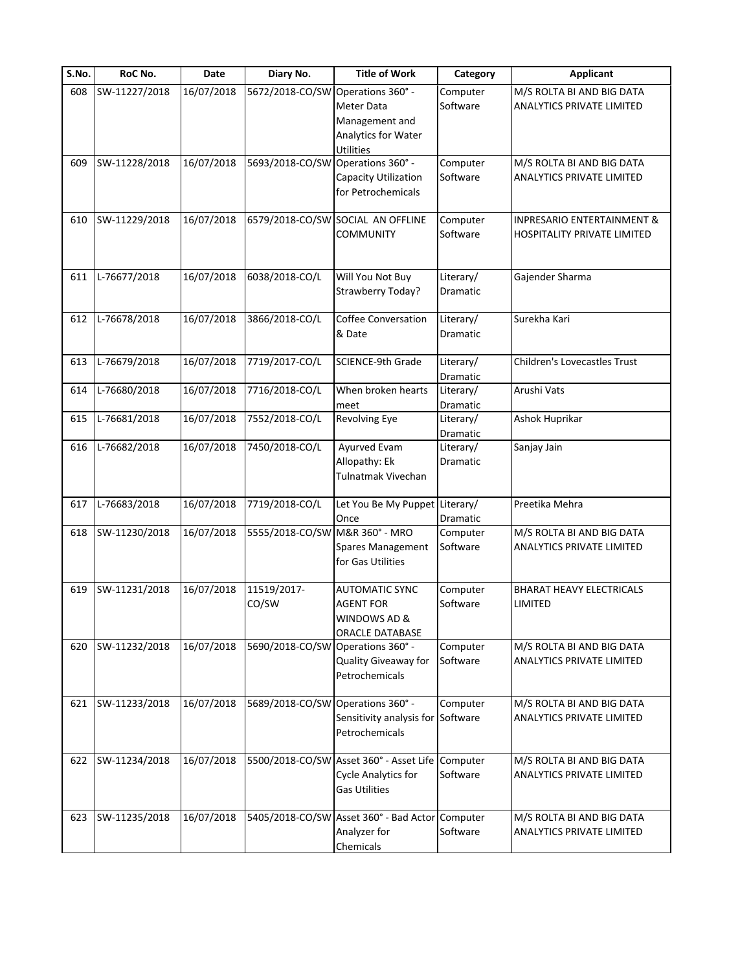| S.No. | RoC No.       | Date       | Diary No.                         | <b>Title of Work</b>                    | Category        | <b>Applicant</b>                      |
|-------|---------------|------------|-----------------------------------|-----------------------------------------|-----------------|---------------------------------------|
| 608   | SW-11227/2018 | 16/07/2018 | 5672/2018-CO/SW                   | Operations 360° -                       | Computer        | M/S ROLTA BI AND BIG DATA             |
|       |               |            |                                   | <b>Meter Data</b>                       | Software        | ANALYTICS PRIVATE LIMITED             |
|       |               |            |                                   | Management and                          |                 |                                       |
|       |               |            |                                   | Analytics for Water                     |                 |                                       |
|       |               |            |                                   | Utilities                               |                 |                                       |
| 609   | SW-11228/2018 | 16/07/2018 | 5693/2018-CO/SW                   | Operations 360° -                       | Computer        | M/S ROLTA BI AND BIG DATA             |
|       |               |            |                                   | Capacity Utilization                    | Software        | ANALYTICS PRIVATE LIMITED             |
|       |               |            |                                   | for Petrochemicals                      |                 |                                       |
| 610   | SW-11229/2018 | 16/07/2018 |                                   | 6579/2018-CO/SW SOCIAL AN OFFLINE       | Computer        | <b>INPRESARIO ENTERTAINMENT &amp;</b> |
|       |               |            |                                   | <b>COMMUNITY</b>                        | Software        | HOSPITALITY PRIVATE LIMITED           |
|       |               |            |                                   |                                         |                 |                                       |
| 611   | L-76677/2018  | 16/07/2018 | 6038/2018-CO/L                    | Will You Not Buy                        | Literary/       | Gajender Sharma                       |
|       |               |            |                                   |                                         |                 |                                       |
|       |               |            |                                   | Strawberry Today?                       | Dramatic        |                                       |
| 612   | L-76678/2018  | 16/07/2018 | 3866/2018-CO/L                    | <b>Coffee Conversation</b>              | Literary/       | Surekha Kari                          |
|       |               |            |                                   | & Date                                  | Dramatic        |                                       |
|       |               |            |                                   |                                         |                 |                                       |
| 613   | L-76679/2018  | 16/07/2018 | 7719/2017-CO/L                    | SCIENCE-9th Grade                       | Literary/       | Children's Lovecastles Trust          |
|       |               |            |                                   |                                         | Dramatic        |                                       |
| 614   | L-76680/2018  | 16/07/2018 | 7716/2018-CO/L                    | When broken hearts                      | Literary/       | Arushi Vats                           |
|       |               |            |                                   | meet                                    | Dramatic        |                                       |
| 615   | L-76681/2018  | 16/07/2018 | 7552/2018-CO/L                    | Revolving Eye                           | Literary/       | Ashok Huprikar                        |
|       |               |            |                                   |                                         | Dramatic        |                                       |
| 616   | L-76682/2018  | 16/07/2018 | 7450/2018-CO/L                    | Ayurved Evam                            | Literary/       | Sanjay Jain                           |
|       |               |            |                                   | Allopathy: Ek                           | Dramatic        |                                       |
|       |               |            |                                   | <b>Tulnatmak Vivechan</b>               |                 |                                       |
|       |               |            |                                   |                                         |                 |                                       |
| 617   | L-76683/2018  | 16/07/2018 | 7719/2018-CO/L                    | Let You Be My Puppet Literary/          |                 | Preetika Mehra                        |
|       |               |            |                                   | Once                                    | <b>Dramatic</b> |                                       |
| 618   | SW-11230/2018 | 16/07/2018 | 5555/2018-CO/SW M&R 360° - MRO    |                                         | Computer        | M/S ROLTA BI AND BIG DATA             |
|       |               |            |                                   | Spares Management                       | Software        | <b>ANALYTICS PRIVATE LIMITED</b>      |
|       |               |            |                                   | for Gas Utilities                       |                 |                                       |
|       |               |            |                                   |                                         |                 |                                       |
| 619   | SW-11231/2018 | 16/07/2018 | 11519/2017-                       | <b>AUTOMATIC SYNC</b>                   | Computer        | BHARAT HEAVY ELECTRICALS              |
|       |               |            | CO/SW                             | <b>AGENT FOR</b>                        | Software        | LIMITED                               |
|       |               |            |                                   | WINDOWS AD &                            |                 |                                       |
|       |               |            |                                   | ORACLE DATABASE                         |                 |                                       |
| 620   | SW-11232/2018 | 16/07/2018 | 5690/2018-CO/SW                   | Operations 360° -                       | Computer        | M/S ROLTA BI AND BIG DATA             |
|       |               |            |                                   | Quality Giveaway for                    | Software        | ANALYTICS PRIVATE LIMITED             |
|       |               |            |                                   | Petrochemicals                          |                 |                                       |
|       |               |            |                                   |                                         |                 |                                       |
| 621   | SW-11233/2018 | 16/07/2018 | 5689/2018-CO/SW Operations 360° - |                                         | Computer        | M/S ROLTA BI AND BIG DATA             |
|       |               |            |                                   | Sensitivity analysis for Software       |                 | ANALYTICS PRIVATE LIMITED             |
|       |               |            |                                   | Petrochemicals                          |                 |                                       |
| 622   | SW-11234/2018 | 16/07/2018 |                                   | 5500/2018-CO/SW Asset 360° - Asset Life | Computer        | M/S ROLTA BI AND BIG DATA             |
|       |               |            |                                   |                                         | Software        |                                       |
|       |               |            |                                   | <b>Cycle Analytics for</b>              |                 | ANALYTICS PRIVATE LIMITED             |
|       |               |            |                                   | <b>Gas Utilities</b>                    |                 |                                       |
| 623   | SW-11235/2018 | 16/07/2018 |                                   | 5405/2018-CO/SW Asset 360° - Bad Actor  | Computer        | M/S ROLTA BI AND BIG DATA             |
|       |               |            |                                   | Analyzer for                            | Software        |                                       |
|       |               |            |                                   |                                         |                 | ANALYTICS PRIVATE LIMITED             |
|       |               |            |                                   | Chemicals                               |                 |                                       |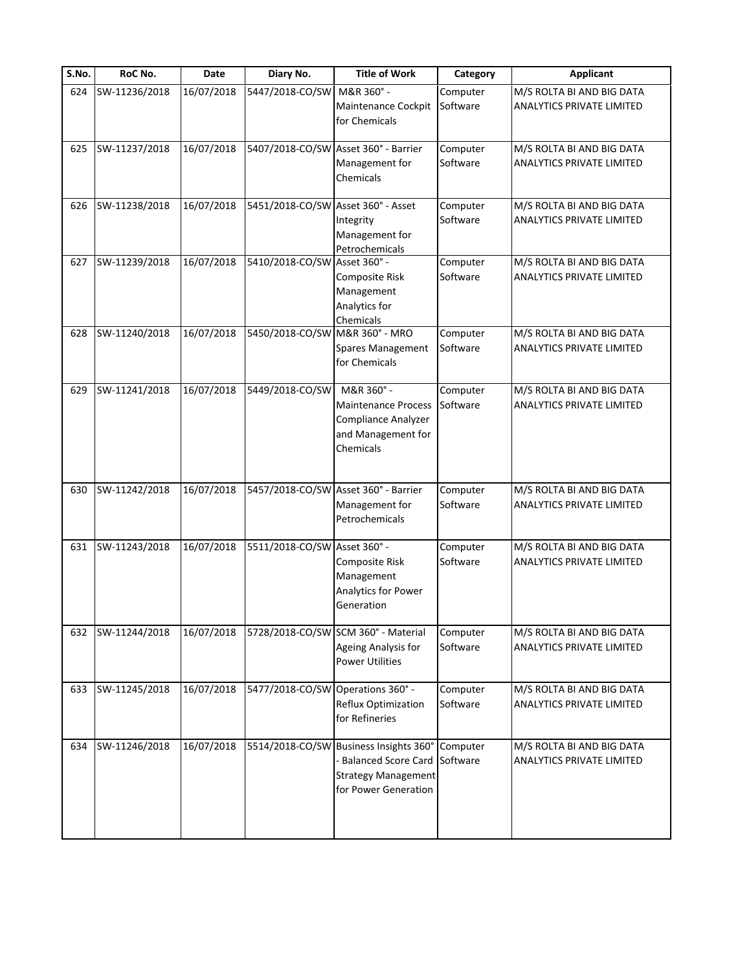| S.No. | RoC No.       | Date       | Diary No.                          | <b>Title of Work</b>                                                                                                                | Category             | <b>Applicant</b>                                              |
|-------|---------------|------------|------------------------------------|-------------------------------------------------------------------------------------------------------------------------------------|----------------------|---------------------------------------------------------------|
| 624   | SW-11236/2018 | 16/07/2018 | 5447/2018-CO/SW                    | M&R 360° -<br>Maintenance Cockpit<br>for Chemicals                                                                                  | Computer<br>Software | M/S ROLTA BI AND BIG DATA<br><b>ANALYTICS PRIVATE LIMITED</b> |
| 625   | SW-11237/2018 | 16/07/2018 |                                    | 5407/2018-CO/SW Asset 360° - Barrier<br>Management for<br>Chemicals                                                                 | Computer<br>Software | M/S ROLTA BI AND BIG DATA<br>ANALYTICS PRIVATE LIMITED        |
| 626   | SW-11238/2018 | 16/07/2018 | 5451/2018-CO/SW Asset 360° - Asset | Integrity<br>Management for<br>Petrochemicals                                                                                       | Computer<br>Software | M/S ROLTA BI AND BIG DATA<br>ANALYTICS PRIVATE LIMITED        |
| 627   | SW-11239/2018 | 16/07/2018 | 5410/2018-CO/SW Asset 360° -       | Composite Risk<br>Management<br>Analytics for<br>Chemicals                                                                          | Computer<br>Software | M/S ROLTA BI AND BIG DATA<br>ANALYTICS PRIVATE LIMITED        |
| 628   | SW-11240/2018 | 16/07/2018 | 5450/2018-CO/SW M&R 360° - MRO     | Spares Management<br>for Chemicals                                                                                                  | Computer<br>Software | M/S ROLTA BI AND BIG DATA<br>ANALYTICS PRIVATE LIMITED        |
| 629   | SW-11241/2018 | 16/07/2018 | 5449/2018-CO/SW                    | M&R 360° -<br><b>Maintenance Process</b><br>Compliance Analyzer<br>and Management for<br>Chemicals                                  | Computer<br>Software | M/S ROLTA BI AND BIG DATA<br><b>ANALYTICS PRIVATE LIMITED</b> |
| 630   | SW-11242/2018 | 16/07/2018 |                                    | 5457/2018-CO/SW Asset 360° - Barrier<br>Management for<br>Petrochemicals                                                            | Computer<br>Software | M/S ROLTA BI AND BIG DATA<br>ANALYTICS PRIVATE LIMITED        |
| 631   | SW-11243/2018 | 16/07/2018 | 5511/2018-CO/SW Asset 360° -       | Composite Risk<br>Management<br>Analytics for Power<br>Generation                                                                   | Computer<br>Software | M/S ROLTA BI AND BIG DATA<br><b>ANALYTICS PRIVATE LIMITED</b> |
| 632   | SW-11244/2018 | 16/07/2018 |                                    | 5728/2018-CO/SW SCM 360° - Material<br>Ageing Analysis for<br><b>Power Utilities</b>                                                | Computer<br>Software | M/S ROLTA BI AND BIG DATA<br>ANALYTICS PRIVATE LIMITED        |
| 633   | SW-11245/2018 | 16/07/2018 | 5477/2018-CO/SW Operations 360° -  | Reflux Optimization<br>for Refineries                                                                                               | Computer<br>Software | M/S ROLTA BI AND BIG DATA<br>ANALYTICS PRIVATE LIMITED        |
| 634   | SW-11246/2018 | 16/07/2018 |                                    | 5514/2018-CO/SW Business Insights 360° Computer<br><b>Balanced Score Card</b><br><b>Strategy Management</b><br>for Power Generation | Software             | M/S ROLTA BI AND BIG DATA<br><b>ANALYTICS PRIVATE LIMITED</b> |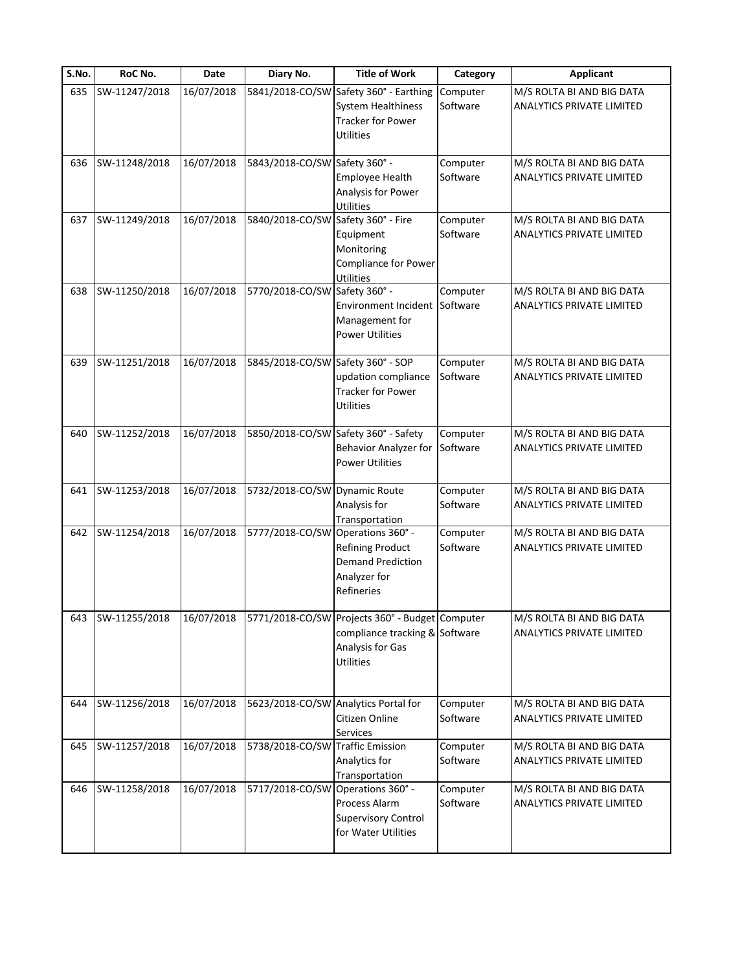| S.No. | RoC No.       | Date       | Diary No.                          | <b>Title of Work</b>                                                                                                      | Category             | <b>Applicant</b>                                              |
|-------|---------------|------------|------------------------------------|---------------------------------------------------------------------------------------------------------------------------|----------------------|---------------------------------------------------------------|
| 635   | SW-11247/2018 | 16/07/2018 |                                    | 5841/2018-CO/SW Safety 360° - Earthing<br>System Healthiness<br><b>Tracker for Power</b><br><b>Utilities</b>              | Computer<br>Software | M/S ROLTA BI AND BIG DATA<br>ANALYTICS PRIVATE LIMITED        |
| 636   | SW-11248/2018 | 16/07/2018 | 5843/2018-CO/SW Safety 360° -      | Employee Health<br>Analysis for Power<br><b>Utilities</b>                                                                 | Computer<br>Software | M/S ROLTA BI AND BIG DATA<br>ANALYTICS PRIVATE LIMITED        |
| 637   | SW-11249/2018 | 16/07/2018 | 5840/2018-CO/SW Safety 360° - Fire | Equipment<br>Monitoring<br>Compliance for Power<br><b>Utilities</b>                                                       | Computer<br>Software | M/S ROLTA BI AND BIG DATA<br>ANALYTICS PRIVATE LIMITED        |
| 638   | SW-11250/2018 | 16/07/2018 | 5770/2018-CO/SW Safety 360° -      | Environment Incident<br>Management for<br><b>Power Utilities</b>                                                          | Computer<br>Software | M/S ROLTA BI AND BIG DATA<br><b>ANALYTICS PRIVATE LIMITED</b> |
| 639   | SW-11251/2018 | 16/07/2018 | 5845/2018-CO/SW Safety 360° - SOP  | updation compliance<br><b>Tracker for Power</b><br><b>Utilities</b>                                                       | Computer<br>Software | M/S ROLTA BI AND BIG DATA<br><b>ANALYTICS PRIVATE LIMITED</b> |
| 640   | SW-11252/2018 | 16/07/2018 |                                    | 5850/2018-CO/SW Safety 360° - Safety<br>Behavior Analyzer for<br><b>Power Utilities</b>                                   | Computer<br>Software | M/S ROLTA BI AND BIG DATA<br>ANALYTICS PRIVATE LIMITED        |
| 641   | SW-11253/2018 | 16/07/2018 | 5732/2018-CO/SW Dynamic Route      | Analysis for<br>Transportation                                                                                            | Computer<br>Software | M/S ROLTA BI AND BIG DATA<br>ANALYTICS PRIVATE LIMITED        |
| 642   | SW-11254/2018 | 16/07/2018 | 5777/2018-CO/SW Operations 360° -  | Refining Product<br><b>Demand Prediction</b><br>Analyzer for<br>Refineries                                                | Computer<br>Software | M/S ROLTA BI AND BIG DATA<br><b>ANALYTICS PRIVATE LIMITED</b> |
| 643   | SW-11255/2018 | 16/07/2018 |                                    | 5771/2018-CO/SW Projects 360° - Budget Computer<br>compliance tracking & Software<br>Analysis for Gas<br><b>Utilities</b> |                      | M/S ROLTA BI AND BIG DATA<br>ANALYTICS PRIVATE LIMITED        |
| 644   | SW-11256/2018 | 16/07/2018 |                                    | 5623/2018-CO/SW Analytics Portal for<br>Citizen Online<br>Services                                                        | Computer<br>Software | M/S ROLTA BI AND BIG DATA<br><b>ANALYTICS PRIVATE LIMITED</b> |
| 645   | SW-11257/2018 | 16/07/2018 | 5738/2018-CO/SW Traffic Emission   | Analytics for<br>Transportation                                                                                           | Computer<br>Software | M/S ROLTA BI AND BIG DATA<br><b>ANALYTICS PRIVATE LIMITED</b> |
| 646   | SW-11258/2018 | 16/07/2018 | 5717/2018-CO/SW                    | Operations 360° -<br>Process Alarm<br><b>Supervisory Control</b><br>for Water Utilities                                   | Computer<br>Software | M/S ROLTA BI AND BIG DATA<br><b>ANALYTICS PRIVATE LIMITED</b> |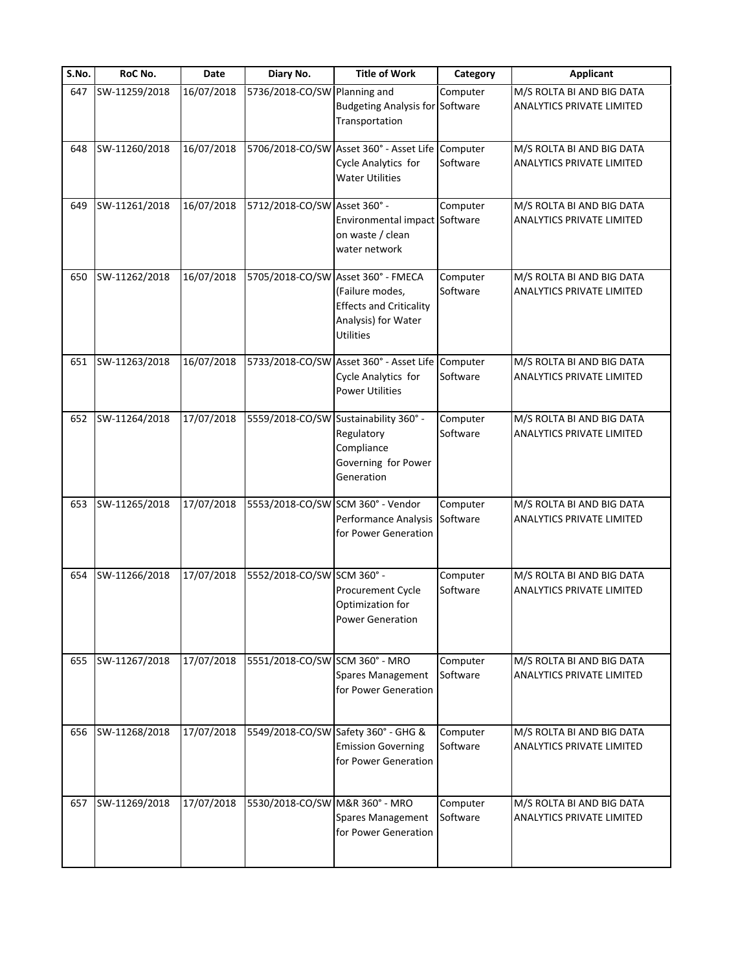| S.No. | RoC No.       | Date       | Diary No.                      | <b>Title of Work</b>                                                                                                               | Category             | <b>Applicant</b>                                              |
|-------|---------------|------------|--------------------------------|------------------------------------------------------------------------------------------------------------------------------------|----------------------|---------------------------------------------------------------|
| 647   | SW-11259/2018 | 16/07/2018 | 5736/2018-CO/SW                | Planning and<br><b>Budgeting Analysis for Software</b><br>Transportation                                                           | Computer             | M/S ROLTA BI AND BIG DATA<br><b>ANALYTICS PRIVATE LIMITED</b> |
| 648   | SW-11260/2018 | 16/07/2018 |                                | 5706/2018-CO/SW Asset 360° - Asset Life<br>Cycle Analytics for<br><b>Water Utilities</b>                                           | Computer<br>Software | M/S ROLTA BI AND BIG DATA<br><b>ANALYTICS PRIVATE LIMITED</b> |
| 649   | SW-11261/2018 | 16/07/2018 | 5712/2018-CO/SW Asset 360° -   | Environmental impact Software<br>on waste / clean<br>water network                                                                 | Computer             | M/S ROLTA BI AND BIG DATA<br>ANALYTICS PRIVATE LIMITED        |
| 650   | SW-11262/2018 | 16/07/2018 |                                | 5705/2018-CO/SW Asset 360° - FMECA<br>(Failure modes,<br><b>Effects and Criticality</b><br>Analysis) for Water<br><b>Utilities</b> | Computer<br>Software | M/S ROLTA BI AND BIG DATA<br><b>ANALYTICS PRIVATE LIMITED</b> |
| 651   | SW-11263/2018 | 16/07/2018 |                                | 5733/2018-CO/SW Asset 360° - Asset Life<br>Cycle Analytics for<br><b>Power Utilities</b>                                           | Computer<br>Software | M/S ROLTA BI AND BIG DATA<br><b>ANALYTICS PRIVATE LIMITED</b> |
| 652   | SW-11264/2018 | 17/07/2018 |                                | 5559/2018-CO/SW Sustainability 360° -<br>Regulatory<br>Compliance<br>Governing for Power<br>Generation                             | Computer<br>Software | M/S ROLTA BI AND BIG DATA<br>ANALYTICS PRIVATE LIMITED        |
| 653   | SW-11265/2018 | 17/07/2018 |                                | 5553/2018-CO/SW SCM 360° - Vendor<br>Performance Analysis<br>for Power Generation                                                  | Computer<br>Software | M/S ROLTA BI AND BIG DATA<br><b>ANALYTICS PRIVATE LIMITED</b> |
| 654   | SW-11266/2018 | 17/07/2018 | 5552/2018-CO/SW SCM 360° -     | Procurement Cycle<br>Optimization for<br><b>Power Generation</b>                                                                   | Computer<br>Software | M/S ROLTA BI AND BIG DATA<br><b>ANALYTICS PRIVATE LIMITED</b> |
| 655   | SW-11267/2018 | 17/07/2018 | 5551/2018-CO/SW SCM 360° - MRO | Spares Management<br>for Power Generation                                                                                          | Computer<br>Software | M/S ROLTA BI AND BIG DATA<br><b>ANALYTICS PRIVATE LIMITED</b> |
| 656   | SW-11268/2018 | 17/07/2018 |                                | 5549/2018-CO/SW Safety 360° - GHG &<br><b>Emission Governing</b><br>for Power Generation                                           | Computer<br>Software | M/S ROLTA BI AND BIG DATA<br><b>ANALYTICS PRIVATE LIMITED</b> |
| 657   | SW-11269/2018 | 17/07/2018 | 5530/2018-CO/SW M&R 360° - MRO | Spares Management<br>for Power Generation                                                                                          | Computer<br>Software | M/S ROLTA BI AND BIG DATA<br><b>ANALYTICS PRIVATE LIMITED</b> |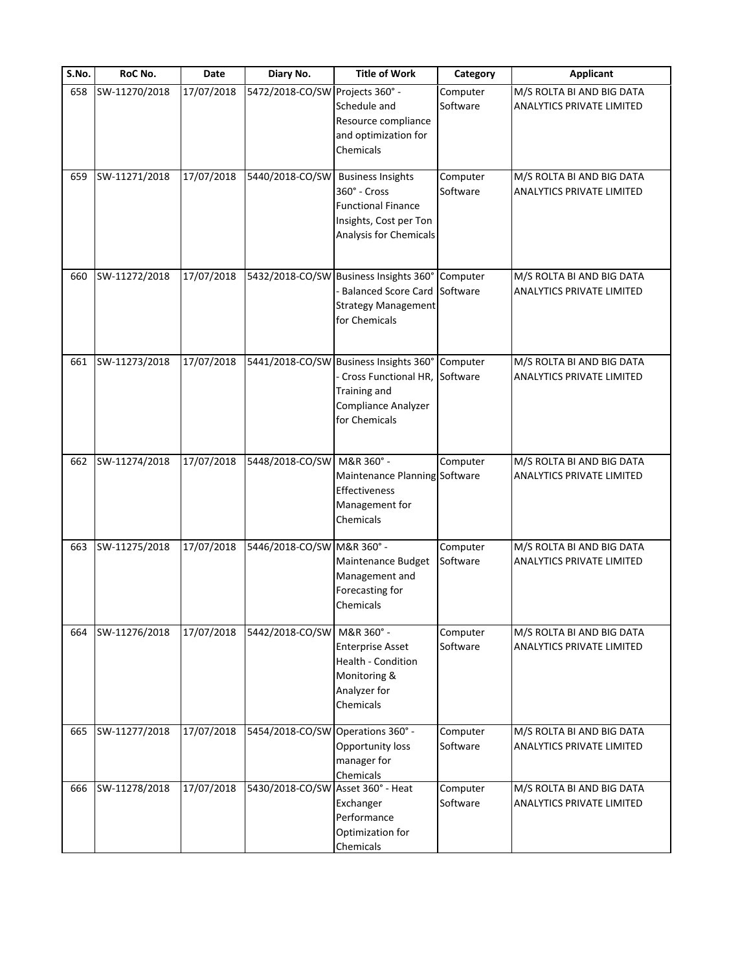| S.No. | RoC No.       | Date       | Diary No.                         | <b>Title of Work</b>                                                                                                         | Category             | <b>Applicant</b>                                              |
|-------|---------------|------------|-----------------------------------|------------------------------------------------------------------------------------------------------------------------------|----------------------|---------------------------------------------------------------|
| 658   | SW-11270/2018 | 17/07/2018 | 5472/2018-CO/SW                   | Projects 360° -<br>Schedule and<br>Resource compliance<br>and optimization for<br>Chemicals                                  | Computer<br>Software | M/S ROLTA BI AND BIG DATA<br><b>ANALYTICS PRIVATE LIMITED</b> |
| 659   | SW-11271/2018 | 17/07/2018 | 5440/2018-CO/SW                   | <b>Business Insights</b><br>360° - Cross<br><b>Functional Finance</b><br>Insights, Cost per Ton<br>Analysis for Chemicals    | Computer<br>Software | M/S ROLTA BI AND BIG DATA<br><b>ANALYTICS PRIVATE LIMITED</b> |
| 660   | SW-11272/2018 | 17/07/2018 |                                   | 5432/2018-CO/SW Business Insights 360° Computer<br><b>Balanced Score Card</b><br><b>Strategy Management</b><br>for Chemicals | Software             | M/S ROLTA BI AND BIG DATA<br><b>ANALYTICS PRIVATE LIMITED</b> |
| 661   | SW-11273/2018 | 17/07/2018 |                                   | 5441/2018-CO/SW Business Insights 360°<br>Cross Functional HR,<br>Training and<br>Compliance Analyzer<br>for Chemicals       | Computer<br>Software | M/S ROLTA BI AND BIG DATA<br><b>ANALYTICS PRIVATE LIMITED</b> |
| 662   | SW-11274/2018 | 17/07/2018 | 5448/2018-CO/SW                   | M&R 360° -<br>Maintenance Planning Software<br>Effectiveness<br>Management for<br>Chemicals                                  | Computer             | M/S ROLTA BI AND BIG DATA<br>ANALYTICS PRIVATE LIMITED        |
| 663   | SW-11275/2018 | 17/07/2018 | 5446/2018-CO/SW M&R 360° -        | Maintenance Budget<br>Management and<br>Forecasting for<br>Chemicals                                                         | Computer<br>Software | M/S ROLTA BI AND BIG DATA<br><b>ANALYTICS PRIVATE LIMITED</b> |
| 664   | SW-11276/2018 | 17/07/2018 | 5442/2018-CO/SW                   | M&R 360° -<br><b>Enterprise Asset</b><br>Health - Condition<br>Monitoring &<br>Analyzer for<br>Chemicals                     | Computer<br>Software | M/S ROLTA BI AND BIG DATA<br>ANALYTICS PRIVATE LIMITED        |
| 665   | SW-11277/2018 | 17/07/2018 | 5454/2018-CO/SW Operations 360° - | Opportunity loss<br>manager for<br>Chemicals                                                                                 | Computer<br>Software | M/S ROLTA BI AND BIG DATA<br><b>ANALYTICS PRIVATE LIMITED</b> |
| 666   | SW-11278/2018 | 17/07/2018 | 5430/2018-CO/SW Asset 360° - Heat | Exchanger<br>Performance<br>Optimization for<br><b>Chemicals</b>                                                             | Computer<br>Software | M/S ROLTA BI AND BIG DATA<br><b>ANALYTICS PRIVATE LIMITED</b> |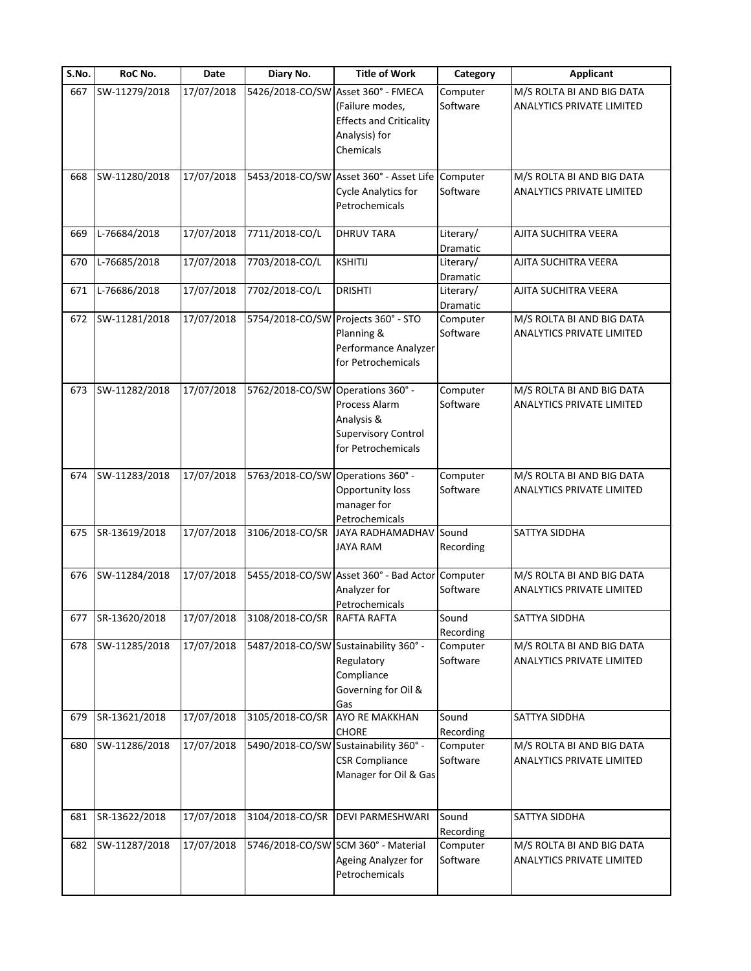| S.No. | RoC No.       | Date                 | Diary No.                         | <b>Title of Work</b>                                                                                  | Category              | <b>Applicant</b>                                              |
|-------|---------------|----------------------|-----------------------------------|-------------------------------------------------------------------------------------------------------|-----------------------|---------------------------------------------------------------|
| 667   | SW-11279/2018 | 17/07/2018           | 5426/2018-CO/SW                   | Asset 360° - FMECA<br>(Failure modes,<br><b>Effects and Criticality</b><br>Analysis) for<br>Chemicals | Computer<br>Software  | M/S ROLTA BI AND BIG DATA<br>ANALYTICS PRIVATE LIMITED        |
| 668   | SW-11280/2018 | 17/07/2018           |                                   | 5453/2018-CO/SW Asset 360° - Asset Life<br><b>Cycle Analytics for</b><br>Petrochemicals               | Computer<br>Software  | M/S ROLTA BI AND BIG DATA<br>ANALYTICS PRIVATE LIMITED        |
| 669   | L-76684/2018  | 17/07/2018           | 7711/2018-CO/L                    | <b>DHRUV TARA</b>                                                                                     | Literary/<br>Dramatic | AJITA SUCHITRA VEERA                                          |
| 670   | L-76685/2018  | 17/07/2018           | 7703/2018-CO/L                    | <b>KSHITIJ</b>                                                                                        | Literary/<br>Dramatic | AJITA SUCHITRA VEERA                                          |
| 671   | L-76686/2018  | 17/07/2018           | 7702/2018-CO/L                    | <b>DRISHTI</b>                                                                                        | Literary/<br>Dramatic | AJITA SUCHITRA VEERA                                          |
| 672   | SW-11281/2018 | 17/07/2018           |                                   | 5754/2018-CO/SW Projects 360° - STO<br>Planning &<br>Performance Analyzer<br>for Petrochemicals       | Computer<br>Software  | M/S ROLTA BI AND BIG DATA<br><b>ANALYTICS PRIVATE LIMITED</b> |
| 673   | SW-11282/2018 | 17/07/2018           | 5762/2018-CO/SW Operations 360° - | Process Alarm<br>Analysis &<br><b>Supervisory Control</b><br>for Petrochemicals                       | Computer<br>Software  | M/S ROLTA BI AND BIG DATA<br>ANALYTICS PRIVATE LIMITED        |
| 674   | SW-11283/2018 | 17/07/2018           | 5763/2018-CO/SW Operations 360° - | Opportunity loss<br>manager for<br>Petrochemicals                                                     | Computer<br>Software  | M/S ROLTA BI AND BIG DATA<br><b>ANALYTICS PRIVATE LIMITED</b> |
| 675   | SR-13619/2018 | 17/07/2018           | 3106/2018-CO/SR                   | <b>JAYA RADHAMADHAV</b><br><b>JAYA RAM</b>                                                            | Sound<br>Recording    | SATTYA SIDDHA                                                 |
| 676   | SW-11284/2018 | 17/07/2018           |                                   | 5455/2018-CO/SW Asset 360° - Bad Actor<br>Analyzer for<br>Petrochemicals                              | Computer<br>Software  | M/S ROLTA BI AND BIG DATA<br><b>ANALYTICS PRIVATE LIMITED</b> |
| 677   | SR-13620/2018 | $\frac{17}{07/2018}$ | 3108/2018-CO/SR RAFTA RAFTA       |                                                                                                       | Sound<br>Recording    | SATTYA SIDDHA                                                 |
| 678   | SW-11285/2018 | 17/07/2018           |                                   | 5487/2018-CO/SW Sustainability 360° -<br>Regulatory<br>Compliance<br>Governing for Oil &<br>Gas       | Computer<br>Software  | M/S ROLTA BI AND BIG DATA<br>ANALYTICS PRIVATE LIMITED        |
| 679   | SR-13621/2018 | 17/07/2018           | 3105/2018-CO/SR                   | AYO RE MAKKHAN<br><b>CHORE</b>                                                                        | Sound<br>Recording    | SATTYA SIDDHA                                                 |
| 680   | SW-11286/2018 | 17/07/2018           |                                   | 5490/2018-CO/SW Sustainability 360° -<br><b>CSR Compliance</b><br>Manager for Oil & Gas               | Computer<br>Software  | M/S ROLTA BI AND BIG DATA<br><b>ANALYTICS PRIVATE LIMITED</b> |
| 681   | SR-13622/2018 | 17/07/2018           | 3104/2018-CO/SR                   | <b>DEVI PARMESHWARI</b>                                                                               | Sound<br>Recording    | SATTYA SIDDHA                                                 |
| 682   | SW-11287/2018 | 17/07/2018           |                                   | 5746/2018-CO/SW SCM 360° - Material<br>Ageing Analyzer for<br>Petrochemicals                          | Computer<br>Software  | M/S ROLTA BI AND BIG DATA<br>ANALYTICS PRIVATE LIMITED        |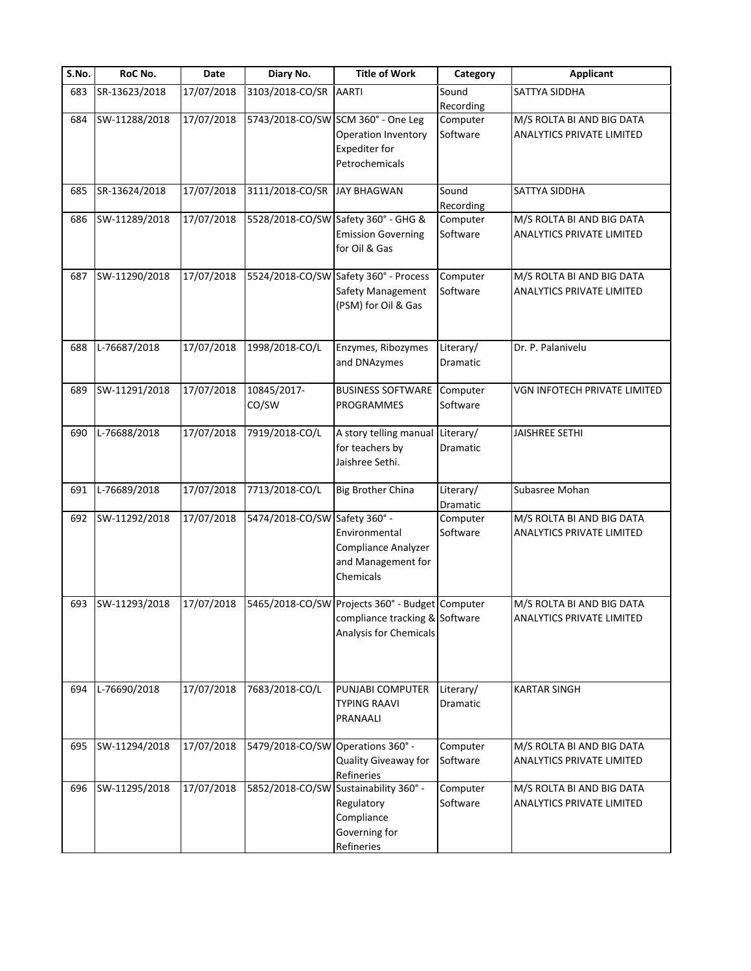| S.No. | RoC No.       | <b>Date</b> | Diary No.                         | <b>Title of Work</b>                            | Category             | <b>Applicant</b>                 |
|-------|---------------|-------------|-----------------------------------|-------------------------------------------------|----------------------|----------------------------------|
| 683   | SR-13623/2018 | 17/07/2018  | 3103/2018-CO/SR                   | <b>AARTI</b>                                    | Sound                | SATTYA SIDDHA                    |
|       |               |             |                                   |                                                 | Recording            |                                  |
| 684   | SW-11288/2018 | 17/07/2018  |                                   | 5743/2018-CO/SW SCM 360° - One Leg              | Computer             | M/S ROLTA BI AND BIG DATA        |
|       |               |             |                                   | Operation Inventory                             | Software             | ANALYTICS PRIVATE LIMITED        |
|       |               |             |                                   | <b>Expediter for</b>                            |                      |                                  |
|       |               |             |                                   | Petrochemicals                                  |                      |                                  |
|       |               |             |                                   |                                                 |                      |                                  |
| 685   | SR-13624/2018 | 17/07/2018  | 3111/2018-CO/SR                   | <b>JAY BHAGWAN</b>                              | Sound                | SATTYA SIDDHA                    |
|       |               |             |                                   |                                                 | Recording            |                                  |
| 686   | SW-11289/2018 | 17/07/2018  |                                   | 5528/2018-CO/SW Safety 360° - GHG &             | Computer<br>Software | M/S ROLTA BI AND BIG DATA        |
|       |               |             |                                   | <b>Emission Governing</b>                       |                      | ANALYTICS PRIVATE LIMITED        |
|       |               |             |                                   | for Oil & Gas                                   |                      |                                  |
| 687   | SW-11290/2018 | 17/07/2018  |                                   | 5524/2018-CO/SW Safety 360° - Process           | Computer             | M/S ROLTA BI AND BIG DATA        |
|       |               |             |                                   | Safety Management                               | Software             | ANALYTICS PRIVATE LIMITED        |
|       |               |             |                                   | (PSM) for Oil & Gas                             |                      |                                  |
|       |               |             |                                   |                                                 |                      |                                  |
|       |               |             |                                   |                                                 |                      |                                  |
| 688   | L-76687/2018  | 17/07/2018  | 1998/2018-CO/L                    | Enzymes, Ribozymes                              | Literary/            | Dr. P. Palanivelu                |
|       |               |             |                                   | and DNAzymes                                    | Dramatic             |                                  |
|       |               |             |                                   |                                                 |                      |                                  |
| 689   | SW-11291/2018 | 17/07/2018  | 10845/2017-                       | <b>BUSINESS SOFTWARE</b>                        | Computer             | VGN INFOTECH PRIVATE LIMITED     |
|       |               |             | CO/SW                             | <b>PROGRAMMES</b>                               | Software             |                                  |
|       |               |             |                                   |                                                 |                      |                                  |
| 690   | L-76688/2018  | 17/07/2018  | 7919/2018-CO/L                    | A story telling manual                          | Literary/            | JAISHREE SETHI                   |
|       |               |             |                                   | for teachers by                                 | Dramatic             |                                  |
|       |               |             |                                   | Jaishree Sethi.                                 |                      |                                  |
|       |               |             |                                   |                                                 |                      |                                  |
| 691   | L-76689/2018  | 17/07/2018  | 7713/2018-CO/L                    | <b>Big Brother China</b>                        | Literary/            | Subasree Mohan                   |
|       |               |             |                                   |                                                 | Dramatic             |                                  |
| 692   | SW-11292/2018 | 17/07/2018  | 5474/2018-CO/SW Safety 360° -     |                                                 | Computer             | M/S ROLTA BI AND BIG DATA        |
|       |               |             |                                   | Environmental                                   | Software             | ANALYTICS PRIVATE LIMITED        |
|       |               |             |                                   | Compliance Analyzer                             |                      |                                  |
|       |               |             |                                   | and Management for                              |                      |                                  |
|       |               |             |                                   | Chemicals                                       |                      |                                  |
|       |               |             |                                   |                                                 |                      |                                  |
| 693   | SW-11293/2018 | 17/07/2018  |                                   | 5465/2018-CO/SW Projects 360° - Budget Computer |                      | M/S ROLTA BI AND BIG DATA        |
|       |               |             |                                   | compliance tracking & Software                  |                      | <b>ANALYTICS PRIVATE LIMITED</b> |
|       |               |             |                                   | Analysis for Chemicals                          |                      |                                  |
|       |               |             |                                   |                                                 |                      |                                  |
|       |               |             |                                   |                                                 |                      |                                  |
|       |               |             |                                   |                                                 |                      |                                  |
| 694   | L-76690/2018  | 17/07/2018  | 7683/2018-CO/L                    | PUNJABI COMPUTER                                | Literary/            | <b>KARTAR SINGH</b>              |
|       |               |             |                                   | <b>TYPING RAAVI</b>                             | Dramatic             |                                  |
|       |               |             |                                   | PRANAALI                                        |                      |                                  |
| 695   | SW-11294/2018 | 17/07/2018  | 5479/2018-CO/SW Operations 360° - |                                                 | Computer             | M/S ROLTA BI AND BIG DATA        |
|       |               |             |                                   |                                                 | Software             |                                  |
|       |               |             |                                   | Quality Giveaway for<br>Refineries              |                      | ANALYTICS PRIVATE LIMITED        |
| 696   | SW-11295/2018 | 17/07/2018  |                                   | 5852/2018-CO/SW Sustainability 360° -           | Computer             | M/S ROLTA BI AND BIG DATA        |
|       |               |             |                                   |                                                 | Software             | ANALYTICS PRIVATE LIMITED        |
|       |               |             |                                   | Regulatory<br>Compliance                        |                      |                                  |
|       |               |             |                                   | Governing for                                   |                      |                                  |
|       |               |             |                                   |                                                 |                      |                                  |
|       |               |             |                                   | Refineries                                      |                      |                                  |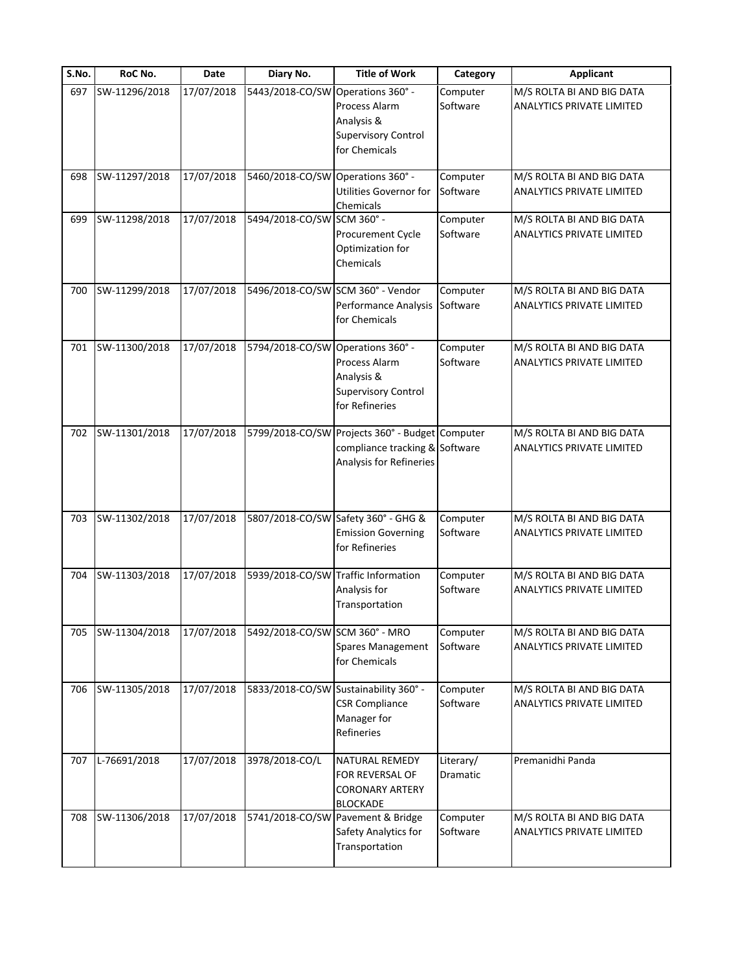| S.No. | RoC No.       | Date       | Diary No.                         | <b>Title of Work</b>                                                                                         | Category              | <b>Applicant</b>                                              |
|-------|---------------|------------|-----------------------------------|--------------------------------------------------------------------------------------------------------------|-----------------------|---------------------------------------------------------------|
| 697   | SW-11296/2018 | 17/07/2018 | 5443/2018-CO/SW Operations 360° - | Process Alarm<br>Analysis &<br><b>Supervisory Control</b><br>for Chemicals                                   | Computer<br>Software  | M/S ROLTA BI AND BIG DATA<br>ANALYTICS PRIVATE LIMITED        |
| 698   | SW-11297/2018 | 17/07/2018 | 5460/2018-CO/SW Operations 360° - | Utilities Governor for<br>Chemicals                                                                          | Computer<br>Software  | M/S ROLTA BI AND BIG DATA<br>ANALYTICS PRIVATE LIMITED        |
| 699   | SW-11298/2018 | 17/07/2018 | 5494/2018-CO/SW SCM 360° -        | Procurement Cycle<br>Optimization for<br>Chemicals                                                           | Computer<br>Software  | M/S ROLTA BI AND BIG DATA<br><b>ANALYTICS PRIVATE LIMITED</b> |
| 700   | SW-11299/2018 | 17/07/2018 |                                   | 5496/2018-CO/SW SCM 360° - Vendor<br>Performance Analysis<br>for Chemicals                                   | Computer<br>Software  | M/S ROLTA BI AND BIG DATA<br><b>ANALYTICS PRIVATE LIMITED</b> |
| 701   | SW-11300/2018 | 17/07/2018 | 5794/2018-CO/SW Operations 360° - | Process Alarm<br>Analysis &<br><b>Supervisory Control</b><br>for Refineries                                  | Computer<br>Software  | M/S ROLTA BI AND BIG DATA<br><b>ANALYTICS PRIVATE LIMITED</b> |
| 702   | SW-11301/2018 | 17/07/2018 |                                   | 5799/2018-CO/SW Projects 360° - Budget Computer<br>compliance tracking & Software<br>Analysis for Refineries |                       | M/S ROLTA BI AND BIG DATA<br>ANALYTICS PRIVATE LIMITED        |
| 703   | SW-11302/2018 | 17/07/2018 |                                   | 5807/2018-CO/SW Safety 360° - GHG &<br><b>Emission Governing</b><br>for Refineries                           | Computer<br>Software  | M/S ROLTA BI AND BIG DATA<br><b>ANALYTICS PRIVATE LIMITED</b> |
| 704   | SW-11303/2018 | 17/07/2018 |                                   | 5939/2018-CO/SW Traffic Information<br>Analysis for<br>Transportation                                        | Computer<br>Software  | M/S ROLTA BI AND BIG DATA<br><b>ANALYTICS PRIVATE LIMITED</b> |
| 705   | SW-11304/2018 | 17/07/2018 | 5492/2018-CO/SW SCM 360° - MRO    | Spares Management<br>for Chemicals                                                                           | Computer<br>Software  | M/S ROLTA BI AND BIG DATA<br>ANALYTICS PRIVATE LIMITED        |
| 706   | SW-11305/2018 | 17/07/2018 |                                   | 5833/2018-CO/SW Sustainability 360° -<br><b>CSR Compliance</b><br>Manager for<br>Refineries                  | Computer<br>Software  | M/S ROLTA BI AND BIG DATA<br><b>ANALYTICS PRIVATE LIMITED</b> |
| 707   | L-76691/2018  | 17/07/2018 | 3978/2018-CO/L                    | NATURAL REMEDY<br>FOR REVERSAL OF<br><b>CORONARY ARTERY</b><br><b>BLOCKADE</b>                               | Literary/<br>Dramatic | Premanidhi Panda                                              |
| 708   | SW-11306/2018 | 17/07/2018 |                                   | 5741/2018-CO/SW Pavement & Bridge<br>Safety Analytics for<br>Transportation                                  | Computer<br>Software  | M/S ROLTA BI AND BIG DATA<br><b>ANALYTICS PRIVATE LIMITED</b> |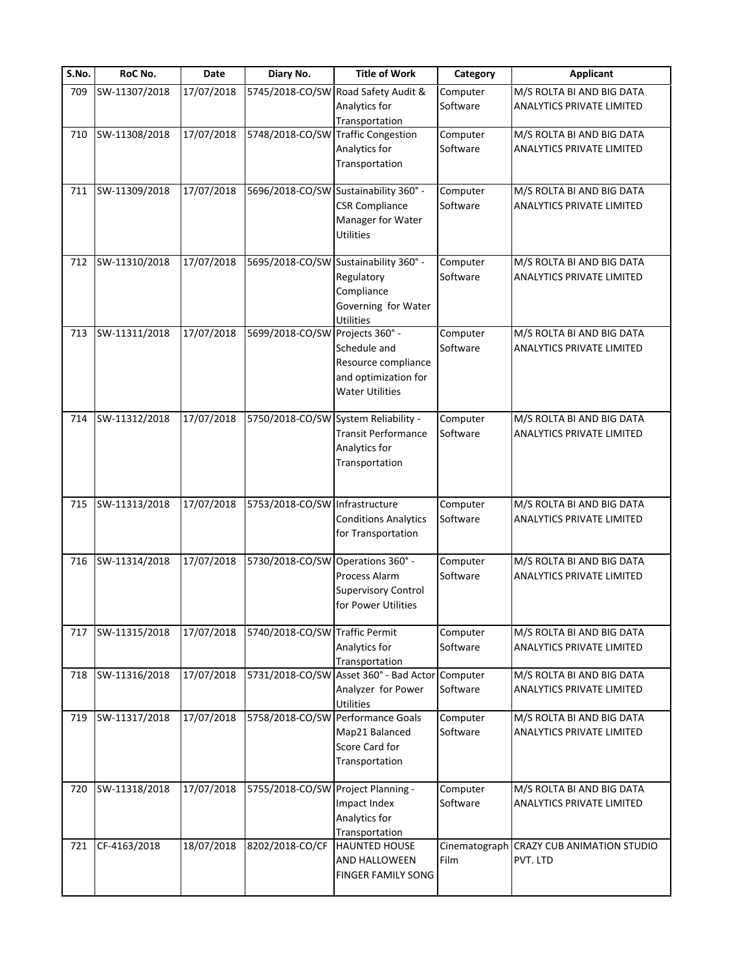| S.No. | RoC No.       | Date       | Diary No.                         | <b>Title of Work</b>                                                                                    | Category             | <b>Applicant</b>                                              |
|-------|---------------|------------|-----------------------------------|---------------------------------------------------------------------------------------------------------|----------------------|---------------------------------------------------------------|
| 709   | SW-11307/2018 | 17/07/2018 | 5745/2018-CO/SW                   | Road Safety Audit &<br>Analytics for<br>Transportation                                                  | Computer<br>Software | M/S ROLTA BI AND BIG DATA<br>ANALYTICS PRIVATE LIMITED        |
| 710   | SW-11308/2018 | 17/07/2018 | 5748/2018-CO/SW                   | <b>Traffic Congestion</b><br>Analytics for<br>Transportation                                            | Computer<br>Software | M/S ROLTA BI AND BIG DATA<br>ANALYTICS PRIVATE LIMITED        |
| 711   | SW-11309/2018 | 17/07/2018 |                                   | 5696/2018-CO/SW Sustainability 360° -<br><b>CSR Compliance</b><br>Manager for Water<br><b>Utilities</b> | Computer<br>Software | M/S ROLTA BI AND BIG DATA<br>ANALYTICS PRIVATE LIMITED        |
| 712   | SW-11310/2018 | 17/07/2018 |                                   | 5695/2018-CO/SW Sustainability 360° -<br>Regulatory<br>Compliance<br>Governing for Water<br>Utilities   | Computer<br>Software | M/S ROLTA BI AND BIG DATA<br>ANALYTICS PRIVATE LIMITED        |
| 713   | SW-11311/2018 | 17/07/2018 | 5699/2018-CO/SW Projects 360° -   | Schedule and<br>Resource compliance<br>and optimization for<br><b>Water Utilities</b>                   | Computer<br>Software | M/S ROLTA BI AND BIG DATA<br>ANALYTICS PRIVATE LIMITED        |
| 714   | SW-11312/2018 | 17/07/2018 |                                   | 5750/2018-CO/SW System Reliability -<br><b>Transit Performance</b><br>Analytics for<br>Transportation   | Computer<br>Software | M/S ROLTA BI AND BIG DATA<br>ANALYTICS PRIVATE LIMITED        |
| 715   | SW-11313/2018 | 17/07/2018 | 5753/2018-CO/SW Infrastructure    | <b>Conditions Analytics</b><br>for Transportation                                                       | Computer<br>Software | M/S ROLTA BI AND BIG DATA<br>ANALYTICS PRIVATE LIMITED        |
| 716   | SW-11314/2018 | 17/07/2018 | 5730/2018-CO/SW Operations 360° - | Process Alarm<br><b>Supervisory Control</b><br>for Power Utilities                                      | Computer<br>Software | M/S ROLTA BI AND BIG DATA<br>ANALYTICS PRIVATE LIMITED        |
| 717   | SW-11315/2018 | 17/07/2018 | 5740/2018-CO/SW Traffic Permit    | Analytics for<br>Transportation                                                                         | Computer<br>Software | M/S ROLTA BI AND BIG DATA<br>ANALYTICS PRIVATE LIMITED        |
| 718   | SW-11316/2018 | 17/07/2018 |                                   | 5731/2018-CO/SW Asset 360° - Bad Actor Computer<br>Analyzer for Power<br>Utilities                      | Software             | M/S ROLTA BI AND BIG DATA<br><b>ANALYTICS PRIVATE LIMITED</b> |
| 719   | SW-11317/2018 | 17/07/2018 |                                   | 5758/2018-CO/SW Performance Goals<br>Map21 Balanced<br>Score Card for<br>Transportation                 | Computer<br>Software | M/S ROLTA BI AND BIG DATA<br>ANALYTICS PRIVATE LIMITED        |
| 720   | SW-11318/2018 | 17/07/2018 | 5755/2018-CO/SW                   | Project Planning -<br>Impact Index<br>Analytics for<br>Transportation                                   | Computer<br>Software | M/S ROLTA BI AND BIG DATA<br>ANALYTICS PRIVATE LIMITED        |
| 721   | CF-4163/2018  | 18/07/2018 | 8202/2018-CO/CF                   | <b>HAUNTED HOUSE</b><br>AND HALLOWEEN<br>FINGER FAMILY SONG                                             | Film                 | Cinematograph CRAZY CUB ANIMATION STUDIO<br>PVT. LTD          |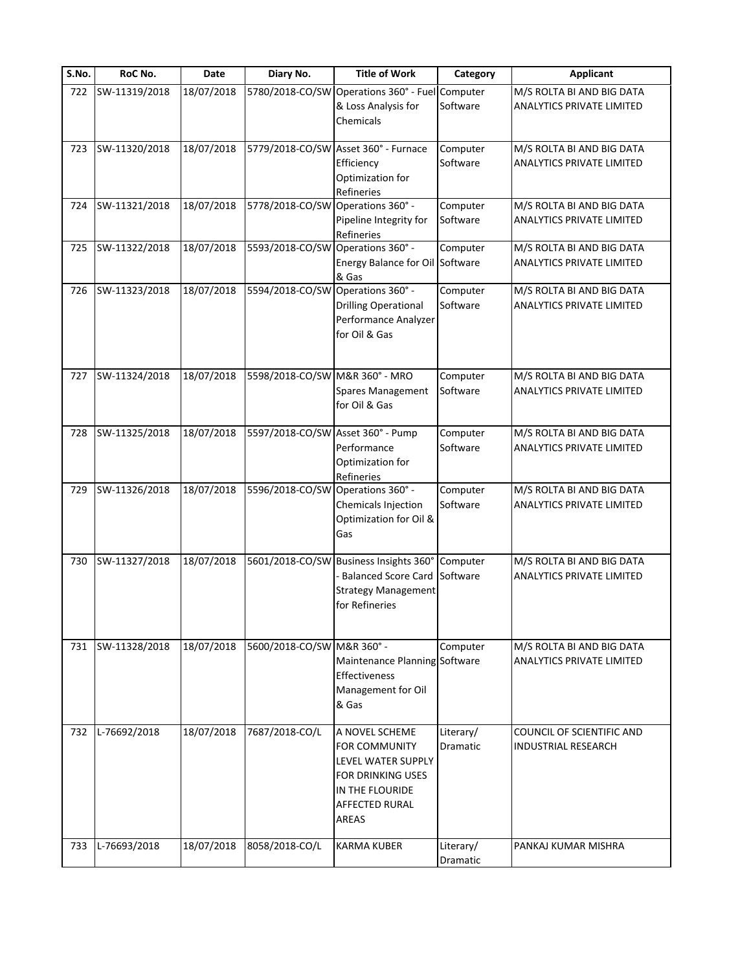| S.No. | RoC No.       | Date       | Diary No.                         | <b>Title of Work</b>                                                                                                                          | Category              | <b>Applicant</b>                                              |
|-------|---------------|------------|-----------------------------------|-----------------------------------------------------------------------------------------------------------------------------------------------|-----------------------|---------------------------------------------------------------|
| 722   | SW-11319/2018 | 18/07/2018 |                                   | 5780/2018-CO/SW Operations 360° - Fuel<br>& Loss Analysis for<br>Chemicals                                                                    | Computer<br>Software  | M/S ROLTA BI AND BIG DATA<br>ANALYTICS PRIVATE LIMITED        |
| 723   | SW-11320/2018 | 18/07/2018 |                                   | 5779/2018-CO/SW Asset 360° - Furnace<br>Efficiency<br>Optimization for<br>Refineries                                                          | Computer<br>Software  | M/S ROLTA BI AND BIG DATA<br><b>ANALYTICS PRIVATE LIMITED</b> |
| 724   | SW-11321/2018 | 18/07/2018 | 5778/2018-CO/SW Operations 360° - | Pipeline Integrity for<br>Refineries                                                                                                          | Computer<br>Software  | M/S ROLTA BI AND BIG DATA<br>ANALYTICS PRIVATE LIMITED        |
| 725   | SW-11322/2018 | 18/07/2018 | 5593/2018-CO/SW Operations 360° - | Energy Balance for Oil Software<br>& Gas                                                                                                      | Computer              | M/S ROLTA BI AND BIG DATA<br>ANALYTICS PRIVATE LIMITED        |
| 726   | SW-11323/2018 | 18/07/2018 | 5594/2018-CO/SW Operations 360° - | <b>Drilling Operational</b><br>Performance Analyzer<br>for Oil & Gas                                                                          | Computer<br>Software  | M/S ROLTA BI AND BIG DATA<br><b>ANALYTICS PRIVATE LIMITED</b> |
| 727   | SW-11324/2018 | 18/07/2018 | 5598/2018-CO/SW                   | M&R 360° - MRO<br>Spares Management<br>for Oil & Gas                                                                                          | Computer<br>Software  | M/S ROLTA BI AND BIG DATA<br><b>ANALYTICS PRIVATE LIMITED</b> |
| 728   | SW-11325/2018 | 18/07/2018 | 5597/2018-CO/SW Asset 360° - Pump | Performance<br>Optimization for<br>Refineries                                                                                                 | Computer<br>Software  | M/S ROLTA BI AND BIG DATA<br>ANALYTICS PRIVATE LIMITED        |
| 729   | SW-11326/2018 | 18/07/2018 | 5596/2018-CO/SW Operations 360° - | Chemicals Injection<br>Optimization for Oil &<br>Gas                                                                                          | Computer<br>Software  | M/S ROLTA BI AND BIG DATA<br><b>ANALYTICS PRIVATE LIMITED</b> |
| 730   | SW-11327/2018 | 18/07/2018 |                                   | 5601/2018-CO/SW Business Insights 360°<br><b>Balanced Score Card</b><br><b>Strategy Management</b><br>for Refineries                          | Computer<br>Software  | M/S ROLTA BI AND BIG DATA<br><b>ANALYTICS PRIVATE LIMITED</b> |
| 731   | SW-11328/2018 | 18/07/2018 | 5600/2018-CO/SW M&R 360° -        | Maintenance Planning Software<br>Effectiveness<br>Management for Oil<br>& Gas                                                                 | Computer              | M/S ROLTA BI AND BIG DATA<br><b>ANALYTICS PRIVATE LIMITED</b> |
| 732   | L-76692/2018  | 18/07/2018 | 7687/2018-CO/L                    | A NOVEL SCHEME<br><b>FOR COMMUNITY</b><br>LEVEL WATER SUPPLY<br><b>FOR DRINKING USES</b><br>IN THE FLOURIDE<br><b>AFFECTED RURAL</b><br>AREAS | Literary/<br>Dramatic | COUNCIL OF SCIENTIFIC AND<br><b>INDUSTRIAL RESEARCH</b>       |
| 733   | L-76693/2018  | 18/07/2018 | 8058/2018-CO/L                    | <b>KARMA KUBER</b>                                                                                                                            | Literary/<br>Dramatic | PANKAJ KUMAR MISHRA                                           |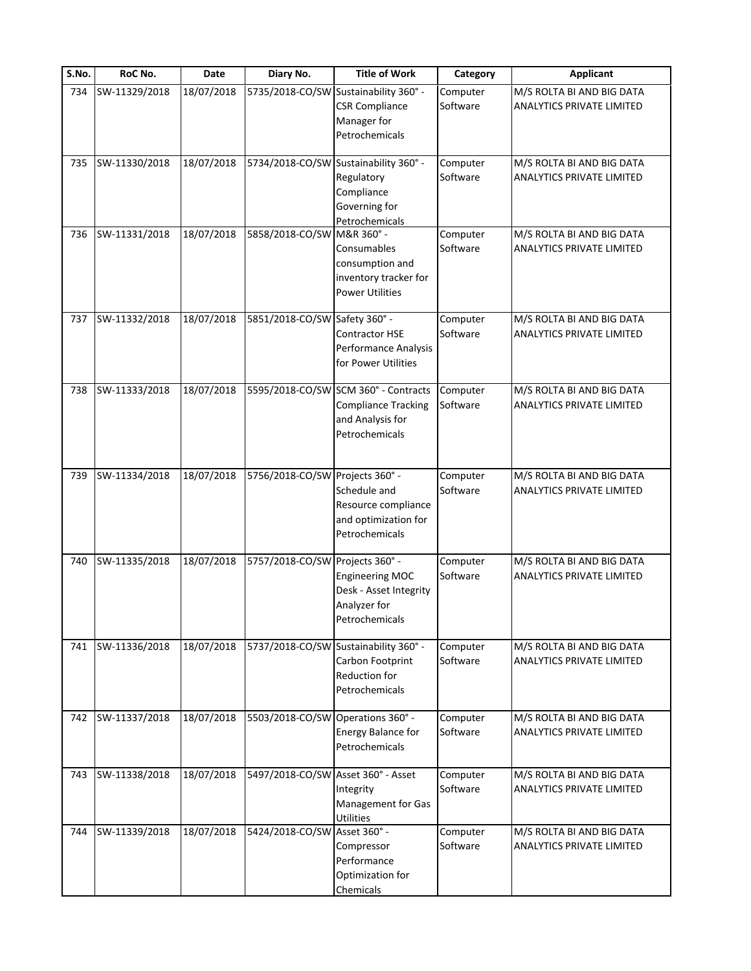| S.No. | RoC No.       | Date       | Diary No.                          | <b>Title of Work</b>                                                                                     | Category             | <b>Applicant</b>                                              |
|-------|---------------|------------|------------------------------------|----------------------------------------------------------------------------------------------------------|----------------------|---------------------------------------------------------------|
| 734   | SW-11329/2018 | 18/07/2018 | 5735/2018-CO/SW                    | Sustainability 360° -<br><b>CSR Compliance</b><br>Manager for<br>Petrochemicals                          | Computer<br>Software | M/S ROLTA BI AND BIG DATA<br>ANALYTICS PRIVATE LIMITED        |
| 735   | SW-11330/2018 | 18/07/2018 |                                    | 5734/2018-CO/SW Sustainability 360° -<br>Regulatory<br>Compliance<br>Governing for<br>Petrochemicals     | Computer<br>Software | M/S ROLTA BI AND BIG DATA<br><b>ANALYTICS PRIVATE LIMITED</b> |
| 736   | SW-11331/2018 | 18/07/2018 | 5858/2018-CO/SW M&R 360° -         | Consumables<br>consumption and<br>inventory tracker for<br><b>Power Utilities</b>                        | Computer<br>Software | M/S ROLTA BI AND BIG DATA<br>ANALYTICS PRIVATE LIMITED        |
| 737   | SW-11332/2018 | 18/07/2018 | 5851/2018-CO/SW Safety 360° -      | Contractor HSE<br>Performance Analysis<br>for Power Utilities                                            | Computer<br>Software | M/S ROLTA BI AND BIG DATA<br>ANALYTICS PRIVATE LIMITED        |
| 738   | SW-11333/2018 | 18/07/2018 |                                    | 5595/2018-CO/SW SCM 360° - Contracts<br><b>Compliance Tracking</b><br>and Analysis for<br>Petrochemicals | Computer<br>Software | M/S ROLTA BI AND BIG DATA<br>ANALYTICS PRIVATE LIMITED        |
| 739   | SW-11334/2018 | 18/07/2018 | 5756/2018-CO/SW                    | Projects 360° -<br>Schedule and<br>Resource compliance<br>and optimization for<br>Petrochemicals         | Computer<br>Software | M/S ROLTA BI AND BIG DATA<br><b>ANALYTICS PRIVATE LIMITED</b> |
| 740   | SW-11335/2018 | 18/07/2018 | 5757/2018-CO/SW                    | Projects 360° -<br><b>Engineering MOC</b><br>Desk - Asset Integrity<br>Analyzer for<br>Petrochemicals    | Computer<br>Software | M/S ROLTA BI AND BIG DATA<br><b>ANALYTICS PRIVATE LIMITED</b> |
| 741   | SW-11336/2018 | 18/07/2018 |                                    | 5737/2018-CO/SW Sustainability 360° -<br>Carbon Footprint<br>Reduction for<br>Petrochemicals             | Computer<br>Software | M/S ROLTA BI AND BIG DATA<br>ANALYTICS PRIVATE LIMITED        |
| 742   | SW-11337/2018 | 18/07/2018 | 5503/2018-CO/SW Operations 360° -  | Energy Balance for<br>Petrochemicals                                                                     | Computer<br>Software | M/S ROLTA BI AND BIG DATA<br><b>ANALYTICS PRIVATE LIMITED</b> |
| 743   | SW-11338/2018 | 18/07/2018 | 5497/2018-CO/SW Asset 360° - Asset | Integrity<br>Management for Gas<br>Utilities                                                             | Computer<br>Software | M/S ROLTA BI AND BIG DATA<br><b>ANALYTICS PRIVATE LIMITED</b> |
| 744   | SW-11339/2018 | 18/07/2018 | 5424/2018-CO/SW Asset 360° -       | Compressor<br>Performance<br>Optimization for<br>Chemicals                                               | Computer<br>Software | M/S ROLTA BI AND BIG DATA<br>ANALYTICS PRIVATE LIMITED        |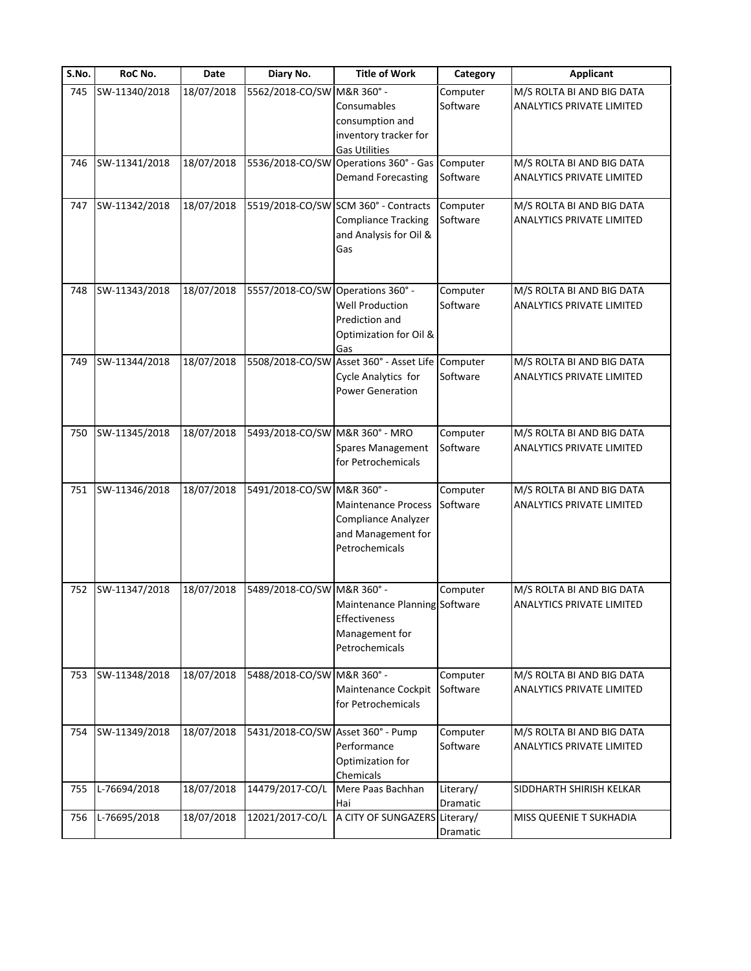| S.No. | RoC No.       | Date       | Diary No.                         | <b>Title of Work</b>                                                                                | Category              | <b>Applicant</b>                                              |
|-------|---------------|------------|-----------------------------------|-----------------------------------------------------------------------------------------------------|-----------------------|---------------------------------------------------------------|
| 745   | SW-11340/2018 | 18/07/2018 | 5562/2018-CO/SW M&R 360° -        | Consumables<br>consumption and<br>inventory tracker for                                             | Computer<br>Software  | M/S ROLTA BI AND BIG DATA<br><b>ANALYTICS PRIVATE LIMITED</b> |
| 746   | SW-11341/2018 | 18/07/2018 | 5536/2018-CO/SW                   | <b>Gas Utilities</b><br>Operations 360° - Gas<br><b>Demand Forecasting</b>                          | Computer<br>Software  | M/S ROLTA BI AND BIG DATA<br><b>ANALYTICS PRIVATE LIMITED</b> |
| 747   | SW-11342/2018 | 18/07/2018 |                                   | 5519/2018-CO/SW SCM 360° - Contracts<br><b>Compliance Tracking</b><br>and Analysis for Oil &<br>Gas | Computer<br>Software  | M/S ROLTA BI AND BIG DATA<br><b>ANALYTICS PRIVATE LIMITED</b> |
| 748   | SW-11343/2018 | 18/07/2018 | 5557/2018-CO/SW Operations 360° - | <b>Well Production</b><br>Prediction and<br>Optimization for Oil &<br>Gas                           | Computer<br>Software  | M/S ROLTA BI AND BIG DATA<br><b>ANALYTICS PRIVATE LIMITED</b> |
| 749   | SW-11344/2018 | 18/07/2018 |                                   | 5508/2018-CO/SW Asset 360° - Asset Life<br>Cycle Analytics for<br><b>Power Generation</b>           | Computer<br>Software  | M/S ROLTA BI AND BIG DATA<br><b>ANALYTICS PRIVATE LIMITED</b> |
| 750   | SW-11345/2018 | 18/07/2018 | 5493/2018-CO/SW M&R 360° - MRO    | Spares Management<br>for Petrochemicals                                                             | Computer<br>Software  | M/S ROLTA BI AND BIG DATA<br><b>ANALYTICS PRIVATE LIMITED</b> |
| 751   | SW-11346/2018 | 18/07/2018 | 5491/2018-CO/SW M&R 360° -        | <b>Maintenance Process</b><br>Compliance Analyzer<br>and Management for<br>Petrochemicals           | Computer<br>Software  | M/S ROLTA BI AND BIG DATA<br>ANALYTICS PRIVATE LIMITED        |
| 752   | SW-11347/2018 | 18/07/2018 | 5489/2018-CO/SW M&R 360° -        | Maintenance Planning Software<br>Effectiveness<br>Management for<br>Petrochemicals                  | Computer              | M/S ROLTA BI AND BIG DATA<br><b>ANALYTICS PRIVATE LIMITED</b> |
| 753   | SW-11348/2018 | 18/07/2018 | 5488/2018-CO/SW M&R 360° -        | Maintenance Cockpit<br>for Petrochemicals                                                           | Computer<br>Software  | M/S ROLTA BI AND BIG DATA<br>ANALYTICS PRIVATE LIMITED        |
| 754   | SW-11349/2018 | 18/07/2018 | 5431/2018-CO/SW Asset 360° - Pump | Performance<br>Optimization for<br>Chemicals                                                        | Computer<br>Software  | M/S ROLTA BI AND BIG DATA<br>ANALYTICS PRIVATE LIMITED        |
| 755   | L-76694/2018  | 18/07/2018 | 14479/2017-CO/L                   | Mere Paas Bachhan<br>Hai                                                                            | Literary/<br>Dramatic | SIDDHARTH SHIRISH KELKAR                                      |
| 756   | L-76695/2018  | 18/07/2018 | 12021/2017-CO/L                   | A CITY OF SUNGAZERS Literary/                                                                       | Dramatic              | MISS QUEENIE T SUKHADIA                                       |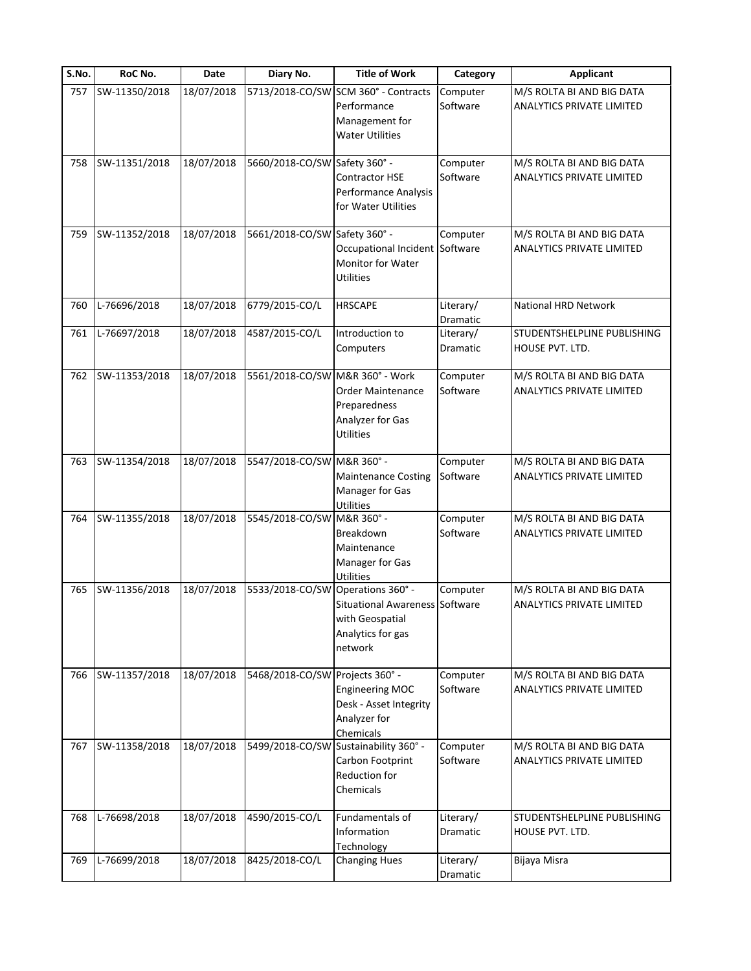| S.No. | RoC No.       | Date       | Diary No.                       | <b>Title of Work</b>                                                                                          | Category              | <b>Applicant</b>                                              |
|-------|---------------|------------|---------------------------------|---------------------------------------------------------------------------------------------------------------|-----------------------|---------------------------------------------------------------|
| 757   | SW-11350/2018 | 18/07/2018 | 5713/2018-CO/SW                 | SCM 360° - Contracts<br>Performance<br>Management for<br><b>Water Utilities</b>                               | Computer<br>Software  | M/S ROLTA BI AND BIG DATA<br>ANALYTICS PRIVATE LIMITED        |
| 758   | SW-11351/2018 | 18/07/2018 | 5660/2018-CO/SW Safety 360° -   | Contractor HSE<br>Performance Analysis<br>for Water Utilities                                                 | Computer<br>Software  | M/S ROLTA BI AND BIG DATA<br><b>ANALYTICS PRIVATE LIMITED</b> |
| 759   | SW-11352/2018 | 18/07/2018 | 5661/2018-CO/SW Safety 360° -   | Occupational Incident Software<br>Monitor for Water<br><b>Utilities</b>                                       | Computer              | M/S ROLTA BI AND BIG DATA<br><b>ANALYTICS PRIVATE LIMITED</b> |
| 760   | L-76696/2018  | 18/07/2018 | 6779/2015-CO/L                  | <b>HRSCAPE</b>                                                                                                | Literary/<br>Dramatic | National HRD Network                                          |
| 761   | L-76697/2018  | 18/07/2018 | 4587/2015-CO/L                  | Introduction to<br>Computers                                                                                  | Literary/<br>Dramatic | STUDENTSHELPLINE PUBLISHING<br>HOUSE PVT. LTD.                |
| 762   | SW-11353/2018 | 18/07/2018 | 5561/2018-CO/SW M&R 360° - Work | <b>Order Maintenance</b><br>Preparedness<br>Analyzer for Gas<br><b>Utilities</b>                              | Computer<br>Software  | M/S ROLTA BI AND BIG DATA<br><b>ANALYTICS PRIVATE LIMITED</b> |
| 763   | SW-11354/2018 | 18/07/2018 | 5547/2018-CO/SW M&R 360° -      | <b>Maintenance Costing</b><br>Manager for Gas<br><b>Utilities</b>                                             | Computer<br>Software  | M/S ROLTA BI AND BIG DATA<br>ANALYTICS PRIVATE LIMITED        |
| 764   | SW-11355/2018 | 18/07/2018 | 5545/2018-CO/SW M&R 360° -      | Breakdown<br>Maintenance<br>Manager for Gas<br><b>Utilities</b>                                               | Computer<br>Software  | M/S ROLTA BI AND BIG DATA<br><b>ANALYTICS PRIVATE LIMITED</b> |
| 765   | SW-11356/2018 | 18/07/2018 | 5533/2018-CO/SW                 | Operations 360° -<br><b>Situational Awareness Software</b><br>with Geospatial<br>Analytics for gas<br>network | Computer              | M/S ROLTA BI AND BIG DATA<br>ANALYTICS PRIVATE LIMITED        |
| 766   | SW-11357/2018 | 18/07/2018 | 5468/2018-CO/SW Projects 360° - | <b>Engineering MOC</b><br>Desk - Asset Integrity<br>Analyzer for<br>Chemicals                                 | Computer<br>Software  | M/S ROLTA BI AND BIG DATA<br><b>ANALYTICS PRIVATE LIMITED</b> |
| 767   | SW-11358/2018 | 18/07/2018 |                                 | 5499/2018-CO/SW Sustainability 360° -<br>Carbon Footprint<br><b>Reduction for</b><br>Chemicals                | Computer<br>Software  | M/S ROLTA BI AND BIG DATA<br><b>ANALYTICS PRIVATE LIMITED</b> |
| 768   | L-76698/2018  | 18/07/2018 | 4590/2015-CO/L                  | Fundamentals of<br>Information<br>Technology                                                                  | Literary/<br>Dramatic | STUDENTSHELPLINE PUBLISHING<br>HOUSE PVT. LTD.                |
| 769   | L-76699/2018  | 18/07/2018 | 8425/2018-CO/L                  | <b>Changing Hues</b>                                                                                          | Literary/<br>Dramatic | Bijaya Misra                                                  |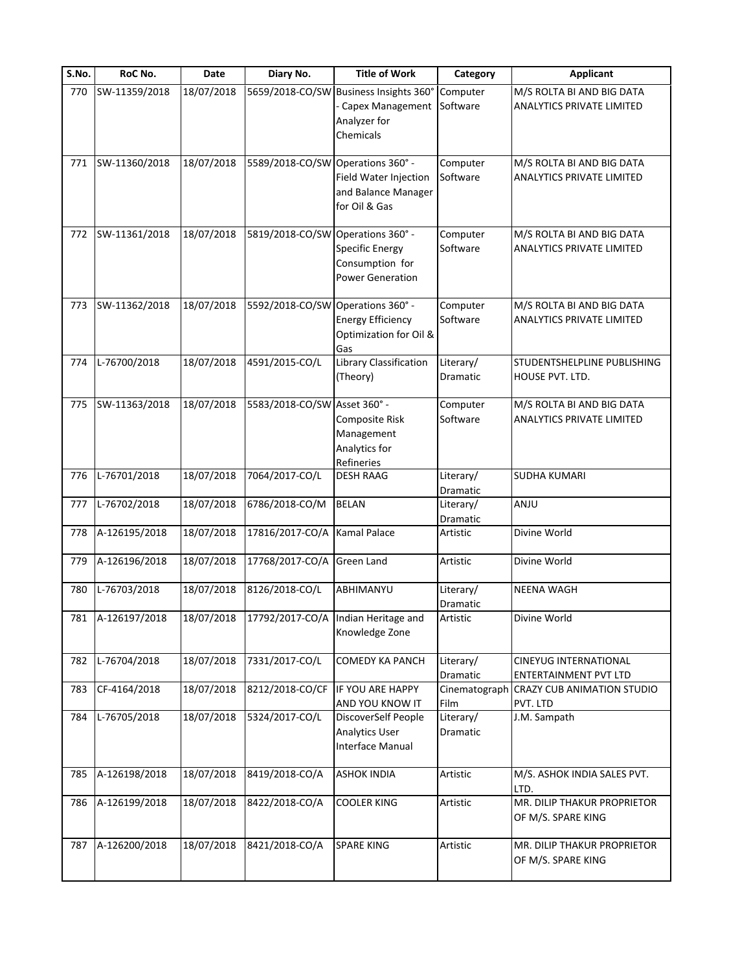| S.No. | RoC No.           | Date       | Diary No.                         | <b>Title of Work</b>                                                           | Category                     | <b>Applicant</b>                                              |
|-------|-------------------|------------|-----------------------------------|--------------------------------------------------------------------------------|------------------------------|---------------------------------------------------------------|
| 770   | SW-11359/2018     | 18/07/2018 | 5659/2018-CO/SW                   | Business Insights 360°<br>Capex Management<br>Analyzer for<br>Chemicals        | Computer<br>Software         | M/S ROLTA BI AND BIG DATA<br><b>ANALYTICS PRIVATE LIMITED</b> |
| 771   | SW-11360/2018     | 18/07/2018 | 5589/2018-CO/SW Operations 360° - | Field Water Injection<br>and Balance Manager<br>for Oil & Gas                  | Computer<br>Software         | M/S ROLTA BI AND BIG DATA<br><b>ANALYTICS PRIVATE LIMITED</b> |
| 772   | SW-11361/2018     | 18/07/2018 | 5819/2018-CO/SW Operations 360° - | <b>Specific Energy</b><br>Consumption for<br><b>Power Generation</b>           | Computer<br>Software         | M/S ROLTA BI AND BIG DATA<br><b>ANALYTICS PRIVATE LIMITED</b> |
| 773   | SW-11362/2018     | 18/07/2018 | 5592/2018-CO/SW                   | Operations 360° -<br><b>Energy Efficiency</b><br>Optimization for Oil &<br>Gas | Computer<br>Software         | M/S ROLTA BI AND BIG DATA<br><b>ANALYTICS PRIVATE LIMITED</b> |
| 774   | L-76700/2018      | 18/07/2018 | 4591/2015-CO/L                    | Library Classification<br>(Theory)                                             | Literary/<br><b>Dramatic</b> | STUDENTSHELPLINE PUBLISHING<br>HOUSE PVT. LTD.                |
| 775   | SW-11363/2018     | 18/07/2018 | 5583/2018-CO/SW Asset 360° -      | Composite Risk<br>Management<br>Analytics for<br>Refineries                    | Computer<br>Software         | M/S ROLTA BI AND BIG DATA<br>ANALYTICS PRIVATE LIMITED        |
| 776   | L-76701/2018      | 18/07/2018 | 7064/2017-CO/L                    | <b>DESH RAAG</b>                                                               | Literary/<br>Dramatic        | <b>SUDHA KUMARI</b>                                           |
| 777   | L-76702/2018      | 18/07/2018 | 6786/2018-CO/M                    | <b>BELAN</b>                                                                   | Literary/<br>Dramatic        | ANJU                                                          |
| 778   | A-126195/2018     | 18/07/2018 | 17816/2017-CO/A                   | <b>Kamal Palace</b>                                                            | Artistic                     | Divine World                                                  |
| 779   | A-126196/2018     | 18/07/2018 | 17768/2017-CO/A                   | <b>Green Land</b>                                                              | Artistic                     | Divine World                                                  |
| 780   | L-76703/2018      | 18/07/2018 | 8126/2018-CO/L                    | ABHIMANYU                                                                      | Literary/<br>Dramatic        | <b>NEENA WAGH</b>                                             |
|       | 781 A-126197/2018 | 18/07/2018 |                                   | 17792/2017-CO/A Indian Heritage and<br>Knowledge Zone                          | Artistic                     | Divine World                                                  |
| 782   | L-76704/2018      | 18/07/2018 | 7331/2017-CO/L                    | <b>COMEDY KA PANCH</b>                                                         | Literary/<br>Dramatic        | <b>CINEYUG INTERNATIONAL</b><br><b>ENTERTAINMENT PVT LTD</b>  |
| 783   | CF-4164/2018      | 18/07/2018 | 8212/2018-CO/CF                   | IF YOU ARE HAPPY<br>AND YOU KNOW IT                                            | Film                         | Cinematograph CRAZY CUB ANIMATION STUDIO<br>PVT. LTD          |
| 784   | L-76705/2018      | 18/07/2018 | 5324/2017-CO/L                    | DiscoverSelf People<br><b>Analytics User</b><br>Interface Manual               | Literary/<br>Dramatic        | J.M. Sampath                                                  |
| 785   | A-126198/2018     | 18/07/2018 | 8419/2018-CO/A                    | <b>ASHOK INDIA</b>                                                             | Artistic                     | M/S. ASHOK INDIA SALES PVT.<br>LTD.                           |
| 786   | A-126199/2018     | 18/07/2018 | 8422/2018-CO/A                    | <b>COOLER KING</b>                                                             | Artistic                     | MR. DILIP THAKUR PROPRIETOR<br>OF M/S. SPARE KING             |
| 787   | A-126200/2018     | 18/07/2018 | 8421/2018-CO/A                    | <b>SPARE KING</b>                                                              | Artistic                     | MR. DILIP THAKUR PROPRIETOR<br>OF M/S. SPARE KING             |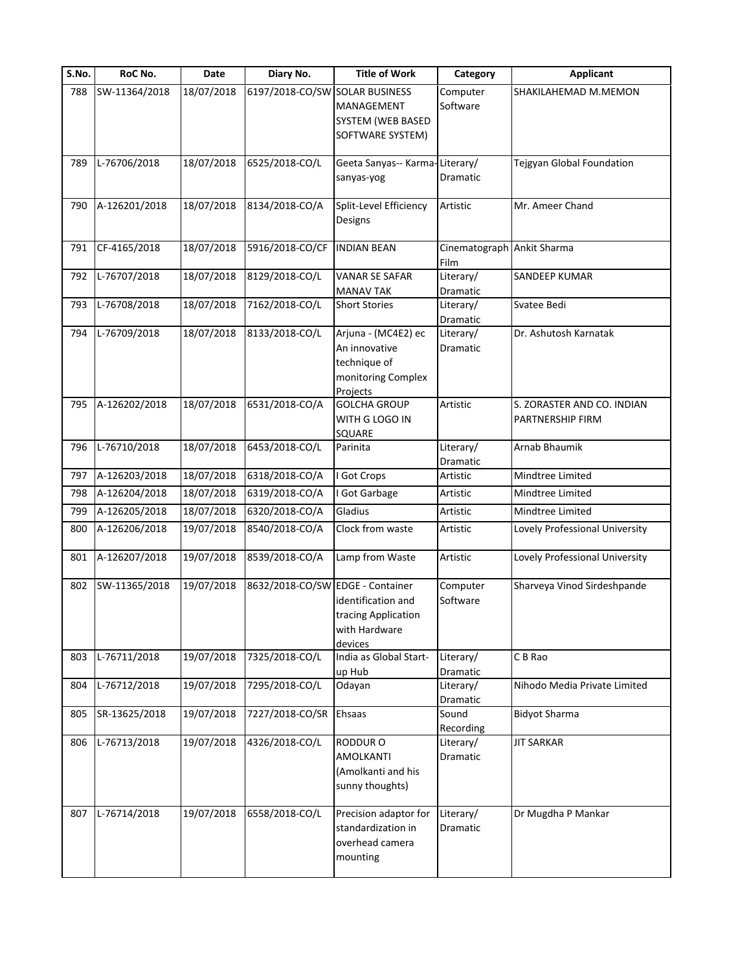| S.No. | RoC No.       | Date       | Diary No.                        | <b>Title of Work</b>                                                                   | Category                           | <b>Applicant</b>                               |
|-------|---------------|------------|----------------------------------|----------------------------------------------------------------------------------------|------------------------------------|------------------------------------------------|
| 788   | SW-11364/2018 | 18/07/2018 | 6197/2018-CO/SW SOLAR BUSINESS   | <b>MANAGEMENT</b><br>SYSTEM (WEB BASED<br>SOFTWARE SYSTEM)                             | Computer<br>Software               | SHAKILAHEMAD M.MEMON                           |
| 789   | L-76706/2018  | 18/07/2018 | 6525/2018-CO/L                   | Geeta Sanyas-- Karma-Literary/<br>sanyas-yog                                           | Dramatic                           | Tejgyan Global Foundation                      |
| 790   | A-126201/2018 | 18/07/2018 | 8134/2018-CO/A                   | Split-Level Efficiency<br>Designs                                                      | Artistic                           | Mr. Ameer Chand                                |
| 791   | CF-4165/2018  | 18/07/2018 | 5916/2018-CO/CF                  | <b>INDIAN BEAN</b>                                                                     | Cinematograph Ankit Sharma<br>Film |                                                |
| 792   | L-76707/2018  | 18/07/2018 | 8129/2018-CO/L                   | <b>VANAR SE SAFAR</b><br><b>MANAV TAK</b>                                              | Literary/<br>Dramatic              | SANDEEP KUMAR                                  |
| 793   | L-76708/2018  | 18/07/2018 | 7162/2018-CO/L                   | <b>Short Stories</b>                                                                   | Literary/<br>Dramatic              | Svatee Bedi                                    |
| 794   | L-76709/2018  | 18/07/2018 | 8133/2018-CO/L                   | Arjuna - (MC4E2) ec<br>An innovative<br>technique of<br>monitoring Complex<br>Projects | Literary/<br>Dramatic              | Dr. Ashutosh Karnatak                          |
| 795   | A-126202/2018 | 18/07/2018 | 6531/2018-CO/A                   | <b>GOLCHA GROUP</b><br>WITH G LOGO IN<br>SQUARE                                        | Artistic                           | S. ZORASTER AND CO. INDIAN<br>PARTNERSHIP FIRM |
| 796   | L-76710/2018  | 18/07/2018 | 6453/2018-CO/L                   | Parinita                                                                               | Literary/<br>Dramatic              | Arnab Bhaumik                                  |
| 797   | A-126203/2018 | 18/07/2018 | 6318/2018-CO/A                   | I Got Crops                                                                            | Artistic                           | Mindtree Limited                               |
| 798   | A-126204/2018 | 18/07/2018 | 6319/2018-CO/A                   | Got Garbage                                                                            | Artistic                           | Mindtree Limited                               |
| 799   | A-126205/2018 | 18/07/2018 | 6320/2018-CO/A                   | Gladius                                                                                | Artistic                           | Mindtree Limited                               |
| 800   | A-126206/2018 | 19/07/2018 | 8540/2018-CO/A                   | Clock from waste                                                                       | Artistic                           | Lovely Professional University                 |
| 801   | A-126207/2018 | 19/07/2018 | 8539/2018-CO/A                   | Lamp from Waste                                                                        | Artistic                           | Lovely Professional University                 |
| 802   | SW-11365/2018 | 19/07/2018 | 8632/2018-CO/SW EDGE - Container | identification and<br>tracing Application<br>with Hardware<br>devices                  | Computer<br>Software               | Sharveya Vinod Sirdeshpande                    |
| 803   | L-76711/2018  | 19/07/2018 | 7325/2018-CO/L                   | India as Global Start-<br>up Hub                                                       | Literary/<br>Dramatic              | C B Rao                                        |
| 804   | L-76712/2018  | 19/07/2018 | 7295/2018-CO/L                   | Odayan                                                                                 | Literary/<br>Dramatic              | Nihodo Media Private Limited                   |
| 805   | SR-13625/2018 | 19/07/2018 | 7227/2018-CO/SR                  | Ehsaas                                                                                 | Sound<br>Recording                 | <b>Bidyot Sharma</b>                           |
| 806   | L-76713/2018  | 19/07/2018 | 4326/2018-CO/L                   | RODDUR <sub>O</sub><br><b>AMOLKANTI</b><br>(Amolkanti and his<br>sunny thoughts)       | Literary/<br>Dramatic              | <b>JIT SARKAR</b>                              |
| 807   | L-76714/2018  | 19/07/2018 | 6558/2018-CO/L                   | Precision adaptor for<br>standardization in<br>overhead camera<br>mounting             | Literary/<br>Dramatic              | Dr Mugdha P Mankar                             |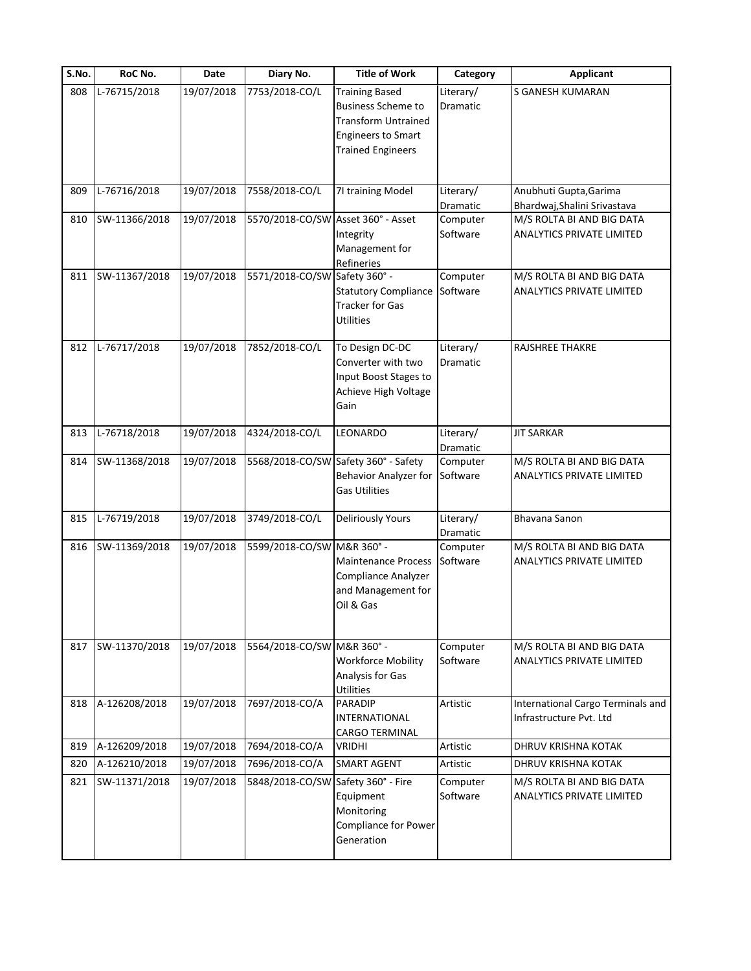| S.No. | RoC No.       | Date       | Diary No.                          | <b>Title of Work</b>                                                                                                                      | Category              | <b>Applicant</b>                                              |
|-------|---------------|------------|------------------------------------|-------------------------------------------------------------------------------------------------------------------------------------------|-----------------------|---------------------------------------------------------------|
| 808   | L-76715/2018  | 19/07/2018 | 7753/2018-CO/L                     | <b>Training Based</b><br><b>Business Scheme to</b><br><b>Transform Untrained</b><br><b>Engineers to Smart</b><br><b>Trained Engineers</b> | Literary/<br>Dramatic | <b>S GANESH KUMARAN</b>                                       |
| 809   | L-76716/2018  | 19/07/2018 | 7558/2018-CO/L                     | 71 training Model                                                                                                                         | Literary/<br>Dramatic | Anubhuti Gupta, Garima<br>Bhardwaj, Shalini Srivastava        |
| 810   | SW-11366/2018 | 19/07/2018 | 5570/2018-CO/SW Asset 360° - Asset | Integrity<br>Management for<br>Refineries                                                                                                 | Computer<br>Software  | M/S ROLTA BI AND BIG DATA<br>ANALYTICS PRIVATE LIMITED        |
| 811   | SW-11367/2018 | 19/07/2018 | 5571/2018-CO/SW Safety 360° -      | <b>Statutory Compliance</b><br><b>Tracker for Gas</b><br><b>Utilities</b>                                                                 | Computer<br>Software  | M/S ROLTA BI AND BIG DATA<br><b>ANALYTICS PRIVATE LIMITED</b> |
| 812   | L-76717/2018  | 19/07/2018 | 7852/2018-CO/L                     | To Design DC-DC<br>Converter with two<br>Input Boost Stages to<br>Achieve High Voltage<br>Gain                                            | Literary/<br>Dramatic | RAJSHREE THAKRE                                               |
| 813   | L-76718/2018  | 19/07/2018 | 4324/2018-CO/L                     | LEONARDO                                                                                                                                  | Literary/<br>Dramatic | <b>JIT SARKAR</b>                                             |
| 814   | SW-11368/2018 | 19/07/2018 |                                    | 5568/2018-CO/SW Safety 360° - Safety<br>Behavior Analyzer for<br><b>Gas Utilities</b>                                                     | Computer<br>Software  | M/S ROLTA BI AND BIG DATA<br>ANALYTICS PRIVATE LIMITED        |
| 815   | L-76719/2018  | 19/07/2018 | 3749/2018-CO/L                     | <b>Deliriously Yours</b>                                                                                                                  | Literary/<br>Dramatic | Bhavana Sanon                                                 |
| 816   | SW-11369/2018 | 19/07/2018 | 5599/2018-CO/SW M&R 360° -         | <b>Maintenance Process</b><br>Compliance Analyzer<br>and Management for<br>Oil & Gas                                                      | Computer<br>Software  | M/S ROLTA BI AND BIG DATA<br><b>ANALYTICS PRIVATE LIMITED</b> |
| 817   | SW-11370/2018 | 19/07/2018 | 5564/2018-CO/SW M&R 360° -         | <b>Workforce Mobility</b><br>Analysis for Gas<br>Utilities                                                                                | Computer<br>Software  | M/S ROLTA BI AND BIG DATA<br>ANALYTICS PRIVATE LIMITED        |
| 818   | A-126208/2018 | 19/07/2018 | 7697/2018-CO/A                     | <b>PARADIP</b><br><b>INTERNATIONAL</b><br><b>CARGO TERMINAL</b>                                                                           | Artistic              | International Cargo Terminals and<br>Infrastructure Pvt. Ltd  |
| 819   | A-126209/2018 | 19/07/2018 | 7694/2018-CO/A                     | <b>VRIDHI</b>                                                                                                                             | Artistic              | DHRUV KRISHNA KOTAK                                           |
| 820   | A-126210/2018 | 19/07/2018 | 7696/2018-CO/A                     | SMART AGENT                                                                                                                               | Artistic              | DHRUV KRISHNA KOTAK                                           |
| 821   | SW-11371/2018 | 19/07/2018 | 5848/2018-CO/SW Safety 360° - Fire | Equipment<br>Monitoring<br>Compliance for Power<br>Generation                                                                             | Computer<br>Software  | M/S ROLTA BI AND BIG DATA<br><b>ANALYTICS PRIVATE LIMITED</b> |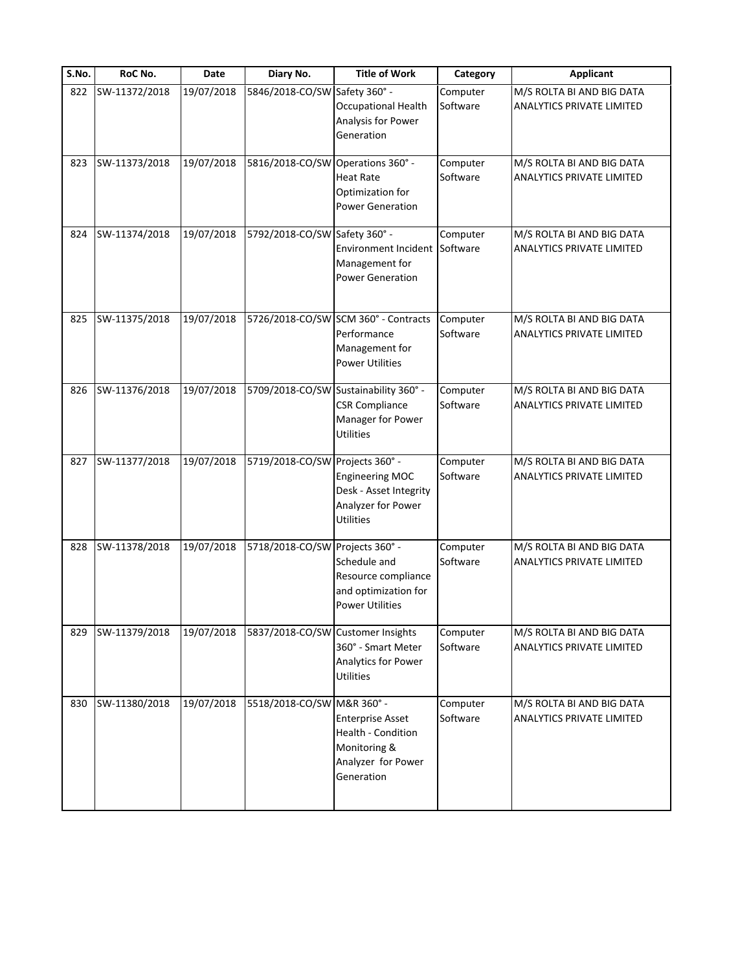| S.No. | RoC No.       | <b>Date</b> | Diary No.                         | <b>Title of Work</b>                                                                                    | Category             | <b>Applicant</b>                                              |
|-------|---------------|-------------|-----------------------------------|---------------------------------------------------------------------------------------------------------|----------------------|---------------------------------------------------------------|
| 822   | SW-11372/2018 | 19/07/2018  | 5846/2018-CO/SW Safety 360° -     | Occupational Health<br>Analysis for Power<br>Generation                                                 | Computer<br>Software | M/S ROLTA BI AND BIG DATA<br><b>ANALYTICS PRIVATE LIMITED</b> |
| 823   | SW-11373/2018 | 19/07/2018  | 5816/2018-CO/SW                   | Operations 360° -<br><b>Heat Rate</b><br>Optimization for<br><b>Power Generation</b>                    | Computer<br>Software | M/S ROLTA BI AND BIG DATA<br><b>ANALYTICS PRIVATE LIMITED</b> |
| 824   | SW-11374/2018 | 19/07/2018  | 5792/2018-CO/SW Safety 360° -     | Environment Incident<br>Management for<br><b>Power Generation</b>                                       | Computer<br>Software | M/S ROLTA BI AND BIG DATA<br>ANALYTICS PRIVATE LIMITED        |
| 825   | SW-11375/2018 | 19/07/2018  |                                   | 5726/2018-CO/SW SCM 360° - Contracts<br>Performance<br>Management for<br><b>Power Utilities</b>         | Computer<br>Software | M/S ROLTA BI AND BIG DATA<br><b>ANALYTICS PRIVATE LIMITED</b> |
| 826   | SW-11376/2018 | 19/07/2018  |                                   | 5709/2018-CO/SW Sustainability 360° -<br><b>CSR Compliance</b><br>Manager for Power<br><b>Utilities</b> | Computer<br>Software | M/S ROLTA BI AND BIG DATA<br><b>ANALYTICS PRIVATE LIMITED</b> |
| 827   | SW-11377/2018 | 19/07/2018  | 5719/2018-CO/SW Projects 360° -   | <b>Engineering MOC</b><br>Desk - Asset Integrity<br>Analyzer for Power<br>Utilities                     | Computer<br>Software | M/S ROLTA BI AND BIG DATA<br>ANALYTICS PRIVATE LIMITED        |
| 828   | SW-11378/2018 | 19/07/2018  | 5718/2018-CO/SW Projects 360° -   | Schedule and<br>Resource compliance<br>and optimization for<br><b>Power Utilities</b>                   | Computer<br>Software | M/S ROLTA BI AND BIG DATA<br><b>ANALYTICS PRIVATE LIMITED</b> |
| 829   | SW-11379/2018 | 19/07/2018  | 5837/2018-CO/SW Customer Insights | 360° - Smart Meter<br>Analytics for Power<br><b>Utilities</b>                                           | Computer<br>Software | M/S ROLTA BI AND BIG DATA<br><b>ANALYTICS PRIVATE LIMITED</b> |
| 830   | SW-11380/2018 | 19/07/2018  | 5518/2018-CO/SW M&R 360° -        | <b>Enterprise Asset</b><br>Health - Condition<br>Monitoring &<br>Analyzer for Power<br>Generation       | Computer<br>Software | M/S ROLTA BI AND BIG DATA<br>ANALYTICS PRIVATE LIMITED        |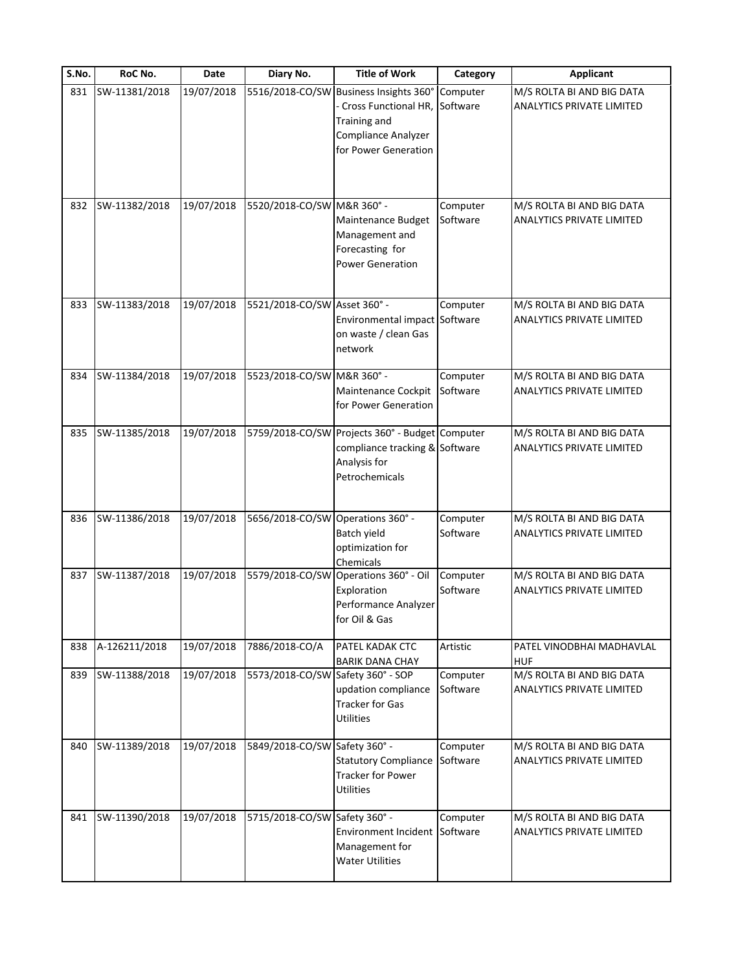| S.No. | RoC No.       | Date       | Diary No.                         | <b>Title of Work</b>                                                                                          | Category             | <b>Applicant</b>                                              |
|-------|---------------|------------|-----------------------------------|---------------------------------------------------------------------------------------------------------------|----------------------|---------------------------------------------------------------|
| 831   | SW-11381/2018 | 19/07/2018 | 5516/2018-CO/SW                   | Business Insights 360°<br>Cross Functional HR,<br>Training and<br>Compliance Analyzer<br>for Power Generation | Computer<br>Software | M/S ROLTA BI AND BIG DATA<br><b>ANALYTICS PRIVATE LIMITED</b> |
| 832   | SW-11382/2018 | 19/07/2018 | 5520/2018-CO/SW M&R 360° -        | Maintenance Budget<br>Management and<br>Forecasting for<br><b>Power Generation</b>                            | Computer<br>Software | M/S ROLTA BI AND BIG DATA<br>ANALYTICS PRIVATE LIMITED        |
| 833   | SW-11383/2018 | 19/07/2018 | 5521/2018-CO/SW Asset 360° -      | Environmental impact Software<br>on waste / clean Gas<br>network                                              | Computer             | M/S ROLTA BI AND BIG DATA<br><b>ANALYTICS PRIVATE LIMITED</b> |
| 834   | SW-11384/2018 | 19/07/2018 | 5523/2018-CO/SW M&R 360° -        | Maintenance Cockpit<br>for Power Generation                                                                   | Computer<br>Software | M/S ROLTA BI AND BIG DATA<br><b>ANALYTICS PRIVATE LIMITED</b> |
| 835   | SW-11385/2018 | 19/07/2018 |                                   | 5759/2018-CO/SW Projects 360° - Budget<br>compliance tracking & Software<br>Analysis for<br>Petrochemicals    | Computer             | M/S ROLTA BI AND BIG DATA<br>ANALYTICS PRIVATE LIMITED        |
| 836   | SW-11386/2018 | 19/07/2018 | 5656/2018-CO/SW Operations 360° - | Batch yield<br>optimization for<br>Chemicals                                                                  | Computer<br>Software | M/S ROLTA BI AND BIG DATA<br>ANALYTICS PRIVATE LIMITED        |
| 837   | SW-11387/2018 | 19/07/2018 | 5579/2018-CO/SW                   | Operations 360° - Oil<br>Exploration<br>Performance Analyzer<br>for Oil & Gas                                 | Computer<br>Software | M/S ROLTA BI AND BIG DATA<br><b>ANALYTICS PRIVATE LIMITED</b> |
| 838   | A-126211/2018 | 19/07/2018 | 7886/2018-CO/A                    | PATEL KADAK CTC<br><b>BARIK DANA CHAY</b>                                                                     | Artistic             | PATEL VINODBHAI MADHAVLAL<br><b>HUF</b>                       |
| 839   | SW-11388/2018 | 19/07/2018 | 5573/2018-CO/SW Safety 360° - SOP | updation compliance<br><b>Tracker for Gas</b><br><b>Utilities</b>                                             | Computer<br>Software | M/S ROLTA BI AND BIG DATA<br><b>ANALYTICS PRIVATE LIMITED</b> |
| 840   | SW-11389/2018 | 19/07/2018 | 5849/2018-CO/SW Safety 360° -     | <b>Statutory Compliance</b><br><b>Tracker for Power</b><br><b>Utilities</b>                                   | Computer<br>Software | M/S ROLTA BI AND BIG DATA<br><b>ANALYTICS PRIVATE LIMITED</b> |
| 841   | SW-11390/2018 | 19/07/2018 | 5715/2018-CO/SW Safety 360° -     | <b>Environment Incident</b><br>Management for<br><b>Water Utilities</b>                                       | Computer<br>Software | M/S ROLTA BI AND BIG DATA<br><b>ANALYTICS PRIVATE LIMITED</b> |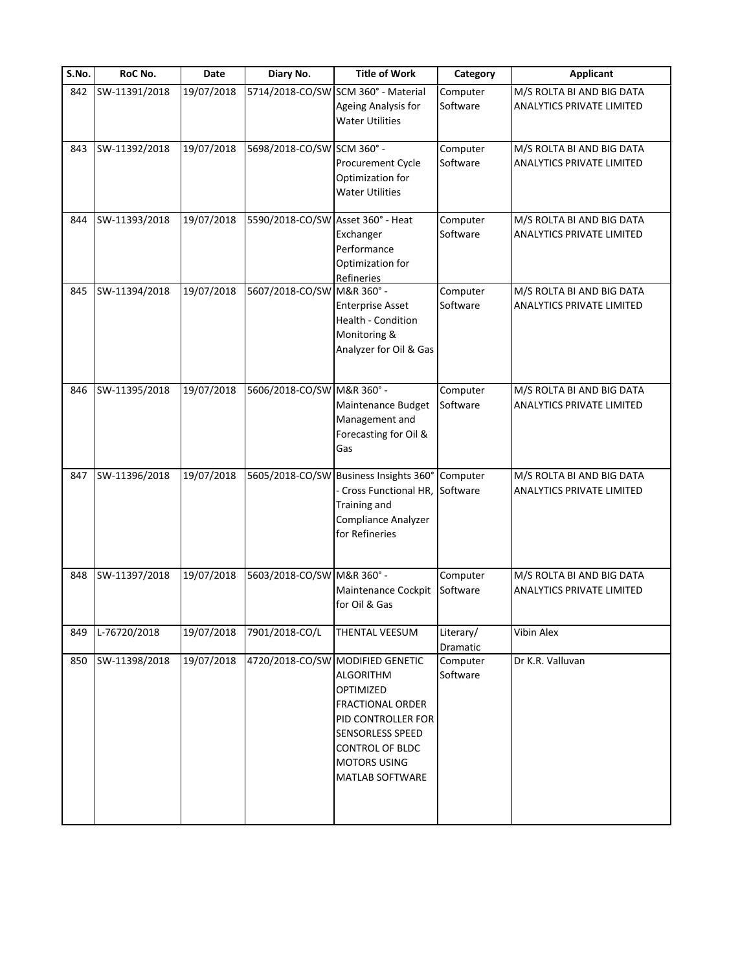| S.No. | RoC No.       | Date       | Diary No.                         | <b>Title of Work</b>                                                                                                                                                                                       | Category              | <b>Applicant</b>                                              |
|-------|---------------|------------|-----------------------------------|------------------------------------------------------------------------------------------------------------------------------------------------------------------------------------------------------------|-----------------------|---------------------------------------------------------------|
| 842   | SW-11391/2018 | 19/07/2018 |                                   | 5714/2018-CO/SW SCM 360° - Material<br>Ageing Analysis for<br><b>Water Utilities</b>                                                                                                                       | Computer<br>Software  | M/S ROLTA BI AND BIG DATA<br><b>ANALYTICS PRIVATE LIMITED</b> |
| 843   | SW-11392/2018 | 19/07/2018 | 5698/2018-CO/SW SCM 360° -        | Procurement Cycle<br>Optimization for<br><b>Water Utilities</b>                                                                                                                                            | Computer<br>Software  | M/S ROLTA BI AND BIG DATA<br>ANALYTICS PRIVATE LIMITED        |
| 844   | SW-11393/2018 | 19/07/2018 | 5590/2018-CO/SW Asset 360° - Heat | Exchanger<br>Performance<br>Optimization for<br>Refineries                                                                                                                                                 | Computer<br>Software  | M/S ROLTA BI AND BIG DATA<br>ANALYTICS PRIVATE LIMITED        |
| 845   | SW-11394/2018 | 19/07/2018 | 5607/2018-CO/SW M&R 360° -        | <b>Enterprise Asset</b><br>Health - Condition<br>Monitoring &<br>Analyzer for Oil & Gas                                                                                                                    | Computer<br>Software  | M/S ROLTA BI AND BIG DATA<br><b>ANALYTICS PRIVATE LIMITED</b> |
| 846   | SW-11395/2018 | 19/07/2018 | 5606/2018-CO/SW M&R 360° -        | Maintenance Budget<br>Management and<br>Forecasting for Oil &<br>Gas                                                                                                                                       | Computer<br>Software  | M/S ROLTA BI AND BIG DATA<br><b>ANALYTICS PRIVATE LIMITED</b> |
| 847   | SW-11396/2018 | 19/07/2018 |                                   | 5605/2018-CO/SW Business Insights 360°<br>Cross Functional HR,<br>Training and<br>Compliance Analyzer<br>for Refineries                                                                                    | Computer<br>Software  | M/S ROLTA BI AND BIG DATA<br>ANALYTICS PRIVATE LIMITED        |
| 848   | SW-11397/2018 | 19/07/2018 | 5603/2018-CO/SW M&R 360° -        | Maintenance Cockpit<br>for Oil & Gas                                                                                                                                                                       | Computer<br>Software  | M/S ROLTA BI AND BIG DATA<br><b>ANALYTICS PRIVATE LIMITED</b> |
| 849   | L-76720/2018  | 19/07/2018 | 7901/2018-CO/L                    | THENTAL VEESUM                                                                                                                                                                                             | Literary/<br>Dramatic | Vibin Alex                                                    |
| 850   | SW-11398/2018 | 19/07/2018 |                                   | 4720/2018-CO/SW MODIFIED GENETIC<br><b>ALGORITHM</b><br>OPTIMIZED<br><b>FRACTIONAL ORDER</b><br>PID CONTROLLER FOR<br>SENSORLESS SPEED<br><b>CONTROL OF BLDC</b><br><b>MOTORS USING</b><br>MATLAB SOFTWARE | Computer<br>Software  | Dr K.R. Valluvan                                              |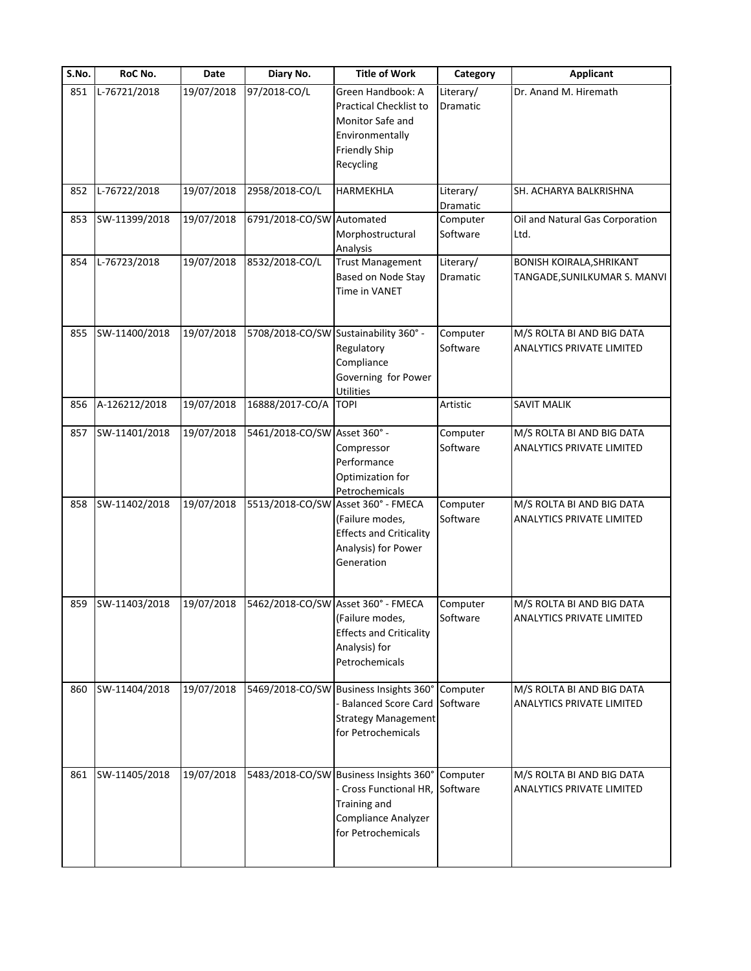| S.No. | RoC No.       | <b>Date</b> | Diary No.                    | <b>Title of Work</b>                                                                                                                          | Category                     | <b>Applicant</b>                                                |
|-------|---------------|-------------|------------------------------|-----------------------------------------------------------------------------------------------------------------------------------------------|------------------------------|-----------------------------------------------------------------|
| 851   | L-76721/2018  | 19/07/2018  | 97/2018-CO/L                 | Green Handbook: A<br><b>Practical Checklist to</b><br>Monitor Safe and<br>Environmentally<br><b>Friendly Ship</b><br>Recycling                | Literary/<br><b>Dramatic</b> | Dr. Anand M. Hiremath                                           |
| 852   | L-76722/2018  | 19/07/2018  | 2958/2018-CO/L               | HARMEKHLA                                                                                                                                     | Literary/<br><b>Dramatic</b> | SH. ACHARYA BALKRISHNA                                          |
| 853   | SW-11399/2018 | 19/07/2018  | 6791/2018-CO/SW Automated    | Morphostructural<br>Analysis                                                                                                                  | Computer<br>Software         | Oil and Natural Gas Corporation<br>Ltd.                         |
| 854   | L-76723/2018  | 19/07/2018  | 8532/2018-CO/L               | <b>Trust Management</b><br>Based on Node Stay<br>Time in VANET                                                                                | Literary/<br>Dramatic        | <b>BONISH KOIRALA, SHRIKANT</b><br>TANGADE, SUNILKUMAR S. MANVI |
| 855   | SW-11400/2018 | 19/07/2018  |                              | 5708/2018-CO/SW Sustainability 360° -<br>Regulatory<br>Compliance<br>Governing for Power<br>Utilities                                         | Computer<br>Software         | M/S ROLTA BI AND BIG DATA<br><b>ANALYTICS PRIVATE LIMITED</b>   |
| 856   | A-126212/2018 | 19/07/2018  | 16888/2017-CO/A              | <b>TOPI</b>                                                                                                                                   | Artistic                     | <b>SAVIT MALIK</b>                                              |
| 857   | SW-11401/2018 | 19/07/2018  | 5461/2018-CO/SW Asset 360° - | Compressor<br>Performance<br>Optimization for<br>Petrochemicals                                                                               | Computer<br>Software         | M/S ROLTA BI AND BIG DATA<br>ANALYTICS PRIVATE LIMITED          |
| 858   | SW-11402/2018 | 19/07/2018  |                              | 5513/2018-CO/SW Asset 360° - FMECA<br>(Failure modes,<br><b>Effects and Criticality</b><br>Analysis) for Power<br>Generation                  | Computer<br>Software         | M/S ROLTA BI AND BIG DATA<br><b>ANALYTICS PRIVATE LIMITED</b>   |
| 859   | SW-11403/2018 | 19/07/2018  |                              | 5462/2018-CO/SW Asset 360° - FMECA<br>(Failure modes,<br><b>Effects and Criticality</b><br>Analysis) for<br>Petrochemicals                    | Computer<br>Software         | M/S ROLTA BI AND BIG DATA<br><b>ANALYTICS PRIVATE LIMITED</b>   |
| 860   | SW-11404/2018 | 19/07/2018  |                              | 5469/2018-CO/SW Business Insights 360° Computer<br><b>Balanced Score Card Software</b><br><b>Strategy Management</b><br>for Petrochemicals    |                              | M/S ROLTA BI AND BIG DATA<br><b>ANALYTICS PRIVATE LIMITED</b>   |
| 861   | SW-11405/2018 | 19/07/2018  |                              | 5483/2018-CO/SW Business Insights 360°<br>- Cross Functional HR, Software<br><b>Training and</b><br>Compliance Analyzer<br>for Petrochemicals | Computer                     | M/S ROLTA BI AND BIG DATA<br><b>ANALYTICS PRIVATE LIMITED</b>   |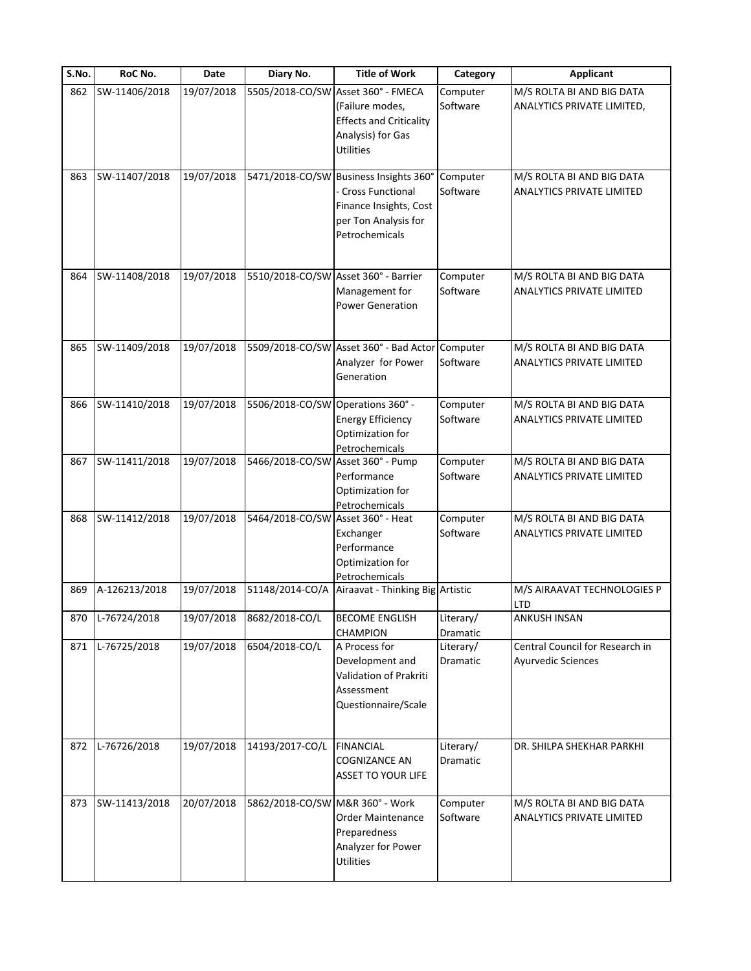| S.No. | RoC No.        | <b>Date</b> | Diary No.                         | <b>Title of Work</b>                                                                                                             | Category                     | <b>Applicant</b>                                              |
|-------|----------------|-------------|-----------------------------------|----------------------------------------------------------------------------------------------------------------------------------|------------------------------|---------------------------------------------------------------|
| 862   | SW-11406/2018  | 19/07/2018  |                                   | 5505/2018-CO/SW Asset 360° - FMECA<br>(Failure modes,<br><b>Effects and Criticality</b><br>Analysis) for Gas<br>Utilities        | Computer<br>Software         | M/S ROLTA BI AND BIG DATA<br>ANALYTICS PRIVATE LIMITED,       |
| 863   | SW-11407/2018  | 19/07/2018  |                                   | 5471/2018-CO/SW Business Insights 360°<br>- Cross Functional<br>Finance Insights, Cost<br>per Ton Analysis for<br>Petrochemicals | Computer<br>Software         | M/S ROLTA BI AND BIG DATA<br>ANALYTICS PRIVATE LIMITED        |
| 864   | SW-11408/2018  | 19/07/2018  |                                   | 5510/2018-CO/SW Asset 360° - Barrier<br>Management for<br><b>Power Generation</b>                                                | Computer<br>Software         | M/S ROLTA BI AND BIG DATA<br>ANALYTICS PRIVATE LIMITED        |
| 865   | SW-11409/2018  | 19/07/2018  |                                   | 5509/2018-CO/SW Asset 360° - Bad Actor Computer<br>Analyzer for Power<br>Generation                                              | Software                     | M/S ROLTA BI AND BIG DATA<br>ANALYTICS PRIVATE LIMITED        |
| 866   | SW-11410/2018  | 19/07/2018  | 5506/2018-CO/SW Operations 360° - | <b>Energy Efficiency</b><br>Optimization for<br>Petrochemicals                                                                   | Computer<br>Software         | M/S ROLTA BI AND BIG DATA<br>ANALYTICS PRIVATE LIMITED        |
| 867   | SW-11411/2018  | 19/07/2018  | 5466/2018-CO/SW Asset 360° - Pump | Performance<br>Optimization for<br>Petrochemicals                                                                                | Computer<br>Software         | M/S ROLTA BI AND BIG DATA<br>ANALYTICS PRIVATE LIMITED        |
| 868   | SW-11412/2018  | 19/07/2018  | 5464/2018-CO/SW Asset 360° - Heat | Exchanger<br>Performance<br>Optimization for<br>Petrochemicals                                                                   | Computer<br>Software         | M/S ROLTA BI AND BIG DATA<br>ANALYTICS PRIVATE LIMITED        |
| 869   | A-126213/2018  | 19/07/2018  | 51148/2014-CO/A                   | Airaavat - Thinking Big Artistic                                                                                                 |                              | M/S AIRAAVAT TECHNOLOGIES P<br><b>LTD</b>                     |
| 870   | $L-76724/2018$ | 19/07/2018  | 8682/2018-CO/L                    | <b>BECOME ENGLISH</b><br><b>CHAMPION</b>                                                                                         | Literary/<br><b>Dramatic</b> | ANKUSH INSAN                                                  |
| 871   | L-76725/2018   | 19/07/2018  | 6504/2018-CO/L                    | A Process for<br>Development and<br>Validation of Prakriti<br>Assessment<br>Questionnaire/Scale                                  | Literary/<br>Dramatic        | Central Council for Research in<br>Ayurvedic Sciences         |
| 872   | L-76726/2018   | 19/07/2018  | 14193/2017-CO/L                   | <b>FINANCIAL</b><br><b>COGNIZANCE AN</b><br><b>ASSET TO YOUR LIFE</b>                                                            | Literary/<br>Dramatic        | DR. SHILPA SHEKHAR PARKHI                                     |
| 873   | SW-11413/2018  | 20/07/2018  | 5862/2018-CO/SW M&R 360° - Work   | <b>Order Maintenance</b><br>Preparedness<br>Analyzer for Power<br><b>Utilities</b>                                               | Computer<br>Software         | M/S ROLTA BI AND BIG DATA<br><b>ANALYTICS PRIVATE LIMITED</b> |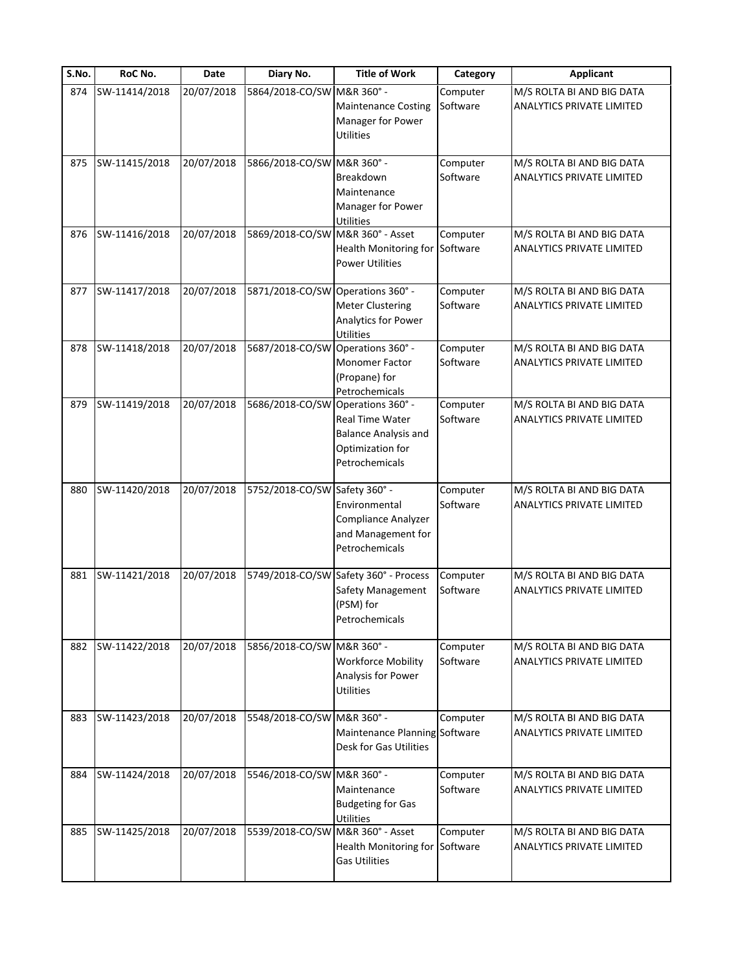| S.No. | RoC No.       | Date       | Diary No.                         | <b>Title of Work</b>                                                                      | Category             | <b>Applicant</b>                                              |
|-------|---------------|------------|-----------------------------------|-------------------------------------------------------------------------------------------|----------------------|---------------------------------------------------------------|
| 874   | SW-11414/2018 | 20/07/2018 | 5864/2018-CO/SW M&R 360° -        | <b>Maintenance Costing</b><br>Manager for Power<br><b>Utilities</b>                       | Computer<br>Software | M/S ROLTA BI AND BIG DATA<br><b>ANALYTICS PRIVATE LIMITED</b> |
| 875   | SW-11415/2018 | 20/07/2018 | 5866/2018-CO/SW M&R 360° -        | Breakdown<br>Maintenance<br>Manager for Power<br><b>Utilities</b>                         | Computer<br>Software | M/S ROLTA BI AND BIG DATA<br><b>ANALYTICS PRIVATE LIMITED</b> |
| 876   | SW-11416/2018 | 20/07/2018 | 5869/2018-CO/SW M&R 360° - Asset  | Health Monitoring for<br><b>Power Utilities</b>                                           | Computer<br>Software | M/S ROLTA BI AND BIG DATA<br>ANALYTICS PRIVATE LIMITED        |
| 877   | SW-11417/2018 | 20/07/2018 | 5871/2018-CO/SW Operations 360° - | <b>Meter Clustering</b><br>Analytics for Power<br>Utilities                               | Computer<br>Software | M/S ROLTA BI AND BIG DATA<br><b>ANALYTICS PRIVATE LIMITED</b> |
| 878   | SW-11418/2018 | 20/07/2018 | 5687/2018-CO/SW Operations 360° - | Monomer Factor<br>(Propane) for<br>Petrochemicals                                         | Computer<br>Software | M/S ROLTA BI AND BIG DATA<br><b>ANALYTICS PRIVATE LIMITED</b> |
| 879   | SW-11419/2018 | 20/07/2018 | 5686/2018-CO/SW Operations 360° - | Real Time Water<br><b>Balance Analysis and</b><br>Optimization for<br>Petrochemicals      | Computer<br>Software | M/S ROLTA BI AND BIG DATA<br><b>ANALYTICS PRIVATE LIMITED</b> |
| 880   | SW-11420/2018 | 20/07/2018 | 5752/2018-CO/SW Safety 360° -     | Environmental<br>Compliance Analyzer<br>and Management for<br>Petrochemicals              | Computer<br>Software | M/S ROLTA BI AND BIG DATA<br><b>ANALYTICS PRIVATE LIMITED</b> |
| 881   | SW-11421/2018 | 20/07/2018 |                                   | 5749/2018-CO/SW Safety 360° - Process<br>Safety Management<br>(PSM) for<br>Petrochemicals | Computer<br>Software | M/S ROLTA BI AND BIG DATA<br><b>ANALYTICS PRIVATE LIMITED</b> |
| 882   | SW-11422/2018 | 20/07/2018 | 5856/2018-CO/SW M&R 360° -        | <b>Workforce Mobility</b><br>Analysis for Power<br><b>Utilities</b>                       | Computer<br>Software | M/S ROLTA BI AND BIG DATA<br><b>ANALYTICS PRIVATE LIMITED</b> |
| 883   | SW-11423/2018 | 20/07/2018 | 5548/2018-CO/SW M&R 360° -        | Maintenance Planning Software<br>Desk for Gas Utilities                                   | Computer             | M/S ROLTA BI AND BIG DATA<br><b>ANALYTICS PRIVATE LIMITED</b> |
| 884   | SW-11424/2018 | 20/07/2018 | 5546/2018-CO/SW M&R 360° -        | Maintenance<br><b>Budgeting for Gas</b><br>Utilities                                      | Computer<br>Software | M/S ROLTA BI AND BIG DATA<br><b>ANALYTICS PRIVATE LIMITED</b> |
| 885   | SW-11425/2018 | 20/07/2018 | 5539/2018-CO/SW                   | M&R 360° - Asset<br>Health Monitoring for<br><b>Gas Utilities</b>                         | Computer<br>Software | M/S ROLTA BI AND BIG DATA<br><b>ANALYTICS PRIVATE LIMITED</b> |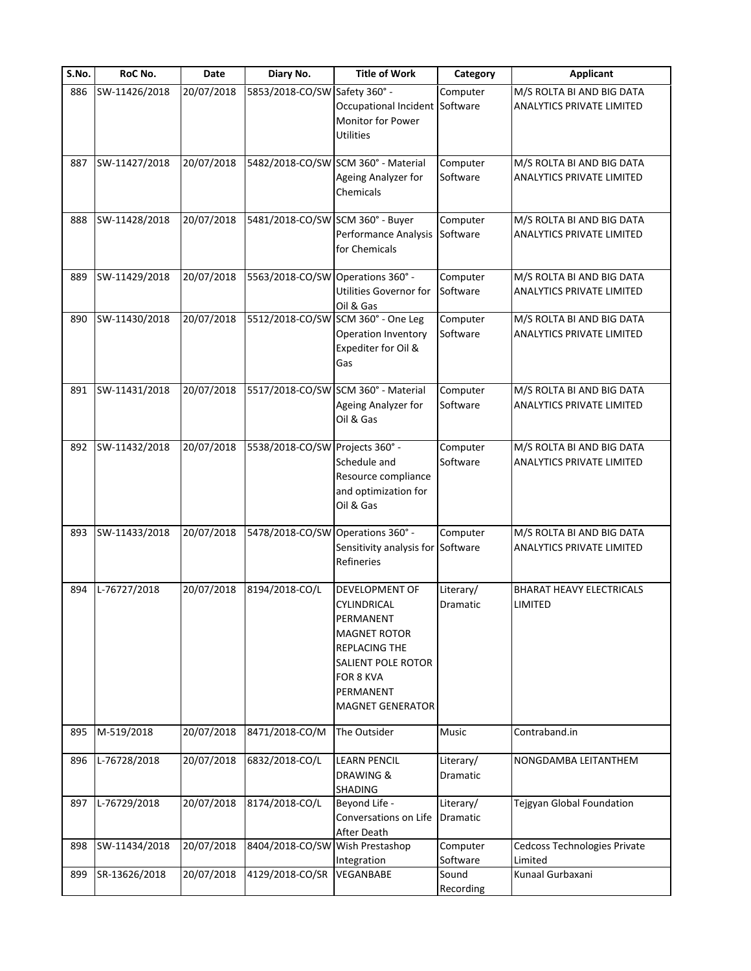| S.No. | RoC No.       | Date       | Diary No.                         | <b>Title of Work</b>                                                                                                                                          | Category                     | <b>Applicant</b>                                              |
|-------|---------------|------------|-----------------------------------|---------------------------------------------------------------------------------------------------------------------------------------------------------------|------------------------------|---------------------------------------------------------------|
| 886   | SW-11426/2018 | 20/07/2018 | 5853/2018-CO/SW Safety 360° -     | Occupational Incident Software<br>Monitor for Power<br><b>Utilities</b>                                                                                       | Computer                     | M/S ROLTA BI AND BIG DATA<br>ANALYTICS PRIVATE LIMITED        |
| 887   | SW-11427/2018 | 20/07/2018 |                                   | 5482/2018-CO/SW SCM 360° - Material<br>Ageing Analyzer for<br>Chemicals                                                                                       | Computer<br>Software         | M/S ROLTA BI AND BIG DATA<br><b>ANALYTICS PRIVATE LIMITED</b> |
| 888   | SW-11428/2018 | 20/07/2018 | 5481/2018-CO/SW SCM 360° - Buyer  | Performance Analysis<br>for Chemicals                                                                                                                         | Computer<br>Software         | M/S ROLTA BI AND BIG DATA<br>ANALYTICS PRIVATE LIMITED        |
| 889   | SW-11429/2018 | 20/07/2018 | 5563/2018-CO/SW Operations 360° - | Utilities Governor for<br>Oil & Gas                                                                                                                           | Computer<br>Software         | M/S ROLTA BI AND BIG DATA<br><b>ANALYTICS PRIVATE LIMITED</b> |
| 890   | SW-11430/2018 | 20/07/2018 |                                   | 5512/2018-CO/SW SCM 360° - One Leg<br>Operation Inventory<br>Expediter for Oil &<br>Gas                                                                       | Computer<br>Software         | M/S ROLTA BI AND BIG DATA<br><b>ANALYTICS PRIVATE LIMITED</b> |
| 891   | SW-11431/2018 | 20/07/2018 |                                   | 5517/2018-CO/SW SCM 360° - Material<br>Ageing Analyzer for<br>Oil & Gas                                                                                       | Computer<br>Software         | M/S ROLTA BI AND BIG DATA<br><b>ANALYTICS PRIVATE LIMITED</b> |
| 892   | SW-11432/2018 | 20/07/2018 | 5538/2018-CO/SW Projects 360° -   | Schedule and<br>Resource compliance<br>and optimization for<br>Oil & Gas                                                                                      | Computer<br>Software         | M/S ROLTA BI AND BIG DATA<br>ANALYTICS PRIVATE LIMITED        |
| 893   | SW-11433/2018 | 20/07/2018 | 5478/2018-CO/SW Operations 360° - | Sensitivity analysis for Software<br>Refineries                                                                                                               | Computer                     | M/S ROLTA BI AND BIG DATA<br><b>ANALYTICS PRIVATE LIMITED</b> |
| 894   | L-76727/2018  | 20/07/2018 | 8194/2018-CO/L                    | DEVELOPMENT OF<br>CYLINDRICAL<br>PERMANENT<br><b>MAGNET ROTOR</b><br>REPLACING THE<br>SALIENT POLE ROTOR<br>FOR 8 KVA<br>PERMANENT<br><b>MAGNET GENERATOR</b> | Literary/<br>Dramatic        | <b>BHARAT HEAVY ELECTRICALS</b><br>LIMITED                    |
| 895   | M-519/2018    | 20/07/2018 | 8471/2018-CO/M                    | The Outsider                                                                                                                                                  | Music                        | Contraband.in                                                 |
| 896   | L-76728/2018  | 20/07/2018 | 6832/2018-CO/L                    | <b>LEARN PENCIL</b><br>DRAWING &<br>SHADING                                                                                                                   | Literary/<br><b>Dramatic</b> | NONGDAMBA LEITANTHEM                                          |
| 897   | L-76729/2018  | 20/07/2018 | 8174/2018-CO/L                    | Beyond Life -<br>Conversations on Life<br>After Death                                                                                                         | Literary/<br>Dramatic        | Tejgyan Global Foundation                                     |
| 898   | SW-11434/2018 | 20/07/2018 | 8404/2018-CO/SW                   | Wish Prestashop<br>Integration                                                                                                                                | Computer<br>Software         | Cedcoss Technologies Private<br>Limited                       |
| 899   | SR-13626/2018 | 20/07/2018 | 4129/2018-CO/SR                   | VEGANBABE                                                                                                                                                     | Sound<br>Recording           | Kunaal Gurbaxani                                              |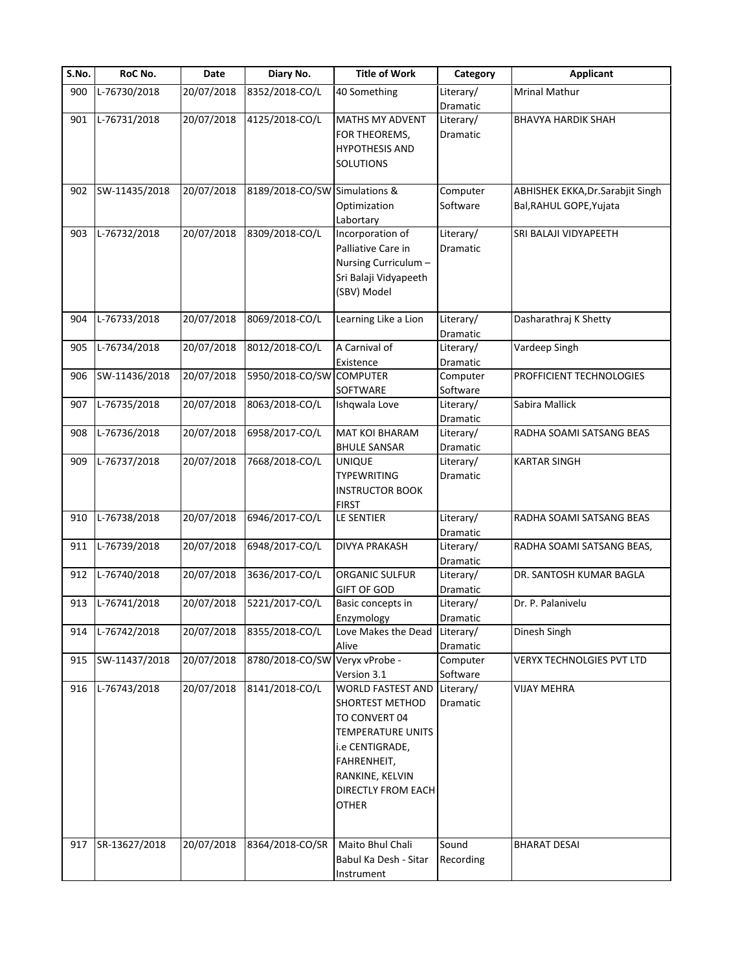| S.No. | RoC No.       | Date       | Diary No.                      | <b>Title of Work</b>     | Category  | <b>Applicant</b>                  |
|-------|---------------|------------|--------------------------------|--------------------------|-----------|-----------------------------------|
| 900   | L-76730/2018  | 20/07/2018 | 8352/2018-CO/L                 | 40 Something             | Literary/ | <b>Mrinal Mathur</b>              |
|       |               |            |                                |                          | Dramatic  |                                   |
| 901   | L-76731/2018  | 20/07/2018 | 4125/2018-CO/L                 | MATHS MY ADVENT          | Literary/ | <b>BHAVYA HARDIK SHAH</b>         |
|       |               |            |                                | FOR THEOREMS,            | Dramatic  |                                   |
|       |               |            |                                | <b>HYPOTHESIS AND</b>    |           |                                   |
|       |               |            |                                | SOLUTIONS                |           |                                   |
|       |               |            |                                |                          |           |                                   |
| 902   | SW-11435/2018 | 20/07/2018 | 8189/2018-CO/SW Simulations &  |                          | Computer  | ABHISHEK EKKA, Dr. Sarabjit Singh |
|       |               |            |                                | Optimization             | Software  | Bal, RAHUL GOPE, Yujata           |
|       |               |            |                                | Labortary                |           |                                   |
| 903   | L-76732/2018  | 20/07/2018 | 8309/2018-CO/L                 | Incorporation of         | Literary/ | SRI BALAJI VIDYAPEETH             |
|       |               |            |                                | Palliative Care in       | Dramatic  |                                   |
|       |               |            |                                | Nursing Curriculum -     |           |                                   |
|       |               |            |                                | Sri Balaji Vidyapeeth    |           |                                   |
|       |               |            |                                | (SBV) Model              |           |                                   |
|       |               |            |                                |                          |           |                                   |
| 904   | L-76733/2018  | 20/07/2018 | 8069/2018-CO/L                 | Learning Like a Lion     | Literary/ | Dasharathraj K Shetty             |
|       |               |            |                                |                          | Dramatic  |                                   |
| 905   | L-76734/2018  | 20/07/2018 | 8012/2018-CO/L                 | A Carnival of            | Literary/ | Vardeep Singh                     |
|       |               |            |                                | Existence                | Dramatic  |                                   |
| 906   | SW-11436/2018 | 20/07/2018 | 5950/2018-CO/SW                | <b>COMPUTER</b>          | Computer  | PROFFICIENT TECHNOLOGIES          |
|       |               |            |                                | SOFTWARE                 | Software  |                                   |
| 907   | L-76735/2018  | 20/07/2018 | 8063/2018-CO/L                 | Ishqwala Love            | Literary/ | Sabira Mallick                    |
|       |               |            |                                |                          | Dramatic  |                                   |
| 908   | L-76736/2018  | 20/07/2018 | 6958/2017-CO/L                 | MAT KOI BHARAM           | Literary/ | RADHA SOAMI SATSANG BEAS          |
|       |               |            |                                | <b>BHULE SANSAR</b>      | Dramatic  |                                   |
| 909   | L-76737/2018  | 20/07/2018 | 7668/2018-CO/L                 | <b>UNIQUE</b>            | Literary/ | <b>KARTAR SINGH</b>               |
|       |               |            |                                | TYPEWRITING              | Dramatic  |                                   |
|       |               |            |                                | <b>INSTRUCTOR BOOK</b>   |           |                                   |
|       |               |            |                                | <b>FIRST</b>             |           |                                   |
| 910   | L-76738/2018  | 20/07/2018 | 6946/2017-CO/L                 | LE SENTIER               | Literary/ | RADHA SOAMI SATSANG BEAS          |
|       |               |            |                                |                          | Dramatic  |                                   |
| 911   | L-76739/2018  | 20/07/2018 | 6948/2017-CO/L                 | <b>DIVYA PRAKASH</b>     | Literary/ | RADHA SOAMI SATSANG BEAS,         |
|       |               |            |                                |                          | Dramatic  |                                   |
| 912   | L-76740/2018  | 20/07/2018 | 3636/2017-CO/L                 | <b>ORGANIC SULFUR</b>    | Literary/ | DR. SANTOSH KUMAR BAGLA           |
|       |               |            |                                | GIFT OF GOD              | Dramatic  |                                   |
| 913   | L-76741/2018  | 20/07/2018 | 5221/2017-CO/L                 | Basic concepts in        | Literary/ | Dr. P. Palanivelu                 |
|       |               |            |                                | Enzymology               | Dramatic  |                                   |
| 914   | L-76742/2018  | 20/07/2018 | 8355/2018-CO/L                 | Love Makes the Dead      | Literary/ | Dinesh Singh                      |
|       |               |            |                                | Alive                    | Dramatic  |                                   |
| 915   | SW-11437/2018 | 20/07/2018 | 8780/2018-CO/SW Veryx vProbe - |                          | Computer  | VERYX TECHNOLGIES PVT LTD         |
|       |               |            |                                | Version 3.1              | Software  |                                   |
| 916   | L-76743/2018  | 20/07/2018 | 8141/2018-CO/L                 | <b>WORLD FASTEST AND</b> | Literary/ | <b>VIJAY MEHRA</b>                |
|       |               |            |                                | <b>SHORTEST METHOD</b>   | Dramatic  |                                   |
|       |               |            |                                | TO CONVERT 04            |           |                                   |
|       |               |            |                                | <b>TEMPERATURE UNITS</b> |           |                                   |
|       |               |            |                                | i.e CENTIGRADE,          |           |                                   |
|       |               |            |                                | FAHRENHEIT,              |           |                                   |
|       |               |            |                                | RANKINE, KELVIN          |           |                                   |
|       |               |            |                                | DIRECTLY FROM EACH       |           |                                   |
|       |               |            |                                |                          |           |                                   |
|       |               |            |                                | <b>OTHER</b>             |           |                                   |
|       |               |            |                                |                          |           |                                   |
| 917   | SR-13627/2018 | 20/07/2018 | 8364/2018-CO/SR                | Maito Bhul Chali         | Sound     | <b>BHARAT DESAI</b>               |
|       |               |            |                                | Babul Ka Desh - Sitar    | Recording |                                   |
|       |               |            |                                | Instrument               |           |                                   |
|       |               |            |                                |                          |           |                                   |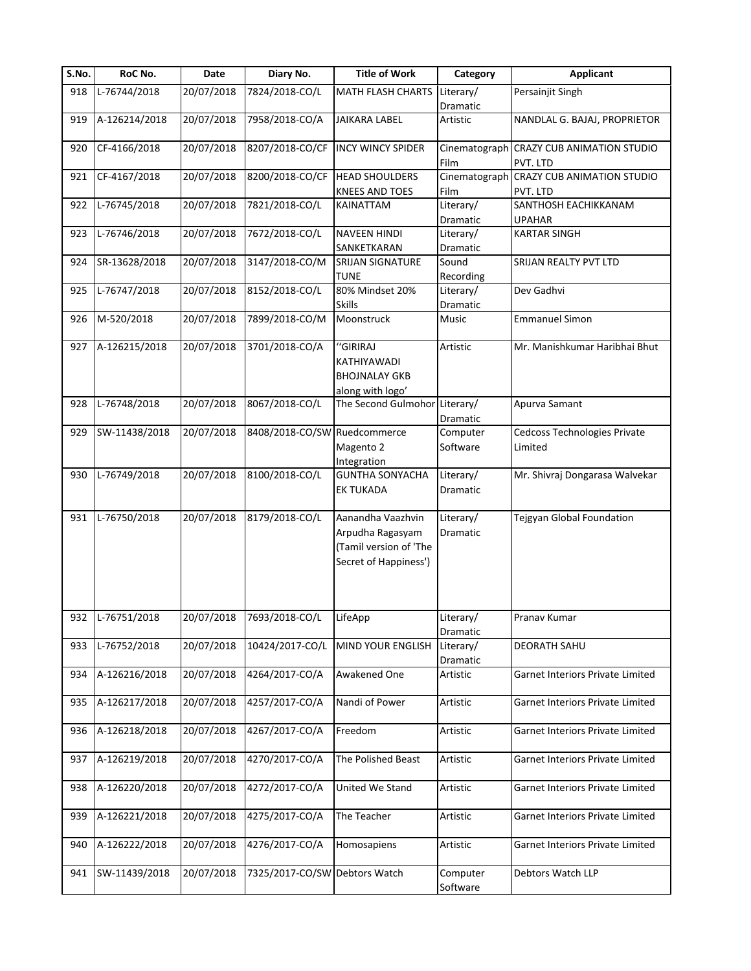| $\overline{S}$ . No. | RoC No.        | Date       | Diary No.                     | <b>Title of Work</b>                                                                     | Category              | <b>Applicant</b>                                     |
|----------------------|----------------|------------|-------------------------------|------------------------------------------------------------------------------------------|-----------------------|------------------------------------------------------|
| 918                  | L-76744/2018   | 20/07/2018 | 7824/2018-CO/L                | MATH FLASH CHARTS                                                                        | Literary/             | Persainjit Singh                                     |
|                      |                |            |                               |                                                                                          | Dramatic              |                                                      |
| 919                  | A-126214/2018  | 20/07/2018 | 7958/2018-CO/A                | <b>JAIKARA LABEL</b>                                                                     | Artistic              | NANDLAL G. BAJAJ, PROPRIETOR                         |
| 920                  | CF-4166/2018   | 20/07/2018 | 8207/2018-CO/CF               | <b>INCY WINCY SPIDER</b>                                                                 | Film                  | Cinematograph CRAZY CUB ANIMATION STUDIO<br>PVT. LTD |
| 921                  | CF-4167/2018   | 20/07/2018 | 8200/2018-CO/CF               | <b>HEAD SHOULDERS</b><br><b>KNEES AND TOES</b>                                           | Film                  | Cinematograph CRAZY CUB ANIMATION STUDIO<br>PVT. LTD |
| 922                  | L-76745/2018   | 20/07/2018 | 7821/2018-CO/L                | KAINATTAM                                                                                | Literary/<br>Dramatic | SANTHOSH EACHIKKANAM<br><b>UPAHAR</b>                |
| 923                  | L-76746/2018   | 20/07/2018 | 7672/2018-CO/L                | <b>NAVEEN HINDI</b><br>SANKETKARAN                                                       | Literary/<br>Dramatic | <b>KARTAR SINGH</b>                                  |
| 924                  | SR-13628/2018  | 20/07/2018 | 3147/2018-CO/M                | <b>SRIJAN SIGNATURE</b><br><b>TUNE</b>                                                   | Sound<br>Recording    | SRIJAN REALTY PVT LTD                                |
| 925                  | L-76747/2018   | 20/07/2018 | 8152/2018-CO/L                | 80% Mindset 20%<br><b>Skills</b>                                                         | Literary/<br>Dramatic | Dev Gadhvi                                           |
| 926                  | M-520/2018     | 20/07/2018 | 7899/2018-CO/M                | Moonstruck                                                                               | Music                 | <b>Emmanuel Simon</b>                                |
| 927                  | A-126215/2018  | 20/07/2018 | 3701/2018-CO/A                | "GIRIRAJ<br>KATHIYAWADI<br><b>BHOJNALAY GKB</b><br>along with logo'                      | Artistic              | Mr. Manishkumar Haribhai Bhut                        |
| 928                  | L-76748/2018   | 20/07/2018 | 8067/2018-CO/L                | The Second Gulmohor Literary/                                                            | Dramatic              | Apurva Samant                                        |
| 929                  | SW-11438/2018  | 20/07/2018 | 8408/2018-CO/SW Ruedcommerce  | Magento 2<br>Integration                                                                 | Computer<br>Software  | Cedcoss Technologies Private<br>Limited              |
| 930                  | L-76749/2018   | 20/07/2018 | 8100/2018-CO/L                | <b>GUNTHA SONYACHA</b><br><b>EK TUKADA</b>                                               | Literary/<br>Dramatic | Mr. Shivraj Dongarasa Walvekar                       |
| 931                  | L-76750/2018   | 20/07/2018 | 8179/2018-CO/L                | Aanandha Vaazhvin<br>Arpudha Ragasyam<br>(Tamil version of 'The<br>Secret of Happiness') | Literary/<br>Dramatic | Tejgyan Global Foundation                            |
| 932                  | $L-76751/2018$ | 20/07/2018 | 7693/2018-CO/L                | LifeApp                                                                                  | Literary/<br>Dramatic | Pranav Kumar                                         |
| 933                  | L-76752/2018   | 20/07/2018 | 10424/2017-CO/L               | MIND YOUR ENGLISH                                                                        | Literary/<br>Dramatic | DEORATH SAHU                                         |
| 934                  | A-126216/2018  | 20/07/2018 | 4264/2017-CO/A                | <b>Awakened One</b>                                                                      | Artistic              | Garnet Interiors Private Limited                     |
| 935                  | A-126217/2018  | 20/07/2018 | 4257/2017-CO/A                | Nandi of Power                                                                           | Artistic              | Garnet Interiors Private Limited                     |
| 936                  | A-126218/2018  | 20/07/2018 | 4267/2017-CO/A                | Freedom                                                                                  | Artistic              | Garnet Interiors Private Limited                     |
| 937                  | A-126219/2018  | 20/07/2018 | 4270/2017-CO/A                | The Polished Beast                                                                       | Artistic              | Garnet Interiors Private Limited                     |
| 938                  | A-126220/2018  | 20/07/2018 | 4272/2017-CO/A                | United We Stand                                                                          | Artistic              | Garnet Interiors Private Limited                     |
| 939                  | A-126221/2018  | 20/07/2018 | 4275/2017-CO/A                | The Teacher                                                                              | Artistic              | Garnet Interiors Private Limited                     |
| 940                  | A-126222/2018  | 20/07/2018 | 4276/2017-CO/A                | Homosapiens                                                                              | Artistic              | Garnet Interiors Private Limited                     |
| 941                  | SW-11439/2018  | 20/07/2018 | 7325/2017-CO/SW Debtors Watch |                                                                                          | Computer<br>Software  | Debtors Watch LLP                                    |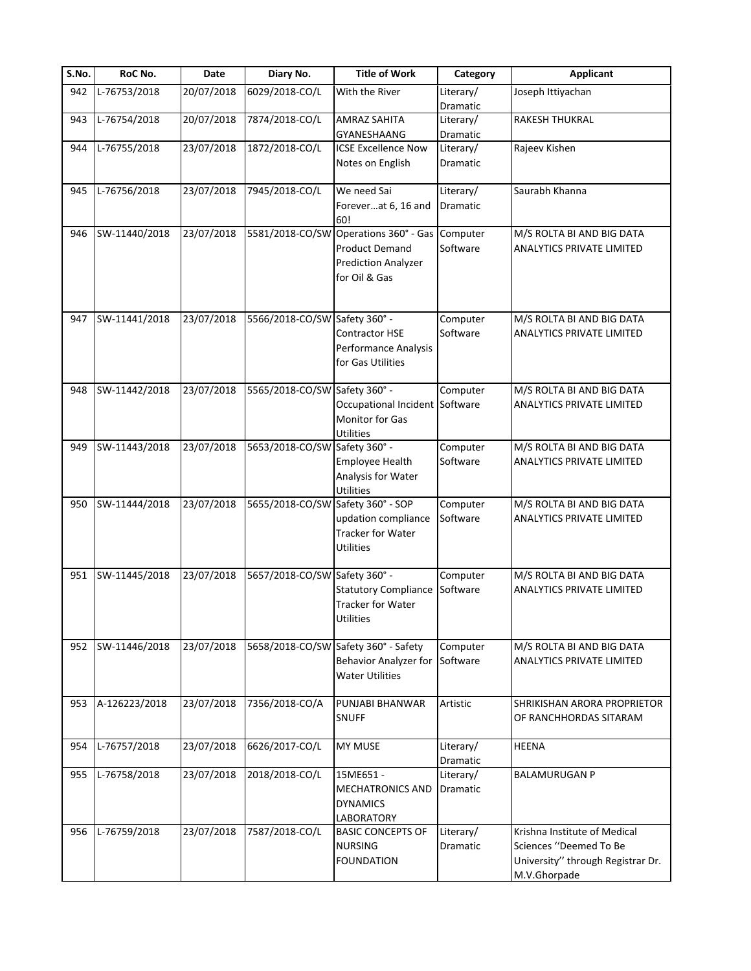| S.No. | RoC No.       | <b>Date</b> | Diary No.                         | <b>Title of Work</b>                                  | Category              | Applicant                                                     |
|-------|---------------|-------------|-----------------------------------|-------------------------------------------------------|-----------------------|---------------------------------------------------------------|
| 942   | L-76753/2018  | 20/07/2018  | 6029/2018-CO/L                    | With the River                                        | Literary/             | Joseph Ittiyachan                                             |
|       |               |             |                                   |                                                       | Dramatic              |                                                               |
| 943   | L-76754/2018  | 20/07/2018  | 7874/2018-CO/L                    | <b>AMRAZ SAHITA</b>                                   | Literary/             | RAKESH THUKRAL                                                |
|       |               |             |                                   | <b>GYANESHAANG</b>                                    | Dramatic              |                                                               |
| 944   | L-76755/2018  | 23/07/2018  | 1872/2018-CO/L                    | <b>ICSE Excellence Now</b>                            | Literary/             | Rajeev Kishen                                                 |
|       |               |             |                                   | Notes on English                                      | Dramatic              |                                                               |
|       |               |             |                                   |                                                       |                       |                                                               |
| 945   | L-76756/2018  | 23/07/2018  | 7945/2018-CO/L                    | We need Sai                                           | Literary/             | Saurabh Khanna                                                |
|       |               |             |                                   | Foreverat 6, 16 and                                   | Dramatic              |                                                               |
|       | SW-11440/2018 | 23/07/2018  |                                   | 60!<br>5581/2018-CO/SW Operations 360° - Gas Computer |                       |                                                               |
| 946   |               |             |                                   | <b>Product Demand</b>                                 | Software              | M/S ROLTA BI AND BIG DATA<br><b>ANALYTICS PRIVATE LIMITED</b> |
|       |               |             |                                   |                                                       |                       |                                                               |
|       |               |             |                                   | <b>Prediction Analyzer</b>                            |                       |                                                               |
|       |               |             |                                   | for Oil & Gas                                         |                       |                                                               |
|       |               |             |                                   |                                                       |                       |                                                               |
| 947   | SW-11441/2018 | 23/07/2018  | 5566/2018-CO/SW Safety 360° -     |                                                       | Computer              | M/S ROLTA BI AND BIG DATA                                     |
|       |               |             |                                   | Contractor HSE                                        | Software              | ANALYTICS PRIVATE LIMITED                                     |
|       |               |             |                                   | Performance Analysis                                  |                       |                                                               |
|       |               |             |                                   | for Gas Utilities                                     |                       |                                                               |
|       |               |             |                                   |                                                       |                       |                                                               |
| 948   | SW-11442/2018 | 23/07/2018  | 5565/2018-CO/SW Safety 360° -     |                                                       | Computer              | M/S ROLTA BI AND BIG DATA                                     |
|       |               |             |                                   | Occupational Incident                                 | Software              | ANALYTICS PRIVATE LIMITED                                     |
|       |               |             |                                   | Monitor for Gas                                       |                       |                                                               |
|       |               |             |                                   | <b>Utilities</b>                                      |                       |                                                               |
| 949   | SW-11443/2018 | 23/07/2018  | 5653/2018-CO/SW Safety 360° -     |                                                       | Computer              | M/S ROLTA BI AND BIG DATA                                     |
|       |               |             |                                   | Employee Health                                       | Software              | ANALYTICS PRIVATE LIMITED                                     |
|       |               |             |                                   | Analysis for Water                                    |                       |                                                               |
|       |               |             |                                   | <b>Utilities</b>                                      |                       |                                                               |
| 950   | SW-11444/2018 | 23/07/2018  | 5655/2018-CO/SW Safety 360° - SOP |                                                       | Computer              | M/S ROLTA BI AND BIG DATA                                     |
|       |               |             |                                   | updation compliance                                   | Software              | ANALYTICS PRIVATE LIMITED                                     |
|       |               |             |                                   | Tracker for Water                                     |                       |                                                               |
|       |               |             |                                   | <b>Utilities</b>                                      |                       |                                                               |
| 951   | SW-11445/2018 | 23/07/2018  | 5657/2018-CO/SW Safety 360° -     |                                                       | Computer              | M/S ROLTA BI AND BIG DATA                                     |
|       |               |             |                                   | <b>Statutory Compliance</b>                           | Software              | <b>ANALYTICS PRIVATE LIMITED</b>                              |
|       |               |             |                                   | <b>Tracker for Water</b>                              |                       |                                                               |
|       |               |             |                                   | <b>Utilities</b>                                      |                       |                                                               |
|       |               |             |                                   |                                                       |                       |                                                               |
| 952   | SW-11446/2018 | 23/07/2018  |                                   | 5658/2018-CO/SW Safety 360° - Safety                  | Computer              | M/S ROLTA BI AND BIG DATA                                     |
|       |               |             |                                   | <b>Behavior Analyzer for</b>                          | Software              | ANALYTICS PRIVATE LIMITED                                     |
|       |               |             |                                   | <b>Water Utilities</b>                                |                       |                                                               |
|       |               |             |                                   |                                                       |                       |                                                               |
| 953   | A-126223/2018 | 23/07/2018  | 7356/2018-CO/A                    | PUNJABI BHANWAR                                       | Artistic              | SHRIKISHAN ARORA PROPRIETOR                                   |
|       |               |             |                                   | <b>SNUFF</b>                                          |                       | OF RANCHHORDAS SITARAM                                        |
|       |               |             |                                   |                                                       |                       |                                                               |
| 954   | L-76757/2018  | 23/07/2018  | 6626/2017-CO/L                    | <b>MY MUSE</b>                                        | Literary/             | <b>HEENA</b>                                                  |
| 955   | L-76758/2018  | 23/07/2018  | 2018/2018-CO/L                    | 15ME651-                                              | Dramatic<br>Literary/ | <b>BALAMURUGAN P</b>                                          |
|       |               |             |                                   | <b>MECHATRONICS AND</b>                               | Dramatic              |                                                               |
|       |               |             |                                   | <b>DYNAMICS</b>                                       |                       |                                                               |
|       |               |             |                                   | LABORATORY                                            |                       |                                                               |
| 956   | L-76759/2018  | 23/07/2018  | 7587/2018-CO/L                    | <b>BASIC CONCEPTS OF</b>                              | Literary/             | Krishna Institute of Medical                                  |
|       |               |             |                                   | <b>NURSING</b>                                        | Dramatic              | Sciences "Deemed To Be                                        |
|       |               |             |                                   | <b>FOUNDATION</b>                                     |                       | University" through Registrar Dr.                             |
|       |               |             |                                   |                                                       |                       | M.V.Ghorpade                                                  |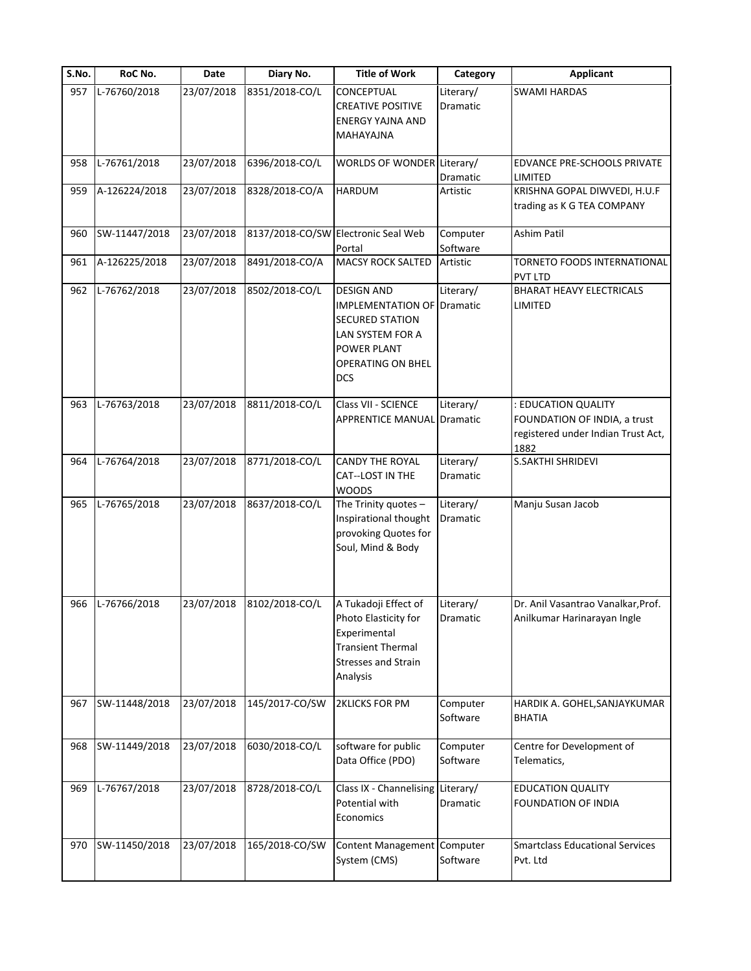| S.No. | RoC No.       | Date       | Diary No.      | <b>Title of Work</b>                                                                                                                                          | Category                     | <b>Applicant</b>                                                                                  |
|-------|---------------|------------|----------------|---------------------------------------------------------------------------------------------------------------------------------------------------------------|------------------------------|---------------------------------------------------------------------------------------------------|
| 957   | L-76760/2018  | 23/07/2018 | 8351/2018-CO/L | CONCEPTUAL<br><b>CREATIVE POSITIVE</b><br><b>ENERGY YAJNA AND</b><br>MAHAYAJNA                                                                                | Literary/<br><b>Dramatic</b> | <b>SWAMI HARDAS</b>                                                                               |
| 958   | L-76761/2018  | 23/07/2018 | 6396/2018-CO/L | WORLDS OF WONDER Literary/                                                                                                                                    | Dramatic                     | EDVANCE PRE-SCHOOLS PRIVATE<br>LIMITED                                                            |
| 959   | A-126224/2018 | 23/07/2018 | 8328/2018-CO/A | HARDUM                                                                                                                                                        | Artistic                     | KRISHNA GOPAL DIWVEDI, H.U.F<br>trading as K G TEA COMPANY                                        |
| 960   | SW-11447/2018 | 23/07/2018 |                | 8137/2018-CO/SW Electronic Seal Web<br>Portal                                                                                                                 | Computer<br>Software         | Ashim Patil                                                                                       |
| 961   | A-126225/2018 | 23/07/2018 | 8491/2018-CO/A | <b>MACSY ROCK SALTED</b>                                                                                                                                      | Artistic                     | TORNETO FOODS INTERNATIONAL<br><b>PVT LTD</b>                                                     |
| 962   | L-76762/2018  | 23/07/2018 | 8502/2018-CO/L | <b>DESIGN AND</b><br><b>IMPLEMENTATION OF Dramatic</b><br><b>SECURED STATION</b><br>LAN SYSTEM FOR A<br>POWER PLANT<br><b>OPERATING ON BHEL</b><br><b>DCS</b> | Literary/                    | <b>BHARAT HEAVY ELECTRICALS</b><br>LIMITED                                                        |
| 963   | L-76763/2018  | 23/07/2018 | 8811/2018-CO/L | Class VII - SCIENCE<br><b>APPRENTICE MANUAL Dramatic</b>                                                                                                      | Literary/                    | : EDUCATION QUALITY<br>FOUNDATION OF INDIA, a trust<br>registered under Indian Trust Act,<br>1882 |
| 964   | L-76764/2018  | 23/07/2018 | 8771/2018-CO/L | <b>CANDY THE ROYAL</b><br>CAT--LOST IN THE<br><b>WOODS</b>                                                                                                    | Literary/<br>Dramatic        | S.SAKTHI SHRIDEVI                                                                                 |
| 965   | L-76765/2018  | 23/07/2018 | 8637/2018-CO/L | The Trinity quotes -<br>Inspirational thought<br>provoking Quotes for<br>Soul, Mind & Body                                                                    | Literary/<br>Dramatic        | Manju Susan Jacob                                                                                 |
| 966   | L-76766/2018  | 23/07/2018 | 8102/2018-CO/L | A Tukadoji Effect of<br>Photo Elasticity for<br>Experimental<br><b>Transient Thermal</b><br><b>Stresses and Strain</b><br>Analysis                            | Literary/<br>Dramatic        | Dr. Anil Vasantrao Vanalkar, Prof.<br>Anilkumar Harinarayan Ingle                                 |
| 967   | SW-11448/2018 | 23/07/2018 | 145/2017-CO/SW | <b>2KLICKS FOR PM</b>                                                                                                                                         | Computer<br>Software         | HARDIK A. GOHEL, SANJAYKUMAR<br><b>BHATIA</b>                                                     |
| 968   | SW-11449/2018 | 23/07/2018 | 6030/2018-CO/L | software for public<br>Data Office (PDO)                                                                                                                      | Computer<br>Software         | Centre for Development of<br>Telematics,                                                          |
| 969   | L-76767/2018  | 23/07/2018 | 8728/2018-CO/L | Class IX - Channelising<br>Potential with<br>Economics                                                                                                        | Literary/<br>Dramatic        | <b>EDUCATION QUALITY</b><br>FOUNDATION OF INDIA                                                   |
| 970   | SW-11450/2018 | 23/07/2018 | 165/2018-CO/SW | <b>Content Management</b><br>System (CMS)                                                                                                                     | Computer<br>Software         | <b>Smartclass Educational Services</b><br>Pvt. Ltd                                                |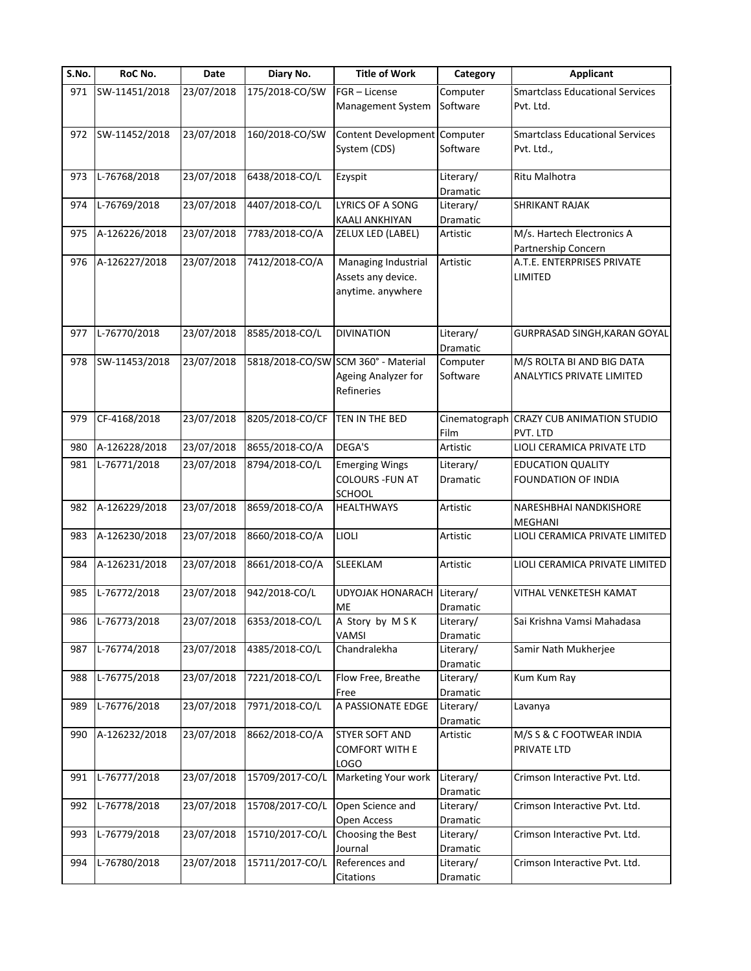| S.No. | RoC No.       | <b>Date</b> | Diary No.       | <b>Title of Work</b>                                                     | Category              | <b>Applicant</b>                                  |
|-------|---------------|-------------|-----------------|--------------------------------------------------------------------------|-----------------------|---------------------------------------------------|
| 971   | SW-11451/2018 | 23/07/2018  | 175/2018-CO/SW  | FGR - License                                                            | Computer              | <b>Smartclass Educational Services</b>            |
|       |               |             |                 | Management System                                                        | Software              | Pvt. Ltd.                                         |
| 972   | SW-11452/2018 | 23/07/2018  | 160/2018-CO/SW  | Content Development Computer                                             |                       | <b>Smartclass Educational Services</b>            |
|       |               |             |                 | System (CDS)                                                             | Software              | Pvt. Ltd.,                                        |
| 973   | L-76768/2018  | 23/07/2018  | 6438/2018-CO/L  | Ezyspit                                                                  | Literary/<br>Dramatic | Ritu Malhotra                                     |
| 974   | L-76769/2018  | 23/07/2018  | 4407/2018-CO/L  | LYRICS OF A SONG<br>KAALI ANKHIYAN                                       | Literary/<br>Dramatic | SHRIKANT RAJAK                                    |
| 975   | A-126226/2018 | 23/07/2018  | 7783/2018-CO/A  | ZELUX LED (LABEL)                                                        | Artistic              | M/s. Hartech Electronics A<br>Partnership Concern |
| 976   | A-126227/2018 | 23/07/2018  | 7412/2018-CO/A  | Managing Industrial<br>Assets any device.                                | Artistic              | A.T.E. ENTERPRISES PRIVATE<br>LIMITED             |
|       |               |             |                 | anytime. anywhere                                                        |                       |                                                   |
| 977   | L-76770/2018  | 23/07/2018  | 8585/2018-CO/L  | <b>DIVINATION</b>                                                        | Literary/             | GURPRASAD SINGH, KARAN GOYAL                      |
|       | SW-11453/2018 |             |                 |                                                                          | <b>Dramatic</b>       | M/S ROLTA BI AND BIG DATA                         |
| 978   |               | 23/07/2018  |                 | 5818/2018-CO/SW SCM 360° - Material<br>Ageing Analyzer for<br>Refineries | Computer<br>Software  | <b>ANALYTICS PRIVATE LIMITED</b>                  |
| 979   | CF-4168/2018  | 23/07/2018  | 8205/2018-CO/CF | TEN IN THE BED                                                           | Cinematograph<br>Film | <b>CRAZY CUB ANIMATION STUDIO</b><br>PVT. LTD     |
| 980   | A-126228/2018 | 23/07/2018  | 8655/2018-CO/A  | <b>DEGA'S</b>                                                            | Artistic              | LIOLI CERAMICA PRIVATE LTD                        |
| 981   | L-76771/2018  | 23/07/2018  | 8794/2018-CO/L  | <b>Emerging Wings</b>                                                    | Literary/             | <b>EDUCATION QUALITY</b>                          |
|       |               |             |                 | <b>COLOURS - FUN AT</b><br><b>SCHOOL</b>                                 | Dramatic              | FOUNDATION OF INDIA                               |
| 982   | A-126229/2018 | 23/07/2018  | 8659/2018-CO/A  | <b>HEALTHWAYS</b>                                                        | Artistic              | NARESHBHAI NANDKISHORE<br><b>MEGHANI</b>          |
| 983   | A-126230/2018 | 23/07/2018  | 8660/2018-CO/A  | LIOLI                                                                    | Artistic              | LIOLI CERAMICA PRIVATE LIMITED                    |
| 984   | A-126231/2018 | 23/07/2018  | 8661/2018-CO/A  | SLEEKLAM                                                                 | Artistic              | LIOLI CERAMICA PRIVATE LIMITED                    |
| 985   | L-76772/2018  | 23/07/2018  | 942/2018-CO/L   | UDYOJAK HONARACH Literary/<br>ME                                         | Dramatic              | VITHAL VENKETESH KAMAT                            |
| 986   | L-76773/2018  | 23/07/2018  | 6353/2018-CO/L  | A Story by MSK<br>VAMSI                                                  | Literary/<br>Dramatic | Sai Krishna Vamsi Mahadasa                        |
| 987   | L-76774/2018  | 23/07/2018  | 4385/2018-CO/L  | Chandralekha                                                             | Literary/<br>Dramatic | Samir Nath Mukherjee                              |
| 988   | L-76775/2018  | 23/07/2018  | 7221/2018-CO/L  | Flow Free, Breathe<br>Free                                               | Literary/<br>Dramatic | Kum Kum Ray                                       |
| 989   | L-76776/2018  | 23/07/2018  | 7971/2018-CO/L  | A PASSIONATE EDGE                                                        | Literary/<br>Dramatic | Lavanya                                           |
| 990   | A-126232/2018 | 23/07/2018  | 8662/2018-CO/A  | <b>STYER SOFT AND</b><br><b>COMFORT WITH E</b><br><b>LOGO</b>            | Artistic              | M/S S & C FOOTWEAR INDIA<br>PRIVATE LTD           |
| 991   | L-76777/2018  | 23/07/2018  | 15709/2017-CO/L | Marketing Your work                                                      | Literary/<br>Dramatic | Crimson Interactive Pvt. Ltd.                     |
| 992   | L-76778/2018  | 23/07/2018  | 15708/2017-CO/L | Open Science and<br>Open Access                                          | Literary/<br>Dramatic | Crimson Interactive Pvt. Ltd.                     |
| 993   | L-76779/2018  | 23/07/2018  | 15710/2017-CO/L | Choosing the Best<br>Journal                                             | Literary/<br>Dramatic | Crimson Interactive Pvt. Ltd.                     |
| 994   | L-76780/2018  | 23/07/2018  | 15711/2017-CO/L | References and                                                           | Literary/             | Crimson Interactive Pvt. Ltd.                     |
|       |               |             |                 | Citations                                                                | Dramatic              |                                                   |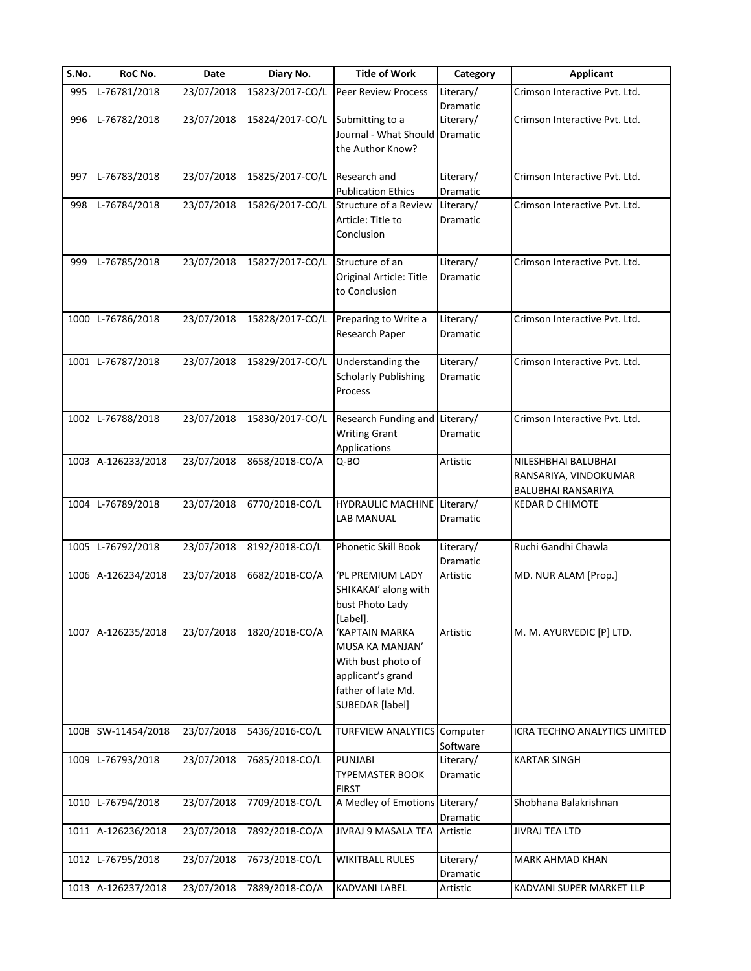| S.No. | RoC No.            | Date       | Diary No.       | <b>Title of Work</b>                                                                                                         | Category              | <b>Applicant</b>                                                   |
|-------|--------------------|------------|-----------------|------------------------------------------------------------------------------------------------------------------------------|-----------------------|--------------------------------------------------------------------|
| 995   | L-76781/2018       | 23/07/2018 | 15823/2017-CO/L | <b>Peer Review Process</b>                                                                                                   | Literary/<br>Dramatic | Crimson Interactive Pvt. Ltd.                                      |
| 996   | L-76782/2018       | 23/07/2018 | 15824/2017-CO/L | Submitting to a<br>Journal - What Should Dramatic<br>the Author Know?                                                        | Literary/             | Crimson Interactive Pvt. Ltd.                                      |
| 997   | L-76783/2018       | 23/07/2018 | 15825/2017-CO/L | Research and<br><b>Publication Ethics</b>                                                                                    | Literary/<br>Dramatic | Crimson Interactive Pvt. Ltd.                                      |
| 998   | L-76784/2018       | 23/07/2018 | 15826/2017-CO/L | Structure of a Review<br>Article: Title to<br>Conclusion                                                                     | Literary/<br>Dramatic | Crimson Interactive Pvt. Ltd.                                      |
| 999   | L-76785/2018       | 23/07/2018 | 15827/2017-CO/L | Structure of an<br>Original Article: Title<br>to Conclusion                                                                  | Literary/<br>Dramatic | Crimson Interactive Pvt. Ltd.                                      |
| 1000  | L-76786/2018       | 23/07/2018 | 15828/2017-CO/L | Preparing to Write a<br>Research Paper                                                                                       | Literary/<br>Dramatic | Crimson Interactive Pvt. Ltd.                                      |
| 1001  | L-76787/2018       | 23/07/2018 | 15829/2017-CO/L | Understanding the<br><b>Scholarly Publishing</b><br>Process                                                                  | Literary/<br>Dramatic | Crimson Interactive Pvt. Ltd.                                      |
|       | 1002 L-76788/2018  | 23/07/2018 | 15830/2017-CO/L | Research Funding and Literary/<br><b>Writing Grant</b><br>Applications                                                       | Dramatic              | Crimson Interactive Pvt. Ltd.                                      |
|       | 1003 A-126233/2018 | 23/07/2018 | 8658/2018-CO/A  | Q-BO                                                                                                                         | Artistic              | NILESHBHAI BALUBHAI<br>RANSARIYA, VINDOKUMAR<br>BALUBHAI RANSARIYA |
| 1004  | L-76789/2018       | 23/07/2018 | 6770/2018-CO/L  | HYDRAULIC MACHINE Literary/<br>LAB MANUAL                                                                                    | Dramatic              | <b>KEDAR D CHIMOTE</b>                                             |
|       | 1005 L-76792/2018  | 23/07/2018 | 8192/2018-CO/L  | Phonetic Skill Book                                                                                                          | Literary/<br>Dramatic | Ruchi Gandhi Chawla                                                |
|       | 1006 A-126234/2018 | 23/07/2018 | 6682/2018-CO/A  | 'PL PREMIUM LADY<br>SHIKAKAI' along with<br>bust Photo Lady<br>[Label].                                                      | Artistic              | MD. NUR ALAM [Prop.]                                               |
|       | 1007 A-126235/2018 | 23/07/2018 | 1820/2018-CO/A  | 'KAPTAIN MARKA<br>MUSA KA MANJAN'<br>With bust photo of<br>applicant's grand<br>father of late Md.<br><b>SUBEDAR</b> [label] | Artistic              | M. M. AYURVEDIC [P] LTD.                                           |
|       | 1008 SW-11454/2018 | 23/07/2018 | 5436/2016-CO/L  | <b>TURFVIEW ANALYTICS Computer</b>                                                                                           | Software              | ICRA TECHNO ANALYTICS LIMITED                                      |
|       | 1009 L-76793/2018  | 23/07/2018 | 7685/2018-CO/L  | <b>PUNJABI</b><br><b>TYPEMASTER BOOK</b><br><b>FIRST</b>                                                                     | Literary/<br>Dramatic | <b>KARTAR SINGH</b>                                                |
| 1010  | L-76794/2018       | 23/07/2018 | 7709/2018-CO/L  | A Medley of Emotions Literary/                                                                                               | Dramatic              | Shobhana Balakrishnan                                              |
| 1011  | A-126236/2018      | 23/07/2018 | 7892/2018-CO/A  | JIVRAJ 9 MASALA TEA                                                                                                          | Artistic              | <b>JIVRAJ TEA LTD</b>                                              |
| 1012  | L-76795/2018       | 23/07/2018 | 7673/2018-CO/L  | <b>WIKITBALL RULES</b>                                                                                                       | Literary/<br>Dramatic | MARK AHMAD KHAN                                                    |
|       | 1013 A-126237/2018 | 23/07/2018 | 7889/2018-CO/A  | KADVANI LABEL                                                                                                                | Artistic              | KADVANI SUPER MARKET LLP                                           |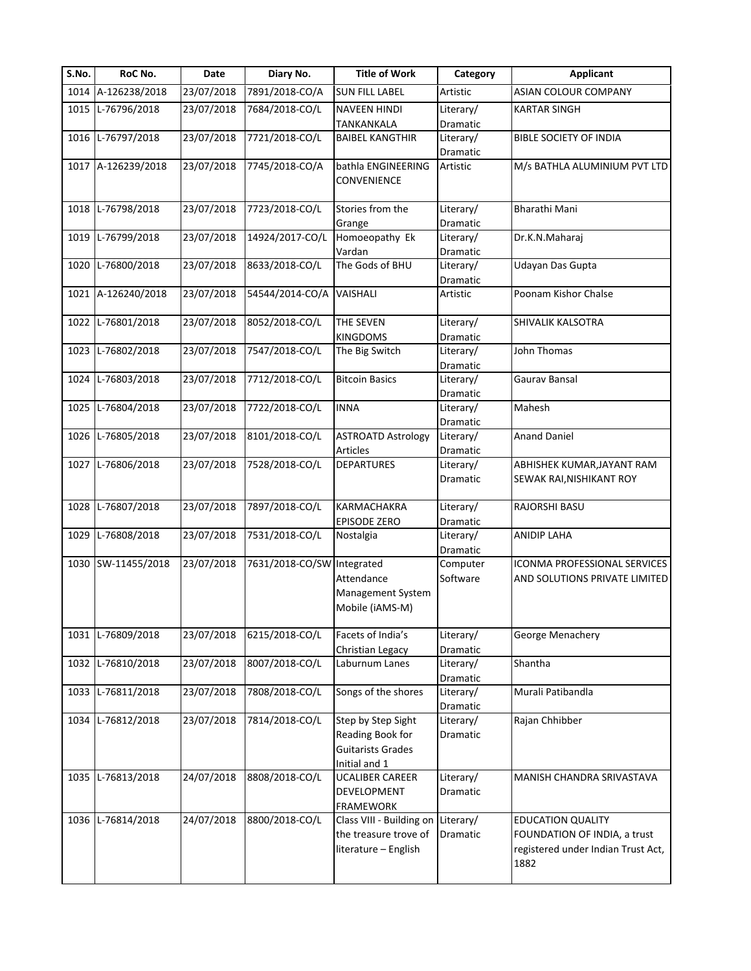| S.No. | RoC No.            | Date       | Diary No.                  | <b>Title of Work</b>                                                                | Category              | <b>Applicant</b>                                                                                       |
|-------|--------------------|------------|----------------------------|-------------------------------------------------------------------------------------|-----------------------|--------------------------------------------------------------------------------------------------------|
|       | 1014 A-126238/2018 | 23/07/2018 | 7891/2018-CO/A             | <b>SUN FILL LABEL</b>                                                               | Artistic              | ASIAN COLOUR COMPANY                                                                                   |
| 1015  | L-76796/2018       | 23/07/2018 | 7684/2018-CO/L             | <b>NAVEEN HINDI</b><br><b>TANKANKALA</b>                                            | Literary/<br>Dramatic | <b>KARTAR SINGH</b>                                                                                    |
|       | 1016 L-76797/2018  | 23/07/2018 | 7721/2018-CO/L             | <b>BAIBEL KANGTHIR</b>                                                              | Literary/<br>Dramatic | BIBLE SOCIETY OF INDIA                                                                                 |
|       | 1017 A-126239/2018 | 23/07/2018 | 7745/2018-CO/A             | bathla ENGINEERING<br>CONVENIENCE                                                   | Artistic              | M/s BATHLA ALUMINIUM PVT LTD                                                                           |
|       | 1018 L-76798/2018  | 23/07/2018 | 7723/2018-CO/L             | Stories from the<br>Grange                                                          | Literary/<br>Dramatic | Bharathi Mani                                                                                          |
|       | 1019 L-76799/2018  | 23/07/2018 | 14924/2017-CO/L            | Homoeopathy Ek<br>Vardan                                                            | Literary/<br>Dramatic | Dr.K.N.Maharaj                                                                                         |
|       | 1020 L-76800/2018  | 23/07/2018 | 8633/2018-CO/L             | The Gods of BHU                                                                     | Literary/<br>Dramatic | Udayan Das Gupta                                                                                       |
| 1021  | A-126240/2018      | 23/07/2018 | 54544/2014-CO/A            | VAISHALI                                                                            | Artistic              | Poonam Kishor Chalse                                                                                   |
| 1022  | L-76801/2018       | 23/07/2018 | 8052/2018-CO/L             | <b>THE SEVEN</b><br><b>KINGDOMS</b>                                                 | Literary/<br>Dramatic | SHIVALIK KALSOTRA                                                                                      |
| 1023  | L-76802/2018       | 23/07/2018 | 7547/2018-CO/L             | The Big Switch                                                                      | Literary/<br>Dramatic | John Thomas                                                                                            |
| 1024  | L-76803/2018       | 23/07/2018 | 7712/2018-CO/L             | <b>Bitcoin Basics</b>                                                               | Literary/<br>Dramatic | Gaurav Bansal                                                                                          |
| 1025  | L-76804/2018       | 23/07/2018 | 7722/2018-CO/L             | <b>INNA</b>                                                                         | Literary/<br>Dramatic | Mahesh                                                                                                 |
|       | 1026 L-76805/2018  | 23/07/2018 | 8101/2018-CO/L             | <b>ASTROATD Astrology</b><br>Articles                                               | Literary/<br>Dramatic | <b>Anand Daniel</b>                                                                                    |
|       | 1027 L-76806/2018  | 23/07/2018 | 7528/2018-CO/L             | <b>DEPARTURES</b>                                                                   | Literary/<br>Dramatic | ABHISHEK KUMAR, JAYANT RAM<br>SEWAK RAI, NISHIKANT ROY                                                 |
| 1028  | L-76807/2018       | 23/07/2018 | 7897/2018-CO/L             | <b>KARMACHAKRA</b><br><b>EPISODE ZERO</b>                                           | Literary/<br>Dramatic | RAJORSHI BASU                                                                                          |
| 1029  | L-76808/2018       | 23/07/2018 | 7531/2018-CO/L             | Nostalgia                                                                           | Literary/<br>Dramatic | ANIDIP LAHA                                                                                            |
|       | 1030 SW-11455/2018 | 23/07/2018 | 7631/2018-CO/SW Integrated | Attendance<br>Management System<br>Mobile (iAMS-M)                                  | Computer<br>Software  | ICONMA PROFESSIONAL SERVICES<br>AND SOLUTIONS PRIVATE LIMITED                                          |
| 1031  | L-76809/2018       | 23/07/2018 | 6215/2018-CO/L             | Facets of India's<br>Christian Legacy                                               | Literary/<br>Dramatic | George Menachery                                                                                       |
|       | 1032 L-76810/2018  | 23/07/2018 | 8007/2018-CO/L             | Laburnum Lanes                                                                      | Literary/<br>Dramatic | Shantha                                                                                                |
| 1033  | L-76811/2018       | 23/07/2018 | 7808/2018-CO/L             | Songs of the shores                                                                 | Literary/<br>Dramatic | Murali Patibandla                                                                                      |
|       | 1034 L-76812/2018  | 23/07/2018 | 7814/2018-CO/L             | Step by Step Sight<br>Reading Book for<br><b>Guitarists Grades</b><br>Initial and 1 | Literary/<br>Dramatic | Rajan Chhibber                                                                                         |
|       | 1035 L-76813/2018  | 24/07/2018 | 8808/2018-CO/L             | <b>UCALIBER CAREER</b><br>DEVELOPMENT<br><b>FRAMEWORK</b>                           | Literary/<br>Dramatic | MANISH CHANDRA SRIVASTAVA                                                                              |
|       | 1036 L-76814/2018  | 24/07/2018 | 8800/2018-CO/L             | Class VIII - Building on<br>the treasure trove of<br>literature - English           | Literary/<br>Dramatic | <b>EDUCATION QUALITY</b><br>FOUNDATION OF INDIA, a trust<br>registered under Indian Trust Act,<br>1882 |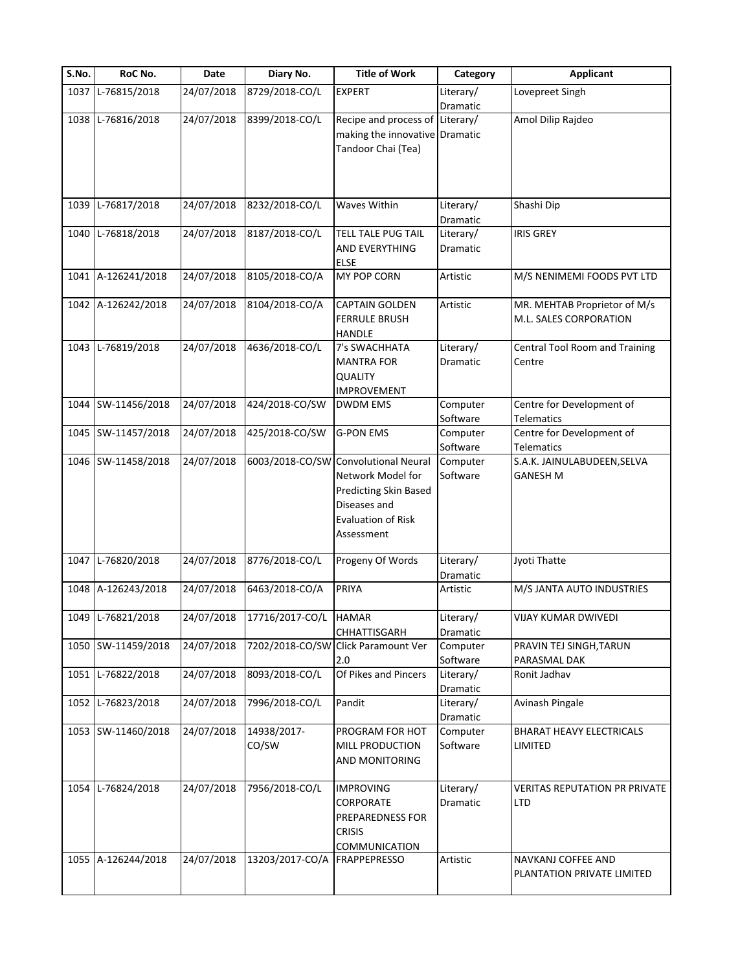|                                         | Date                     | Diary No.                              | <b>Title of Work</b>                                                     | Category                          | <b>Applicant</b>                           |
|-----------------------------------------|--------------------------|----------------------------------------|--------------------------------------------------------------------------|-----------------------------------|--------------------------------------------|
| 1037 L-76815/2018                       | 24/07/2018               | 8729/2018-CO/L                         | <b>EXPERT</b>                                                            | Literary/                         | Lovepreet Singh                            |
|                                         |                          |                                        |                                                                          | Dramatic                          |                                            |
| 1038 L-76816/2018                       | 24/07/2018               | 8399/2018-CO/L                         | Recipe and process of Literary/                                          |                                   | Amol Dilip Rajdeo                          |
|                                         |                          |                                        | making the innovative Dramatic                                           |                                   |                                            |
|                                         |                          |                                        | Tandoor Chai (Tea)                                                       |                                   |                                            |
|                                         |                          |                                        |                                                                          |                                   |                                            |
|                                         |                          |                                        |                                                                          |                                   |                                            |
|                                         |                          |                                        |                                                                          |                                   |                                            |
| 1039 L-76817/2018                       | 24/07/2018               | 8232/2018-CO/L                         | Waves Within                                                             | Literary/                         | Shashi Dip                                 |
|                                         |                          |                                        |                                                                          | Dramatic                          |                                            |
| 1040 L-76818/2018                       | 24/07/2018               | 8187/2018-CO/L                         | <b>TELL TALE PUG TAIL</b>                                                | Literary/                         | <b>IRIS GREY</b>                           |
|                                         |                          |                                        | AND EVERYTHING                                                           | Dramatic                          |                                            |
|                                         |                          |                                        | <b>ELSE</b>                                                              |                                   |                                            |
| 1041 A-126241/2018                      | 24/07/2018               | 8105/2018-CO/A                         | MY POP CORN                                                              | Artistic                          | M/S NENIMEMI FOODS PVT LTD                 |
|                                         |                          |                                        |                                                                          |                                   |                                            |
| 1042 A-126242/2018                      | 24/07/2018               | 8104/2018-CO/A                         | <b>CAPTAIN GOLDEN</b>                                                    | Artistic                          | MR. MEHTAB Proprietor of M/s               |
|                                         |                          |                                        | <b>FERRULE BRUSH</b>                                                     |                                   | M.L. SALES CORPORATION                     |
|                                         |                          |                                        | <b>HANDLE</b>                                                            |                                   |                                            |
| 1043 L-76819/2018                       | 24/07/2018               | 4636/2018-CO/L                         | 7's SWACHHATA                                                            | Literary/                         | Central Tool Room and Training             |
|                                         |                          |                                        | <b>MANTRA FOR</b>                                                        | <b>Dramatic</b>                   | Centre                                     |
|                                         |                          |                                        | <b>QUALITY</b>                                                           |                                   |                                            |
|                                         |                          |                                        | <b>IMPROVEMENT</b>                                                       |                                   |                                            |
| 1044 SW-11456/2018                      | 24/07/2018               | 424/2018-CO/SW                         | <b>DWDM EMS</b>                                                          | Computer                          | Centre for Development of                  |
|                                         |                          |                                        |                                                                          | Software                          | Telematics                                 |
| 1045 SW-11457/2018                      | 24/07/2018               | 425/2018-CO/SW                         | <b>G-PON EMS</b>                                                         | Computer                          | Centre for Development of                  |
|                                         |                          |                                        |                                                                          | Software                          | <b>Telematics</b>                          |
| 1046 SW-11458/2018                      | 24/07/2018               |                                        | 6003/2018-CO/SW Convolutional Neural                                     | Computer                          | S.A.K. JAINULABUDEEN, SELVA                |
|                                         |                          |                                        | Network Model for                                                        | Software                          | <b>GANESH M</b>                            |
|                                         |                          |                                        | Predicting Skin Based                                                    |                                   |                                            |
|                                         |                          |                                        |                                                                          |                                   |                                            |
|                                         |                          |                                        | Diseases and                                                             |                                   |                                            |
|                                         |                          |                                        | <b>Evaluation of Risk</b>                                                |                                   |                                            |
|                                         |                          |                                        | Assessment                                                               |                                   |                                            |
| 1047 L-76820/2018                       | 24/07/2018               | 8776/2018-CO/L                         | Progeny Of Words                                                         | Literary/                         | Jyoti Thatte                               |
|                                         |                          |                                        |                                                                          | Dramatic                          |                                            |
| 1048 A-126243/2018                      | 24/07/2018               | 6463/2018-CO/A                         | PRIYA                                                                    | Artistic                          | M/S JANTA AUTO INDUSTRIES                  |
|                                         |                          |                                        |                                                                          |                                   |                                            |
| 1049 L-76821/2018                       | 24/07/2018               | 17716/2017-CO/L                        | <b>HAMAR</b>                                                             |                                   | VIJAY KUMAR DWIVEDI                        |
|                                         |                          |                                        |                                                                          | Literary/                         |                                            |
| 1050 SW-11459/2018                      | 24/07/2018               |                                        | CHHATTISGARH<br>7202/2018-CO/SW Click Paramount Ver                      | Dramatic                          |                                            |
|                                         |                          |                                        |                                                                          | Computer                          | PRAVIN TEJ SINGH, TARUN                    |
|                                         |                          |                                        | 2.0                                                                      | Software                          | PARASMAL DAK                               |
| 1051 L-76822/2018                       | 24/07/2018               | 8093/2018-CO/L                         | Of Pikes and Pincers                                                     | Literary/                         | Ronit Jadhav                               |
|                                         |                          |                                        |                                                                          | <b>Dramatic</b>                   |                                            |
| 1052 L-76823/2018                       | 24/07/2018               | 7996/2018-CO/L                         | Pandit                                                                   | Literary/                         | Avinash Pingale                            |
|                                         |                          |                                        |                                                                          | Dramatic                          |                                            |
|                                         |                          |                                        |                                                                          |                                   |                                            |
|                                         |                          |                                        |                                                                          |                                   |                                            |
|                                         |                          |                                        |                                                                          |                                   |                                            |
|                                         |                          |                                        |                                                                          |                                   |                                            |
|                                         |                          |                                        |                                                                          |                                   | VERITAS REPUTATION PR PRIVATE              |
|                                         |                          |                                        | CORPORATE                                                                | Dramatic                          | LTD                                        |
|                                         |                          |                                        | PREPAREDNESS FOR                                                         |                                   |                                            |
|                                         |                          |                                        | <b>CRISIS</b>                                                            |                                   |                                            |
|                                         |                          |                                        | COMMUNICATION                                                            |                                   |                                            |
| 1055 A-126244/2018                      | 24/07/2018               | 13203/2017-CO/A                        | <b>FRAPPEPRESSO</b>                                                      | Artistic                          | NAVKANJ COFFEE AND                         |
|                                         |                          |                                        |                                                                          |                                   |                                            |
| 1053 SW-11460/2018<br>1054 L-76824/2018 | 24/07/2018<br>24/07/2018 | 14938/2017-<br>CO/SW<br>7956/2018-CO/L | PROGRAM FOR HOT<br>MILL PRODUCTION<br>AND MONITORING<br><b>IMPROVING</b> | Computer<br>Software<br>Literary/ | BHARAT HEAVY ELECTRICALS<br><b>LIMITED</b> |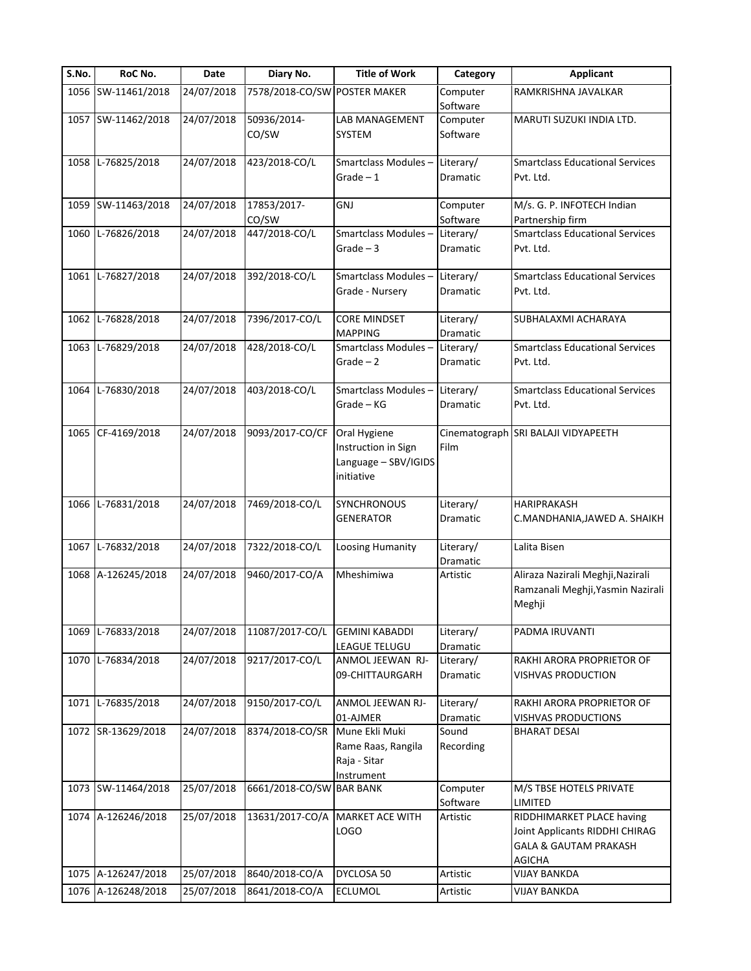| S.No. | RoC No.            | Date       | Diary No.                    | <b>Title of Work</b>                                                      | Category              | <b>Applicant</b>                                                                                                 |
|-------|--------------------|------------|------------------------------|---------------------------------------------------------------------------|-----------------------|------------------------------------------------------------------------------------------------------------------|
|       | 1056 SW-11461/2018 | 24/07/2018 | 7578/2018-CO/SW POSTER MAKER |                                                                           | Computer<br>Software  | RAMKRISHNA JAVALKAR                                                                                              |
|       | 1057 SW-11462/2018 | 24/07/2018 | 50936/2014-<br>CO/SW         | LAB MANAGEMENT<br>SYSTEM                                                  | Computer<br>Software  | MARUTI SUZUKI INDIA LTD.                                                                                         |
|       | 1058 L-76825/2018  | 24/07/2018 | 423/2018-CO/L                | Smartclass Modules-<br>Grade $-1$                                         | Literary/<br>Dramatic | <b>Smartclass Educational Services</b><br>Pvt. Ltd.                                                              |
|       | 1059 SW-11463/2018 | 24/07/2018 | 17853/2017-<br>CO/SW         | <b>GNJ</b>                                                                | Computer<br>Software  | M/s. G. P. INFOTECH Indian<br>Partnership firm                                                                   |
| 1060  | L-76826/2018       | 24/07/2018 | 447/2018-CO/L                | Smartclass Modules-<br>$Grade - 3$                                        | Literary/<br>Dramatic | <b>Smartclass Educational Services</b><br>Pvt. Ltd.                                                              |
|       | 1061 L-76827/2018  | 24/07/2018 | 392/2018-CO/L                | Smartclass Modules-<br>Grade - Nursery                                    | Literary/<br>Dramatic | <b>Smartclass Educational Services</b><br>Pvt. Ltd.                                                              |
| 1062  | L-76828/2018       | 24/07/2018 | 7396/2017-CO/L               | <b>CORE MINDSET</b><br><b>MAPPING</b>                                     | Literary/<br>Dramatic | SUBHALAXMI ACHARAYA                                                                                              |
|       | 1063 L-76829/2018  | 24/07/2018 | 428/2018-CO/L                | Smartclass Modules-<br>$Grade - 2$                                        | Literary/<br>Dramatic | <b>Smartclass Educational Services</b><br>Pvt. Ltd.                                                              |
|       | 1064 L-76830/2018  | 24/07/2018 | 403/2018-CO/L                | Smartclass Modules-<br>Grade - KG                                         | Literary/<br>Dramatic | <b>Smartclass Educational Services</b><br>Pvt. Ltd.                                                              |
|       | 1065 CF-4169/2018  | 24/07/2018 | 9093/2017-CO/CF              | Oral Hygiene<br>Instruction in Sign<br>Language - SBV/IGIDS<br>initiative | Film                  | Cinematograph SRI BALAJI VIDYAPEETH                                                                              |
|       | 1066 L-76831/2018  | 24/07/2018 | 7469/2018-CO/L               | SYNCHRONOUS<br><b>GENERATOR</b>                                           | Literary/<br>Dramatic | HARIPRAKASH<br>C.MANDHANIA, JAWED A. SHAIKH                                                                      |
|       | 1067 L-76832/2018  | 24/07/2018 | 7322/2018-CO/L               | Loosing Humanity                                                          | Literary/<br>Dramatic | Lalita Bisen                                                                                                     |
|       | 1068 A-126245/2018 | 24/07/2018 | 9460/2017-CO/A               | Mheshimiwa                                                                | Artistic              | Aliraza Nazirali Meghji, Nazirali<br>Ramzanali Meghji, Yasmin Nazirali<br>Meghji                                 |
| 1069  | L-76833/2018       | 24/07/2018 | 11087/2017-CO/L              | <b>GEMINI KABADDI</b><br>LEAGUE TELUGU                                    | Literary/<br>Dramatic | PADMA IRUVANTI                                                                                                   |
|       | 1070 L-76834/2018  | 24/07/2018 | 9217/2017-CO/L               | ANMOL JEEWAN RJ-<br>09-CHITTAURGARH                                       | Literary/<br>Dramatic | RAKHI ARORA PROPRIETOR OF<br><b>VISHVAS PRODUCTION</b>                                                           |
|       | 1071 L-76835/2018  | 24/07/2018 | 9150/2017-CO/L               | ANMOL JEEWAN RJ-<br>01-AJMER                                              | Literary/<br>Dramatic | RAKHI ARORA PROPRIETOR OF<br><b>VISHVAS PRODUCTIONS</b>                                                          |
|       | 1072 SR-13629/2018 | 24/07/2018 | 8374/2018-CO/SR              | Mune Ekli Muki<br>Rame Raas, Rangila<br>Raja - Sitar<br>Instrument        | Sound<br>Recording    | <b>BHARAT DESAI</b>                                                                                              |
|       | 1073 SW-11464/2018 | 25/07/2018 | 6661/2018-CO/SW BAR BANK     |                                                                           | Computer<br>Software  | M/S TBSE HOTELS PRIVATE<br><b>LIMITED</b>                                                                        |
|       | 1074 A-126246/2018 | 25/07/2018 | 13631/2017-CO/A              | <b>MARKET ACE WITH</b><br><b>LOGO</b>                                     | Artistic              | RIDDHIMARKET PLACE having<br>Joint Applicants RIDDHI CHIRAG<br><b>GALA &amp; GAUTAM PRAKASH</b><br><b>AGICHA</b> |
|       | 1075 A-126247/2018 | 25/07/2018 | 8640/2018-CO/A               | DYCLOSA 50                                                                | Artistic              | <b>VIJAY BANKDA</b>                                                                                              |
|       | 1076 A-126248/2018 | 25/07/2018 | 8641/2018-CO/A               | ECLUMOL                                                                   | Artistic              | <b>VIJAY BANKDA</b>                                                                                              |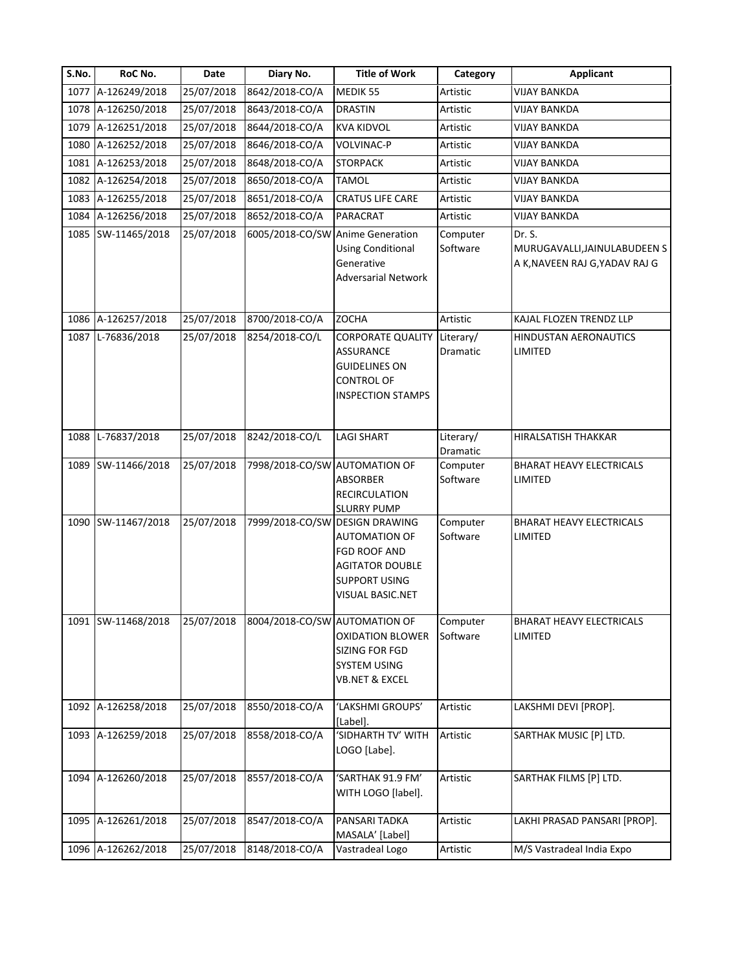| S.No. | RoC No.            | Date       | Diary No.                        | <b>Title of Work</b>                                                                                           | Category                     | Applicant                                                                |
|-------|--------------------|------------|----------------------------------|----------------------------------------------------------------------------------------------------------------|------------------------------|--------------------------------------------------------------------------|
|       | 1077 A-126249/2018 | 25/07/2018 | 8642/2018-CO/A                   | MEDIK 55                                                                                                       | Artistic                     | <b>VIJAY BANKDA</b>                                                      |
|       | 1078 A-126250/2018 | 25/07/2018 | 8643/2018-CO/A                   | <b>DRASTIN</b>                                                                                                 | Artistic                     | VIJAY BANKDA                                                             |
|       | 1079 A-126251/2018 | 25/07/2018 | 8644/2018-CO/A                   | <b>KVA KIDVOL</b>                                                                                              | Artistic                     | <b>VIJAY BANKDA</b>                                                      |
|       | 1080 A-126252/2018 | 25/07/2018 | 8646/2018-CO/A                   | <b>VOLVINAC-P</b>                                                                                              | Artistic                     | VIJAY BANKDA                                                             |
|       | 1081 A-126253/2018 | 25/07/2018 | 8648/2018-CO/A                   | <b>STORPACK</b>                                                                                                | Artistic                     | <b>VIJAY BANKDA</b>                                                      |
|       | 1082 A-126254/2018 | 25/07/2018 | 8650/2018-CO/A                   | <b>TAMOL</b>                                                                                                   | Artistic                     | <b>VIJAY BANKDA</b>                                                      |
|       | 1083 A-126255/2018 | 25/07/2018 | 8651/2018-CO/A                   | <b>CRATUS LIFE CARE</b>                                                                                        | Artistic                     | <b>VIJAY BANKDA</b>                                                      |
|       | 1084 A-126256/2018 | 25/07/2018 | 8652/2018-CO/A                   | PARACRAT                                                                                                       | Artistic                     | <b>VIJAY BANKDA</b>                                                      |
|       | 1085 SW-11465/2018 | 25/07/2018 | 6005/2018-CO/SW Anime Generation | <b>Using Conditional</b><br>Generative<br><b>Adversarial Network</b>                                           | Computer<br>Software         | Dr. S.<br>MURUGAVALLI, JAINULABUDEEN S<br>A K, NAVEEN RAJ G, YADAV RAJ G |
|       | 1086 A-126257/2018 | 25/07/2018 | 8700/2018-CO/A                   | <b>ZOCHA</b>                                                                                                   | Artistic                     | KAJAL FLOZEN TRENDZ LLP                                                  |
|       | 1087 L-76836/2018  | 25/07/2018 | 8254/2018-CO/L                   | <b>CORPORATE QUALITY</b><br>ASSURANCE<br><b>GUIDELINES ON</b><br><b>CONTROL OF</b><br><b>INSPECTION STAMPS</b> | Literary/<br>Dramatic        | HINDUSTAN AERONAUTICS<br>LIMITED                                         |
|       | 1088 L-76837/2018  | 25/07/2018 | 8242/2018-CO/L                   | <b>LAGI SHART</b>                                                                                              | Literary/<br><b>Dramatic</b> | HIRALSATISH THAKKAR                                                      |
|       | 1089 SW-11466/2018 | 25/07/2018 | 7998/2018-CO/SW AUTOMATION OF    | <b>ABSORBER</b><br><b>RECIRCULATION</b><br><b>SLURRY PUMP</b>                                                  | Computer<br>Software         | BHARAT HEAVY ELECTRICALS<br><b>LIMITED</b>                               |
|       | 1090 SW-11467/2018 | 25/07/2018 | 7999/2018-CO/SW DESIGN DRAWING   | <b>AUTOMATION OF</b><br>FGD ROOF AND<br><b>AGITATOR DOUBLE</b><br><b>SUPPORT USING</b><br>VISUAL BASIC.NET     | Computer<br>Software         | <b>BHARAT HEAVY ELECTRICALS</b><br>LIMITED                               |
|       | 1091 SW-11468/2018 | 25/07/2018 | 8004/2018-CO/SW AUTOMATION OF    | <b>OXIDATION BLOWER</b><br>SIZING FOR FGD<br>SYSTEM USING<br><b>VB.NET &amp; EXCEL</b>                         | Computer<br>Software         | BHARAT HEAVY ELECTRICALS<br>LIMITED                                      |
|       | 1092 A-126258/2018 | 25/07/2018 | 8550/2018-CO/A                   | 'LAKSHMI GROUPS'<br>[Label].                                                                                   | Artistic                     | LAKSHMI DEVI [PROP].                                                     |
|       | 1093 A-126259/2018 | 25/07/2018 | 8558/2018-CO/A                   | 'SIDHARTH TV' WITH<br>LOGO [Labe].                                                                             | Artistic                     | SARTHAK MUSIC [P] LTD.                                                   |
|       | 1094 A-126260/2018 | 25/07/2018 | 8557/2018-CO/A                   | 'SARTHAK 91.9 FM'<br>WITH LOGO [label].                                                                        | Artistic                     | SARTHAK FILMS [P] LTD.                                                   |
|       | 1095 A-126261/2018 | 25/07/2018 | 8547/2018-CO/A                   | PANSARI TADKA<br>MASALA' [Label]                                                                               | Artistic                     | LAKHI PRASAD PANSARI [PROP].                                             |
|       | 1096 A-126262/2018 | 25/07/2018 | 8148/2018-CO/A                   | Vastradeal Logo                                                                                                | Artistic                     | M/S Vastradeal India Expo                                                |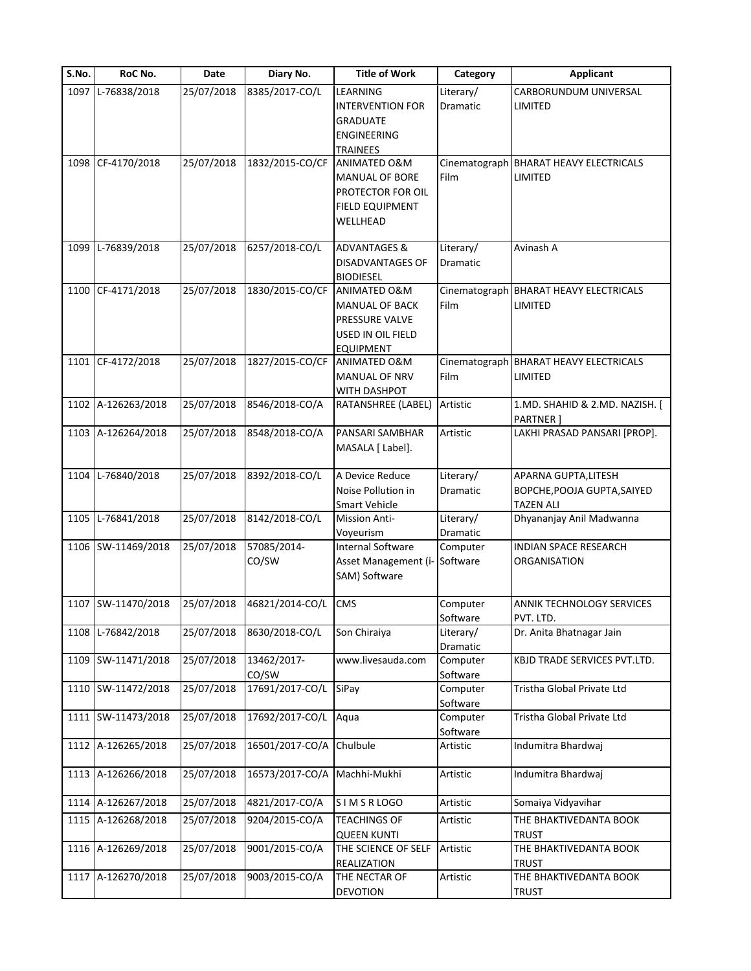| S.No. | RoC No.            | Date       | Diary No.       | <b>Title of Work</b>                       | Category              | <b>Applicant</b>                                  |
|-------|--------------------|------------|-----------------|--------------------------------------------|-----------------------|---------------------------------------------------|
| 1097  | L-76838/2018       | 25/07/2018 | 8385/2017-CO/L  | LEARNING                                   | Literary/             | CARBORUNDUM UNIVERSAL                             |
|       |                    |            |                 | <b>INTERVENTION FOR</b>                    | Dramatic              | LIMITED                                           |
|       |                    |            |                 | <b>GRADUATE</b>                            |                       |                                                   |
|       |                    |            |                 | <b>ENGINEERING</b>                         |                       |                                                   |
|       | 1098 CF-4170/2018  | 25/07/2018 | 1832/2015-CO/CF | <b>TRAINEES</b><br><b>ANIMATED O&amp;M</b> |                       |                                                   |
|       |                    |            |                 | <b>MANUAL OF BORE</b>                      | Cinematograph<br>Film | <b>BHARAT HEAVY ELECTRICALS</b><br><b>LIMITED</b> |
|       |                    |            |                 | PROTECTOR FOR OIL                          |                       |                                                   |
|       |                    |            |                 | <b>FIELD EQUIPMENT</b>                     |                       |                                                   |
|       |                    |            |                 | WELLHEAD                                   |                       |                                                   |
|       |                    |            |                 |                                            |                       |                                                   |
| 1099  | L-76839/2018       | 25/07/2018 | 6257/2018-CO/L  | <b>ADVANTAGES &amp;</b>                    | Literary/             | Avinash A                                         |
|       |                    |            |                 | <b>DISADVANTAGES OF</b>                    | Dramatic              |                                                   |
|       |                    |            |                 | <b>BIODIESEL</b>                           |                       |                                                   |
|       | 1100 CF-4171/2018  | 25/07/2018 | 1830/2015-CO/CF | ANIMATED O&M                               |                       | Cinematograph BHARAT HEAVY ELECTRICALS            |
|       |                    |            |                 | <b>MANUAL OF BACK</b>                      | Film                  | LIMITED                                           |
|       |                    |            |                 | PRESSURE VALVE                             |                       |                                                   |
|       |                    |            |                 | USED IN OIL FIELD                          |                       |                                                   |
|       |                    |            |                 | <b>EQUIPMENT</b>                           |                       |                                                   |
|       | 1101 CF-4172/2018  | 25/07/2018 | 1827/2015-CO/CF | <b>ANIMATED O&amp;M</b>                    |                       | Cinematograph BHARAT HEAVY ELECTRICALS            |
|       |                    |            |                 | MANUAL OF NRV                              | Film                  | LIMITED                                           |
|       | 1102 A-126263/2018 | 25/07/2018 | 8546/2018-CO/A  | WITH DASHPOT                               | Artistic              | 1.MD. SHAHID & 2.MD. NAZISH. [                    |
|       |                    |            |                 | RATANSHREE (LABEL)                         |                       | <b>PARTNER</b> ]                                  |
|       | 1103 A-126264/2018 | 25/07/2018 | 8548/2018-CO/A  | PANSARI SAMBHAR                            | Artistic              | LAKHI PRASAD PANSARI [PROP].                      |
|       |                    |            |                 | MASALA [ Label].                           |                       |                                                   |
|       |                    |            |                 |                                            |                       |                                                   |
|       | 1104 L-76840/2018  | 25/07/2018 | 8392/2018-CO/L  | A Device Reduce                            | Literary/             | APARNA GUPTA, LITESH                              |
|       |                    |            |                 | Noise Pollution in                         | Dramatic              | BOPCHE, POOJA GUPTA, SAIYED                       |
|       |                    |            |                 | <b>Smart Vehicle</b>                       |                       | <b>TAZEN ALI</b>                                  |
|       | 1105 L-76841/2018  | 25/07/2018 | 8142/2018-CO/L  | <b>Mission Anti-</b>                       | Literary/             | Dhyananjay Anil Madwanna                          |
|       |                    |            |                 | Voyeurism                                  | Dramatic              |                                                   |
|       | 1106 SW-11469/2018 | 25/07/2018 | 57085/2014-     | Internal Software                          | Computer              | <b>INDIAN SPACE RESEARCH</b>                      |
|       |                    |            | CO/SW           | Asset Management (i- Software              |                       | <b>ORGANISATION</b>                               |
|       |                    |            |                 | SAM) Software                              |                       |                                                   |
|       | 1107 SW-11470/2018 | 25/07/2018 | 46821/2014-CO/L | <b>CMS</b>                                 | Computer              | ANNIK TECHNOLOGY SERVICES                         |
|       |                    |            |                 |                                            |                       |                                                   |
| 1108  | L-76842/2018       | 25/07/2018 | 8630/2018-CO/L  | Son Chiraiya                               | Software<br>Literary/ | PVT. LTD.<br>Dr. Anita Bhatnagar Jain             |
|       |                    |            |                 |                                            | Dramatic              |                                                   |
|       | 1109 SW-11471/2018 | 25/07/2018 | 13462/2017-     | www.livesauda.com                          | Computer              | KBJD TRADE SERVICES PVT.LTD.                      |
|       |                    |            | CO/SW           |                                            | Software              |                                                   |
|       | 1110 SW-11472/2018 | 25/07/2018 | 17691/2017-CO/L | SiPay                                      | Computer              | Tristha Global Private Ltd                        |
|       |                    |            |                 |                                            | Software              |                                                   |
|       | 1111 SW-11473/2018 | 25/07/2018 | 17692/2017-CO/L | Aqua                                       | Computer              | Tristha Global Private Ltd                        |
|       |                    |            |                 |                                            | Software              |                                                   |
|       | 1112 A-126265/2018 | 25/07/2018 | 16501/2017-CO/A | Chulbule                                   | Artistic              | Indumitra Bhardwaj                                |
|       |                    |            |                 |                                            |                       |                                                   |
|       | 1113 A-126266/2018 | 25/07/2018 | 16573/2017-CO/A | Machhi-Mukhi                               | Artistic              | Indumitra Bhardwaj                                |
|       |                    |            |                 |                                            |                       |                                                   |
|       | 1114 A-126267/2018 | 25/07/2018 | 4821/2017-CO/A  | SIMSRLOGO                                  | Artistic              | Somaiya Vidyavihar                                |
|       | 1115 A-126268/2018 | 25/07/2018 | 9204/2015-CO/A  | <b>TEACHINGS OF</b>                        | Artistic              | THE BHAKTIVEDANTA BOOK                            |
|       |                    |            |                 | <b>QUEEN KUNTI</b>                         |                       | <b>TRUST</b>                                      |
|       | 1116 A-126269/2018 | 25/07/2018 | 9001/2015-CO/A  | THE SCIENCE OF SELF                        | Artistic              | THE BHAKTIVEDANTA BOOK                            |
|       | 1117 A-126270/2018 | 25/07/2018 | 9003/2015-CO/A  | REALIZATION<br>THE NECTAR OF               |                       | <b>TRUST</b>                                      |
|       |                    |            |                 | DEVOTION                                   | Artistic              | THE BHAKTIVEDANTA BOOK<br><b>TRUST</b>            |
|       |                    |            |                 |                                            |                       |                                                   |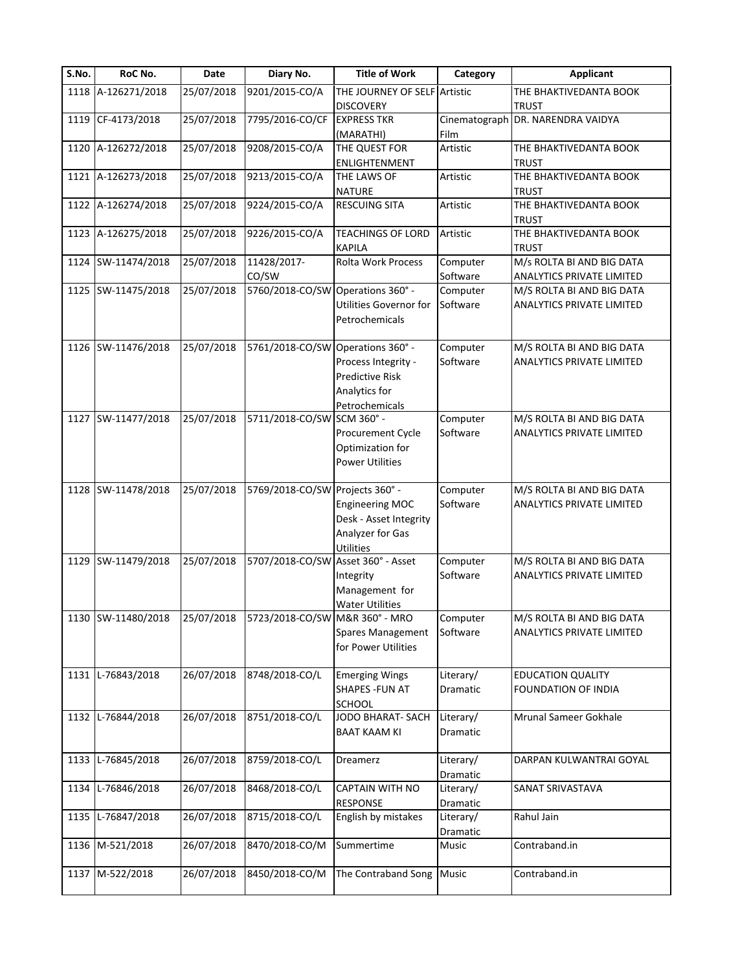| S.No. | RoC No.            | Date       | Diary No.                                 | <b>Title of Work</b>                  | Category        | <b>Applicant</b>                       |
|-------|--------------------|------------|-------------------------------------------|---------------------------------------|-----------------|----------------------------------------|
|       | 1118 A-126271/2018 | 25/07/2018 | 9201/2015-CO/A                            | THE JOURNEY OF SELF Artistic          |                 | THE BHAKTIVEDANTA BOOK                 |
|       |                    |            |                                           | <b>DISCOVERY</b>                      |                 | <b>TRUST</b>                           |
| 1119  | CF-4173/2018       | 25/07/2018 | 7795/2016-CO/CF                           | <b>EXPRESS TKR</b>                    |                 | Cinematograph DR. NARENDRA VAIDYA      |
|       |                    |            |                                           | (MARATHI)                             | Film            |                                        |
| 1120  | A-126272/2018      | 25/07/2018 | 9208/2015-CO/A                            | THE QUEST FOR                         | Artistic        | THE BHAKTIVEDANTA BOOK                 |
|       |                    |            |                                           | ENLIGHTENMENT                         |                 | <b>TRUST</b>                           |
| 1121  | A-126273/2018      | 25/07/2018 | 9213/2015-CO/A                            | THE LAWS OF                           | Artistic        | THE BHAKTIVEDANTA BOOK                 |
| 1122  | A-126274/2018      | 25/07/2018 | 9224/2015-CO/A                            | <b>NATURE</b><br><b>RESCUING SITA</b> | Artistic        | <b>TRUST</b><br>THE BHAKTIVEDANTA BOOK |
|       |                    |            |                                           |                                       |                 | <b>TRUST</b>                           |
|       | 1123 A-126275/2018 | 25/07/2018 | 9226/2015-CO/A                            | <b>TEACHINGS OF LORD</b>              | Artistic        | THE BHAKTIVEDANTA BOOK                 |
|       |                    |            |                                           | <b>KAPILA</b>                         |                 | <b>TRUST</b>                           |
| 1124  | SW-11474/2018      | 25/07/2018 | 11428/2017-                               | Rolta Work Process                    | Computer        | M/s ROLTA BI AND BIG DATA              |
|       |                    |            | CO/SW                                     |                                       | Software        | ANALYTICS PRIVATE LIMITED              |
|       | 1125 SW-11475/2018 | 25/07/2018 | 5760/2018-CO/SW                           | Operations 360° -                     | Computer        | M/S ROLTA BI AND BIG DATA              |
|       |                    |            |                                           | Utilities Governor for                | Software        | ANALYTICS PRIVATE LIMITED              |
|       |                    |            |                                           | Petrochemicals                        |                 |                                        |
|       |                    |            |                                           |                                       |                 |                                        |
|       | 1126 SW-11476/2018 | 25/07/2018 | 5761/2018-CO/SW                           | Operations 360° -                     | Computer        | M/S ROLTA BI AND BIG DATA              |
|       |                    |            |                                           | Process Integrity -                   | Software        | <b>ANALYTICS PRIVATE LIMITED</b>       |
|       |                    |            |                                           | <b>Predictive Risk</b>                |                 |                                        |
|       |                    |            |                                           | Analytics for                         |                 |                                        |
|       |                    |            |                                           | Petrochemicals                        |                 |                                        |
|       | 1127 SW-11477/2018 | 25/07/2018 | 5711/2018-CO/SW SCM 360° -                |                                       | Computer        | M/S ROLTA BI AND BIG DATA              |
|       |                    |            |                                           | Procurement Cycle                     | Software        | ANALYTICS PRIVATE LIMITED              |
|       |                    |            |                                           | Optimization for                      |                 |                                        |
|       |                    |            |                                           | <b>Power Utilities</b>                |                 |                                        |
|       |                    |            |                                           |                                       |                 |                                        |
|       | 1128 SW-11478/2018 | 25/07/2018 | 5769/2018-CO/SW Projects 360° -           |                                       | Computer        | M/S ROLTA BI AND BIG DATA              |
|       |                    |            |                                           | <b>Engineering MOC</b>                | Software        | <b>ANALYTICS PRIVATE LIMITED</b>       |
|       |                    |            |                                           | Desk - Asset Integrity                |                 |                                        |
|       |                    |            |                                           | Analyzer for Gas                      |                 |                                        |
|       | 1129 SW-11479/2018 | 25/07/2018 | 5707/2018-CO/SW Asset 360° - Asset        | Utilities                             | Computer        | M/S ROLTA BI AND BIG DATA              |
|       |                    |            |                                           | Integrity                             | Software        | <b>ANALYTICS PRIVATE LIMITED</b>       |
|       |                    |            |                                           | Management for                        |                 |                                        |
|       |                    |            |                                           | <b>Water Utilities</b>                |                 |                                        |
|       | 1130 SW-11480/2018 |            | 25/07/2018 5723/2018-CO/SW M&R 360° - MRO |                                       | Computer        | M/S ROLTA BI AND BIG DATA              |
|       |                    |            |                                           | <b>Spares Management</b>              | Software        | ANALYTICS PRIVATE LIMITED              |
|       |                    |            |                                           | for Power Utilities                   |                 |                                        |
|       |                    |            |                                           |                                       |                 |                                        |
|       | 1131 L-76843/2018  | 26/07/2018 | 8748/2018-CO/L                            | <b>Emerging Wings</b>                 | Literary/       | <b>EDUCATION QUALITY</b>               |
|       |                    |            |                                           | SHAPES - FUN AT                       | Dramatic        | <b>FOUNDATION OF INDIA</b>             |
|       |                    |            |                                           | <b>SCHOOL</b>                         |                 |                                        |
|       | 1132 L-76844/2018  | 26/07/2018 | 8751/2018-CO/L                            | JODO BHARAT-SACH                      | Literary/       | Mrunal Sameer Gokhale                  |
|       |                    |            |                                           | <b>BAAT KAAM KI</b>                   | <b>Dramatic</b> |                                        |
|       |                    |            |                                           |                                       |                 |                                        |
| 1133  | L-76845/2018       | 26/07/2018 | 8759/2018-CO/L                            | Dreamerz                              | Literary/       | DARPAN KULWANTRAI GOYAL                |
|       |                    |            |                                           |                                       | Dramatic        |                                        |
| 1134  | L-76846/2018       | 26/07/2018 | 8468/2018-CO/L                            | CAPTAIN WITH NO                       | Literary/       | SANAT SRIVASTAVA                       |
|       |                    |            |                                           | <b>RESPONSE</b>                       | Dramatic        |                                        |
| 1135  | L-76847/2018       | 26/07/2018 | 8715/2018-CO/L                            | English by mistakes                   | Literary/       | Rahul Jain                             |
|       |                    |            |                                           |                                       | Dramatic        |                                        |
| 1136  | M-521/2018         | 26/07/2018 | 8470/2018-CO/M                            | Summertime                            | Music           | Contraband.in                          |
|       |                    |            |                                           |                                       |                 |                                        |
| 1137  | M-522/2018         | 26/07/2018 | 8450/2018-CO/M                            | The Contraband Song                   | Music           | Contraband.in                          |
|       |                    |            |                                           |                                       |                 |                                        |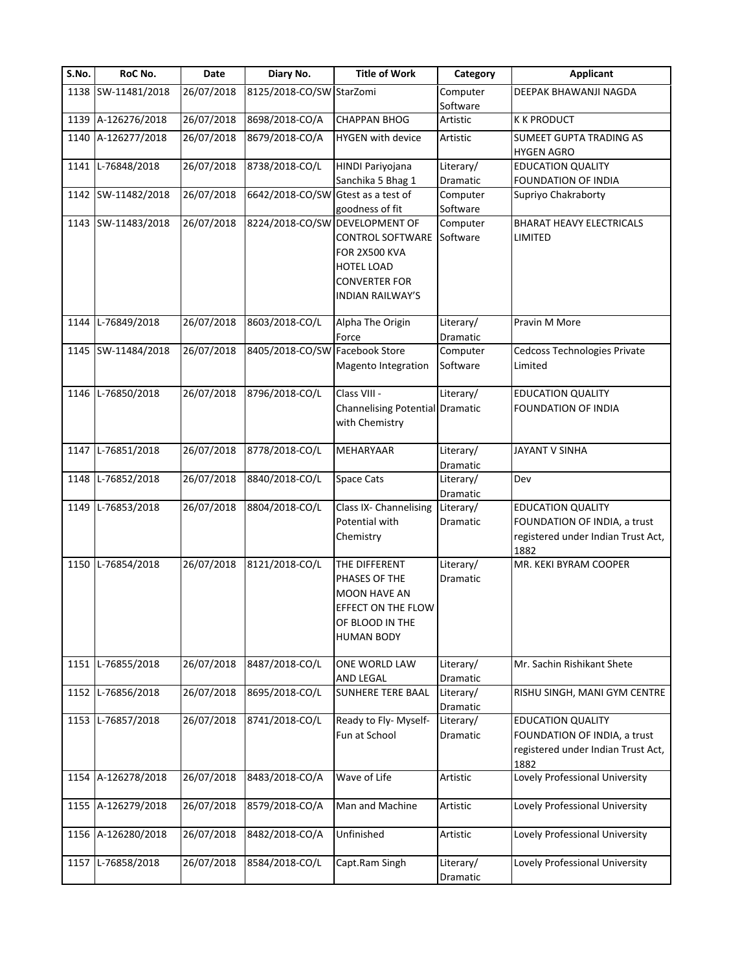| S.No. | RoC No.            | Date       | Diary No.                          | <b>Title of Work</b>                                                                                                                               | Category              | <b>Applicant</b>                                                           |
|-------|--------------------|------------|------------------------------------|----------------------------------------------------------------------------------------------------------------------------------------------------|-----------------------|----------------------------------------------------------------------------|
|       | 1138 SW-11481/2018 | 26/07/2018 | 8125/2018-CO/SW StarZomi           |                                                                                                                                                    | Computer              | DEEPAK BHAWANJI NAGDA                                                      |
|       |                    |            |                                    |                                                                                                                                                    | Software              |                                                                            |
|       | 1139 A-126276/2018 | 26/07/2018 | 8698/2018-CO/A                     | <b>CHAPPAN BHOG</b>                                                                                                                                | Artistic              | <b>K K PRODUCT</b>                                                         |
|       | 1140 A-126277/2018 | 26/07/2018 | 8679/2018-CO/A                     | <b>HYGEN</b> with device                                                                                                                           | Artistic              | SUMEET GUPTA TRADING AS<br><b>HYGEN AGRO</b>                               |
|       | 1141 L-76848/2018  | 26/07/2018 | 8738/2018-CO/L                     | HINDI Pariyojana                                                                                                                                   | Literary/             | <b>EDUCATION QUALITY</b>                                                   |
|       |                    |            |                                    | Sanchika 5 Bhag 1                                                                                                                                  | Dramatic              | FOUNDATION OF INDIA                                                        |
|       | 1142 SW-11482/2018 | 26/07/2018 | 6642/2018-CO/SW Gtest as a test of |                                                                                                                                                    | Computer              | Supriyo Chakraborty                                                        |
|       |                    |            |                                    | goodness of fit                                                                                                                                    | Software              |                                                                            |
|       | 1143 SW-11483/2018 | 26/07/2018 |                                    | 8224/2018-CO/SW DEVELOPMENT OF<br>CONTROL SOFTWARE<br><b>FOR 2X500 KVA</b><br><b>HOTEL LOAD</b><br><b>CONVERTER FOR</b><br><b>INDIAN RAILWAY'S</b> | Computer<br>Software  | <b>BHARAT HEAVY ELECTRICALS</b><br>LIMITED                                 |
|       | 1144 L-76849/2018  | 26/07/2018 | 8603/2018-CO/L                     | Alpha The Origin<br>Force                                                                                                                          | Literary/<br>Dramatic | Pravin M More                                                              |
|       | 1145 SW-11484/2018 | 26/07/2018 | 8405/2018-CO/SW Facebook Store     |                                                                                                                                                    | Computer              | Cedcoss Technologies Private                                               |
|       |                    |            |                                    | Magento Integration                                                                                                                                | Software              | Limited                                                                    |
|       | 1146 L-76850/2018  | 26/07/2018 | 8796/2018-CO/L                     | Class VIII -<br>Channelising Potential Dramatic                                                                                                    | Literary/             | <b>EDUCATION QUALITY</b><br>FOUNDATION OF INDIA                            |
|       |                    |            |                                    | with Chemistry                                                                                                                                     |                       |                                                                            |
| 1147  | L-76851/2018       | 26/07/2018 | 8778/2018-CO/L                     | <b>MEHARYAAR</b>                                                                                                                                   | Literary/<br>Dramatic | JAYANT V SINHA                                                             |
| 1148  | L-76852/2018       | 26/07/2018 | 8840/2018-CO/L                     | <b>Space Cats</b>                                                                                                                                  | Literary/<br>Dramatic | Dev                                                                        |
|       | 1149 L-76853/2018  | 26/07/2018 | 8804/2018-CO/L                     | Class IX- Channelising                                                                                                                             | Literary/             | <b>EDUCATION QUALITY</b>                                                   |
|       |                    |            |                                    | Potential with<br>Chemistry                                                                                                                        | Dramatic              | FOUNDATION OF INDIA, a trust<br>registered under Indian Trust Act,<br>1882 |
|       | 1150 L-76854/2018  | 26/07/2018 | 8121/2018-CO/L                     | THE DIFFERENT<br>PHASES OF THE<br>MOON HAVE AN<br>EFFECT ON THE FLOW<br>OF BLOOD IN THE<br><b>HUMAN BODY</b>                                       | Literary/<br>Dramatic | MR. KEKI BYRAM COOPER                                                      |
| 1151  | L-76855/2018       | 26/07/2018 | 8487/2018-CO/L                     | ONE WORLD LAW<br>AND LEGAL                                                                                                                         | Literary/<br>Dramatic | Mr. Sachin Rishikant Shete                                                 |
| 1152  | L-76856/2018       | 26/07/2018 | 8695/2018-CO/L                     | <b>SUNHERE TERE BAAL</b>                                                                                                                           | Literary/<br>Dramatic | RISHU SINGH, MANI GYM CENTRE                                               |
|       | 1153 L-76857/2018  | 26/07/2018 | 8741/2018-CO/L                     | Ready to Fly- Myself-                                                                                                                              | Literary/             | <b>EDUCATION QUALITY</b>                                                   |
|       |                    |            |                                    | Fun at School                                                                                                                                      | Dramatic              | FOUNDATION OF INDIA, a trust                                               |
|       |                    |            |                                    |                                                                                                                                                    |                       | registered under Indian Trust Act,<br>1882                                 |
|       | 1154 A-126278/2018 | 26/07/2018 | 8483/2018-CO/A                     | Wave of Life                                                                                                                                       | Artistic              | Lovely Professional University                                             |
|       | 1155 A-126279/2018 | 26/07/2018 | 8579/2018-CO/A                     | Man and Machine                                                                                                                                    | Artistic              | Lovely Professional University                                             |
|       | 1156 A-126280/2018 | 26/07/2018 | 8482/2018-CO/A                     | Unfinished                                                                                                                                         | Artistic              | Lovely Professional University                                             |
|       | 1157 L-76858/2018  | 26/07/2018 | 8584/2018-CO/L                     | Capt.Ram Singh                                                                                                                                     | Literary/<br>Dramatic | Lovely Professional University                                             |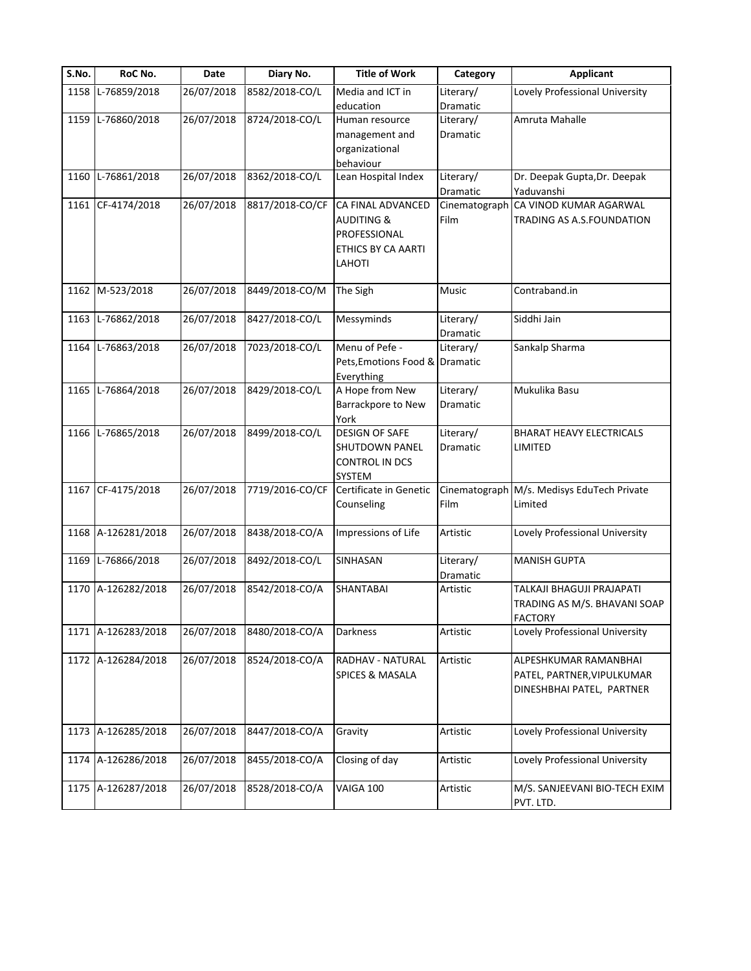| S.No. | RoC No.            | Date       | Diary No.       | <b>Title of Work</b>           | Category        | <b>Applicant</b>                           |
|-------|--------------------|------------|-----------------|--------------------------------|-----------------|--------------------------------------------|
| 1158  | L-76859/2018       | 26/07/2018 | 8582/2018-CO/L  | Media and ICT in               | Literary/       | Lovely Professional University             |
|       |                    |            |                 | education                      | Dramatic        |                                            |
|       | 1159 L-76860/2018  | 26/07/2018 | 8724/2018-CO/L  | Human resource                 | Literary/       | Amruta Mahalle                             |
|       |                    |            |                 | management and                 | Dramatic        |                                            |
|       |                    |            |                 | organizational                 |                 |                                            |
|       |                    |            |                 | behaviour                      |                 |                                            |
| 1160  | $L-76861/2018$     | 26/07/2018 | 8362/2018-CO/L  | Lean Hospital Index            | Literary/       | Dr. Deepak Gupta, Dr. Deepak               |
|       |                    |            |                 |                                | Dramatic        | Yaduvanshi                                 |
| 1161  | CF-4174/2018       | 26/07/2018 | 8817/2018-CO/CF | CA FINAL ADVANCED              | Cinematograph   | CA VINOD KUMAR AGARWAL                     |
|       |                    |            |                 | <b>AUDITING &amp;</b>          | Film            | TRADING AS A.S.FOUNDATION                  |
|       |                    |            |                 | PROFESSIONAL                   |                 |                                            |
|       |                    |            |                 | ETHICS BY CA AARTI             |                 |                                            |
|       |                    |            |                 | LAHOTI                         |                 |                                            |
|       | 1162 M-523/2018    | 26/07/2018 | 8449/2018-CO/M  | The Sigh                       | Music           | Contraband.in                              |
|       |                    |            |                 |                                |                 |                                            |
| 1163  | L-76862/2018       | 26/07/2018 | 8427/2018-CO/L  | Messyminds                     | Literary/       | Siddhi Jain                                |
|       |                    |            |                 |                                | Dramatic        |                                            |
| 1164  | L-76863/2018       | 26/07/2018 | 7023/2018-CO/L  | Menu of Pefe -                 | Literary/       | Sankalp Sharma                             |
|       |                    |            |                 | Pets, Emotions Food & Dramatic |                 |                                            |
|       |                    |            |                 | Everything                     |                 |                                            |
| 1165  | L-76864/2018       | 26/07/2018 | 8429/2018-CO/L  | A Hope from New                | Literary/       | Mukulika Basu                              |
|       |                    |            |                 | Barrackpore to New             | <b>Dramatic</b> |                                            |
|       |                    |            |                 | York                           |                 |                                            |
| 1166  | L-76865/2018       | 26/07/2018 | 8499/2018-CO/L  | <b>DESIGN OF SAFE</b>          | Literary/       | BHARAT HEAVY ELECTRICALS                   |
|       |                    |            |                 | SHUTDOWN PANEL                 | Dramatic        | LIMITED                                    |
|       |                    |            |                 | CONTROL IN DCS                 |                 |                                            |
|       |                    |            |                 | SYSTEM                         |                 |                                            |
|       | 1167 CF-4175/2018  | 26/07/2018 | 7719/2016-CO/CF | Certificate in Genetic         |                 | Cinematograph M/s. Medisys EduTech Private |
|       |                    |            |                 | Counseling                     | Film            | Limited                                    |
|       |                    |            |                 |                                |                 |                                            |
|       | 1168 A-126281/2018 | 26/07/2018 | 8438/2018-CO/A  | Impressions of Life            | Artistic        | Lovely Professional University             |
| 1169  | L-76866/2018       | 26/07/2018 | 8492/2018-CO/L  | SINHASAN                       | Literary/       | <b>MANISH GUPTA</b>                        |
|       |                    |            |                 |                                | Dramatic        |                                            |
| 1170  | A-126282/2018      | 26/07/2018 | 8542/2018-CO/A  | SHANTABAI                      | Artistic        | TALKAJI BHAGUJI PRAJAPATI                  |
|       |                    |            |                 |                                |                 | TRADING AS M/S. BHAVANI SOAP               |
|       |                    |            |                 |                                |                 | <b>FACTORY</b>                             |
| 1171  | A-126283/2018      | 26/07/2018 | 8480/2018-CO/A  | Darkness                       | Artistic        | Lovely Professional University             |
|       |                    |            |                 |                                |                 |                                            |
| 1172  | A-126284/2018      | 26/07/2018 | 8524/2018-CO/A  | RADHAV - NATURAL               | Artistic        | ALPESHKUMAR RAMANBHAI                      |
|       |                    |            |                 | <b>SPICES &amp; MASALA</b>     |                 | PATEL, PARTNER, VIPULKUMAR                 |
|       |                    |            |                 |                                |                 | DINESHBHAI PATEL, PARTNER                  |
|       |                    |            |                 |                                |                 |                                            |
|       |                    |            |                 |                                |                 |                                            |
| 1173  | A-126285/2018      | 26/07/2018 | 8447/2018-CO/A  | Gravity                        | Artistic        | Lovely Professional University             |
| 1174  | A-126286/2018      | 26/07/2018 | 8455/2018-CO/A  | Closing of day                 | Artistic        | Lovely Professional University             |
|       |                    |            |                 |                                |                 |                                            |
| 1175  | A-126287/2018      | 26/07/2018 | 8528/2018-CO/A  | VAIGA 100                      | Artistic        | M/S. SANJEEVANI BIO-TECH EXIM              |
|       |                    |            |                 |                                |                 | PVT. LTD.                                  |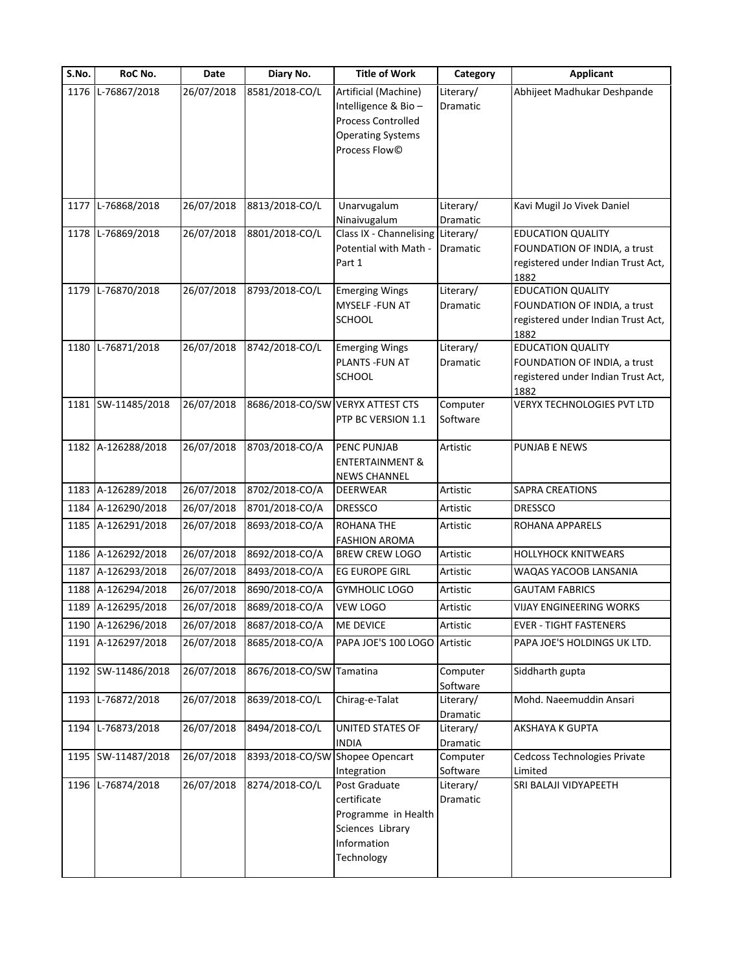| S.No. | RoC No.            | Date       | Diary No.                        | <b>Title of Work</b>                                                                                 | Category                          | <b>Applicant</b>                                                                                       |
|-------|--------------------|------------|----------------------------------|------------------------------------------------------------------------------------------------------|-----------------------------------|--------------------------------------------------------------------------------------------------------|
|       | 1176 L-76867/2018  | 26/07/2018 | 8581/2018-CO/L                   | Artificial (Machine)<br>Intelligence & Bio-<br><b>Process Controlled</b><br><b>Operating Systems</b> | Literary/<br>Dramatic             | Abhijeet Madhukar Deshpande                                                                            |
|       |                    |            |                                  | Process Flow©                                                                                        |                                   |                                                                                                        |
| 1177  | L-76868/2018       | 26/07/2018 | 8813/2018-CO/L                   | Unarvugalum<br>Ninaivugalum                                                                          | Literary/<br>Dramatic             | Kavi Mugil Jo Vivek Daniel                                                                             |
|       | 1178 L-76869/2018  | 26/07/2018 | 8801/2018-CO/L                   | Class IX - Channelising Literary/<br>Potential with Math -<br>Part 1                                 | Dramatic                          | <b>EDUCATION QUALITY</b><br>FOUNDATION OF INDIA, a trust<br>registered under Indian Trust Act,<br>1882 |
|       | 1179 L-76870/2018  | 26/07/2018 | 8793/2018-CO/L                   | <b>Emerging Wings</b><br>MYSELF -FUN AT<br><b>SCHOOL</b>                                             | Literary/<br>Dramatic             | <b>EDUCATION QUALITY</b><br>FOUNDATION OF INDIA, a trust<br>registered under Indian Trust Act,<br>1882 |
| 1180  | L-76871/2018       | 26/07/2018 | 8742/2018-CO/L                   | <b>Emerging Wings</b><br>PLANTS - FUN AT<br>SCHOOL                                                   | Literary/<br>Dramatic             | <b>EDUCATION QUALITY</b><br>FOUNDATION OF INDIA, a trust<br>registered under Indian Trust Act,<br>1882 |
|       | 1181 SW-11485/2018 | 26/07/2018 | 8686/2018-CO/SW VERYX ATTEST CTS | PTP BC VERSION 1.1                                                                                   | Computer<br>Software              | VERYX TECHNOLOGIES PVT LTD                                                                             |
|       | 1182 A-126288/2018 | 26/07/2018 | 8703/2018-CO/A                   | PENC PUNJAB<br><b>ENTERTAINMENT &amp;</b><br><b>NEWS CHANNEL</b>                                     | Artistic                          | PUNJAB E NEWS                                                                                          |
|       | 1183 A-126289/2018 | 26/07/2018 | 8702/2018-CO/A                   | DEERWEAR                                                                                             | Artistic                          | SAPRA CREATIONS                                                                                        |
| 1184  | A-126290/2018      | 26/07/2018 | 8701/2018-CO/A                   | <b>DRESSCO</b>                                                                                       | Artistic                          | <b>DRESSCO</b>                                                                                         |
|       | 1185 A-126291/2018 | 26/07/2018 | 8693/2018-CO/A                   | <b>ROHANA THE</b><br><b>FASHION AROMA</b>                                                            | Artistic                          | ROHANA APPARELS                                                                                        |
|       | 1186 A-126292/2018 | 26/07/2018 | 8692/2018-CO/A                   | <b>BREW CREW LOGO</b>                                                                                | Artistic                          | <b>HOLLYHOCK KNITWEARS</b>                                                                             |
|       | 1187 A-126293/2018 | 26/07/2018 | 8493/2018-CO/A                   | <b>EG EUROPE GIRL</b>                                                                                | Artistic                          | WAQAS YACOOB LANSANIA                                                                                  |
|       | 1188 A-126294/2018 | 26/07/2018 | 8690/2018-CO/A                   | <b>GYMHOLIC LOGO</b>                                                                                 | Artistic                          | <b>GAUTAM FABRICS</b>                                                                                  |
|       | 1189 A-126295/2018 | 26/07/2018 | 8689/2018-CO/A                   | <b>VEW LOGO</b>                                                                                      | Artistic                          | <b>VIJAY ENGINEERING WORKS</b>                                                                         |
|       | 1190 A-126296/2018 | 26/07/2018 | 8687/2018-CO/A                   | <b>ME DEVICE</b>                                                                                     | Artistic                          | <b>EVER - TIGHT FASTENERS</b>                                                                          |
|       | 1191 A-126297/2018 | 26/07/2018 | 8685/2018-CO/A                   | PAPA JOE'S 100 LOGO Artistic                                                                         |                                   | PAPA JOE'S HOLDINGS UK LTD.                                                                            |
|       | 1192 SW-11486/2018 | 26/07/2018 | 8676/2018-CO/SW Tamatina         |                                                                                                      | Computer<br>Software              | Siddharth gupta                                                                                        |
|       | 1193 L-76872/2018  | 26/07/2018 | 8639/2018-CO/L                   | Chirag-e-Talat                                                                                       | Literary/                         | Mohd. Naeemuddin Ansari                                                                                |
| 1194  | L-76873/2018       | 26/07/2018 | 8494/2018-CO/L                   | UNITED STATES OF<br>INDIA                                                                            | Dramatic<br>Literary/<br>Dramatic | AKSHAYA K GUPTA                                                                                        |
| 1195  | SW-11487/2018      | 26/07/2018 | 8393/2018-CO/SW Shopee Opencart  | Integration                                                                                          | Computer<br>Software              | Cedcoss Technologies Private<br>Limited                                                                |
|       | 1196 L-76874/2018  | 26/07/2018 | 8274/2018-CO/L                   | Post Graduate<br>certificate<br>Programme in Health<br>Sciences Library<br>Information<br>Technology | Literary/<br>Dramatic             | SRI BALAJI VIDYAPEETH                                                                                  |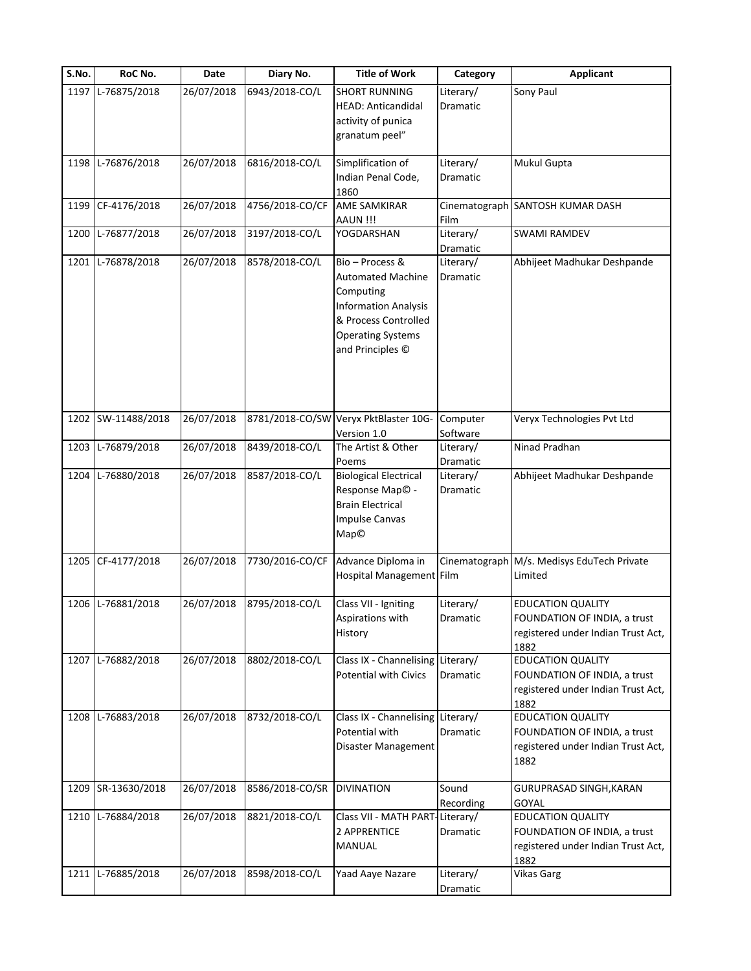| S.No. | RoC No.           | Date       | Diary No.       | <b>Title of Work</b>                                                                                                                                            | Category              | <b>Applicant</b>                                                                                       |
|-------|-------------------|------------|-----------------|-----------------------------------------------------------------------------------------------------------------------------------------------------------------|-----------------------|--------------------------------------------------------------------------------------------------------|
| 1197  | L-76875/2018      | 26/07/2018 | 6943/2018-CO/L  | <b>SHORT RUNNING</b><br><b>HEAD: Anticandidal</b><br>activity of punica<br>granatum peel"                                                                       | Literary/<br>Dramatic | Sony Paul                                                                                              |
| 1198  | L-76876/2018      | 26/07/2018 | 6816/2018-CO/L  | Simplification of<br>Indian Penal Code,<br>1860                                                                                                                 | Literary/<br>Dramatic | Mukul Gupta                                                                                            |
| 1199  | CF-4176/2018      | 26/07/2018 | 4756/2018-CO/CF | <b>AME SAMKIRAR</b><br>AAUN !!!                                                                                                                                 | Film                  | Cinematograph SANTOSH KUMAR DASH                                                                       |
| 1200  | L-76877/2018      | 26/07/2018 | 3197/2018-CO/L  | YOGDARSHAN                                                                                                                                                      | Literary/<br>Dramatic | <b>SWAMI RAMDEV</b>                                                                                    |
| 1201  | L-76878/2018      | 26/07/2018 | 8578/2018-CO/L  | Bio - Process &<br><b>Automated Machine</b><br>Computing<br><b>Information Analysis</b><br>& Process Controlled<br><b>Operating Systems</b><br>and Principles © | Literary/<br>Dramatic | Abhijeet Madhukar Deshpande                                                                            |
| 1202  | SW-11488/2018     | 26/07/2018 | 8781/2018-CO/SW | Veryx PktBlaster 10G-<br>Version 1.0                                                                                                                            | Computer<br>Software  | Veryx Technologies Pvt Ltd                                                                             |
| 1203  | L-76879/2018      | 26/07/2018 | 8439/2018-CO/L  | The Artist & Other<br>Poems                                                                                                                                     | Literary/<br>Dramatic | Ninad Pradhan                                                                                          |
| 1204  | L-76880/2018      | 26/07/2018 | 8587/2018-CO/L  | <b>Biological Electrical</b><br>Response Map <sup>©</sup> -<br><b>Brain Electrical</b><br><b>Impulse Canvas</b><br>Map©                                         | Literary/<br>Dramatic | Abhijeet Madhukar Deshpande                                                                            |
|       | 1205 CF-4177/2018 | 26/07/2018 | 7730/2016-CO/CF | Advance Diploma in<br>Hospital Management Film                                                                                                                  | Cinematograph         | M/s. Medisys EduTech Private<br>Limited                                                                |
|       | 1206 L-76881/2018 | 26/07/2018 | 8795/2018-CO/L  | Class VII - Igniting<br>Aspirations with<br>History                                                                                                             | Literary/<br>Dramatic | <b>EDUCATION QUALITY</b><br>FOUNDATION OF INDIA, a trust<br>registered under Indian Trust Act,<br>1882 |
| 1207  | L-76882/2018      | 26/07/2018 | 8802/2018-CO/L  | Class IX - Channelising<br><b>Potential with Civics</b>                                                                                                         | Literary/<br>Dramatic | <b>EDUCATION QUALITY</b><br>FOUNDATION OF INDIA, a trust<br>registered under Indian Trust Act,<br>1882 |
|       | 1208 L-76883/2018 | 26/07/2018 | 8732/2018-CO/L  | Class IX - Channelising Literary/<br>Potential with<br>Disaster Management                                                                                      | Dramatic              | <b>EDUCATION QUALITY</b><br>FOUNDATION OF INDIA, a trust<br>registered under Indian Trust Act,<br>1882 |
| 1209  | SR-13630/2018     | 26/07/2018 | 8586/2018-CO/SR | <b>DIVINATION</b>                                                                                                                                               | Sound<br>Recording    | GURUPRASAD SINGH, KARAN<br><b>GOYAL</b>                                                                |
| 1210  | L-76884/2018      | 26/07/2018 | 8821/2018-CO/L  | Class VII - MATH PART<br>2 APPRENTICE<br>MANUAL                                                                                                                 | Literary/<br>Dramatic | <b>EDUCATION QUALITY</b><br>FOUNDATION OF INDIA, a trust<br>registered under Indian Trust Act,<br>1882 |
| 1211  | L-76885/2018      | 26/07/2018 | 8598/2018-CO/L  | Yaad Aaye Nazare                                                                                                                                                | Literary/<br>Dramatic | <b>Vikas Garg</b>                                                                                      |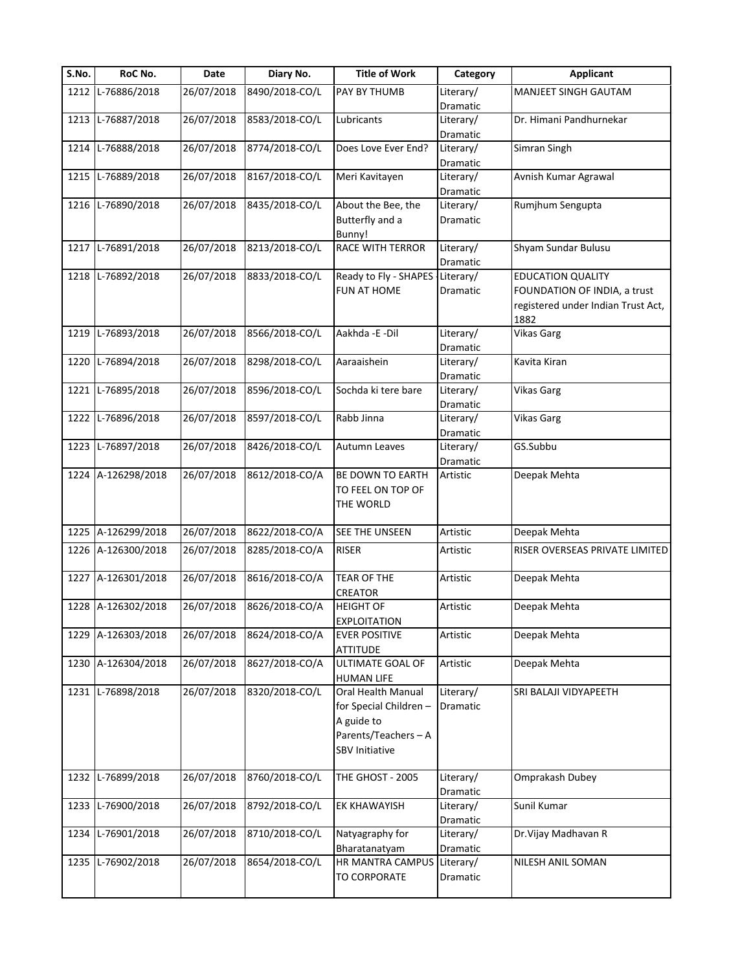| S.No. | RoC No.            | Date       | Diary No.      | <b>Title of Work</b>            | Category  | <b>Applicant</b>                   |
|-------|--------------------|------------|----------------|---------------------------------|-----------|------------------------------------|
| 1212  | L-76886/2018       | 26/07/2018 | 8490/2018-CO/L | PAY BY THUMB                    | Literary/ | <b>MANJEET SINGH GAUTAM</b>        |
|       |                    |            |                |                                 | Dramatic  |                                    |
|       | 1213 L-76887/2018  | 26/07/2018 | 8583/2018-CO/L | Lubricants                      | Literary/ | Dr. Himani Pandhurnekar            |
|       |                    |            |                |                                 | Dramatic  |                                    |
| 1214  | L-76888/2018       | 26/07/2018 | 8774/2018-CO/L | Does Love Ever End?             | Literary/ | Simran Singh                       |
|       |                    |            |                |                                 | Dramatic  |                                    |
| 1215  | L-76889/2018       | 26/07/2018 | 8167/2018-CO/L | Meri Kavitayen                  | Literary/ | Avnish Kumar Agrawal               |
|       |                    |            |                |                                 | Dramatic  |                                    |
|       | 1216 L-76890/2018  | 26/07/2018 | 8435/2018-CO/L | About the Bee, the              | Literary/ | Rumjhum Sengupta                   |
|       |                    |            |                | Butterfly and a                 | Dramatic  |                                    |
|       |                    |            |                | Bunny!                          |           |                                    |
| 1217  | L-76891/2018       | 26/07/2018 | 8213/2018-CO/L | RACE WITH TERROR                | Literary/ | Shyam Sundar Bulusu                |
|       |                    |            |                |                                 | Dramatic  |                                    |
|       | 1218 L-76892/2018  | 26/07/2018 | 8833/2018-CO/L | Ready to Fly - SHAPES Literary/ |           | <b>EDUCATION QUALITY</b>           |
|       |                    |            |                | FUN AT HOME                     | Dramatic  | FOUNDATION OF INDIA, a trust       |
|       |                    |            |                |                                 |           | registered under Indian Trust Act, |
|       |                    |            |                |                                 |           | 1882                               |
| 1219  | L-76893/2018       | 26/07/2018 | 8566/2018-CO/L | Aakhda - E-Dil                  | Literary/ | <b>Vikas Garg</b>                  |
|       |                    |            |                |                                 | Dramatic  |                                    |
| 1220  | L-76894/2018       | 26/07/2018 | 8298/2018-CO/L | Aaraaishein                     | Literary/ | Kavita Kiran                       |
|       |                    |            |                |                                 | Dramatic  |                                    |
| 1221  | L-76895/2018       | 26/07/2018 | 8596/2018-CO/L | Sochda ki tere bare             | Literary/ | <b>Vikas Garg</b>                  |
|       |                    |            |                |                                 | Dramatic  |                                    |
| 1222  | L-76896/2018       | 26/07/2018 | 8597/2018-CO/L | Rabb Jinna                      | Literary/ | <b>Vikas Garg</b>                  |
|       |                    |            |                |                                 | Dramatic  |                                    |
| 1223  | L-76897/2018       | 26/07/2018 | 8426/2018-CO/L | Autumn Leaves                   | Literary/ | GS.Subbu                           |
|       |                    |            |                |                                 | Dramatic  |                                    |
|       | 1224 A-126298/2018 | 26/07/2018 | 8612/2018-CO/A | BE DOWN TO EARTH                | Artistic  | Deepak Mehta                       |
|       |                    |            |                | TO FEEL ON TOP OF               |           |                                    |
|       |                    |            |                |                                 |           |                                    |
|       |                    |            |                | THE WORLD                       |           |                                    |
|       | 1225 A-126299/2018 | 26/07/2018 | 8622/2018-CO/A | SEE THE UNSEEN                  | Artistic  | Deepak Mehta                       |
|       |                    |            |                |                                 |           |                                    |
|       | 1226 A-126300/2018 | 26/07/2018 | 8285/2018-CO/A | <b>RISER</b>                    | Artistic  | RISER OVERSEAS PRIVATE LIMITED     |
|       |                    |            |                |                                 |           |                                    |
| 1227  | A-126301/2018      | 26/07/2018 | 8616/2018-CO/A | TEAR OF THE                     | Artistic  | Deepak Mehta                       |
|       |                    |            |                | CREATOR                         |           |                                    |
|       | 1228 A-126302/2018 | 26/07/2018 | 8626/2018-CO/A | <b>HEIGHT OF</b>                | Artistic  | Deepak Mehta                       |
|       |                    |            |                | <b>EXPLOITATION</b>             |           |                                    |
|       | 1229 A-126303/2018 | 26/07/2018 | 8624/2018-CO/A | <b>EVER POSITIVE</b>            | Artistic  | Deepak Mehta                       |
|       |                    |            |                | <b>ATTITUDE</b>                 |           |                                    |
| 1230  | A-126304/2018      | 26/07/2018 | 8627/2018-CO/A | ULTIMATE GOAL OF                | Artistic  | Deepak Mehta                       |
|       |                    |            |                | <b>HUMAN LIFE</b>               |           |                                    |
| 1231  | L-76898/2018       | 26/07/2018 | 8320/2018-CO/L | Oral Health Manual              | Literary/ | SRI BALAJI VIDYAPEETH              |
|       |                    |            |                | for Special Children-           | Dramatic  |                                    |
|       |                    |            |                | A guide to                      |           |                                    |
|       |                    |            |                | Parents/Teachers-A              |           |                                    |
|       |                    |            |                | SBV Initiative                  |           |                                    |
|       |                    |            |                |                                 |           |                                    |
|       | 1232 L-76899/2018  | 26/07/2018 | 8760/2018-CO/L | THE GHOST - 2005                | Literary/ | Omprakash Dubey                    |
|       |                    |            |                |                                 | Dramatic  |                                    |
| 1233  | L-76900/2018       | 26/07/2018 | 8792/2018-CO/L | EK KHAWAYISH                    | Literary/ | Sunil Kumar                        |
|       |                    |            |                |                                 | Dramatic  |                                    |
| 1234  | L-76901/2018       | 26/07/2018 | 8710/2018-CO/L | Natyagraphy for                 | Literary/ | Dr. Vijay Madhavan R               |
|       |                    |            |                | Bharatanatyam                   | Dramatic  |                                    |
|       | 1235 L-76902/2018  | 26/07/2018 | 8654/2018-CO/L | HR MANTRA CAMPUS                | Literary/ | NILESH ANIL SOMAN                  |
|       |                    |            |                | TO CORPORATE                    | Dramatic  |                                    |
|       |                    |            |                |                                 |           |                                    |
|       |                    |            |                |                                 |           |                                    |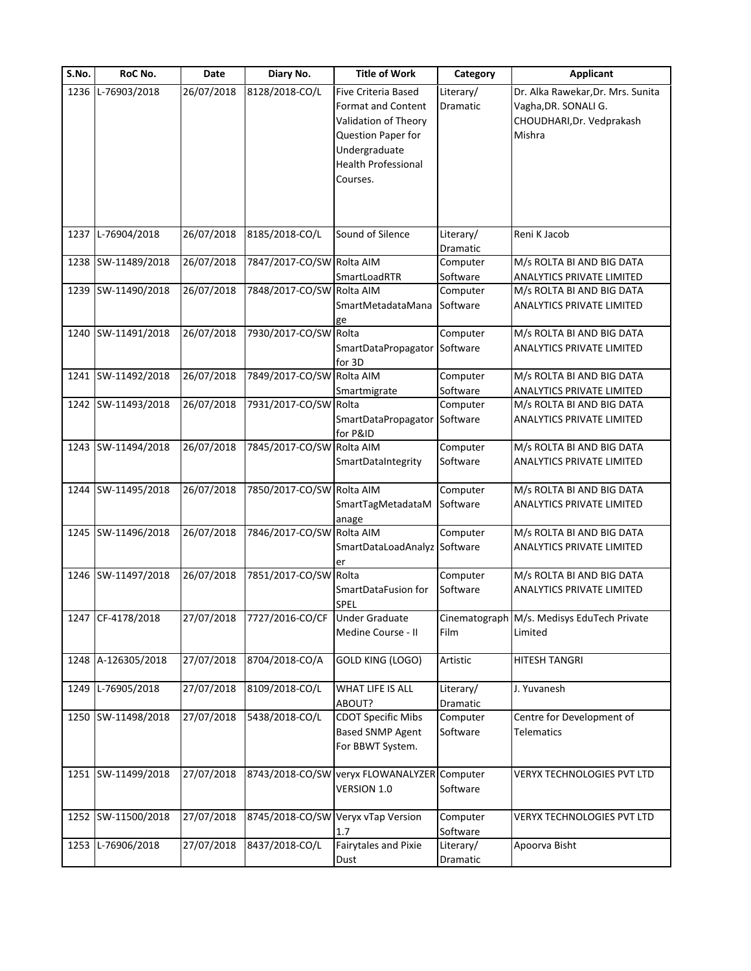| S.No. | RoC No.            | Date       | Diary No.                        | <b>Title of Work</b>                                                                                                                                             | Category              | <b>Applicant</b>                                                                                 |
|-------|--------------------|------------|----------------------------------|------------------------------------------------------------------------------------------------------------------------------------------------------------------|-----------------------|--------------------------------------------------------------------------------------------------|
| 1236  | L-76903/2018       | 26/07/2018 | 8128/2018-CO/L                   | <b>Five Criteria Based</b><br><b>Format and Content</b><br>Validation of Theory<br>Question Paper for<br>Undergraduate<br><b>Health Professional</b><br>Courses. | Literary/<br>Dramatic | Dr. Alka Rawekar, Dr. Mrs. Sunita<br>Vagha, DR. SONALI G.<br>CHOUDHARI, Dr. Vedprakash<br>Mishra |
| 1237  | L-76904/2018       | 26/07/2018 | 8185/2018-CO/L                   | Sound of Silence                                                                                                                                                 | Literary/<br>Dramatic | Reni K Jacob                                                                                     |
|       | 1238 SW-11489/2018 | 26/07/2018 | 7847/2017-CO/SW Rolta AIM        | SmartLoadRTR                                                                                                                                                     | Computer<br>Software  | M/s ROLTA BI AND BIG DATA<br>ANALYTICS PRIVATE LIMITED                                           |
|       | 1239 SW-11490/2018 | 26/07/2018 | 7848/2017-CO/SW Rolta AIM        | SmartMetadataMana<br>ge                                                                                                                                          | Computer<br>Software  | M/s ROLTA BI AND BIG DATA<br>ANALYTICS PRIVATE LIMITED                                           |
|       | 1240 SW-11491/2018 | 26/07/2018 | 7930/2017-CO/SW Rolta            | SmartDataPropagator<br>for 3D                                                                                                                                    | Computer<br>Software  | M/s ROLTA BI AND BIG DATA<br>ANALYTICS PRIVATE LIMITED                                           |
|       | 1241 SW-11492/2018 | 26/07/2018 | 7849/2017-CO/SW Rolta AIM        | Smartmigrate                                                                                                                                                     | Computer<br>Software  | M/s ROLTA BI AND BIG DATA<br>ANALYTICS PRIVATE LIMITED                                           |
|       | 1242 SW-11493/2018 | 26/07/2018 | 7931/2017-CO/SW Rolta            | SmartDataPropagator Software<br>for P&ID                                                                                                                         | Computer              | M/s ROLTA BI AND BIG DATA<br>ANALYTICS PRIVATE LIMITED                                           |
|       | 1243 SW-11494/2018 | 26/07/2018 | 7845/2017-CO/SW Rolta AIM        | SmartDataIntegrity                                                                                                                                               | Computer<br>Software  | M/s ROLTA BI AND BIG DATA<br>ANALYTICS PRIVATE LIMITED                                           |
|       | 1244 SW-11495/2018 | 26/07/2018 | 7850/2017-CO/SW Rolta AIM        | SmartTagMetadataM<br>anage                                                                                                                                       | Computer<br>Software  | M/s ROLTA BI AND BIG DATA<br>ANALYTICS PRIVATE LIMITED                                           |
|       | 1245 SW-11496/2018 | 26/07/2018 | 7846/2017-CO/SW Rolta AIM        | SmartDataLoadAnalyz Software<br>er                                                                                                                               | Computer              | M/s ROLTA BI AND BIG DATA<br><b>ANALYTICS PRIVATE LIMITED</b>                                    |
|       | 1246 SW-11497/2018 | 26/07/2018 | 7851/2017-CO/SW                  | Rolta<br>SmartDataFusion for<br>SPEL                                                                                                                             | Computer<br>Software  | M/s ROLTA BI AND BIG DATA<br>ANALYTICS PRIVATE LIMITED                                           |
|       | 1247 CF-4178/2018  | 27/07/2018 | 7727/2016-CO/CF   Under Graduate | Medine Course - II                                                                                                                                               | Film                  | Cinematograph M/s. Medisys EduTech Private<br>Limited                                            |
|       | 1248 A-126305/2018 | 27/07/2018 | 8704/2018-CO/A                   | GOLD KING (LOGO)                                                                                                                                                 | Artistic              | <b>HITESH TANGRI</b>                                                                             |
|       | 1249 L-76905/2018  | 27/07/2018 | 8109/2018-CO/L                   | WHAT LIFE IS ALL<br>ABOUT?                                                                                                                                       | Literary/<br>Dramatic | J. Yuvanesh                                                                                      |
|       | 1250 SW-11498/2018 | 27/07/2018 | 5438/2018-CO/L                   | <b>CDOT Specific Mibs</b><br><b>Based SNMP Agent</b><br>For BBWT System.                                                                                         | Computer<br>Software  | Centre for Development of<br><b>Telematics</b>                                                   |
|       | 1251 SW-11499/2018 | 27/07/2018 |                                  | 8743/2018-CO/SW veryx FLOWANALYZER Computer<br>VERSION 1.0                                                                                                       | Software              | VERYX TECHNOLOGIES PVT LTD                                                                       |
|       | 1252 SW-11500/2018 | 27/07/2018 |                                  | 8745/2018-CO/SW Veryx vTap Version<br>1.7                                                                                                                        | Computer<br>Software  | VERYX TECHNOLOGIES PVT LTD                                                                       |
|       | 1253 L-76906/2018  | 27/07/2018 | 8437/2018-CO/L                   | Fairytales and Pixie<br>Dust                                                                                                                                     | Literary/<br>Dramatic | Apoorva Bisht                                                                                    |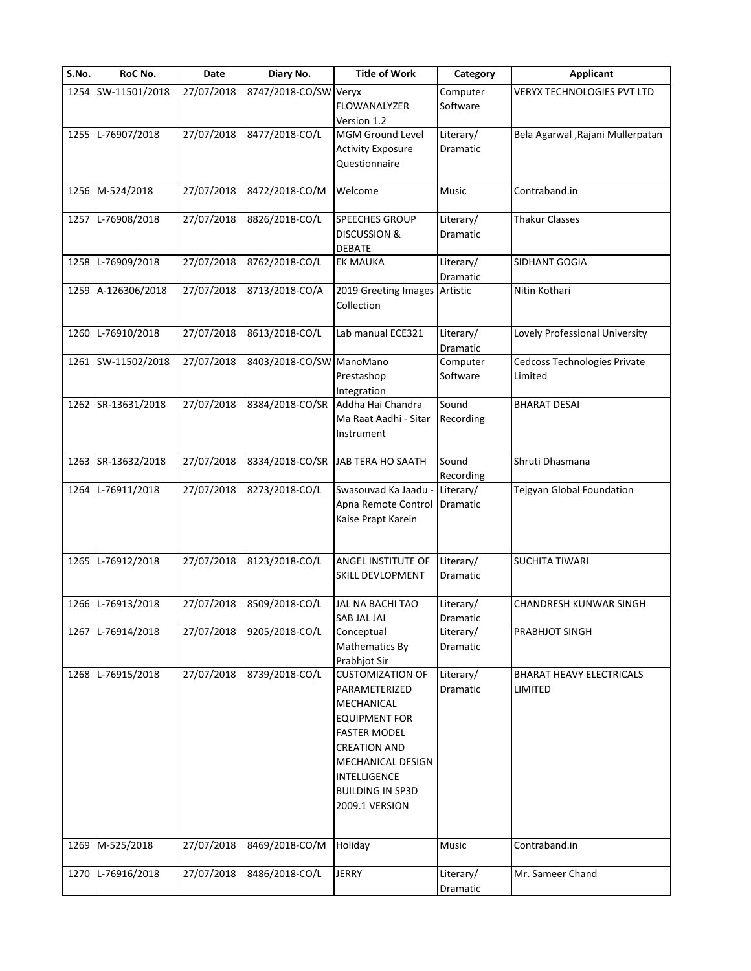| S.No. | RoC No.            | Date       | Diary No.                | <b>Title of Work</b>                                                                                                                                                                                                  | Category                     | <b>Applicant</b>                           |
|-------|--------------------|------------|--------------------------|-----------------------------------------------------------------------------------------------------------------------------------------------------------------------------------------------------------------------|------------------------------|--------------------------------------------|
|       | 1254 SW-11501/2018 | 27/07/2018 | 8747/2018-CO/SW Veryx    | FLOWANALYZER<br>Version 1.2                                                                                                                                                                                           | Computer<br>Software         | <b>VERYX TECHNOLOGIES PVT LTD</b>          |
|       | 1255 L-76907/2018  | 27/07/2018 | 8477/2018-CO/L           | MGM Ground Level<br><b>Activity Exposure</b><br>Questionnaire                                                                                                                                                         | Literary/<br>Dramatic        | Bela Agarwal , Rajani Mullerpatan          |
|       | 1256 M-524/2018    | 27/07/2018 | 8472/2018-CO/M           | Welcome                                                                                                                                                                                                               | Music                        | Contraband.in                              |
|       | 1257 L-76908/2018  | 27/07/2018 | 8826/2018-CO/L           | <b>SPEECHES GROUP</b><br><b>DISCUSSION &amp;</b><br><b>DEBATE</b>                                                                                                                                                     | Literary/<br>Dramatic        | <b>Thakur Classes</b>                      |
| 1258  | L-76909/2018       | 27/07/2018 | 8762/2018-CO/L           | <b>EK MAUKA</b>                                                                                                                                                                                                       | Literary/<br>Dramatic        | SIDHANT GOGIA                              |
|       | 1259 A-126306/2018 | 27/07/2018 | 8713/2018-CO/A           | 2019 Greeting Images Artistic<br>Collection                                                                                                                                                                           |                              | Nitin Kothari                              |
| 1260  | L-76910/2018       | 27/07/2018 | 8613/2018-CO/L           | Lab manual ECE321                                                                                                                                                                                                     | Literary/<br>Dramatic        | Lovely Professional University             |
|       | 1261 SW-11502/2018 | 27/07/2018 | 8403/2018-CO/SW ManoMano | Prestashop<br>Integration                                                                                                                                                                                             | Computer<br>Software         | Cedcoss Technologies Private<br>Limited    |
|       | 1262 SR-13631/2018 | 27/07/2018 | 8384/2018-CO/SR          | Addha Hai Chandra<br>Ma Raat Aadhi - Sitar<br>Instrument                                                                                                                                                              | Sound<br>Recording           | <b>BHARAT DESAI</b>                        |
|       | 1263 SR-13632/2018 | 27/07/2018 | 8334/2018-CO/SR          | JAB TERA HO SAATH                                                                                                                                                                                                     | Sound<br>Recording           | Shruti Dhasmana                            |
|       | 1264 L-76911/2018  | 27/07/2018 | 8273/2018-CO/L           | Swasouvad Ka Jaadu -<br>Apna Remote Control<br>Kaise Prapt Karein                                                                                                                                                     | Literary/<br>Dramatic        | Tejgyan Global Foundation                  |
|       | 1265 L-76912/2018  | 27/07/2018 | 8123/2018-CO/L           | <b>ANGEL INSTITUTE OF</b><br><b>SKILL DEVLOPMENT</b>                                                                                                                                                                  | Literary/<br><b>Dramatic</b> | <b>SUCHITA TIWARI</b>                      |
|       | 1266 L-76913/2018  | 27/07/2018 | 8509/2018-CO/L           | JAL NA BACHI TAO<br>SAB JAL JAI                                                                                                                                                                                       | Literary/<br>Dramatic        | CHANDRESH KUNWAR SINGH                     |
|       | 1267 L-76914/2018  | 27/07/2018 | 9205/2018-CO/L           | Conceptual<br>Mathematics By<br>Prabhjot Sir                                                                                                                                                                          | Literary/<br>Dramatic        | PRABHJOT SINGH                             |
|       | 1268 L-76915/2018  | 27/07/2018 | 8739/2018-CO/L           | <b>CUSTOMIZATION OF</b><br>PARAMETERIZED<br>MECHANICAL<br><b>EQUIPMENT FOR</b><br><b>FASTER MODEL</b><br><b>CREATION AND</b><br><b>MECHANICAL DESIGN</b><br>INTELLIGENCE<br><b>BUILDING IN SP3D</b><br>2009.1 VERSION | Literary/<br>Dramatic        | <b>BHARAT HEAVY ELECTRICALS</b><br>LIMITED |
| 1269  | M-525/2018         | 27/07/2018 | 8469/2018-CO/M           | Holiday                                                                                                                                                                                                               | Music                        | Contraband.in                              |
| 1270  | L-76916/2018       | 27/07/2018 | 8486/2018-CO/L           | <b>JERRY</b>                                                                                                                                                                                                          | Literary/<br>Dramatic        | Mr. Sameer Chand                           |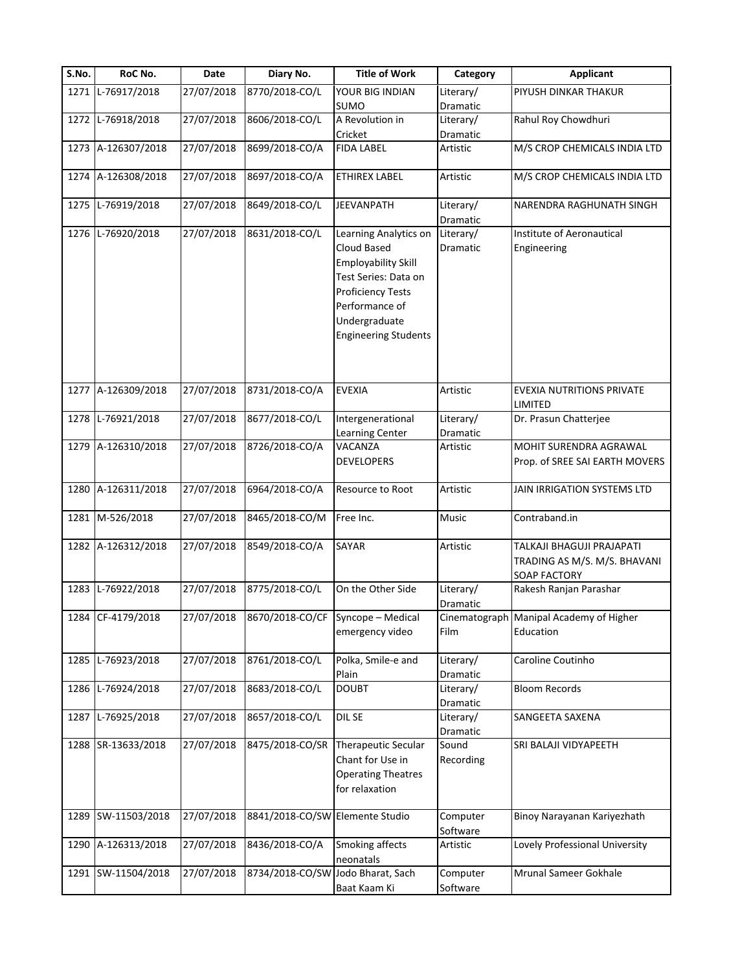| S.No. | RoC No.            | Date                   | Diary No.                            | <b>Title of Work</b>                                                                          | Category              | <b>Applicant</b>                                                                 |
|-------|--------------------|------------------------|--------------------------------------|-----------------------------------------------------------------------------------------------|-----------------------|----------------------------------------------------------------------------------|
|       | 1271 L-76917/2018  | 27/07/2018             | 8770/2018-CO/L                       | YOUR BIG INDIAN                                                                               | Literary/             | PIYUSH DINKAR THAKUR                                                             |
|       |                    |                        |                                      | <b>SUMO</b>                                                                                   | Dramatic              |                                                                                  |
|       | 1272 L-76918/2018  | 27/07/2018             | 8606/2018-CO/L                       | A Revolution in                                                                               | Literary/             | Rahul Roy Chowdhuri                                                              |
|       |                    |                        |                                      | Cricket                                                                                       | Dramatic              |                                                                                  |
|       | 1273 A-126307/2018 | 27/07/2018             | 8699/2018-CO/A                       | <b>FIDA LABEL</b>                                                                             | Artistic              | M/S CROP CHEMICALS INDIA LTD                                                     |
|       | 1274 A-126308/2018 | 27/07/2018             | 8697/2018-CO/A                       | <b>ETHIREX LABEL</b>                                                                          | Artistic              | M/S CROP CHEMICALS INDIA LTD                                                     |
|       | 1275 L-76919/2018  | 27/07/2018             | 8649/2018-CO/L                       | JEEVANPATH                                                                                    | Literary/<br>Dramatic | NARENDRA RAGHUNATH SINGH                                                         |
|       | 1276 L-76920/2018  | 27/07/2018             | 8631/2018-CO/L                       | Learning Analytics on                                                                         | Literary/             | Institute of Aeronautical                                                        |
|       |                    |                        |                                      | Cloud Based<br><b>Employability Skill</b><br>Test Series: Data on<br><b>Proficiency Tests</b> | Dramatic              | Engineering                                                                      |
|       |                    |                        |                                      | Performance of<br>Undergraduate<br><b>Engineering Students</b>                                |                       |                                                                                  |
| 1277  | A-126309/2018      | 27/07/2018             | 8731/2018-CO/A                       | <b>EVEXIA</b>                                                                                 | Artistic              | <b>EVEXIA NUTRITIONS PRIVATE</b><br>LIMITED                                      |
|       | 1278 L-76921/2018  | 27/07/2018             | 8677/2018-CO/L                       | Intergenerational                                                                             | Literary/             | Dr. Prasun Chatterjee                                                            |
|       |                    |                        |                                      | Learning Center                                                                               | Dramatic              |                                                                                  |
|       | 1279 A-126310/2018 | 27/07/2018             | 8726/2018-CO/A                       | VACANZA                                                                                       | Artistic              | MOHIT SURENDRA AGRAWAL                                                           |
|       |                    |                        |                                      | <b>DEVELOPERS</b>                                                                             |                       | Prop. of SREE SAI EARTH MOVERS                                                   |
|       | 1280 A-126311/2018 | 27/07/2018             | 6964/2018-CO/A                       | Resource to Root                                                                              | Artistic              | JAIN IRRIGATION SYSTEMS LTD                                                      |
|       | 1281 M-526/2018    | 27/07/2018             | 8465/2018-CO/M                       | Free Inc.                                                                                     | Music                 | Contraband.in                                                                    |
|       | 1282 A-126312/2018 | 27/07/2018             | 8549/2018-CO/A                       | SAYAR                                                                                         | Artistic              | TALKAJI BHAGUJI PRAJAPATI<br>TRADING AS M/S. M/S. BHAVANI<br><b>SOAP FACTORY</b> |
| 1283  | L-76922/2018       | 27/07/2018             | 8775/2018-CO/L                       | On the Other Side                                                                             | Literary/<br>Dramatic | Rakesh Ranjan Parashar                                                           |
|       | 1284 CF-4179/2018  | $\frac{1}{27}/07/2018$ | $8670/2018$ -CO/CF Syncope – Medical | emergency video                                                                               | Film                  | Cinematograph Manipal Academy of Higher<br>Education                             |
|       | 1285 L-76923/2018  | 27/07/2018             | 8761/2018-CO/L                       | Polka, Smile-e and<br>Plain                                                                   | Literary/<br>Dramatic | Caroline Coutinho                                                                |
|       | 1286 L-76924/2018  | 27/07/2018             | 8683/2018-CO/L                       | <b>DOUBT</b>                                                                                  | Literary/<br>Dramatic | <b>Bloom Records</b>                                                             |
|       | 1287 L-76925/2018  | 27/07/2018             | 8657/2018-CO/L                       | DIL SE                                                                                        | Literary/<br>Dramatic | SANGEETA SAXENA                                                                  |
|       | 1288 SR-13633/2018 | 27/07/2018             | 8475/2018-CO/SR                      | <b>Therapeutic Secular</b><br>Chant for Use in<br><b>Operating Theatres</b><br>for relaxation | Sound<br>Recording    | SRI BALAJI VIDYAPEETH                                                            |
| 1289  | SW-11503/2018      | 27/07/2018             | 8841/2018-CO/SW Elemente Studio      |                                                                                               | Computer<br>Software  | Binoy Narayanan Kariyezhath                                                      |
| 1290  | A-126313/2018      | 27/07/2018             | 8436/2018-CO/A                       | Smoking affects<br>neonatals                                                                  | Artistic              | Lovely Professional University                                                   |
|       | 1291 SW-11504/2018 | 27/07/2018             | 8734/2018-CO/SW Jodo Bharat, Sach    |                                                                                               | Computer              | Mrunal Sameer Gokhale                                                            |
|       |                    |                        |                                      | Baat Kaam Ki                                                                                  | Software              |                                                                                  |
|       |                    |                        |                                      |                                                                                               |                       |                                                                                  |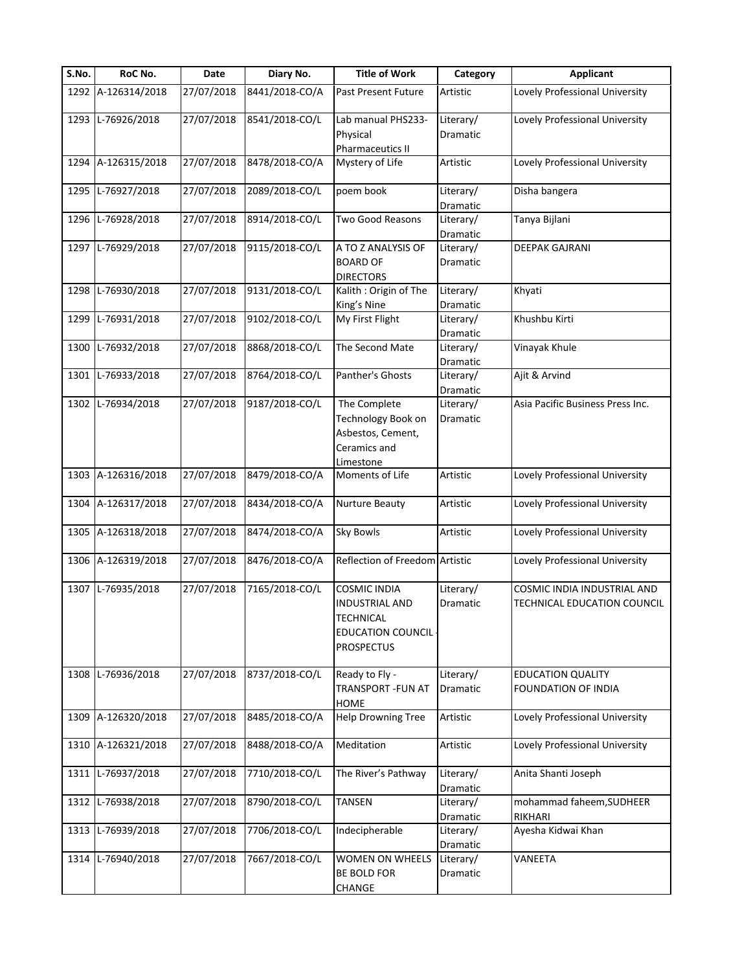| S.No. | RoC No.            | Date       | Diary No.      | <b>Title of Work</b>                                                                                       | Category                     | <b>Applicant</b>                                           |
|-------|--------------------|------------|----------------|------------------------------------------------------------------------------------------------------------|------------------------------|------------------------------------------------------------|
|       | 1292 A-126314/2018 | 27/07/2018 | 8441/2018-CO/A | Past Present Future                                                                                        | Artistic                     | Lovely Professional University                             |
|       | 1293 L-76926/2018  | 27/07/2018 | 8541/2018-CO/L | Lab manual PHS233-<br>Physical<br>Pharmaceutics II                                                         | Literary/<br><b>Dramatic</b> | Lovely Professional University                             |
|       | 1294 A-126315/2018 | 27/07/2018 | 8478/2018-CO/A | Mystery of Life                                                                                            | Artistic                     | Lovely Professional University                             |
|       | 1295 L-76927/2018  | 27/07/2018 | 2089/2018-CO/L | poem book                                                                                                  | Literary/<br>Dramatic        | Disha bangera                                              |
|       | 1296 L-76928/2018  | 27/07/2018 | 8914/2018-CO/L | Two Good Reasons                                                                                           | Literary/<br>Dramatic        | Tanya Bijlani                                              |
| 1297  | L-76929/2018       | 27/07/2018 | 9115/2018-CO/L | A TO Z ANALYSIS OF<br><b>BOARD OF</b><br><b>DIRECTORS</b>                                                  | Literary/<br>Dramatic        | <b>DEEPAK GAJRANI</b>                                      |
| 1298  | L-76930/2018       | 27/07/2018 | 9131/2018-CO/L | Kalith: Origin of The<br>King's Nine                                                                       | Literary/<br>Dramatic        | Khyati                                                     |
| 1299  | L-76931/2018       | 27/07/2018 | 9102/2018-CO/L | My First Flight                                                                                            | Literary/<br>Dramatic        | Khushbu Kirti                                              |
| 1300  | L-76932/2018       | 27/07/2018 | 8868/2018-CO/L | The Second Mate                                                                                            | Literary/<br>Dramatic        | Vinayak Khule                                              |
| 1301  | L-76933/2018       | 27/07/2018 | 8764/2018-CO/L | Panther's Ghosts                                                                                           | Literary/<br><b>Dramatic</b> | Ajit & Arvind                                              |
|       | 1302 L-76934/2018  | 27/07/2018 | 9187/2018-CO/L | The Complete<br>Technology Book on<br>Asbestos, Cement,<br>Ceramics and<br>Limestone                       | Literary/<br>Dramatic        | Asia Pacific Business Press Inc.                           |
|       | 1303 A-126316/2018 | 27/07/2018 | 8479/2018-CO/A | Moments of Life                                                                                            | Artistic                     | Lovely Professional University                             |
|       | 1304 A-126317/2018 | 27/07/2018 | 8434/2018-CO/A | Nurture Beauty                                                                                             | Artistic                     | Lovely Professional University                             |
|       | 1305 A-126318/2018 | 27/07/2018 | 8474/2018-CO/A | <b>Sky Bowls</b>                                                                                           | Artistic                     | Lovely Professional University                             |
|       | 1306 A-126319/2018 | 27/07/2018 | 8476/2018-CO/A | Reflection of Freedom Artistic                                                                             |                              | Lovely Professional University                             |
|       | 1307 L-76935/2018  | 27/07/2018 | 7165/2018-CO/L | <b>COSMIC INDIA</b><br><b>INDUSTRIAL AND</b><br>TECHNICAL<br><b>EDUCATION COUNCIL</b><br><b>PROSPECTUS</b> | Literary/<br>Dramatic        | COSMIC INDIA INDUSTRIAL AND<br>TECHNICAL EDUCATION COUNCIL |
|       | 1308 L-76936/2018  | 27/07/2018 | 8737/2018-CO/L | Ready to Fly -<br><b>TRANSPORT - FUN AT</b><br>HOME                                                        | Literary/<br>Dramatic        | <b>EDUCATION QUALITY</b><br><b>FOUNDATION OF INDIA</b>     |
|       | 1309 A-126320/2018 | 27/07/2018 | 8485/2018-CO/A | <b>Help Drowning Tree</b>                                                                                  | Artistic                     | Lovely Professional University                             |
|       | 1310 A-126321/2018 | 27/07/2018 | 8488/2018-CO/A | Meditation                                                                                                 | Artistic                     | Lovely Professional University                             |
|       | 1311 L-76937/2018  | 27/07/2018 | 7710/2018-CO/L | The River's Pathway                                                                                        | Literary/<br>Dramatic        | Anita Shanti Joseph                                        |
| 1312  | L-76938/2018       | 27/07/2018 | 8790/2018-CO/L | <b>TANSEN</b>                                                                                              | Literary/<br>Dramatic        | mohammad faheem, SUDHEER<br>RIKHARI                        |
| 1313  | L-76939/2018       | 27/07/2018 | 7706/2018-CO/L | Indecipherable                                                                                             | Literary/<br>Dramatic        | Ayesha Kidwai Khan                                         |
|       | 1314 L-76940/2018  | 27/07/2018 | 7667/2018-CO/L | WOMEN ON WHEELS<br><b>BE BOLD FOR</b><br>CHANGE                                                            | Literary/<br>Dramatic        | VANEETA                                                    |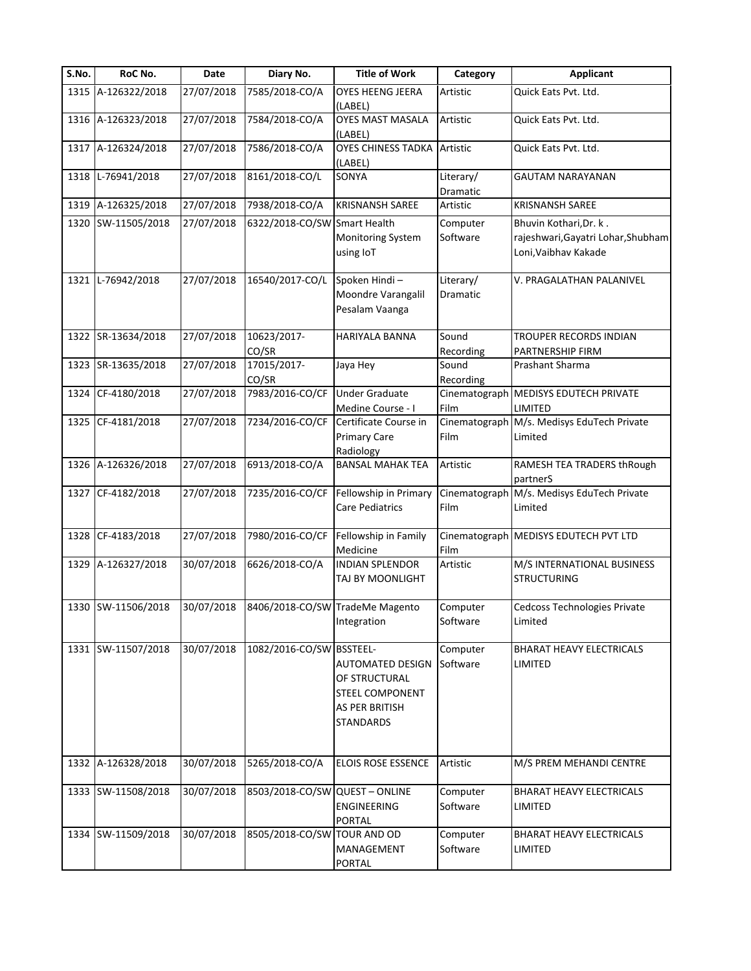| S.No. | RoC No.            | Date       | Diary No.                       | <b>Title of Work</b>                                                                                     | Category              | <b>Applicant</b>                                                                     |
|-------|--------------------|------------|---------------------------------|----------------------------------------------------------------------------------------------------------|-----------------------|--------------------------------------------------------------------------------------|
|       | 1315 A-126322/2018 | 27/07/2018 | 7585/2018-CO/A                  | OYES HEENG JEERA<br>(LABEL)                                                                              | Artistic              | Quick Eats Pvt. Ltd.                                                                 |
|       | 1316 A-126323/2018 | 27/07/2018 | 7584/2018-CO/A                  | <b>OYES MAST MASALA</b><br>(LABEL)                                                                       | Artistic              | Quick Eats Pvt. Ltd.                                                                 |
|       | 1317 A-126324/2018 | 27/07/2018 | 7586/2018-CO/A                  | <b>OYES CHINESS TADKA Artistic</b><br>(LABEL)                                                            |                       | Quick Eats Pvt. Ltd.                                                                 |
| 1318  | L-76941/2018       | 27/07/2018 | 8161/2018-CO/L                  | SONYA                                                                                                    | Literary/<br>Dramatic | GAUTAM NARAYANAN                                                                     |
| 1319  | A-126325/2018      | 27/07/2018 | 7938/2018-CO/A                  | <b>KRISNANSH SAREE</b>                                                                                   | Artistic              | <b>KRISNANSH SAREE</b>                                                               |
| 1320  | SW-11505/2018      | 27/07/2018 | 6322/2018-CO/SW Smart Health    | <b>Monitoring System</b><br>using IoT                                                                    | Computer<br>Software  | Bhuvin Kothari, Dr. k.<br>rajeshwari, Gayatri Lohar, Shubham<br>Loni, Vaibhav Kakade |
|       | 1321 L-76942/2018  | 27/07/2018 | 16540/2017-CO/L                 | Spoken Hindi-<br>Moondre Varangalil<br>Pesalam Vaanga                                                    | Literary/<br>Dramatic | V. PRAGALATHAN PALANIVEL                                                             |
|       | 1322 SR-13634/2018 | 27/07/2018 | 10623/2017-<br>CO/SR            | HARIYALA BANNA                                                                                           | Sound<br>Recording    | TROUPER RECORDS INDIAN<br>PARTNERSHIP FIRM                                           |
| 1323  | SR-13635/2018      | 27/07/2018 | 17015/2017-<br>CO/SR            | Jaya Hey                                                                                                 | Sound<br>Recording    | Prashant Sharma                                                                      |
| 1324  | CF-4180/2018       | 27/07/2018 | 7983/2016-CO/CF                 | <b>Under Graduate</b>                                                                                    |                       | Cinematograph MEDISYS EDUTECH PRIVATE                                                |
| 1325  | CF-4181/2018       | 27/07/2018 | 7234/2016-CO/CF                 | Medine Course - I<br>Certificate Course in<br><b>Primary Care</b><br>Radiology                           | Film<br>Film          | LIMITED<br>Cinematograph M/s. Medisys EduTech Private<br>Limited                     |
|       | 1326 A-126326/2018 | 27/07/2018 | 6913/2018-CO/A                  | <b>BANSAL MAHAK TEA</b>                                                                                  | Artistic              | RAMESH TEA TRADERS thRough<br>partnerS                                               |
| 1327  | CF-4182/2018       | 27/07/2018 | 7235/2016-CO/CF                 | Fellowship in Primary<br><b>Care Pediatrics</b>                                                          | Film                  | Cinematograph M/s. Medisys EduTech Private<br>Limited                                |
| 1328  | CF-4183/2018       | 27/07/2018 | 7980/2016-CO/CF                 | Fellowship in Family<br>Medicine                                                                         | Film                  | Cinematograph MEDISYS EDUTECH PVT LTD                                                |
| 1329  | A-126327/2018      | 30/07/2018 | 6626/2018-CO/A                  | <b>INDIAN SPLENDOR</b><br>TAJ BY MOONLIGHT                                                               | Artistic              | M/S INTERNATIONAL BUSINESS<br><b>STRUCTURING</b>                                     |
|       | 1330 SW-11506/2018 | 30/07/2018 | 8406/2018-CO/SW TradeMe Magento | Integration                                                                                              | Computer<br>Software  | Cedcoss Technologies Private<br>Limited                                              |
|       | 1331 SW-11507/2018 | 30/07/2018 | 1082/2016-CO/SW BSSTEEL-        | <b>AUTOMATED DESIGN</b><br>OF STRUCTURAL<br><b>STEEL COMPONENT</b><br>AS PER BRITISH<br><b>STANDARDS</b> | Computer<br>Software  | <b>BHARAT HEAVY ELECTRICALS</b><br>LIMITED                                           |
| 1332  | A-126328/2018      | 30/07/2018 | 5265/2018-CO/A                  | <b>ELOIS ROSE ESSENCE</b>                                                                                | Artistic              | M/S PREM MEHANDI CENTRE                                                              |
|       | 1333 SW-11508/2018 | 30/07/2018 | 8503/2018-CO/SW QUEST - ONLINE  | ENGINEERING<br><b>PORTAL</b>                                                                             | Computer<br>Software  | BHARAT HEAVY ELECTRICALS<br>LIMITED                                                  |
|       | 1334 SW-11509/2018 | 30/07/2018 | 8505/2018-CO/SW TOUR AND OD     | MANAGEMENT<br><b>PORTAL</b>                                                                              | Computer<br>Software  | <b>BHARAT HEAVY ELECTRICALS</b><br>LIMITED                                           |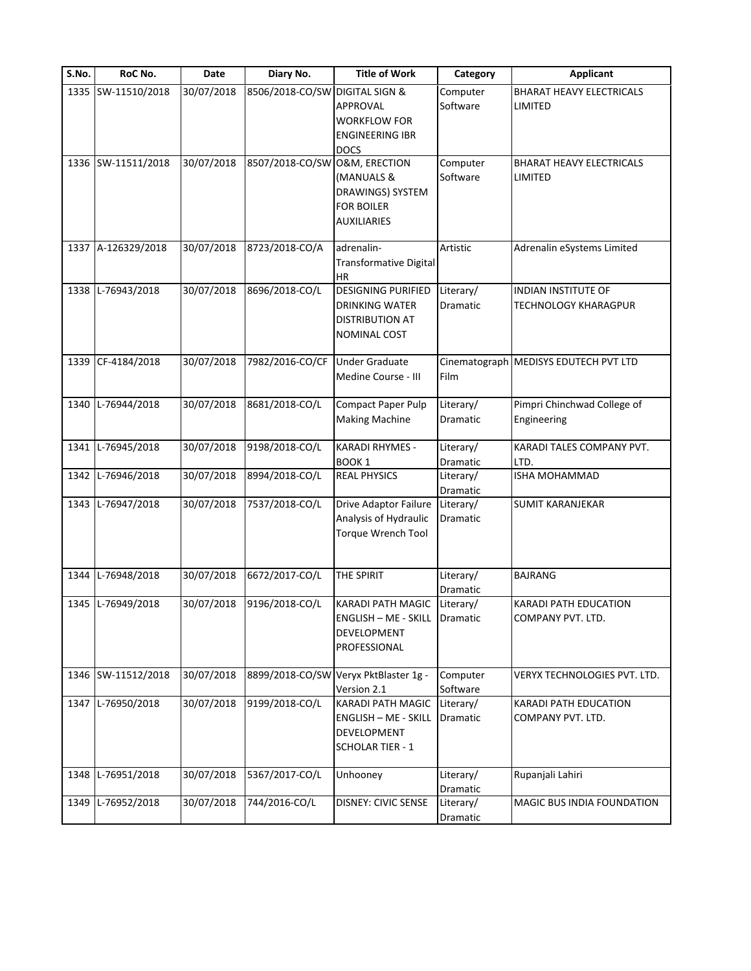| S.No. | RoC No.            | Date       | Diary No.       | <b>Title of Work</b>        | Category        | <b>Applicant</b>                      |
|-------|--------------------|------------|-----------------|-----------------------------|-----------------|---------------------------------------|
|       | 1335 SW-11510/2018 | 30/07/2018 | 8506/2018-CO/SW | <b>DIGITAL SIGN &amp;</b>   | Computer        | <b>BHARAT HEAVY ELECTRICALS</b>       |
|       |                    |            |                 | APPROVAL                    | Software        | LIMITED                               |
|       |                    |            |                 | <b>WORKFLOW FOR</b>         |                 |                                       |
|       |                    |            |                 | <b>ENGINEERING IBR</b>      |                 |                                       |
|       |                    |            |                 | <b>DOCS</b>                 |                 |                                       |
|       | 1336 SW-11511/2018 | 30/07/2018 | 8507/2018-CO/SW | O&M, ERECTION               | Computer        | BHARAT HEAVY ELECTRICALS              |
|       |                    |            |                 | (MANUALS &                  | Software        | LIMITED                               |
|       |                    |            |                 | DRAWINGS) SYSTEM            |                 |                                       |
|       |                    |            |                 | <b>FOR BOILER</b>           |                 |                                       |
|       |                    |            |                 | AUXILIARIES                 |                 |                                       |
|       | 1337 A-126329/2018 | 30/07/2018 | 8723/2018-CO/A  | adrenalin-                  | Artistic        | Adrenalin eSystems Limited            |
|       |                    |            |                 | Transformative Digital      |                 |                                       |
|       |                    |            |                 | <b>HR</b>                   |                 |                                       |
|       | 1338 L-76943/2018  | 30/07/2018 | 8696/2018-CO/L  | <b>DESIGNING PURIFIED</b>   | Literary/       | <b>INDIAN INSTITUTE OF</b>            |
|       |                    |            |                 | <b>DRINKING WATER</b>       | <b>Dramatic</b> | <b>TECHNOLOGY KHARAGPUR</b>           |
|       |                    |            |                 | DISTRIBUTION AT             |                 |                                       |
|       |                    |            |                 | NOMINAL COST                |                 |                                       |
|       |                    |            |                 |                             |                 |                                       |
| 1339  | CF-4184/2018       | 30/07/2018 | 7982/2016-CO/CF | <b>Under Graduate</b>       |                 | Cinematograph MEDISYS EDUTECH PVT LTD |
|       |                    |            |                 | Medine Course - III         | Film            |                                       |
| 1340  | L-76944/2018       | 30/07/2018 | 8681/2018-CO/L  | <b>Compact Paper Pulp</b>   | Literary/       | Pimpri Chinchwad College of           |
|       |                    |            |                 | <b>Making Machine</b>       | Dramatic        | Engineering                           |
|       |                    |            |                 |                             |                 |                                       |
| 1341  | L-76945/2018       | 30/07/2018 | 9198/2018-CO/L  | KARADI RHYMES -             | Literary/       | KARADI TALES COMPANY PVT.             |
|       |                    |            |                 | BOOK <sub>1</sub>           | Dramatic        | LTD.                                  |
| 1342  | L-76946/2018       | 30/07/2018 | 8994/2018-CO/L  | <b>REAL PHYSICS</b>         | Literary/       | <b>ISHA MOHAMMAD</b>                  |
|       |                    |            |                 |                             | Dramatic        |                                       |
| 1343  | L-76947/2018       | 30/07/2018 | 7537/2018-CO/L  | Drive Adaptor Failure       | Literary/       | <b>SUMIT KARANJEKAR</b>               |
|       |                    |            |                 | Analysis of Hydraulic       | Dramatic        |                                       |
|       |                    |            |                 | Torque Wrench Tool          |                 |                                       |
|       |                    |            |                 |                             |                 |                                       |
| 1344  | L-76948/2018       | 30/07/2018 | 6672/2017-CO/L  | THE SPIRIT                  | Literary/       | <b>BAJRANG</b>                        |
|       |                    |            |                 |                             | <b>Dramatic</b> |                                       |
|       | 1345 L-76949/2018  | 30/07/2018 | 9196/2018-CO/L  | KARADI PATH MAGIC           | Literary/       | KARADI PATH EDUCATION                 |
|       |                    |            |                 | <b>ENGLISH - ME - SKILL</b> | Dramatic        | COMPANY PVT. LTD.                     |
|       |                    |            |                 | DEVELOPMENT                 |                 |                                       |
|       |                    |            |                 | PROFESSIONAL                |                 |                                       |
|       | 1346 SW-11512/2018 | 30/07/2018 | 8899/2018-CO/SW | Veryx PktBlaster 1g -       | Computer        | VERYX TECHNOLOGIES PVT. LTD.          |
|       |                    |            |                 | Version 2.1                 | Software        |                                       |
| 1347  | L-76950/2018       | 30/07/2018 | 9199/2018-CO/L  | KARADI PATH MAGIC           | Literary/       | <b>KARADI PATH EDUCATION</b>          |
|       |                    |            |                 | <b>ENGLISH - ME - SKILL</b> | Dramatic        | COMPANY PVT. LTD.                     |
|       |                    |            |                 | DEVELOPMENT                 |                 |                                       |
|       |                    |            |                 | <b>SCHOLAR TIER - 1</b>     |                 |                                       |
| 1348  | L-76951/2018       | 30/07/2018 | 5367/2017-CO/L  | Unhooney                    | Literary/       | Rupanjali Lahiri                      |
|       |                    |            |                 |                             | Dramatic        |                                       |
| 1349  | L-76952/2018       | 30/07/2018 | 744/2016-CO/L   | <b>DISNEY: CIVIC SENSE</b>  | Literary/       | MAGIC BUS INDIA FOUNDATION            |
|       |                    |            |                 |                             | Dramatic        |                                       |
|       |                    |            |                 |                             |                 |                                       |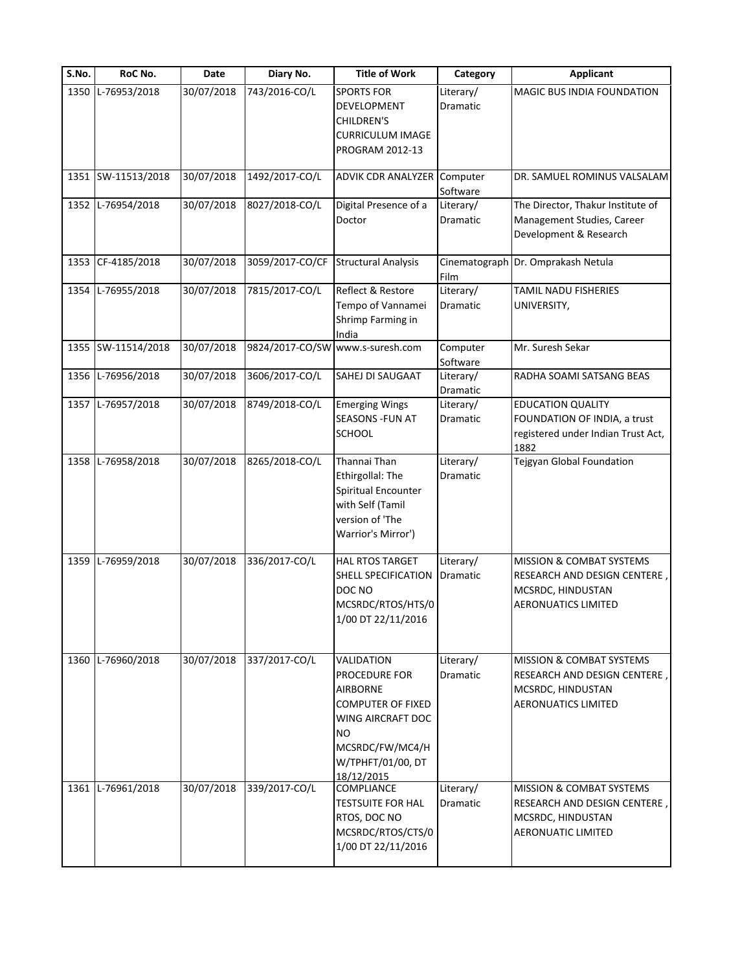| S.No. | RoC No.            | <b>Date</b> | Diary No.      | <b>Title of Work</b>                                                                                                                                                      | Category              | <b>Applicant</b>                                                                                                       |
|-------|--------------------|-------------|----------------|---------------------------------------------------------------------------------------------------------------------------------------------------------------------------|-----------------------|------------------------------------------------------------------------------------------------------------------------|
| 1350  | L-76953/2018       | 30/07/2018  | 743/2016-CO/L  | <b>SPORTS FOR</b><br>DEVELOPMENT<br>CHILDREN'S<br>CURRICULUM IMAGE<br>PROGRAM 2012-13                                                                                     | Literary/<br>Dramatic | MAGIC BUS INDIA FOUNDATION                                                                                             |
|       | 1351 SW-11513/2018 | 30/07/2018  | 1492/2017-CO/L | ADVIK CDR ANALYZER                                                                                                                                                        | Computer<br>Software  | DR. SAMUEL ROMINUS VALSALAM                                                                                            |
| 1352  | L-76954/2018       | 30/07/2018  | 8027/2018-CO/L | Digital Presence of a<br>Doctor                                                                                                                                           | Literary/<br>Dramatic | The Director, Thakur Institute of<br>Management Studies, Career<br>Development & Research                              |
| 1353  | CF-4185/2018       | 30/07/2018  |                | 3059/2017-CO/CF Structural Analysis                                                                                                                                       | Film                  | Cinematograph Dr. Omprakash Netula                                                                                     |
| 1354  | L-76955/2018       | 30/07/2018  | 7815/2017-CO/L | Reflect & Restore<br>Tempo of Vannamei<br>Shrimp Farming in<br>India                                                                                                      | Literary/<br>Dramatic | TAMIL NADU FISHERIES<br>UNIVERSITY,                                                                                    |
|       | 1355 SW-11514/2018 | 30/07/2018  |                | 9824/2017-CO/SW www.s-suresh.com                                                                                                                                          | Computer<br>Software  | Mr. Suresh Sekar                                                                                                       |
| 1356  | L-76956/2018       | 30/07/2018  | 3606/2017-CO/L | SAHEJ DI SAUGAAT                                                                                                                                                          | Literary/<br>Dramatic | RADHA SOAMI SATSANG BEAS                                                                                               |
| 1357  | L-76957/2018       | 30/07/2018  | 8749/2018-CO/L | <b>Emerging Wings</b><br>SEASONS -FUN AT<br><b>SCHOOL</b>                                                                                                                 | Literary/<br>Dramatic | <b>EDUCATION QUALITY</b><br>FOUNDATION OF INDIA, a trust<br>registered under Indian Trust Act,<br>1882                 |
| 1358  | L-76958/2018       | 30/07/2018  | 8265/2018-CO/L | Thannai Than<br>Ethirgollal: The<br>Spiritual Encounter<br>with Self (Tamil<br>version of 'The<br>Warrior's Mirror')                                                      | Literary/<br>Dramatic | Tejgyan Global Foundation                                                                                              |
| 1359  | L-76959/2018       | 30/07/2018  | 336/2017-CO/L  | HAL RTOS TARGET<br>SHELL SPECIFICATION<br>DOC NO<br>MCSRDC/RTOS/HTS/0<br>1/00 DT 22/11/2016                                                                               | Literary/<br>Dramatic | MISSION & COMBAT SYSTEMS<br>RESEARCH AND DESIGN CENTERE,<br>MCSRDC, HINDUSTAN<br><b>AERONUATICS LIMITED</b>            |
| 1360  | L-76960/2018       | 30/07/2018  | 337/2017-CO/L  | VALIDATION<br><b>PROCEDURE FOR</b><br><b>AIRBORNE</b><br><b>COMPUTER OF FIXED</b><br>WING AIRCRAFT DOC<br><b>NO</b><br>MCSRDC/FW/MC4/H<br>W/TPHFT/01/00, DT<br>18/12/2015 | Literary/<br>Dramatic | <b>MISSION &amp; COMBAT SYSTEMS</b><br>RESEARCH AND DESIGN CENTERE,<br>MCSRDC, HINDUSTAN<br><b>AERONUATICS LIMITED</b> |
|       | 1361 L-76961/2018  | 30/07/2018  | 339/2017-CO/L  | COMPLIANCE<br><b>TESTSUITE FOR HAL</b><br>RTOS, DOC NO<br>MCSRDC/RTOS/CTS/0<br>1/00 DT 22/11/2016                                                                         | Literary/<br>Dramatic | <b>MISSION &amp; COMBAT SYSTEMS</b><br>RESEARCH AND DESIGN CENTERE,<br>MCSRDC, HINDUSTAN<br><b>AERONUATIC LIMITED</b>  |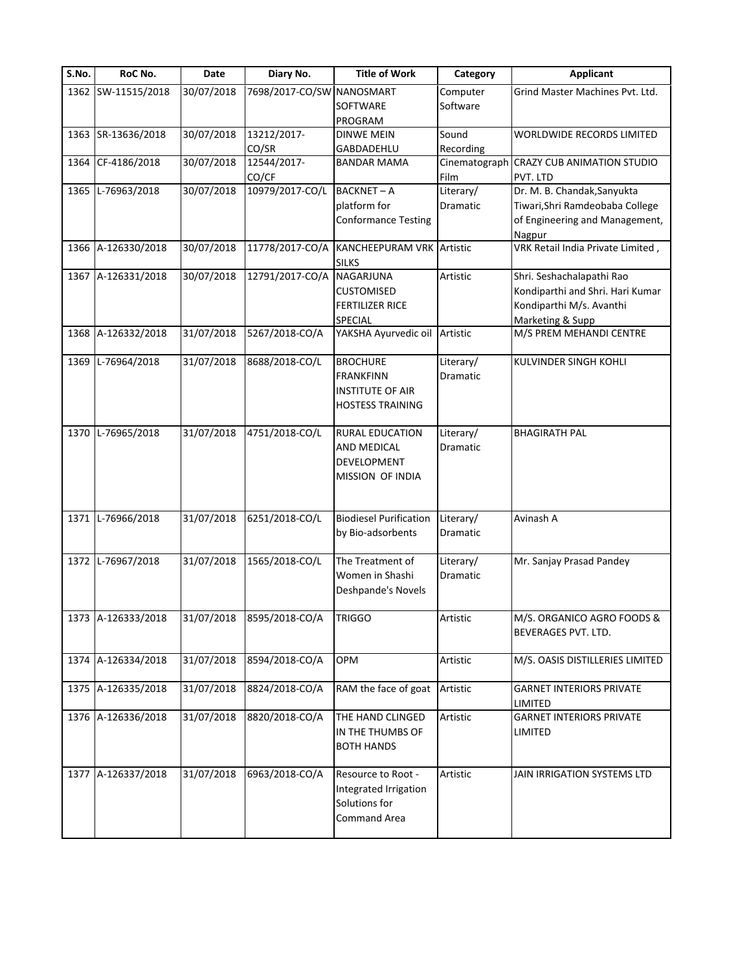|      | RoC No.            | <b>Date</b> | Diary No.                 | <b>Title of Work</b>             | Category                   | <b>Applicant</b>                  |
|------|--------------------|-------------|---------------------------|----------------------------------|----------------------------|-----------------------------------|
|      | 1362 SW-11515/2018 | 30/07/2018  | 7698/2017-CO/SW NANOSMART |                                  | Computer                   | Grind Master Machines Pvt. Ltd.   |
|      |                    |             |                           | SOFTWARE                         | Software                   |                                   |
|      |                    |             |                           | PROGRAM                          |                            |                                   |
|      | 1363 SR-13636/2018 | 30/07/2018  | 13212/2017-               | <b>DINWE MEIN</b>                | Sound                      | WORLDWIDE RECORDS LIMITED         |
| 1364 | CF-4186/2018       | 30/07/2018  | CO/SR<br>12544/2017-      | GABDADEHLU<br><b>BANDAR MAMA</b> | Recording<br>Cinematograph | <b>CRAZY CUB ANIMATION STUDIO</b> |
|      |                    |             | CO/CF                     |                                  | Film                       | PVT. LTD                          |
|      | 1365 L-76963/2018  | 30/07/2018  | 10979/2017-CO/L           | <b>BACKNET-A</b>                 | Literary/                  | Dr. M. B. Chandak, Sanyukta       |
|      |                    |             |                           | platform for                     | Dramatic                   | Tiwari, Shri Ramdeobaba College   |
|      |                    |             |                           | <b>Conformance Testing</b>       |                            | of Engineering and Management,    |
|      |                    |             |                           |                                  |                            | Nagpur                            |
|      | 1366 A-126330/2018 | 30/07/2018  | 11778/2017-CO/A           | KANCHEEPURAM VRK Artistic        |                            | VRK Retail India Private Limited, |
|      |                    |             |                           | <b>SILKS</b>                     |                            |                                   |
|      | 1367 A-126331/2018 | 30/07/2018  | 12791/2017-CO/A NAGARJUNA |                                  | Artistic                   | Shri. Seshachalapathi Rao         |
|      |                    |             |                           | <b>CUSTOMISED</b>                |                            | Kondiparthi and Shri. Hari Kumar  |
|      |                    |             |                           | <b>FERTILIZER RICE</b>           |                            | Kondiparthi M/s. Avanthi          |
|      |                    |             |                           | SPECIAL                          |                            | Marketing & Supp                  |
| 1368 | A-126332/2018      | 31/07/2018  | 5267/2018-CO/A            | YAKSHA Ayurvedic oil Artistic    |                            | M/S PREM MEHANDI CENTRE           |
|      |                    |             |                           |                                  |                            |                                   |
| 1369 | L-76964/2018       | 31/07/2018  | 8688/2018-CO/L            | <b>BROCHURE</b>                  | Literary/                  | KULVINDER SINGH KOHLI             |
|      |                    |             |                           | <b>FRANKFINN</b>                 | Dramatic                   |                                   |
|      |                    |             |                           | <b>INSTITUTE OF AIR</b>          |                            |                                   |
|      |                    |             |                           | <b>HOSTESS TRAINING</b>          |                            |                                   |
| 1370 | L-76965/2018       | 31/07/2018  | 4751/2018-CO/L            | RURAL EDUCATION                  | Literary/                  | <b>BHAGIRATH PAL</b>              |
|      |                    |             |                           | AND MEDICAL                      | Dramatic                   |                                   |
|      |                    |             |                           | DEVELOPMENT                      |                            |                                   |
|      |                    |             |                           | MISSION OF INDIA                 |                            |                                   |
|      |                    |             |                           |                                  |                            |                                   |
|      |                    |             |                           |                                  |                            |                                   |
|      | 1371 L-76966/2018  | 31/07/2018  | 6251/2018-CO/L            | <b>Biodiesel Purification</b>    | Literary/                  | Avinash A                         |
|      |                    |             |                           | by Bio-adsorbents                | Dramatic                   |                                   |
|      |                    |             |                           |                                  |                            |                                   |
|      | 1372 L-76967/2018  | 31/07/2018  | 1565/2018-CO/L            | The Treatment of                 | Literary/                  | Mr. Sanjay Prasad Pandey          |
|      |                    |             |                           | Women in Shashi                  | Dramatic                   |                                   |
|      |                    |             |                           | Deshpande's Novels               |                            |                                   |
|      | 1373 A-126333/2018 | 31/07/2018  | 8595/2018-CO/A            | <b>TRIGGO</b>                    | Artistic                   | M/S. ORGANICO AGRO FOODS &        |
|      |                    |             |                           |                                  |                            | BEVERAGES PVT. LTD.               |
|      |                    |             |                           |                                  |                            |                                   |
|      | 1374 A-126334/2018 | 31/07/2018  | 8594/2018-CO/A            | OPM                              | Artistic                   | M/S. OASIS DISTILLERIES LIMITED   |
|      |                    |             |                           |                                  |                            |                                   |
|      | 1375 A-126335/2018 | 31/07/2018  | 8824/2018-CO/A            | RAM the face of goat             | Artistic                   | <b>GARNET INTERIORS PRIVATE</b>   |
|      |                    |             |                           |                                  |                            | LIMITED                           |
|      | 1376 A-126336/2018 | 31/07/2018  | 8820/2018-CO/A            | THE HAND CLINGED                 | Artistic                   | <b>GARNET INTERIORS PRIVATE</b>   |
|      |                    |             |                           | IN THE THUMBS OF                 |                            | LIMITED                           |
|      |                    |             |                           | <b>BOTH HANDS</b>                |                            |                                   |
|      |                    |             |                           |                                  |                            |                                   |
|      | 1377 A-126337/2018 | 31/07/2018  | 6963/2018-CO/A            | Resource to Root -               | Artistic                   | JAIN IRRIGATION SYSTEMS LTD       |
|      |                    |             |                           | Integrated Irrigation            |                            |                                   |
|      |                    |             |                           |                                  |                            |                                   |
|      |                    |             |                           | Solutions for<br>Command Area    |                            |                                   |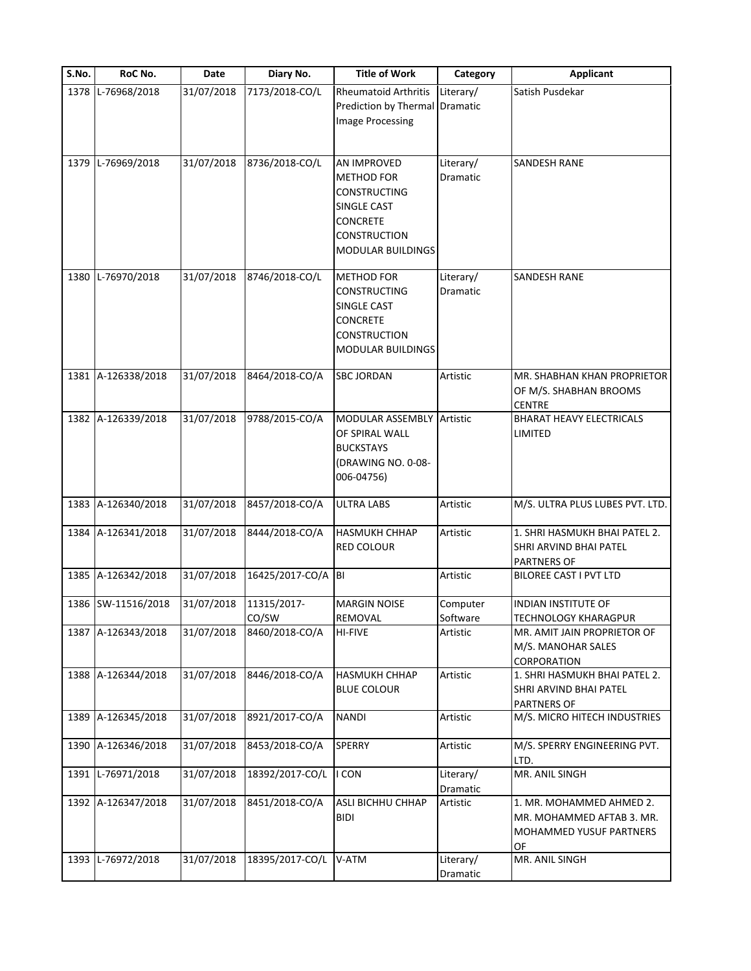| S.No. | RoC No.            | Date       | Diary No.            | <b>Title of Work</b>                                                                                                          | Category              | <b>Applicant</b>                                                                       |
|-------|--------------------|------------|----------------------|-------------------------------------------------------------------------------------------------------------------------------|-----------------------|----------------------------------------------------------------------------------------|
|       | 1378 L-76968/2018  | 31/07/2018 | 7173/2018-CO/L       | <b>Rheumatoid Arthritis</b><br>Prediction by Thermal Dramatic<br><b>Image Processing</b>                                      | Literary/             | Satish Pusdekar                                                                        |
|       | 1379 L-76969/2018  | 31/07/2018 | 8736/2018-CO/L       | AN IMPROVED<br><b>METHOD FOR</b><br><b>CONSTRUCTING</b><br>SINGLE CAST                                                        | Literary/<br>Dramatic | <b>SANDESH RANE</b>                                                                    |
|       |                    |            |                      | <b>CONCRETE</b><br><b>CONSTRUCTION</b><br>MODULAR BUILDINGS                                                                   |                       |                                                                                        |
| 1380  | L-76970/2018       | 31/07/2018 | 8746/2018-CO/L       | <b>METHOD FOR</b><br><b>CONSTRUCTING</b><br><b>SINGLE CAST</b><br><b>CONCRETE</b><br><b>CONSTRUCTION</b><br>MODULAR BUILDINGS | Literary/<br>Dramatic | <b>SANDESH RANE</b>                                                                    |
|       | 1381 A-126338/2018 | 31/07/2018 | 8464/2018-CO/A       | <b>SBC JORDAN</b>                                                                                                             | Artistic              | MR. SHABHAN KHAN PROPRIETOR<br>OF M/S. SHABHAN BROOMS<br><b>CENTRE</b>                 |
|       | 1382 A-126339/2018 | 31/07/2018 | 9788/2015-CO/A       | MODULAR ASSEMBLY Artistic<br>OF SPIRAL WALL<br><b>BUCKSTAYS</b><br>(DRAWING NO. 0-08-<br>006-04756)                           |                       | <b>BHARAT HEAVY ELECTRICALS</b><br>LIMITED                                             |
|       | 1383 A-126340/2018 | 31/07/2018 | 8457/2018-CO/A       | <b>ULTRA LABS</b>                                                                                                             | Artistic              | M/S. ULTRA PLUS LUBES PVT. LTD.                                                        |
|       | 1384 A-126341/2018 | 31/07/2018 | 8444/2018-CO/A       | <b>HASMUKH CHHAP</b><br><b>RED COLOUR</b>                                                                                     | Artistic              | 1. SHRI HASMUKH BHAI PATEL 2.<br>SHRI ARVIND BHAI PATEL<br><b>PARTNERS OF</b>          |
|       | 1385 A-126342/2018 | 31/07/2018 | 16425/2017-CO/A BI   |                                                                                                                               | Artistic              | BILOREE CAST I PVT LTD                                                                 |
|       | 1386 SW-11516/2018 | 31/07/2018 | 11315/2017-<br>CO/SW | <b>MARGIN NOISE</b><br>REMOVAL                                                                                                | Computer<br>Software  | <b>INDIAN INSTITUTE OF</b><br><b>TECHNOLOGY KHARAGPUR</b>                              |
|       | 1387 A-126343/2018 | 31/07/2018 | 8460/2018-CO/A       | <b>HI-FIVE</b>                                                                                                                | Artistic              | MR. AMIT JAIN PROPRIETOR OF<br>M/S. MANOHAR SALES<br><b>CORPORATION</b>                |
|       | 1388 A-126344/2018 | 31/07/2018 | 8446/2018-CO/A       | <b>HASMUKH CHHAP</b><br><b>BLUE COLOUR</b>                                                                                    | Artistic              | 1. SHRI HASMUKH BHAI PATEL 2.<br>SHRI ARVIND BHAI PATEL<br><b>PARTNERS OF</b>          |
|       | 1389 A-126345/2018 | 31/07/2018 | 8921/2017-CO/A       | <b>NANDI</b>                                                                                                                  | Artistic              | M/S. MICRO HITECH INDUSTRIES                                                           |
|       | 1390 A-126346/2018 | 31/07/2018 | 8453/2018-CO/A       | <b>SPERRY</b>                                                                                                                 | Artistic              | M/S. SPERRY ENGINEERING PVT.<br>LTD.                                                   |
|       | 1391 L-76971/2018  | 31/07/2018 | 18392/2017-CO/L      | I CON                                                                                                                         | Literary/<br>Dramatic | MR. ANIL SINGH                                                                         |
|       | 1392 A-126347/2018 | 31/07/2018 | 8451/2018-CO/A       | ASLI BICHHU CHHAP<br><b>BIDI</b>                                                                                              | Artistic              | 1. MR. MOHAMMED AHMED 2.<br>MR. MOHAMMED AFTAB 3. MR.<br>MOHAMMED YUSUF PARTNERS<br>OF |
|       | 1393 L-76972/2018  | 31/07/2018 | 18395/2017-CO/L      | V-ATM                                                                                                                         | Literary/<br>Dramatic | MR. ANIL SINGH                                                                         |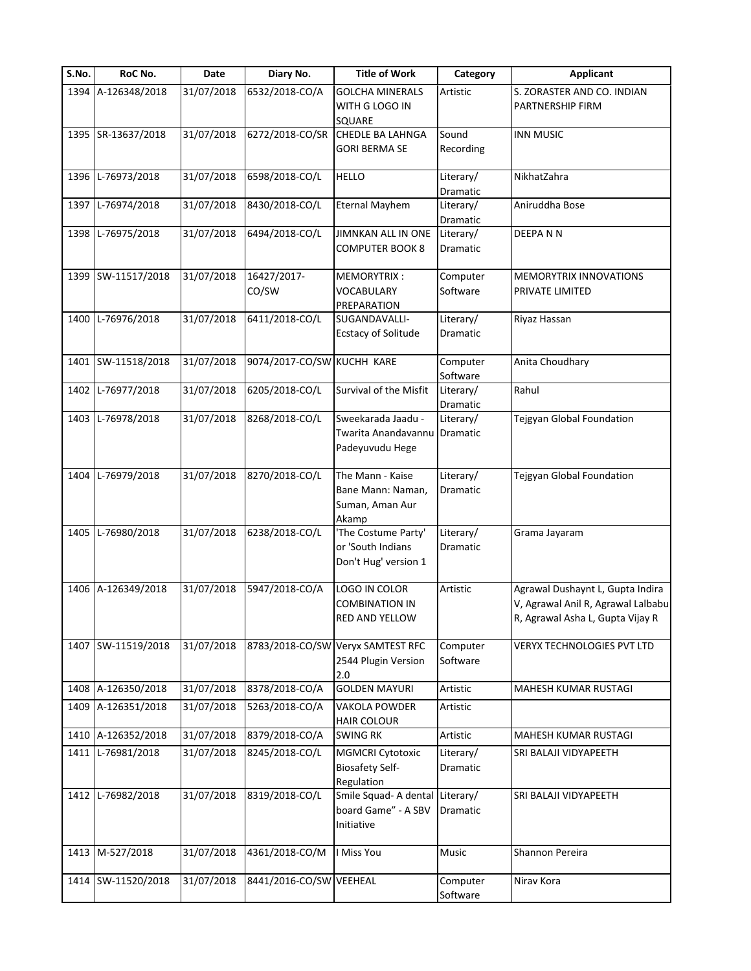| S.No. | RoC No.            | Date       | Diary No.                  | <b>Title of Work</b>                                                | Category                     | <b>Applicant</b>                                                                                           |
|-------|--------------------|------------|----------------------------|---------------------------------------------------------------------|------------------------------|------------------------------------------------------------------------------------------------------------|
|       | 1394 A-126348/2018 | 31/07/2018 | 6532/2018-CO/A             | <b>GOLCHA MINERALS</b><br>WITH G LOGO IN<br><b>SQUARE</b>           | Artistic                     | S. ZORASTER AND CO. INDIAN<br>PARTNERSHIP FIRM                                                             |
|       | 1395 SR-13637/2018 | 31/07/2018 | 6272/2018-CO/SR            | CHEDLE BA LAHNGA<br><b>GORI BERMA SE</b>                            | Sound<br>Recording           | <b>INN MUSIC</b>                                                                                           |
|       | 1396 L-76973/2018  | 31/07/2018 | 6598/2018-CO/L             | <b>HELLO</b>                                                        | Literary/<br>Dramatic        | NikhatZahra                                                                                                |
|       | 1397 L-76974/2018  | 31/07/2018 | 8430/2018-CO/L             | <b>Eternal Mayhem</b>                                               | Literary/<br>Dramatic        | Aniruddha Bose                                                                                             |
|       | 1398 L-76975/2018  | 31/07/2018 | 6494/2018-CO/L             | JIMNKAN ALL IN ONE<br><b>COMPUTER BOOK 8</b>                        | Literary/<br>Dramatic        | DEEPANN                                                                                                    |
|       | 1399 SW-11517/2018 | 31/07/2018 | 16427/2017-<br>CO/SW       | MEMORYTRIX:<br><b>VOCABULARY</b><br>PREPARATION                     | Computer<br>Software         | MEMORYTRIX INNOVATIONS<br>PRIVATE LIMITED                                                                  |
|       | 1400 L-76976/2018  | 31/07/2018 | 6411/2018-CO/L             | SUGANDAVALLI-<br><b>Ecstacy of Solitude</b>                         | Literary/<br><b>Dramatic</b> | Riyaz Hassan                                                                                               |
| 1401  | SW-11518/2018      | 31/07/2018 | 9074/2017-CO/SW KUCHH KARE |                                                                     | Computer<br>Software         | Anita Choudhary                                                                                            |
|       | 1402 L-76977/2018  | 31/07/2018 | 6205/2018-CO/L             | Survival of the Misfit                                              | Literary/<br>Dramatic        | Rahul                                                                                                      |
|       | 1403 L-76978/2018  | 31/07/2018 | 8268/2018-CO/L             | Sweekarada Jaadu -<br>Twarita Anandavannu<br>Padeyuvudu Hege        | Literary/<br>Dramatic        | Tejgyan Global Foundation                                                                                  |
|       | 1404 L-76979/2018  | 31/07/2018 | 8270/2018-CO/L             | The Mann - Kaise<br>Bane Mann: Naman,<br>Suman, Aman Aur<br>Akamp   | Literary/<br>Dramatic        | Tejgyan Global Foundation                                                                                  |
|       | 1405 L-76980/2018  | 31/07/2018 | 6238/2018-CO/L             | 'The Costume Party'<br>or 'South Indians<br>Don't Hug' version 1    | Literary/<br><b>Dramatic</b> | Grama Jayaram                                                                                              |
|       | 1406 A-126349/2018 | 31/07/2018 | 5947/2018-CO/A             | LOGO IN COLOR<br><b>COMBINATION IN</b><br>RED AND YELLOW            | Artistic                     | Agrawal Dushaynt L, Gupta Indira<br>V, Agrawal Anil R, Agrawal Lalbabu<br>R, Agrawal Asha L, Gupta Vijay R |
|       | 1407 SW-11519/2018 | 31/07/2018 |                            | 8783/2018-CO/SW Veryx SAMTEST RFC<br>2544 Plugin Version<br>2.0     | Computer<br>Software         | <b>VERYX TECHNOLOGIES PVT LTD</b>                                                                          |
|       | 1408 A-126350/2018 | 31/07/2018 | 8378/2018-CO/A             | <b>GOLDEN MAYURI</b>                                                | Artistic                     | MAHESH KUMAR RUSTAGI                                                                                       |
| 1409  | A-126351/2018      | 31/07/2018 | 5263/2018-CO/A             | <b>VAKOLA POWDER</b><br><b>HAIR COLOUR</b>                          | Artistic                     |                                                                                                            |
|       | 1410 A-126352/2018 | 31/07/2018 | 8379/2018-CO/A             | <b>SWING RK</b>                                                     | Artistic                     | MAHESH KUMAR RUSTAGI                                                                                       |
|       | 1411 L-76981/2018  | 31/07/2018 | 8245/2018-CO/L             | <b>MGMCRI Cytotoxic</b><br><b>Biosafety Self-</b><br>Regulation     | Literary/<br>Dramatic        | SRI BALAJI VIDYAPEETH                                                                                      |
|       | 1412 L-76982/2018  | 31/07/2018 | 8319/2018-CO/L             | Smile Squad-A dental Literary/<br>board Game" - A SBV<br>Initiative | Dramatic                     | SRI BALAJI VIDYAPEETH                                                                                      |
|       | 1413 M-527/2018    | 31/07/2018 | 4361/2018-CO/M             | I Miss You                                                          | Music                        | Shannon Pereira                                                                                            |
|       | 1414 SW-11520/2018 | 31/07/2018 | 8441/2016-CO/SW VEEHEAL    |                                                                     | Computer<br>Software         | Nirav Kora                                                                                                 |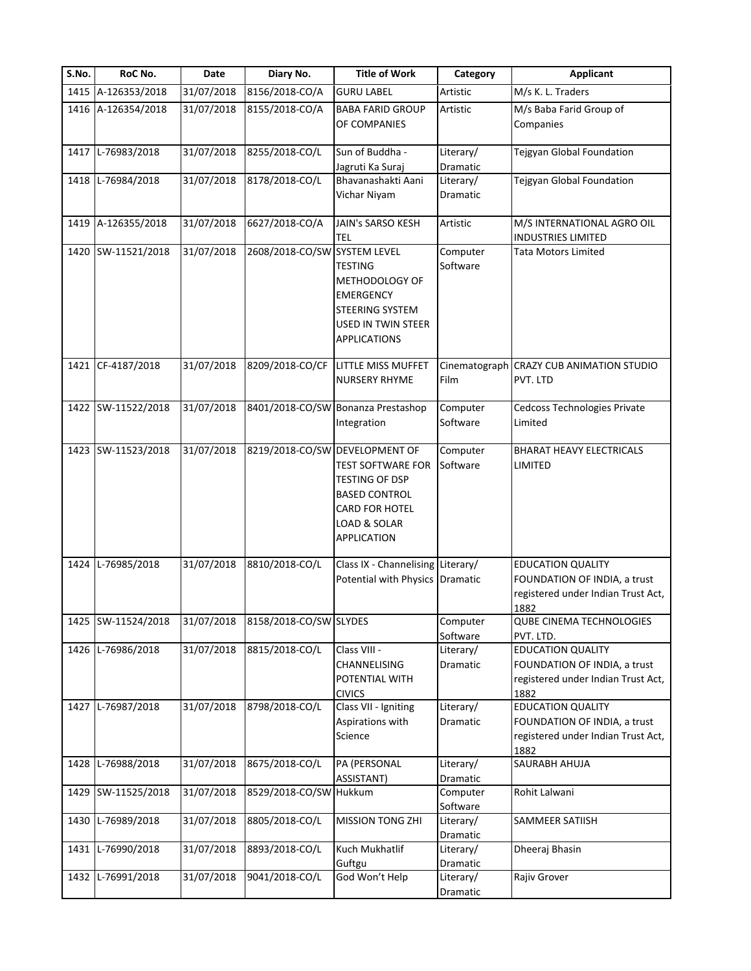| S.No. | RoC No.            | Date       | Diary No.                    | <b>Title of Work</b>                                                                                                                                         | Category              | <b>Applicant</b>                                                                                       |
|-------|--------------------|------------|------------------------------|--------------------------------------------------------------------------------------------------------------------------------------------------------------|-----------------------|--------------------------------------------------------------------------------------------------------|
|       | 1415 A-126353/2018 | 31/07/2018 | 8156/2018-CO/A               | <b>GURU LABEL</b>                                                                                                                                            | Artistic              | M/s K. L. Traders                                                                                      |
|       | 1416 A-126354/2018 | 31/07/2018 | 8155/2018-CO/A               | <b>BABA FARID GROUP</b><br>OF COMPANIES                                                                                                                      | Artistic              | M/s Baba Farid Group of<br>Companies                                                                   |
|       | 1417 L-76983/2018  | 31/07/2018 | 8255/2018-CO/L               | Sun of Buddha -<br>Jagruti Ka Suraj                                                                                                                          | Literary/<br>Dramatic | Tejgyan Global Foundation                                                                              |
|       | 1418 L-76984/2018  | 31/07/2018 | 8178/2018-CO/L               | Bhavanashakti Aani<br>Vichar Niyam                                                                                                                           | Literary/<br>Dramatic | Tejgyan Global Foundation                                                                              |
|       | 1419 A-126355/2018 | 31/07/2018 | 6627/2018-CO/A               | <b>JAIN's SARSO KESH</b><br><b>TEL</b>                                                                                                                       | Artistic              | M/S INTERNATIONAL AGRO OIL<br><b>INDUSTRIES LIMITED</b>                                                |
|       | 1420 SW-11521/2018 | 31/07/2018 | 2608/2018-CO/SW SYSTEM LEVEL | <b>TESTING</b><br>METHODOLOGY OF<br><b>EMERGENCY</b><br><b>STEERING SYSTEM</b><br><b>USED IN TWIN STEER</b><br><b>APPLICATIONS</b>                           | Computer<br>Software  | <b>Tata Motors Limited</b>                                                                             |
|       | 1421 CF-4187/2018  | 31/07/2018 |                              | 8209/2018-CO/CF LITTLE MISS MUFFET<br><b>NURSERY RHYME</b>                                                                                                   | Film                  | Cinematograph CRAZY CUB ANIMATION STUDIO<br>PVT. LTD                                                   |
|       | 1422 SW-11522/2018 | 31/07/2018 |                              | 8401/2018-CO/SW Bonanza Prestashop<br>Integration                                                                                                            | Computer<br>Software  | Cedcoss Technologies Private<br>Limited                                                                |
|       | 1423 SW-11523/2018 | 31/07/2018 |                              | 8219/2018-CO/SW DEVELOPMENT OF<br>TEST SOFTWARE FOR<br><b>TESTING OF DSP</b><br><b>BASED CONTROL</b><br><b>CARD FOR HOTEL</b><br>LOAD & SOLAR<br>APPLICATION | Computer<br>Software  | <b>BHARAT HEAVY ELECTRICALS</b><br>LIMITED                                                             |
|       | 1424 L-76985/2018  | 31/07/2018 | 8810/2018-CO/L               | Class IX - Channelising Literary/<br>Potential with Physics Dramatic                                                                                         |                       | <b>EDUCATION QUALITY</b><br>FOUNDATION OF INDIA, a trust<br>registered under Indian Trust Act,<br>1882 |
|       | 1425 SW-11524/2018 | 31/07/2018 | 8158/2018-CO/SW SLYDES       |                                                                                                                                                              | Computer<br>Software  | <b>QUBE CINEMA TECHNOLOGIES</b><br>PVT. LTD.                                                           |
|       | 1426 L-76986/2018  | 31/07/2018 | 8815/2018-CO/L               | Class VIII -<br>CHANNELISING<br>POTENTIAL WITH<br><b>CIVICS</b>                                                                                              | Literary/<br>Dramatic | <b>EDUCATION QUALITY</b><br>FOUNDATION OF INDIA, a trust<br>registered under Indian Trust Act,<br>1882 |
|       | 1427 L-76987/2018  | 31/07/2018 | 8798/2018-CO/L               | Class VII - Igniting<br>Aspirations with<br>Science                                                                                                          | Literary/<br>Dramatic | <b>EDUCATION QUALITY</b><br>FOUNDATION OF INDIA, a trust<br>registered under Indian Trust Act,<br>1882 |
|       | 1428 L-76988/2018  | 31/07/2018 | 8675/2018-CO/L               | PA (PERSONAL<br>ASSISTANT)                                                                                                                                   | Literary/<br>Dramatic | SAURABH AHUJA                                                                                          |
|       | 1429 SW-11525/2018 | 31/07/2018 | 8529/2018-CO/SW Hukkum       |                                                                                                                                                              | Computer<br>Software  | Rohit Lalwani                                                                                          |
|       | 1430 L-76989/2018  | 31/07/2018 | 8805/2018-CO/L               | <b>MISSION TONG ZHI</b>                                                                                                                                      | Literary/<br>Dramatic | SAMMEER SATIISH                                                                                        |
|       | 1431 L-76990/2018  | 31/07/2018 | 8893/2018-CO/L               | Kuch Mukhatlif<br>Guftgu                                                                                                                                     | Literary/<br>Dramatic | Dheeraj Bhasin                                                                                         |
|       | 1432 L-76991/2018  | 31/07/2018 | 9041/2018-CO/L               | God Won't Help                                                                                                                                               | Literary/<br>Dramatic | Rajiv Grover                                                                                           |